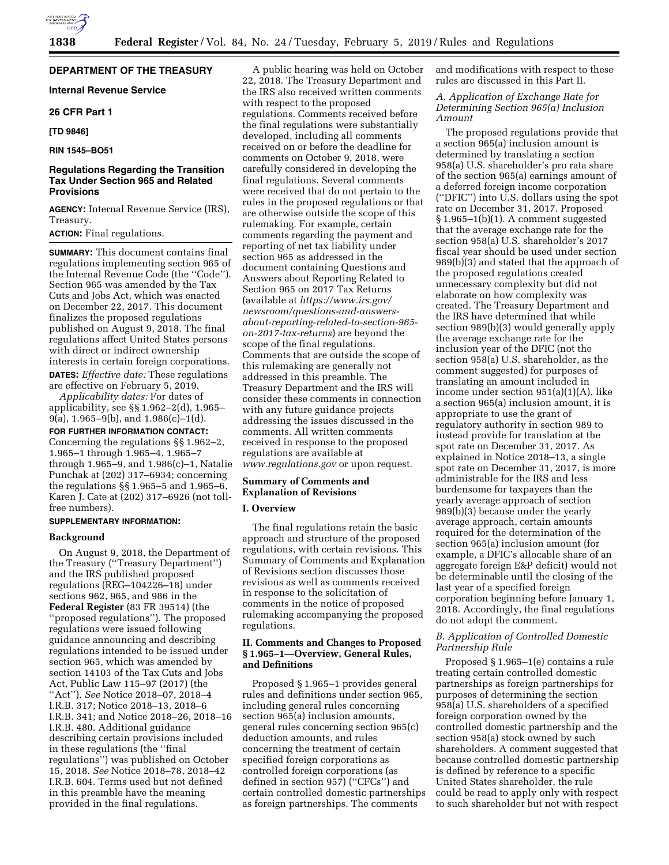# **DEPARTMENT OF THE TREASURY**

# **Internal Revenue Service**

# **26 CFR Part 1**

# **[TD 9846]**

## **RIN 1545–BO51**

# **Regulations Regarding the Transition Tax Under Section 965 and Related Provisions**

**AGENCY:** Internal Revenue Service (IRS), Treasury.

## **ACTION:** Final regulations.

**SUMMARY:** This document contains final regulations implementing section 965 of the Internal Revenue Code (the ''Code''). Section 965 was amended by the Tax Cuts and Jobs Act, which was enacted on December 22, 2017. This document finalizes the proposed regulations published on August 9, 2018. The final regulations affect United States persons with direct or indirect ownership interests in certain foreign corporations.

**DATES:** *Effective date:* These regulations are effective on February 5, 2019.

*Applicability dates:* For dates of applicability, see §§ 1.962–2(d), 1.965–  $9(a)$ , 1.965–9(b), and 1.986(c)–1(d).

### **FOR FURTHER INFORMATION CONTACT:**

Concerning the regulations §§ 1.962–2, 1.965–1 through 1.965–4, 1.965–7 through 1.965–9, and 1.986(c)–1, Natalie Punchak at (202) 317–6934; concerning the regulations §§ 1.965–5 and 1.965–6, Karen J. Cate at (202) 317–6926 (not tollfree numbers).

# **SUPPLEMENTARY INFORMATION:**

#### **Background**

On August 9, 2018, the Department of the Treasury (''Treasury Department'') and the IRS published proposed regulations (REG–104226–18) under sections 962, 965, and 986 in the **Federal Register** (83 FR 39514) (the ''proposed regulations''). The proposed regulations were issued following guidance announcing and describing regulations intended to be issued under section 965, which was amended by section 14103 of the Tax Cuts and Jobs Act, Public Law 115–97 (2017) (the ''Act''). *See* Notice 2018–07, 2018–4 I.R.B. 317; Notice 2018–13, 2018–6 I.R.B. 341; and Notice 2018–26, 2018–16 I.R.B. 480. Additional guidance describing certain provisions included in these regulations (the ''final regulations'') was published on October 15, 2018. *See* Notice 2018–78, 2018–42 I.R.B. 604. Terms used but not defined in this preamble have the meaning provided in the final regulations.

A public hearing was held on October 22, 2018. The Treasury Department and the IRS also received written comments with respect to the proposed regulations. Comments received before the final regulations were substantially developed, including all comments received on or before the deadline for comments on October 9, 2018, were carefully considered in developing the final regulations. Several comments were received that do not pertain to the rules in the proposed regulations or that are otherwise outside the scope of this rulemaking. For example, certain comments regarding the payment and reporting of net tax liability under section 965 as addressed in the document containing Questions and Answers about Reporting Related to Section 965 on 2017 Tax Returns (available at *[https://www.irs.gov/](https://www.irs.gov/newsroom/questions-and-answers-about-reporting-related-to-section-965-on-2017-tax-returns) [newsroom/questions-and-answers](https://www.irs.gov/newsroom/questions-and-answers-about-reporting-related-to-section-965-on-2017-tax-returns)[about-reporting-related-to-section-965](https://www.irs.gov/newsroom/questions-and-answers-about-reporting-related-to-section-965-on-2017-tax-returns)  [on-2017-tax-returns](https://www.irs.gov/newsroom/questions-and-answers-about-reporting-related-to-section-965-on-2017-tax-returns)*) are beyond the scope of the final regulations. Comments that are outside the scope of this rulemaking are generally not addressed in this preamble. The Treasury Department and the IRS will consider these comments in connection with any future guidance projects addressing the issues discussed in the comments. All written comments received in response to the proposed regulations are available at *[www.regulations.gov](http://www.regulations.gov)* or upon request.

# **Summary of Comments and Explanation of Revisions**

## **I. Overview**

The final regulations retain the basic approach and structure of the proposed regulations, with certain revisions. This Summary of Comments and Explanation of Revisions section discusses those revisions as well as comments received in response to the solicitation of comments in the notice of proposed rulemaking accompanying the proposed regulations.

## **II. Comments and Changes to Proposed § 1.965–1—Overview, General Rules, and Definitions**

Proposed § 1.965–1 provides general rules and definitions under section 965, including general rules concerning section 965(a) inclusion amounts, general rules concerning section 965(c) deduction amounts, and rules concerning the treatment of certain specified foreign corporations as controlled foreign corporations (as defined in section 957) (''CFCs'') and certain controlled domestic partnerships as foreign partnerships. The comments

and modifications with respect to these rules are discussed in this Part II.

# *A. Application of Exchange Rate for Determining Section 965(a) Inclusion Amount*

The proposed regulations provide that a section 965(a) inclusion amount is determined by translating a section 958(a) U.S. shareholder's pro rata share of the section 965(a) earnings amount of a deferred foreign income corporation (''DFIC'') into U.S. dollars using the spot rate on December 31, 2017. Proposed § 1.965–1(b)(1). A comment suggested that the average exchange rate for the section 958(a) U.S. shareholder's 2017 fiscal year should be used under section 989(b)(3) and stated that the approach of the proposed regulations created unnecessary complexity but did not elaborate on how complexity was created. The Treasury Department and the IRS have determined that while section 989(b)(3) would generally apply the average exchange rate for the inclusion year of the DFIC (not the section 958(a) U.S. shareholder, as the comment suggested) for purposes of translating an amount included in income under section 951(a)(1)(A), like a section 965(a) inclusion amount, it is appropriate to use the grant of regulatory authority in section 989 to instead provide for translation at the spot rate on December 31, 2017. As explained in Notice 2018–13, a single spot rate on December 31, 2017, is more administrable for the IRS and less burdensome for taxpayers than the yearly average approach of section 989(b)(3) because under the yearly average approach, certain amounts required for the determination of the section 965(a) inclusion amount (for example, a DFIC's allocable share of an aggregate foreign E&P deficit) would not be determinable until the closing of the last year of a specified foreign corporation beginning before January 1, 2018. Accordingly, the final regulations do not adopt the comment.

## *B. Application of Controlled Domestic Partnership Rule*

Proposed § 1.965–1(e) contains a rule treating certain controlled domestic partnerships as foreign partnerships for purposes of determining the section 958(a) U.S. shareholders of a specified foreign corporation owned by the controlled domestic partnership and the section 958(a) stock owned by such shareholders. A comment suggested that because controlled domestic partnership is defined by reference to a specific United States shareholder, the rule could be read to apply only with respect to such shareholder but not with respect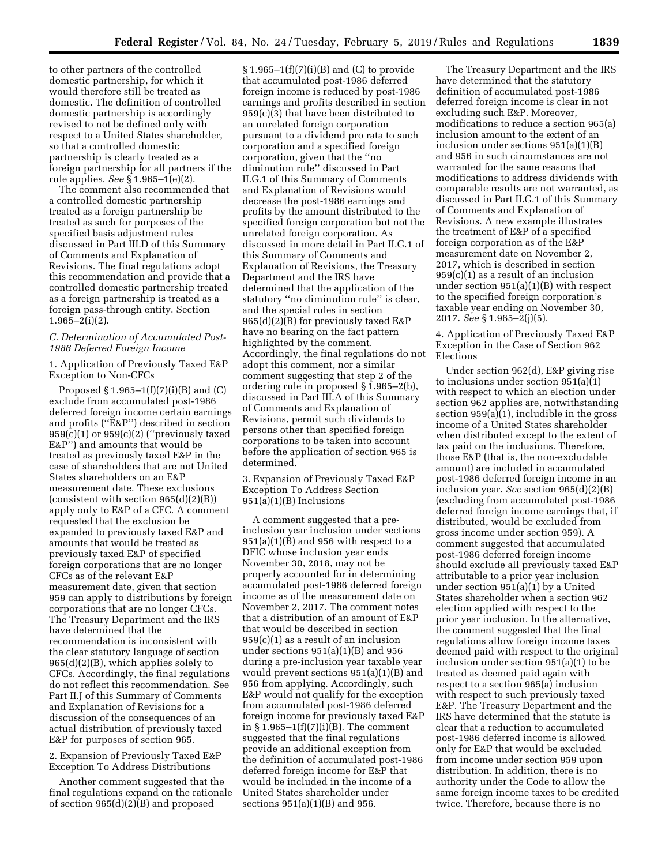to other partners of the controlled domestic partnership, for which it would therefore still be treated as domestic. The definition of controlled domestic partnership is accordingly revised to not be defined only with respect to a United States shareholder, so that a controlled domestic partnership is clearly treated as a foreign partnership for all partners if the rule applies. *See* § 1.965–1(e)(2).

The comment also recommended that a controlled domestic partnership treated as a foreign partnership be treated as such for purposes of the specified basis adjustment rules discussed in Part III.D of this Summary of Comments and Explanation of Revisions. The final regulations adopt this recommendation and provide that a controlled domestic partnership treated as a foreign partnership is treated as a foreign pass-through entity. Section 1.965–2(i)(2).

# *C. Determination of Accumulated Post-1986 Deferred Foreign Income*

1. Application of Previously Taxed E&P Exception to Non-CFCs

Proposed §  $1.965-1(f)(7)(i)(B)$  and  $(C)$ exclude from accumulated post-1986 deferred foreign income certain earnings and profits (''E&P'') described in section  $959(c)(1)$  or  $959(c)(2)$  ("previously taxed E&P'') and amounts that would be treated as previously taxed E&P in the case of shareholders that are not United States shareholders on an E&P measurement date. These exclusions (consistent with section  $965(d)(2)(B)$ ) apply only to E&P of a CFC. A comment requested that the exclusion be expanded to previously taxed E&P and amounts that would be treated as previously taxed E&P of specified foreign corporations that are no longer CFCs as of the relevant E&P measurement date, given that section 959 can apply to distributions by foreign corporations that are no longer CFCs. The Treasury Department and the IRS have determined that the recommendation is inconsistent with the clear statutory language of section 965(d)(2)(B), which applies solely to CFCs. Accordingly, the final regulations do not reflect this recommendation. See Part II.J of this Summary of Comments and Explanation of Revisions for a discussion of the consequences of an actual distribution of previously taxed E&P for purposes of section 965.

2. Expansion of Previously Taxed E&P Exception To Address Distributions

Another comment suggested that the final regulations expand on the rationale of section 965(d)(2)(B) and proposed

§ 1.965–1(f)(7)(i)(B) and (C) to provide that accumulated post-1986 deferred foreign income is reduced by post-1986 earnings and profits described in section 959(c)(3) that have been distributed to an unrelated foreign corporation pursuant to a dividend pro rata to such corporation and a specified foreign corporation, given that the ''no diminution rule'' discussed in Part II.G.1 of this Summary of Comments and Explanation of Revisions would decrease the post-1986 earnings and profits by the amount distributed to the specified foreign corporation but not the unrelated foreign corporation. As discussed in more detail in Part II.G.1 of this Summary of Comments and Explanation of Revisions, the Treasury Department and the IRS have determined that the application of the statutory ''no diminution rule'' is clear, and the special rules in section 965(d)(2)(B) for previously taxed E&P have no bearing on the fact pattern highlighted by the comment. Accordingly, the final regulations do not adopt this comment, nor a similar comment suggesting that step 2 of the ordering rule in proposed § 1.965–2(b), discussed in Part III.A of this Summary of Comments and Explanation of Revisions, permit such dividends to persons other than specified foreign corporations to be taken into account before the application of section 965 is determined.

3. Expansion of Previously Taxed E&P Exception To Address Section  $951(a)(1)(B)$  Inclusions

A comment suggested that a preinclusion year inclusion under sections  $951(a)(1)(B)$  and  $956$  with respect to a DFIC whose inclusion year ends November 30, 2018, may not be properly accounted for in determining accumulated post-1986 deferred foreign income as of the measurement date on November 2, 2017. The comment notes that a distribution of an amount of E&P that would be described in section 959(c)(1) as a result of an inclusion under sections  $951(a)(1)(B)$  and  $956$ during a pre-inclusion year taxable year would prevent sections 951(a)(1)(B) and 956 from applying. Accordingly, such E&P would not qualify for the exception from accumulated post-1986 deferred foreign income for previously taxed E&P in § 1.965–1(f)(7)(i)(B). The comment suggested that the final regulations provide an additional exception from the definition of accumulated post-1986 deferred foreign income for E&P that would be included in the income of a United States shareholder under sections 951(a)(1)(B) and 956.

The Treasury Department and the IRS have determined that the statutory definition of accumulated post-1986 deferred foreign income is clear in not excluding such E&P. Moreover, modifications to reduce a section 965(a) inclusion amount to the extent of an inclusion under sections 951(a)(1)(B) and 956 in such circumstances are not warranted for the same reasons that modifications to address dividends with comparable results are not warranted, as discussed in Part II.G.1 of this Summary of Comments and Explanation of Revisions. A new example illustrates the treatment of E&P of a specified foreign corporation as of the E&P measurement date on November 2, 2017, which is described in section 959(c)(1) as a result of an inclusion under section 951(a)(1)(B) with respect to the specified foreign corporation's taxable year ending on November 30, 2017. *See* § 1.965–2(j)(5).

4. Application of Previously Taxed E&P Exception in the Case of Section 962 Elections

Under section 962(d), E&P giving rise to inclusions under section 951(a)(1) with respect to which an election under section 962 applies are, notwithstanding section 959(a)(1), includible in the gross income of a United States shareholder when distributed except to the extent of tax paid on the inclusions. Therefore, those E&P (that is, the non-excludable amount) are included in accumulated post-1986 deferred foreign income in an inclusion year. *See* section 965(d)(2)(B) (excluding from accumulated post-1986 deferred foreign income earnings that, if distributed, would be excluded from gross income under section 959). A comment suggested that accumulated post-1986 deferred foreign income should exclude all previously taxed E&P attributable to a prior year inclusion under section 951(a)(1) by a United States shareholder when a section 962 election applied with respect to the prior year inclusion. In the alternative, the comment suggested that the final regulations allow foreign income taxes deemed paid with respect to the original inclusion under section 951(a)(1) to be treated as deemed paid again with respect to a section 965(a) inclusion with respect to such previously taxed E&P. The Treasury Department and the IRS have determined that the statute is clear that a reduction to accumulated post-1986 deferred income is allowed only for E&P that would be excluded from income under section 959 upon distribution. In addition, there is no authority under the Code to allow the same foreign income taxes to be credited twice. Therefore, because there is no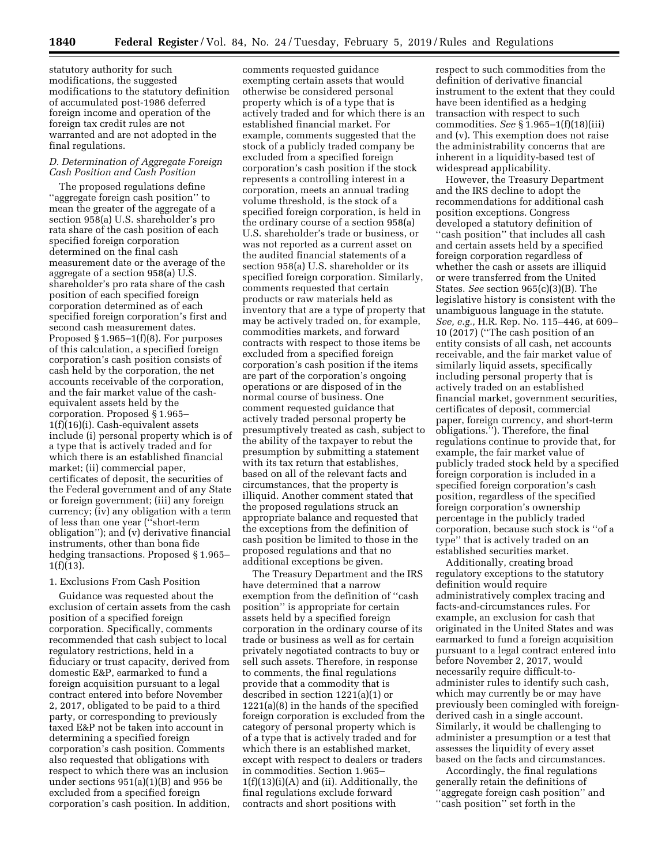statutory authority for such modifications, the suggested modifications to the statutory definition of accumulated post-1986 deferred foreign income and operation of the foreign tax credit rules are not warranted and are not adopted in the final regulations.

# *D. Determination of Aggregate Foreign Cash Position and Cash Position*

The proposed regulations define ''aggregate foreign cash position'' to mean the greater of the aggregate of a section 958(a) U.S. shareholder's pro rata share of the cash position of each specified foreign corporation determined on the final cash measurement date or the average of the aggregate of a section 958(a) U.S. shareholder's pro rata share of the cash position of each specified foreign corporation determined as of each specified foreign corporation's first and second cash measurement dates. Proposed  $\S 1.965-1(f)(8)$ . For purposes of this calculation, a specified foreign corporation's cash position consists of cash held by the corporation, the net accounts receivable of the corporation, and the fair market value of the cashequivalent assets held by the corporation. Proposed § 1.965– 1(f)(16)(i). Cash-equivalent assets include (i) personal property which is of a type that is actively traded and for which there is an established financial market; (ii) commercial paper, certificates of deposit, the securities of the Federal government and of any State or foreign government; (iii) any foreign currency; (iv) any obligation with a term of less than one year (''short-term obligation''); and (v) derivative financial instruments, other than bona fide hedging transactions. Proposed § 1.965– 1(f)(13).

#### 1. Exclusions From Cash Position

Guidance was requested about the exclusion of certain assets from the cash position of a specified foreign corporation. Specifically, comments recommended that cash subject to local regulatory restrictions, held in a fiduciary or trust capacity, derived from domestic E&P, earmarked to fund a foreign acquisition pursuant to a legal contract entered into before November 2, 2017, obligated to be paid to a third party, or corresponding to previously taxed E&P not be taken into account in determining a specified foreign corporation's cash position. Comments also requested that obligations with respect to which there was an inclusion under sections 951(a)(1)(B) and 956 be excluded from a specified foreign corporation's cash position. In addition,

comments requested guidance exempting certain assets that would otherwise be considered personal property which is of a type that is actively traded and for which there is an established financial market. For example, comments suggested that the stock of a publicly traded company be excluded from a specified foreign corporation's cash position if the stock represents a controlling interest in a corporation, meets an annual trading volume threshold, is the stock of a specified foreign corporation, is held in the ordinary course of a section 958(a) U.S. shareholder's trade or business, or was not reported as a current asset on the audited financial statements of a section 958(a) U.S. shareholder or its specified foreign corporation. Similarly, comments requested that certain products or raw materials held as inventory that are a type of property that may be actively traded on, for example, commodities markets, and forward contracts with respect to those items be excluded from a specified foreign corporation's cash position if the items are part of the corporation's ongoing operations or are disposed of in the normal course of business. One comment requested guidance that actively traded personal property be presumptively treated as cash, subject to the ability of the taxpayer to rebut the presumption by submitting a statement with its tax return that establishes, based on all of the relevant facts and circumstances, that the property is illiquid. Another comment stated that the proposed regulations struck an appropriate balance and requested that the exceptions from the definition of cash position be limited to those in the proposed regulations and that no additional exceptions be given.

The Treasury Department and the IRS have determined that a narrow exemption from the definition of ''cash position'' is appropriate for certain assets held by a specified foreign corporation in the ordinary course of its trade or business as well as for certain privately negotiated contracts to buy or sell such assets. Therefore, in response to comments, the final regulations provide that a commodity that is described in section 1221(a)(1) or 1221(a)(8) in the hands of the specified foreign corporation is excluded from the category of personal property which is of a type that is actively traded and for which there is an established market, except with respect to dealers or traders in commodities. Section 1.965–  $1(f)(13)(i)(A)$  and (ii). Additionally, the final regulations exclude forward contracts and short positions with

respect to such commodities from the definition of derivative financial instrument to the extent that they could have been identified as a hedging transaction with respect to such commodities. *See* § 1.965–1(f)(18)(iii) and (v). This exemption does not raise the administrability concerns that are inherent in a liquidity-based test of widespread applicability.

However, the Treasury Department and the IRS decline to adopt the recommendations for additional cash position exceptions. Congress developed a statutory definition of "cash position" that includes all cash and certain assets held by a specified foreign corporation regardless of whether the cash or assets are illiquid or were transferred from the United States. *See* section 965(c)(3)(B). The legislative history is consistent with the unambiguous language in the statute. *See, e.g.,* H.R. Rep. No. 115–446, at 609– 10 (2017) (''The cash position of an entity consists of all cash, net accounts receivable, and the fair market value of similarly liquid assets, specifically including personal property that is actively traded on an established financial market, government securities, certificates of deposit, commercial paper, foreign currency, and short-term obligations.''). Therefore, the final regulations continue to provide that, for example, the fair market value of publicly traded stock held by a specified foreign corporation is included in a specified foreign corporation's cash position, regardless of the specified foreign corporation's ownership percentage in the publicly traded corporation, because such stock is ''of a type'' that is actively traded on an established securities market.

Additionally, creating broad regulatory exceptions to the statutory definition would require administratively complex tracing and facts-and-circumstances rules. For example, an exclusion for cash that originated in the United States and was earmarked to fund a foreign acquisition pursuant to a legal contract entered into before November 2, 2017, would necessarily require difficult-toadminister rules to identify such cash, which may currently be or may have previously been comingled with foreignderived cash in a single account. Similarly, it would be challenging to administer a presumption or a test that assesses the liquidity of every asset based on the facts and circumstances.

Accordingly, the final regulations generally retain the definitions of ''aggregate foreign cash position'' and ''cash position'' set forth in the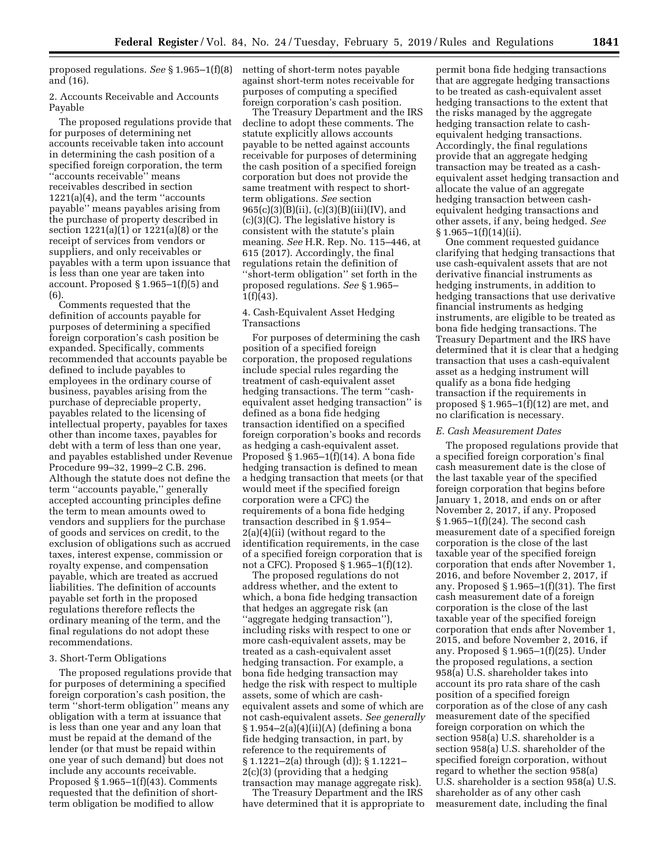proposed regulations. *See* § 1.965–1(f)(8) netting of short-term notes payable and (16).

2. Accounts Receivable and Accounts Payable

The proposed regulations provide that for purposes of determining net accounts receivable taken into account in determining the cash position of a specified foreign corporation, the term ''accounts receivable'' means receivables described in section 1221(a)(4), and the term ''accounts payable'' means payables arising from the purchase of property described in section 1221(a)(1) or 1221(a)(8) or the receipt of services from vendors or suppliers, and only receivables or payables with a term upon issuance that is less than one year are taken into account. Proposed § 1.965–1(f)(5) and (6).

Comments requested that the definition of accounts payable for purposes of determining a specified foreign corporation's cash position be expanded. Specifically, comments recommended that accounts payable be defined to include payables to employees in the ordinary course of business, payables arising from the purchase of depreciable property, payables related to the licensing of intellectual property, payables for taxes other than income taxes, payables for debt with a term of less than one year, and payables established under Revenue Procedure 99–32, 1999–2 C.B. 296. Although the statute does not define the term ''accounts payable,'' generally accepted accounting principles define the term to mean amounts owed to vendors and suppliers for the purchase of goods and services on credit, to the exclusion of obligations such as accrued taxes, interest expense, commission or royalty expense, and compensation payable, which are treated as accrued liabilities. The definition of accounts payable set forth in the proposed regulations therefore reflects the ordinary meaning of the term, and the final regulations do not adopt these recommendations.

## 3. Short-Term Obligations

The proposed regulations provide that for purposes of determining a specified foreign corporation's cash position, the term ''short-term obligation'' means any obligation with a term at issuance that is less than one year and any loan that must be repaid at the demand of the lender (or that must be repaid within one year of such demand) but does not include any accounts receivable. Proposed § 1.965–1(f)(43). Comments requested that the definition of shortterm obligation be modified to allow

against short-term notes receivable for purposes of computing a specified foreign corporation's cash position.

The Treasury Department and the IRS decline to adopt these comments. The statute explicitly allows accounts payable to be netted against accounts receivable for purposes of determining the cash position of a specified foreign corporation but does not provide the same treatment with respect to shortterm obligations. *See* section 965(c)(3)(B)(ii), (c)(3)(B)(iii)(IV), and (c)(3)(C). The legislative history is consistent with the statute's plain meaning. *See* H.R. Rep. No. 115–446, at 615 (2017). Accordingly, the final regulations retain the definition of ''short-term obligation'' set forth in the proposed regulations. *See* § 1.965– 1(f)(43).

## 4. Cash-Equivalent Asset Hedging Transactions

For purposes of determining the cash position of a specified foreign corporation, the proposed regulations include special rules regarding the treatment of cash-equivalent asset hedging transactions. The term ''cashequivalent asset hedging transaction'' is defined as a bona fide hedging transaction identified on a specified foreign corporation's books and records as hedging a cash-equivalent asset. Proposed § 1.965–1(f)(14). A bona fide hedging transaction is defined to mean a hedging transaction that meets (or that would meet if the specified foreign corporation were a CFC) the requirements of a bona fide hedging transaction described in § 1.954– 2(a)(4)(ii) (without regard to the identification requirements, in the case of a specified foreign corporation that is not a CFC). Proposed § 1.965–1(f)(12).

The proposed regulations do not address whether, and the extent to which, a bona fide hedging transaction that hedges an aggregate risk (an ''aggregate hedging transaction''), including risks with respect to one or more cash-equivalent assets, may be treated as a cash-equivalent asset hedging transaction. For example, a bona fide hedging transaction may hedge the risk with respect to multiple assets, some of which are cashequivalent assets and some of which are not cash-equivalent assets. *See generally*  § 1.954–2(a)(4)(ii)(A) (defining a bona fide hedging transaction, in part, by reference to the requirements of § 1.1221–2(a) through (d)); § 1.1221– 2(c)(3) (providing that a hedging transaction may manage aggregate risk).

The Treasury Department and the IRS have determined that it is appropriate to

permit bona fide hedging transactions that are aggregate hedging transactions to be treated as cash-equivalent asset hedging transactions to the extent that the risks managed by the aggregate hedging transaction relate to cashequivalent hedging transactions. Accordingly, the final regulations provide that an aggregate hedging transaction may be treated as a cashequivalent asset hedging transaction and allocate the value of an aggregate hedging transaction between cashequivalent hedging transactions and other assets, if any, being hedged. *See*   $§ 1.965-1(f)(14)(ii).$ 

One comment requested guidance clarifying that hedging transactions that use cash-equivalent assets that are not derivative financial instruments as hedging instruments, in addition to hedging transactions that use derivative financial instruments as hedging instruments, are eligible to be treated as bona fide hedging transactions. The Treasury Department and the IRS have determined that it is clear that a hedging transaction that uses a cash-equivalent asset as a hedging instrument will qualify as a bona fide hedging transaction if the requirements in proposed  $\S 1.965-1(f)(12)$  are met, and no clarification is necessary.

## *E. Cash Measurement Dates*

The proposed regulations provide that a specified foreign corporation's final cash measurement date is the close of the last taxable year of the specified foreign corporation that begins before January 1, 2018, and ends on or after November 2, 2017, if any. Proposed § 1.965–1(f)(24). The second cash measurement date of a specified foreign corporation is the close of the last taxable year of the specified foreign corporation that ends after November 1, 2016, and before November 2, 2017, if any. Proposed  $\S 1.965-1(f)(31)$ . The first cash measurement date of a foreign corporation is the close of the last taxable year of the specified foreign corporation that ends after November 1, 2015, and before November 2, 2016, if any. Proposed § 1.965–1(f)(25). Under the proposed regulations, a section 958(a) U.S. shareholder takes into account its pro rata share of the cash position of a specified foreign corporation as of the close of any cash measurement date of the specified foreign corporation on which the section 958(a) U.S. shareholder is a section 958(a) U.S. shareholder of the specified foreign corporation, without regard to whether the section 958(a) U.S. shareholder is a section 958(a) U.S. shareholder as of any other cash measurement date, including the final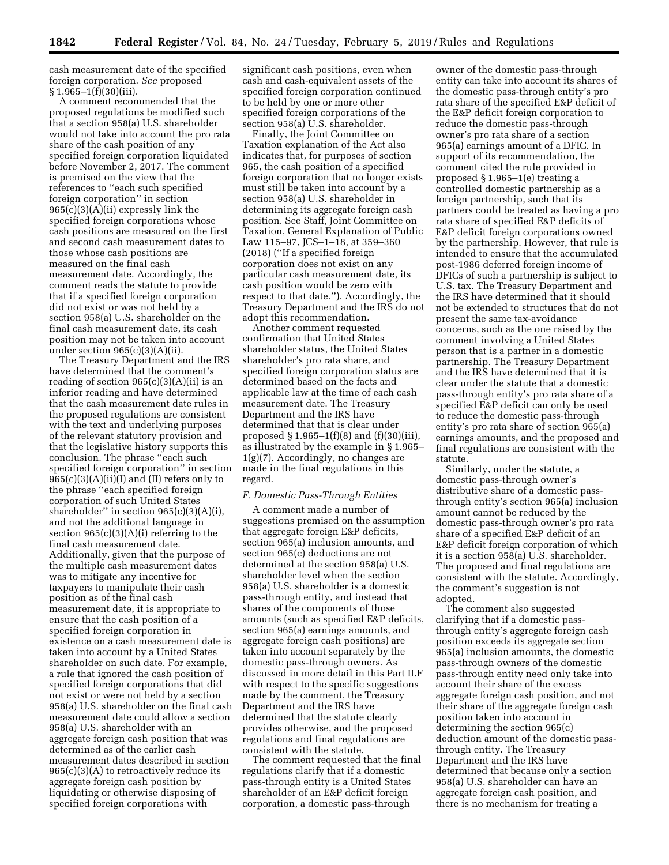cash measurement date of the specified foreign corporation. *See* proposed  $§ 1.965-1(f)(30)(iii).$ 

A comment recommended that the proposed regulations be modified such that a section 958(a) U.S. shareholder would not take into account the pro rata share of the cash position of any specified foreign corporation liquidated before November 2, 2017. The comment is premised on the view that the references to ''each such specified foreign corporation'' in section 965(c)(3)(A)(ii) expressly link the specified foreign corporations whose cash positions are measured on the first and second cash measurement dates to those whose cash positions are measured on the final cash measurement date. Accordingly, the comment reads the statute to provide that if a specified foreign corporation did not exist or was not held by a section 958(a) U.S. shareholder on the final cash measurement date, its cash position may not be taken into account under section 965(c)(3)(A)(ii).

The Treasury Department and the IRS have determined that the comment's reading of section  $965(c)(3)(A)(ii)$  is an inferior reading and have determined that the cash measurement date rules in the proposed regulations are consistent with the text and underlying purposes of the relevant statutory provision and that the legislative history supports this conclusion. The phrase ''each such specified foreign corporation'' in section  $965(c)(3)(A)(ii)(I)$  and (II) refers only to the phrase ''each specified foreign corporation of such United States shareholder" in section 965(c)(3)(A)(i), and not the additional language in section  $965(c)(3)(A)(i)$  referring to the final cash measurement date. Additionally, given that the purpose of the multiple cash measurement dates was to mitigate any incentive for taxpayers to manipulate their cash position as of the final cash measurement date, it is appropriate to ensure that the cash position of a specified foreign corporation in existence on a cash measurement date is taken into account by a United States shareholder on such date. For example, a rule that ignored the cash position of specified foreign corporations that did not exist or were not held by a section 958(a) U.S. shareholder on the final cash measurement date could allow a section 958(a) U.S. shareholder with an aggregate foreign cash position that was determined as of the earlier cash measurement dates described in section  $965(c)(3)(A)$  to retroactively reduce its aggregate foreign cash position by liquidating or otherwise disposing of specified foreign corporations with

significant cash positions, even when cash and cash-equivalent assets of the specified foreign corporation continued to be held by one or more other specified foreign corporations of the section 958(a) U.S. shareholder.

Finally, the Joint Committee on Taxation explanation of the Act also indicates that, for purposes of section 965, the cash position of a specified foreign corporation that no longer exists must still be taken into account by a section 958(a) U.S. shareholder in determining its aggregate foreign cash position. See Staff, Joint Committee on Taxation, General Explanation of Public Law 115–97, JCS–1–18, at 359–360 (2018) (''If a specified foreign corporation does not exist on any particular cash measurement date, its cash position would be zero with respect to that date.''). Accordingly, the Treasury Department and the IRS do not adopt this recommendation.

Another comment requested confirmation that United States shareholder status, the United States shareholder's pro rata share, and specified foreign corporation status are determined based on the facts and applicable law at the time of each cash measurement date. The Treasury Department and the IRS have determined that that is clear under proposed  $\S 1.965-1(f)(8)$  and  $(f)(30)(iii)$ , as illustrated by the example in § 1.965– 1(g)(7). Accordingly, no changes are made in the final regulations in this regard.

## *F. Domestic Pass-Through Entities*

A comment made a number of suggestions premised on the assumption that aggregate foreign E&P deficits, section 965(a) inclusion amounts, and section 965(c) deductions are not determined at the section 958(a) U.S. shareholder level when the section 958(a) U.S. shareholder is a domestic pass-through entity, and instead that shares of the components of those amounts (such as specified E&P deficits, section 965(a) earnings amounts, and aggregate foreign cash positions) are taken into account separately by the domestic pass-through owners. As discussed in more detail in this Part II.F with respect to the specific suggestions made by the comment, the Treasury Department and the IRS have determined that the statute clearly provides otherwise, and the proposed regulations and final regulations are consistent with the statute.

The comment requested that the final regulations clarify that if a domestic pass-through entity is a United States shareholder of an E&P deficit foreign corporation, a domestic pass-through

owner of the domestic pass-through entity can take into account its shares of the domestic pass-through entity's pro rata share of the specified E&P deficit of the E&P deficit foreign corporation to reduce the domestic pass-through owner's pro rata share of a section 965(a) earnings amount of a DFIC. In support of its recommendation, the comment cited the rule provided in proposed § 1.965–1(e) treating a controlled domestic partnership as a foreign partnership, such that its partners could be treated as having a pro rata share of specified E&P deficits of E&P deficit foreign corporations owned by the partnership. However, that rule is intended to ensure that the accumulated post-1986 deferred foreign income of DFICs of such a partnership is subject to U.S. tax. The Treasury Department and the IRS have determined that it should not be extended to structures that do not present the same tax-avoidance concerns, such as the one raised by the comment involving a United States person that is a partner in a domestic partnership. The Treasury Department and the IRS have determined that it is clear under the statute that a domestic pass-through entity's pro rata share of a specified E&P deficit can only be used to reduce the domestic pass-through entity's pro rata share of section 965(a) earnings amounts, and the proposed and final regulations are consistent with the statute.

Similarly, under the statute, a domestic pass-through owner's distributive share of a domestic passthrough entity's section 965(a) inclusion amount cannot be reduced by the domestic pass-through owner's pro rata share of a specified E&P deficit of an E&P deficit foreign corporation of which it is a section 958(a) U.S. shareholder. The proposed and final regulations are consistent with the statute. Accordingly, the comment's suggestion is not adopted.

The comment also suggested clarifying that if a domestic passthrough entity's aggregate foreign cash position exceeds its aggregate section 965(a) inclusion amounts, the domestic pass-through owners of the domestic pass-through entity need only take into account their share of the excess aggregate foreign cash position, and not their share of the aggregate foreign cash position taken into account in determining the section 965(c) deduction amount of the domestic passthrough entity. The Treasury Department and the IRS have determined that because only a section 958(a) U.S. shareholder can have an aggregate foreign cash position, and there is no mechanism for treating a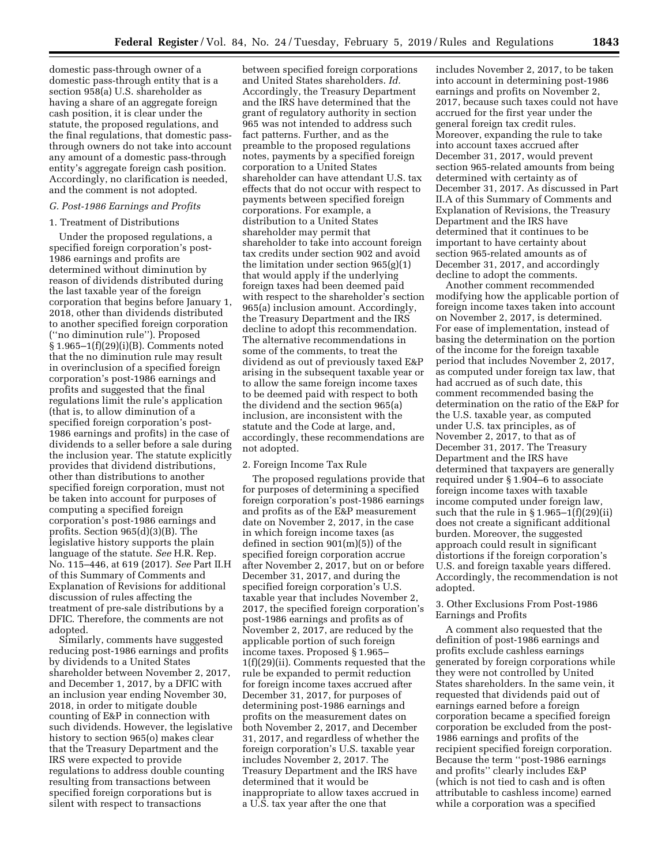domestic pass-through owner of a domestic pass-through entity that is a section 958(a) U.S. shareholder as having a share of an aggregate foreign cash position, it is clear under the statute, the proposed regulations, and the final regulations, that domestic passthrough owners do not take into account any amount of a domestic pass-through entity's aggregate foreign cash position. Accordingly, no clarification is needed, and the comment is not adopted.

#### *G. Post-1986 Earnings and Profits*

## 1. Treatment of Distributions

Under the proposed regulations, a specified foreign corporation's post-1986 earnings and profits are determined without diminution by reason of dividends distributed during the last taxable year of the foreign corporation that begins before January 1, 2018, other than dividends distributed to another specified foreign corporation (''no diminution rule''). Proposed § 1.965–1(f)(29)(i)(B). Comments noted that the no diminution rule may result in overinclusion of a specified foreign corporation's post-1986 earnings and profits and suggested that the final regulations limit the rule's application (that is, to allow diminution of a specified foreign corporation's post-1986 earnings and profits) in the case of dividends to a seller before a sale during the inclusion year. The statute explicitly provides that dividend distributions, other than distributions to another specified foreign corporation, must not be taken into account for purposes of computing a specified foreign corporation's post-1986 earnings and profits. Section 965(d)(3)(B). The legislative history supports the plain language of the statute. *See* H.R. Rep. No. 115–446, at 619 (2017). *See* Part II.H of this Summary of Comments and Explanation of Revisions for additional discussion of rules affecting the treatment of pre-sale distributions by a DFIC. Therefore, the comments are not adopted.

Similarly, comments have suggested reducing post-1986 earnings and profits by dividends to a United States shareholder between November 2, 2017, and December 1, 2017, by a DFIC with an inclusion year ending November 30, 2018, in order to mitigate double counting of E&P in connection with such dividends. However, the legislative history to section 965(o) makes clear that the Treasury Department and the IRS were expected to provide regulations to address double counting resulting from transactions between specified foreign corporations but is silent with respect to transactions

between specified foreign corporations and United States shareholders. *Id.*  Accordingly, the Treasury Department and the IRS have determined that the grant of regulatory authority in section 965 was not intended to address such fact patterns. Further, and as the preamble to the proposed regulations notes, payments by a specified foreign corporation to a United States shareholder can have attendant U.S. tax effects that do not occur with respect to payments between specified foreign corporations. For example, a distribution to a United States shareholder may permit that shareholder to take into account foreign tax credits under section 902 and avoid the limitation under section 965(g)(1) that would apply if the underlying foreign taxes had been deemed paid with respect to the shareholder's section 965(a) inclusion amount. Accordingly, the Treasury Department and the IRS decline to adopt this recommendation. The alternative recommendations in some of the comments, to treat the dividend as out of previously taxed E&P arising in the subsequent taxable year or to allow the same foreign income taxes to be deemed paid with respect to both the dividend and the section 965(a) inclusion, are inconsistent with the statute and the Code at large, and, accordingly, these recommendations are not adopted.

#### 2. Foreign Income Tax Rule

The proposed regulations provide that for purposes of determining a specified foreign corporation's post-1986 earnings and profits as of the E&P measurement date on November 2, 2017, in the case in which foreign income taxes (as defined in section 901(m)(5)) of the specified foreign corporation accrue after November 2, 2017, but on or before December 31, 2017, and during the specified foreign corporation's U.S. taxable year that includes November 2, 2017, the specified foreign corporation's post-1986 earnings and profits as of November 2, 2017, are reduced by the applicable portion of such foreign income taxes. Proposed § 1.965– 1(f)(29)(ii). Comments requested that the rule be expanded to permit reduction for foreign income taxes accrued after December 31, 2017, for purposes of determining post-1986 earnings and profits on the measurement dates on both November 2, 2017, and December 31, 2017, and regardless of whether the foreign corporation's U.S. taxable year includes November 2, 2017. The Treasury Department and the IRS have determined that it would be inappropriate to allow taxes accrued in a U.S. tax year after the one that

includes November 2, 2017, to be taken into account in determining post-1986 earnings and profits on November 2, 2017, because such taxes could not have accrued for the first year under the general foreign tax credit rules. Moreover, expanding the rule to take into account taxes accrued after December 31, 2017, would prevent section 965-related amounts from being determined with certainty as of December 31, 2017. As discussed in Part II.A of this Summary of Comments and Explanation of Revisions, the Treasury Department and the IRS have determined that it continues to be important to have certainty about section 965-related amounts as of December 31, 2017, and accordingly decline to adopt the comments.

Another comment recommended modifying how the applicable portion of foreign income taxes taken into account on November 2, 2017, is determined. For ease of implementation, instead of basing the determination on the portion of the income for the foreign taxable period that includes November 2, 2017, as computed under foreign tax law, that had accrued as of such date, this comment recommended basing the determination on the ratio of the E&P for the U.S. taxable year, as computed under U.S. tax principles, as of November 2, 2017, to that as of December 31, 2017. The Treasury Department and the IRS have determined that taxpayers are generally required under § 1.904–6 to associate foreign income taxes with taxable income computed under foreign law, such that the rule in  $\S 1.965-1(f)(29)(ii)$ does not create a significant additional burden. Moreover, the suggested approach could result in significant distortions if the foreign corporation's U.S. and foreign taxable years differed. Accordingly, the recommendation is not adopted.

## 3. Other Exclusions From Post-1986 Earnings and Profits

A comment also requested that the definition of post-1986 earnings and profits exclude cashless earnings generated by foreign corporations while they were not controlled by United States shareholders. In the same vein, it requested that dividends paid out of earnings earned before a foreign corporation became a specified foreign corporation be excluded from the post-1986 earnings and profits of the recipient specified foreign corporation. Because the term ''post-1986 earnings and profits'' clearly includes E&P (which is not tied to cash and is often attributable to cashless income) earned while a corporation was a specified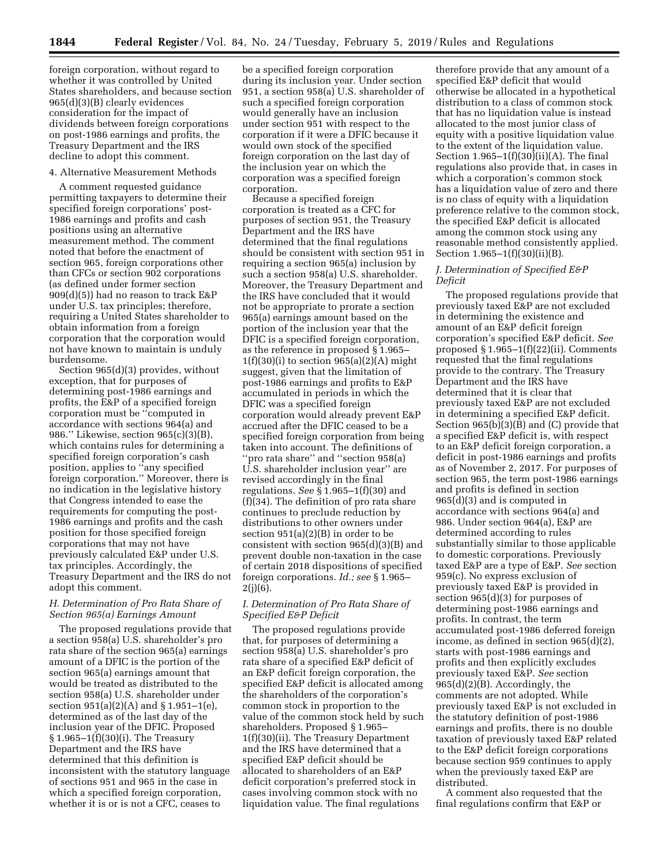foreign corporation, without regard to whether it was controlled by United States shareholders, and because section 965(d)(3)(B) clearly evidences consideration for the impact of dividends between foreign corporations on post-1986 earnings and profits, the Treasury Department and the IRS decline to adopt this comment.

# 4. Alternative Measurement Methods

A comment requested guidance permitting taxpayers to determine their specified foreign corporations' post-1986 earnings and profits and cash positions using an alternative measurement method. The comment noted that before the enactment of section 965, foreign corporations other than CFCs or section 902 corporations (as defined under former section 909(d)(5)) had no reason to track E&P under U.S. tax principles; therefore, requiring a United States shareholder to obtain information from a foreign corporation that the corporation would not have known to maintain is unduly burdensome.

Section 965(d)(3) provides, without exception, that for purposes of determining post-1986 earnings and profits, the E&P of a specified foreign corporation must be ''computed in accordance with sections 964(a) and 986.'' Likewise, section 965(c)(3)(B), which contains rules for determining a specified foreign corporation's cash position, applies to ''any specified foreign corporation.'' Moreover, there is no indication in the legislative history that Congress intended to ease the requirements for computing the post-1986 earnings and profits and the cash position for those specified foreign corporations that may not have previously calculated E&P under U.S. tax principles. Accordingly, the Treasury Department and the IRS do not adopt this comment.

# *H. Determination of Pro Rata Share of Section 965(a) Earnings Amount*

The proposed regulations provide that a section 958(a) U.S. shareholder's pro rata share of the section 965(a) earnings amount of a DFIC is the portion of the section 965(a) earnings amount that would be treated as distributed to the section 958(a) U.S. shareholder under section 951(a)(2)(A) and § 1.951–1(e), determined as of the last day of the inclusion year of the DFIC. Proposed § 1.965–1(f)(30)(i). The Treasury Department and the IRS have determined that this definition is inconsistent with the statutory language of sections 951 and 965 in the case in which a specified foreign corporation, whether it is or is not a CFC, ceases to

be a specified foreign corporation during its inclusion year. Under section 951, a section 958(a) U.S. shareholder of such a specified foreign corporation would generally have an inclusion under section 951 with respect to the corporation if it were a DFIC because it would own stock of the specified foreign corporation on the last day of the inclusion year on which the corporation was a specified foreign corporation.

Because a specified foreign corporation is treated as a CFC for purposes of section 951, the Treasury Department and the IRS have determined that the final regulations should be consistent with section 951 in requiring a section 965(a) inclusion by such a section 958(a) U.S. shareholder. Moreover, the Treasury Department and the IRS have concluded that it would not be appropriate to prorate a section 965(a) earnings amount based on the portion of the inclusion year that the DFIC is a specified foreign corporation, as the reference in proposed § 1.965–  $1(f)(30)(i)$  to section  $965(a)(2)(A)$  might suggest, given that the limitation of post-1986 earnings and profits to E&P accumulated in periods in which the DFIC was a specified foreign corporation would already prevent E&P accrued after the DFIC ceased to be a specified foreign corporation from being taken into account. The definitions of ''pro rata share'' and ''section 958(a) U.S. shareholder inclusion year'' are revised accordingly in the final regulations. *See* § 1.965–1(f)(30) and (f)(34). The definition of pro rata share continues to preclude reduction by distributions to other owners under section 951(a)(2)(B) in order to be consistent with section 965(d)(3)(B) and prevent double non-taxation in the case of certain 2018 dispositions of specified foreign corporations. *Id.; see* § 1.965–  $2(j)(6)$ .

# *I. Determination of Pro Rata Share of Specified E&P Deficit*

The proposed regulations provide that, for purposes of determining a section 958(a) U.S. shareholder's pro rata share of a specified E&P deficit of an E&P deficit foreign corporation, the specified E&P deficit is allocated among the shareholders of the corporation's common stock in proportion to the value of the common stock held by such shareholders. Proposed § 1.965– 1(f)(30)(ii). The Treasury Department and the IRS have determined that a specified E&P deficit should be allocated to shareholders of an E&P deficit corporation's preferred stock in cases involving common stock with no liquidation value. The final regulations

therefore provide that any amount of a specified E&P deficit that would otherwise be allocated in a hypothetical distribution to a class of common stock that has no liquidation value is instead allocated to the most junior class of equity with a positive liquidation value to the extent of the liquidation value. Section  $1.965-1(f)(30)(ii)(A)$ . The final regulations also provide that, in cases in which a corporation's common stock has a liquidation value of zero and there is no class of equity with a liquidation preference relative to the common stock, the specified E&P deficit is allocated among the common stock using any reasonable method consistently applied. Section 1.965–1(f)(30)(ii)(B).

# *J. Determination of Specified E&P Deficit*

The proposed regulations provide that previously taxed E&P are not excluded in determining the existence and amount of an E&P deficit foreign corporation's specified E&P deficit. *See*  proposed § 1.965–1(f)(22)(ii). Comments requested that the final regulations provide to the contrary. The Treasury Department and the IRS have determined that it is clear that previously taxed E&P are not excluded in determining a specified E&P deficit. Section  $965(b)(3)(\bar{B})$  and (C) provide that a specified E&P deficit is, with respect to an E&P deficit foreign corporation, a deficit in post-1986 earnings and profits as of November 2, 2017. For purposes of section 965, the term post-1986 earnings and profits is defined in section 965(d)(3) and is computed in accordance with sections 964(a) and 986. Under section 964(a), E&P are determined according to rules substantially similar to those applicable to domestic corporations. Previously taxed E&P are a type of E&P. *See* section 959(c). No express exclusion of previously taxed E&P is provided in section 965(d)(3) for purposes of determining post-1986 earnings and profits. In contrast, the term accumulated post-1986 deferred foreign income, as defined in section 965(d)(2), starts with post-1986 earnings and profits and then explicitly excludes previously taxed E&P. *See* section 965(d)(2)(B). Accordingly, the comments are not adopted. While previously taxed E&P is not excluded in the statutory definition of post-1986 earnings and profits, there is no double taxation of previously taxed E&P related to the E&P deficit foreign corporations because section 959 continues to apply when the previously taxed E&P are distributed.

A comment also requested that the final regulations confirm that E&P or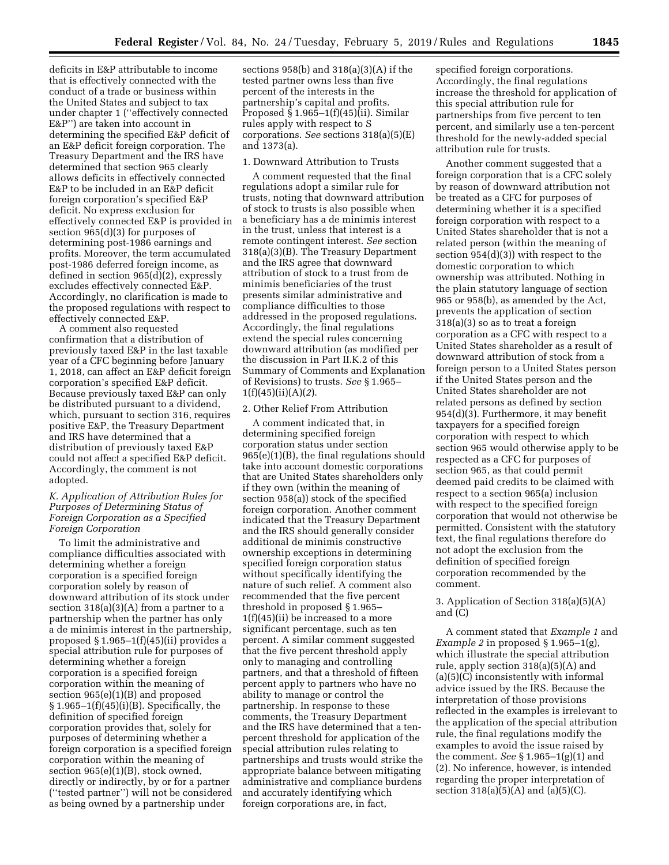deficits in E&P attributable to income that is effectively connected with the conduct of a trade or business within the United States and subject to tax under chapter 1 (''effectively connected E&P'') are taken into account in determining the specified E&P deficit of an E&P deficit foreign corporation. The Treasury Department and the IRS have determined that section 965 clearly allows deficits in effectively connected E&P to be included in an E&P deficit foreign corporation's specified E&P deficit. No express exclusion for effectively connected E&P is provided in section 965(d)(3) for purposes of determining post-1986 earnings and profits. Moreover, the term accumulated post-1986 deferred foreign income, as defined in section 965(d)(2), expressly excludes effectively connected E&P. Accordingly, no clarification is made to the proposed regulations with respect to effectively connected E&P.

A comment also requested confirmation that a distribution of previously taxed E&P in the last taxable year of a CFC beginning before January 1, 2018, can affect an E&P deficit foreign corporation's specified E&P deficit. Because previously taxed E&P can only be distributed pursuant to a dividend, which, pursuant to section 316, requires positive E&P, the Treasury Department and IRS have determined that a distribution of previously taxed E&P could not affect a specified E&P deficit. Accordingly, the comment is not adopted.

# *K. Application of Attribution Rules for Purposes of Determining Status of Foreign Corporation as a Specified Foreign Corporation*

To limit the administrative and compliance difficulties associated with determining whether a foreign corporation is a specified foreign corporation solely by reason of downward attribution of its stock under section  $318(a)(3)(A)$  from a partner to a partnership when the partner has only a de minimis interest in the partnership, proposed § 1.965–1(f)(45)(ii) provides a special attribution rule for purposes of determining whether a foreign corporation is a specified foreign corporation within the meaning of section 965(e)(1)(B) and proposed  $§ 1.965-1(f)(45)(i)(B)$ . Specifically, the definition of specified foreign corporation provides that, solely for purposes of determining whether a foreign corporation is a specified foreign corporation within the meaning of section 965(e)(1)(B), stock owned, directly or indirectly, by or for a partner (''tested partner'') will not be considered as being owned by a partnership under

sections 958(b) and 318(a)(3)(A) if the tested partner owns less than five percent of the interests in the partnership's capital and profits. Proposed  $\hat{\S}$  1.965-1(f)(45)(ii). Similar rules apply with respect to S corporations. *See* sections 318(a)(5)(E) and 1373(a).

#### 1. Downward Attribution to Trusts

A comment requested that the final regulations adopt a similar rule for trusts, noting that downward attribution of stock to trusts is also possible when a beneficiary has a de minimis interest in the trust, unless that interest is a remote contingent interest. *See* section 318(a)(3)(B). The Treasury Department and the IRS agree that downward attribution of stock to a trust from de minimis beneficiaries of the trust presents similar administrative and compliance difficulties to those addressed in the proposed regulations. Accordingly, the final regulations extend the special rules concerning downward attribution (as modified per the discussion in Part II.K.2 of this Summary of Comments and Explanation of Revisions) to trusts. *See* § 1.965– 1(f)(45)(ii)(A)(*2*).

### 2. Other Relief From Attribution

A comment indicated that, in determining specified foreign corporation status under section 965(e)(1)(B), the final regulations should take into account domestic corporations that are United States shareholders only if they own (within the meaning of section 958(a)) stock of the specified foreign corporation. Another comment indicated that the Treasury Department and the IRS should generally consider additional de minimis constructive ownership exceptions in determining specified foreign corporation status without specifically identifying the nature of such relief. A comment also recommended that the five percent threshold in proposed § 1.965– 1(f)(45)(ii) be increased to a more significant percentage, such as ten percent. A similar comment suggested that the five percent threshold apply only to managing and controlling partners, and that a threshold of fifteen percent apply to partners who have no ability to manage or control the partnership. In response to these comments, the Treasury Department and the IRS have determined that a tenpercent threshold for application of the special attribution rules relating to partnerships and trusts would strike the appropriate balance between mitigating administrative and compliance burdens and accurately identifying which foreign corporations are, in fact,

specified foreign corporations. Accordingly, the final regulations increase the threshold for application of this special attribution rule for partnerships from five percent to ten percent, and similarly use a ten-percent threshold for the newly-added special attribution rule for trusts.

Another comment suggested that a foreign corporation that is a CFC solely by reason of downward attribution not be treated as a CFC for purposes of determining whether it is a specified foreign corporation with respect to a United States shareholder that is not a related person (within the meaning of section 954(d)(3)) with respect to the domestic corporation to which ownership was attributed. Nothing in the plain statutory language of section 965 or 958(b), as amended by the Act, prevents the application of section 318(a)(3) so as to treat a foreign corporation as a CFC with respect to a United States shareholder as a result of downward attribution of stock from a foreign person to a United States person if the United States person and the United States shareholder are not related persons as defined by section 954(d)(3). Furthermore, it may benefit taxpayers for a specified foreign corporation with respect to which section 965 would otherwise apply to be respected as a CFC for purposes of section 965, as that could permit deemed paid credits to be claimed with respect to a section 965(a) inclusion with respect to the specified foreign corporation that would not otherwise be permitted. Consistent with the statutory text, the final regulations therefore do not adopt the exclusion from the definition of specified foreign corporation recommended by the comment.

# 3. Application of Section 318(a)(5)(A) and (C)

A comment stated that *Example 1* and *Example 2* in proposed § 1.965–1(g), which illustrate the special attribution rule, apply section 318(a)(5)(A) and (a)(5)(C) inconsistently with informal advice issued by the IRS. Because the interpretation of those provisions reflected in the examples is irrelevant to the application of the special attribution rule, the final regulations modify the examples to avoid the issue raised by the comment. *See* § 1.965–1(g)(1) and (2). No inference, however, is intended regarding the proper interpretation of section  $318(a)(5)(A)$  and  $(a)(5)(C)$ .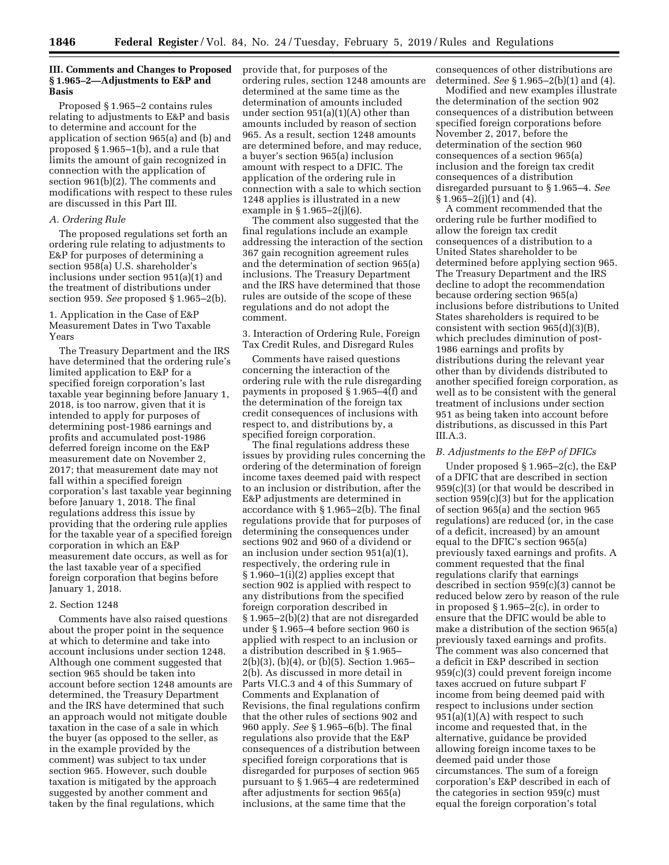# **III. Comments and Changes to Proposed § 1.965–2—Adjustments to E&P and Basis**

Proposed § 1.965–2 contains rules relating to adjustments to E&P and basis to determine and account for the application of section 965(a) and (b) and proposed § 1.965–1(b), and a rule that limits the amount of gain recognized in connection with the application of section 961(b)(2). The comments and modifications with respect to these rules are discussed in this Part III.

## *A. Ordering Rule*

The proposed regulations set forth an ordering rule relating to adjustments to E&P for purposes of determining a section 958(a) U.S. shareholder's inclusions under section 951(a)(1) and the treatment of distributions under section 959. *See* proposed § 1.965–2(b).

1. Application in the Case of E&P Measurement Dates in Two Taxable Years

The Treasury Department and the IRS have determined that the ordering rule's limited application to E&P for a specified foreign corporation's last taxable year beginning before January 1, 2018, is too narrow, given that it is intended to apply for purposes of determining post-1986 earnings and profits and accumulated post-1986 deferred foreign income on the E&P measurement date on November 2, 2017; that measurement date may not fall within a specified foreign corporation's last taxable year beginning before January 1, 2018. The final regulations address this issue by providing that the ordering rule applies for the taxable year of a specified foreign corporation in which an E&P measurement date occurs, as well as for the last taxable year of a specified foreign corporation that begins before January 1, 2018.

## 2. Section 1248

Comments have also raised questions about the proper point in the sequence at which to determine and take into account inclusions under section 1248. Although one comment suggested that section 965 should be taken into account before section 1248 amounts are determined, the Treasury Department and the IRS have determined that such an approach would not mitigate double taxation in the case of a sale in which the buyer (as opposed to the seller, as in the example provided by the comment) was subject to tax under section 965. However, such double taxation is mitigated by the approach suggested by another comment and taken by the final regulations, which

provide that, for purposes of the ordering rules, section 1248 amounts are determined at the same time as the determination of amounts included under section 951(a)(1)(A) other than amounts included by reason of section 965. As a result, section 1248 amounts are determined before, and may reduce, a buyer's section 965(a) inclusion amount with respect to a DFIC. The application of the ordering rule in connection with a sale to which section 1248 applies is illustrated in a new example in § 1.965–2(j)(6).

The comment also suggested that the final regulations include an example addressing the interaction of the section 367 gain recognition agreement rules and the determination of section 965(a) inclusions. The Treasury Department and the IRS have determined that those rules are outside of the scope of these regulations and do not adopt the comment.

## 3. Interaction of Ordering Rule, Foreign Tax Credit Rules, and Disregard Rules

Comments have raised questions concerning the interaction of the ordering rule with the rule disregarding payments in proposed § 1.965–4(f) and the determination of the foreign tax credit consequences of inclusions with respect to, and distributions by, a specified foreign corporation.

The final regulations address these issues by providing rules concerning the ordering of the determination of foreign income taxes deemed paid with respect to an inclusion or distribution, after the E&P adjustments are determined in accordance with § 1.965–2(b). The final regulations provide that for purposes of determining the consequences under sections 902 and 960 of a dividend or an inclusion under section 951(a)(1), respectively, the ordering rule in § 1.960–1(i)(2) applies except that section 902 is applied with respect to any distributions from the specified foreign corporation described in § 1.965–2(b)(2) that are not disregarded under § 1.965–4 before section 960 is applied with respect to an inclusion or a distribution described in § 1.965– 2(b)(3), (b)(4), or (b)(5). Section 1.965– 2(b). As discussed in more detail in Parts VI.C.3 and 4 of this Summary of Comments and Explanation of Revisions, the final regulations confirm that the other rules of sections 902 and 960 apply. *See* § 1.965–6(b). The final regulations also provide that the E&P consequences of a distribution between specified foreign corporations that is disregarded for purposes of section 965 pursuant to § 1.965–4 are redetermined after adjustments for section 965(a) inclusions, at the same time that the

consequences of other distributions are determined. *See* § 1.965–2(b)(1) and (4).

Modified and new examples illustrate the determination of the section 902 consequences of a distribution between specified foreign corporations before November 2, 2017, before the determination of the section 960 consequences of a section 965(a) inclusion and the foreign tax credit consequences of a distribution disregarded pursuant to § 1.965–4. *See*  § 1.965–2(j)(1) and (4).

A comment recommended that the ordering rule be further modified to allow the foreign tax credit consequences of a distribution to a United States shareholder to be determined before applying section 965. The Treasury Department and the IRS decline to adopt the recommendation because ordering section 965(a) inclusions before distributions to United States shareholders is required to be consistent with section 965(d)(3)(B), which precludes diminution of post-1986 earnings and profits by distributions during the relevant year other than by dividends distributed to another specified foreign corporation, as well as to be consistent with the general treatment of inclusions under section 951 as being taken into account before distributions, as discussed in this Part  $III.A.3.$ 

## *B. Adjustments to the E&P of DFICs*

Under proposed § 1.965–2(c), the E&P of a DFIC that are described in section 959(c)(3) (or that would be described in section 959(c)(3) but for the application of section 965(a) and the section 965 regulations) are reduced (or, in the case of a deficit, increased) by an amount equal to the DFIC's section 965(a) previously taxed earnings and profits. A comment requested that the final regulations clarify that earnings described in section 959(c)(3) cannot be reduced below zero by reason of the rule in proposed § 1.965–2(c), in order to ensure that the DFIC would be able to make a distribution of the section 965(a) previously taxed earnings and profits. The comment was also concerned that a deficit in E&P described in section 959(c)(3) could prevent foreign income taxes accrued on future subpart F income from being deemed paid with respect to inclusions under section 951(a)(1)(A) with respect to such income and requested that, in the alternative, guidance be provided allowing foreign income taxes to be deemed paid under those circumstances. The sum of a foreign corporation's E&P described in each of the categories in section 959(c) must equal the foreign corporation's total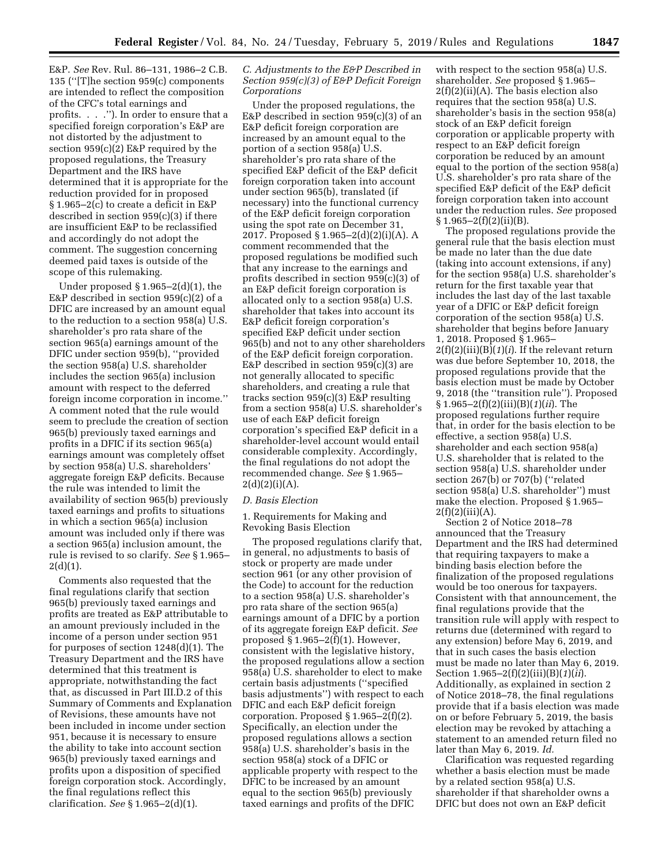E&P. *See* Rev. Rul. 86–131, 1986–2 C.B. 135 (''[T]he section 959(c) components are intended to reflect the composition of the CFC's total earnings and profits. . . .''). In order to ensure that a specified foreign corporation's E&P are not distorted by the adjustment to section 959(c)(2) E&P required by the proposed regulations, the Treasury Department and the IRS have determined that it is appropriate for the reduction provided for in proposed § 1.965–2(c) to create a deficit in E&P described in section 959(c)(3) if there are insufficient E&P to be reclassified and accordingly do not adopt the comment. The suggestion concerning deemed paid taxes is outside of the scope of this rulemaking.

Under proposed  $\S 1.965-2(d)(1)$ , the E&P described in section 959(c)(2) of a DFIC are increased by an amount equal to the reduction to a section 958(a) U.S. shareholder's pro rata share of the section 965(a) earnings amount of the DFIC under section 959(b), ''provided the section 958(a) U.S. shareholder includes the section 965(a) inclusion amount with respect to the deferred foreign income corporation in income.'' A comment noted that the rule would seem to preclude the creation of section 965(b) previously taxed earnings and profits in a DFIC if its section 965(a) earnings amount was completely offset by section 958(a) U.S. shareholders' aggregate foreign E&P deficits. Because the rule was intended to limit the availability of section 965(b) previously taxed earnings and profits to situations in which a section 965(a) inclusion amount was included only if there was a section 965(a) inclusion amount, the rule is revised to so clarify. *See* § 1.965–  $2(d)(1)$ .

Comments also requested that the final regulations clarify that section 965(b) previously taxed earnings and profits are treated as E&P attributable to an amount previously included in the income of a person under section 951 for purposes of section 1248(d)(1). The Treasury Department and the IRS have determined that this treatment is appropriate, notwithstanding the fact that, as discussed in Part III.D.2 of this Summary of Comments and Explanation of Revisions, these amounts have not been included in income under section 951, because it is necessary to ensure the ability to take into account section 965(b) previously taxed earnings and profits upon a disposition of specified foreign corporation stock. Accordingly, the final regulations reflect this clarification. *See* § 1.965–2(d)(1).

## *C. Adjustments to the E&P Described in Section 959(c)(3) of E&P Deficit Foreign Corporations*

Under the proposed regulations, the E&P described in section 959(c)(3) of an E&P deficit foreign corporation are increased by an amount equal to the portion of a section 958(a) U.S. shareholder's pro rata share of the specified E&P deficit of the E&P deficit foreign corporation taken into account under section 965(b), translated (if necessary) into the functional currency of the E&P deficit foreign corporation using the spot rate on December 31, 2017. Proposed § 1.965–2(d)(2)(i)(A). A comment recommended that the proposed regulations be modified such that any increase to the earnings and profits described in section 959(c)(3) of an E&P deficit foreign corporation is allocated only to a section 958(a) U.S. shareholder that takes into account its E&P deficit foreign corporation's specified E&P deficit under section 965(b) and not to any other shareholders of the E&P deficit foreign corporation. E&P described in section 959(c)(3) are not generally allocated to specific shareholders, and creating a rule that tracks section 959(c)(3) E&P resulting from a section 958(a) U.S. shareholder's use of each E&P deficit foreign corporation's specified E&P deficit in a shareholder-level account would entail considerable complexity. Accordingly, the final regulations do not adopt the recommended change. *See* § 1.965–  $2(d)(2)(i)(A)$ .

### *D. Basis Election*

1. Requirements for Making and Revoking Basis Election

The proposed regulations clarify that, in general, no adjustments to basis of stock or property are made under section 961 (or any other provision of the Code) to account for the reduction to a section 958(a) U.S. shareholder's pro rata share of the section 965(a) earnings amount of a DFIC by a portion of its aggregate foreign E&P deficit. *See*  proposed  $§ 1.965-2(f)(1)$ . However, consistent with the legislative history, the proposed regulations allow a section 958(a) U.S. shareholder to elect to make certain basis adjustments (''specified basis adjustments'') with respect to each DFIC and each E&P deficit foreign corporation. Proposed  $\S 1.965-2(f)(2)$ . Specifically, an election under the proposed regulations allows a section 958(a) U.S. shareholder's basis in the section 958(a) stock of a DFIC or applicable property with respect to the DFIC to be increased by an amount equal to the section 965(b) previously taxed earnings and profits of the DFIC

with respect to the section 958(a) U.S. shareholder. *See* proposed § 1.965–  $2(f)(2)(ii)(A)$ . The basis election also requires that the section 958(a) U.S. shareholder's basis in the section 958(a) stock of an E&P deficit foreign corporation or applicable property with respect to an E&P deficit foreign corporation be reduced by an amount equal to the portion of the section 958(a) U.S. shareholder's pro rata share of the specified E&P deficit of the E&P deficit foreign corporation taken into account under the reduction rules. *See* proposed  $§ 1.965 - 2(f)(2)(ii)(B).$ 

The proposed regulations provide the general rule that the basis election must be made no later than the due date (taking into account extensions, if any) for the section 958(a) U.S. shareholder's return for the first taxable year that includes the last day of the last taxable year of a DFIC or E&P deficit foreign corporation of the section 958(a) U.S. shareholder that begins before January 1, 2018. Proposed § 1.965– 2(f)(2)(iii)(B)(*1*)(*i*). If the relevant return was due before September 10, 2018, the proposed regulations provide that the basis election must be made by October 9, 2018 (the ''transition rule''). Proposed § 1.965–2(f)(2)(iii)(B)(*1*)(*ii*). The proposed regulations further require that, in order for the basis election to be effective, a section 958(a) U.S. shareholder and each section 958(a) U.S. shareholder that is related to the section 958(a) U.S. shareholder under section 267(b) or 707(b) (''related section 958(a) U.S. shareholder'') must make the election. Proposed § 1.965–  $2(f)(2)(iii)(A).$ 

Section 2 of Notice 2018–78 announced that the Treasury Department and the IRS had determined that requiring taxpayers to make a binding basis election before the finalization of the proposed regulations would be too onerous for taxpayers. Consistent with that announcement, the final regulations provide that the transition rule will apply with respect to returns due (determined with regard to any extension) before May 6, 2019, and that in such cases the basis election must be made no later than May 6, 2019. Section 1.965–2(f)(2)(iii)(B)(*1*)(*ii*). Additionally, as explained in section 2 of Notice 2018–78, the final regulations provide that if a basis election was made on or before February 5, 2019, the basis election may be revoked by attaching a statement to an amended return filed no later than May 6, 2019. *Id.* 

Clarification was requested regarding whether a basis election must be made by a related section 958(a) U.S. shareholder if that shareholder owns a DFIC but does not own an E&P deficit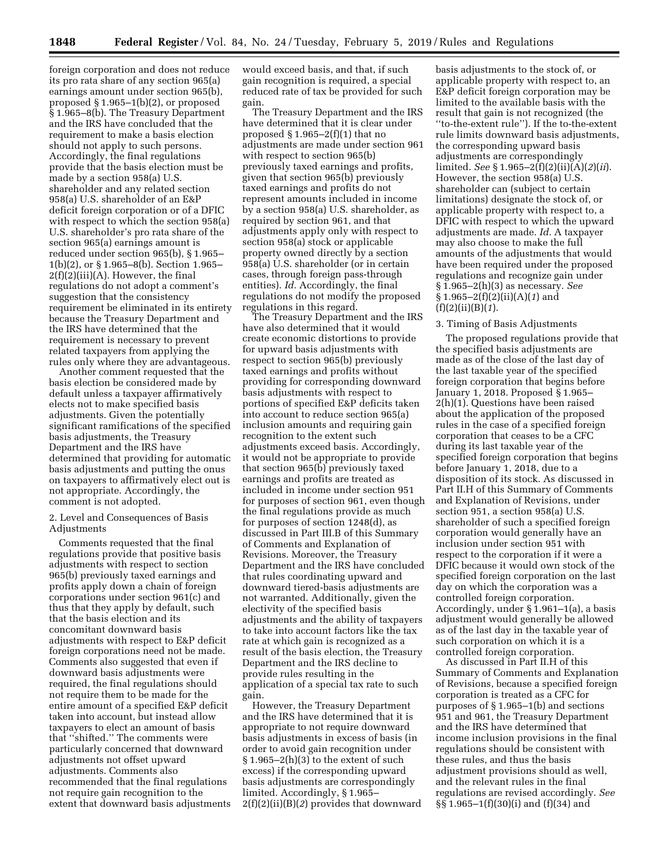foreign corporation and does not reduce its pro rata share of any section 965(a) earnings amount under section 965(b), proposed  $\S 1.965-1(b)(2)$ , or proposed § 1.965–8(b). The Treasury Department and the IRS have concluded that the requirement to make a basis election should not apply to such persons. Accordingly, the final regulations provide that the basis election must be made by a section 958(a) U.S. shareholder and any related section 958(a) U.S. shareholder of an E&P deficit foreign corporation or of a DFIC with respect to which the section 958(a) U.S. shareholder's pro rata share of the section 965(a) earnings amount is reduced under section 965(b), § 1.965– 1(b)(2), or § 1.965–8(b). Section 1.965–  $2(f)(2)(iii)(A)$ . However, the final regulations do not adopt a comment's suggestion that the consistency requirement be eliminated in its entirety because the Treasury Department and the IRS have determined that the requirement is necessary to prevent related taxpayers from applying the rules only where they are advantageous.

Another comment requested that the basis election be considered made by default unless a taxpayer affirmatively elects not to make specified basis adjustments. Given the potentially significant ramifications of the specified basis adjustments, the Treasury Department and the IRS have determined that providing for automatic basis adjustments and putting the onus on taxpayers to affirmatively elect out is not appropriate. Accordingly, the comment is not adopted.

2. Level and Consequences of Basis Adjustments

Comments requested that the final regulations provide that positive basis adjustments with respect to section 965(b) previously taxed earnings and profits apply down a chain of foreign corporations under section 961(c) and thus that they apply by default, such that the basis election and its concomitant downward basis adjustments with respect to E&P deficit foreign corporations need not be made. Comments also suggested that even if downward basis adjustments were required, the final regulations should not require them to be made for the entire amount of a specified E&P deficit taken into account, but instead allow taxpayers to elect an amount of basis that ''shifted.'' The comments were particularly concerned that downward adjustments not offset upward adjustments. Comments also recommended that the final regulations not require gain recognition to the extent that downward basis adjustments would exceed basis, and that, if such gain recognition is required, a special reduced rate of tax be provided for such gain.

The Treasury Department and the IRS have determined that it is clear under proposed  $\S 1.965-2(f)(1)$  that no adjustments are made under section 961 with respect to section 965(b) previously taxed earnings and profits, given that section 965(b) previously taxed earnings and profits do not represent amounts included in income by a section 958(a) U.S. shareholder, as required by section 961, and that adjustments apply only with respect to section 958(a) stock or applicable property owned directly by a section 958(a) U.S. shareholder (or in certain cases, through foreign pass-through entities). *Id.* Accordingly, the final regulations do not modify the proposed regulations in this regard.

The Treasury Department and the IRS have also determined that it would create economic distortions to provide for upward basis adjustments with respect to section 965(b) previously taxed earnings and profits without providing for corresponding downward basis adjustments with respect to portions of specified E&P deficits taken into account to reduce section 965(a) inclusion amounts and requiring gain recognition to the extent such adjustments exceed basis. Accordingly, it would not be appropriate to provide that section 965(b) previously taxed earnings and profits are treated as included in income under section 951 for purposes of section 961, even though the final regulations provide as much for purposes of section 1248(d), as discussed in Part III.B of this Summary of Comments and Explanation of Revisions. Moreover, the Treasury Department and the IRS have concluded that rules coordinating upward and downward tiered-basis adjustments are not warranted. Additionally, given the electivity of the specified basis adjustments and the ability of taxpayers to take into account factors like the tax rate at which gain is recognized as a result of the basis election, the Treasury Department and the IRS decline to provide rules resulting in the application of a special tax rate to such gain.

However, the Treasury Department and the IRS have determined that it is appropriate to not require downward basis adjustments in excess of basis (in order to avoid gain recognition under  $§ 1.965-2(h)(3)$  to the extent of such excess) if the corresponding upward basis adjustments are correspondingly limited. Accordingly, § 1.965– 2(f)(2)(ii)(B)(*2*) provides that downward basis adjustments to the stock of, or applicable property with respect to, an E&P deficit foreign corporation may be limited to the available basis with the result that gain is not recognized (the ''to-the-extent rule''). If the to-the-extent rule limits downward basis adjustments, the corresponding upward basis adjustments are correspondingly limited. *See* § 1.965–2(f)(2)(ii)(A)(*2*)(*ii*). However, the section 958(a) U.S. shareholder can (subject to certain limitations) designate the stock of, or applicable property with respect to, a DFIC with respect to which the upward adjustments are made. *Id.* A taxpayer may also choose to make the full amounts of the adjustments that would have been required under the proposed regulations and recognize gain under § 1.965–2(h)(3) as necessary. *See*  § 1.965–2(f)(2)(ii)(A)(*1*) and (f)(2)(ii)(B)(*1*).

### 3. Timing of Basis Adjustments

The proposed regulations provide that the specified basis adjustments are made as of the close of the last day of the last taxable year of the specified foreign corporation that begins before January 1, 2018. Proposed § 1.965– 2(h)(1). Questions have been raised about the application of the proposed rules in the case of a specified foreign corporation that ceases to be a CFC during its last taxable year of the specified foreign corporation that begins before January 1, 2018, due to a disposition of its stock. As discussed in Part II.H of this Summary of Comments and Explanation of Revisions, under section 951, a section 958(a) U.S. shareholder of such a specified foreign corporation would generally have an inclusion under section 951 with respect to the corporation if it were a DFIC because it would own stock of the specified foreign corporation on the last day on which the corporation was a controlled foreign corporation. Accordingly, under § 1.961–1(a), a basis adjustment would generally be allowed as of the last day in the taxable year of such corporation on which it is a controlled foreign corporation.

As discussed in Part II.H of this Summary of Comments and Explanation of Revisions, because a specified foreign corporation is treated as a CFC for purposes of § 1.965–1(b) and sections 951 and 961, the Treasury Department and the IRS have determined that income inclusion provisions in the final regulations should be consistent with these rules, and thus the basis adjustment provisions should as well, and the relevant rules in the final regulations are revised accordingly. *See*  §§ 1.965–1(f)(30)(i) and (f)(34) and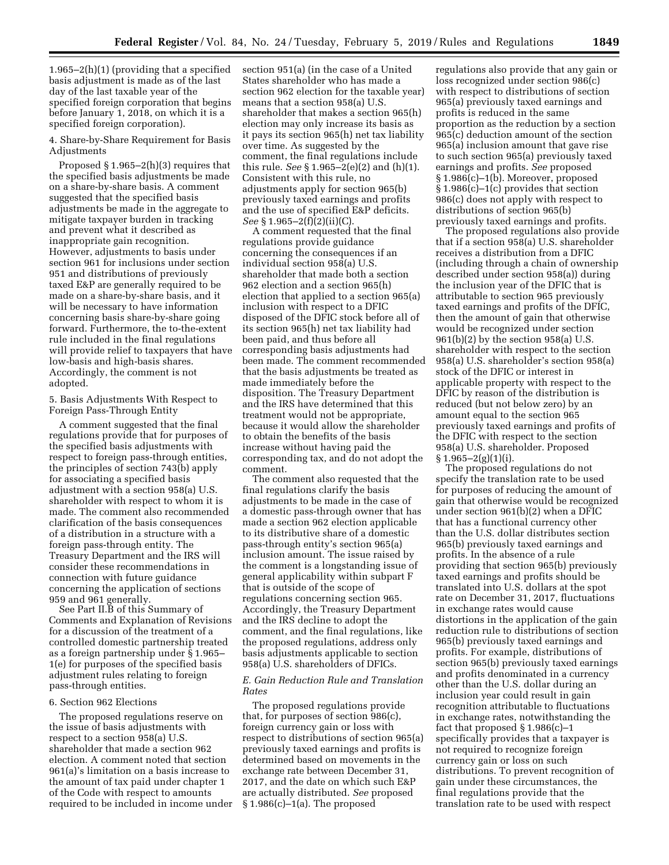1.965–2(h)(1) (providing that a specified basis adjustment is made as of the last day of the last taxable year of the specified foreign corporation that begins before January 1, 2018, on which it is a specified foreign corporation).

4. Share-by-Share Requirement for Basis Adjustments

Proposed § 1.965–2(h)(3) requires that the specified basis adjustments be made on a share-by-share basis. A comment suggested that the specified basis adjustments be made in the aggregate to mitigate taxpayer burden in tracking and prevent what it described as inappropriate gain recognition. However, adjustments to basis under section 961 for inclusions under section 951 and distributions of previously taxed E&P are generally required to be made on a share-by-share basis, and it will be necessary to have information concerning basis share-by-share going forward. Furthermore, the to-the-extent rule included in the final regulations will provide relief to taxpayers that have low-basis and high-basis shares. Accordingly, the comment is not adopted.

5. Basis Adjustments With Respect to Foreign Pass-Through Entity

A comment suggested that the final regulations provide that for purposes of the specified basis adjustments with respect to foreign pass-through entities, the principles of section 743(b) apply for associating a specified basis adjustment with a section 958(a) U.S. shareholder with respect to whom it is made. The comment also recommended clarification of the basis consequences of a distribution in a structure with a foreign pass-through entity. The Treasury Department and the IRS will consider these recommendations in connection with future guidance concerning the application of sections 959 and 961 generally.

See Part II.B of this Summary of Comments and Explanation of Revisions for a discussion of the treatment of a controlled domestic partnership treated as a foreign partnership under § 1.965– 1(e) for purposes of the specified basis adjustment rules relating to foreign pass-through entities.

### 6. Section 962 Elections

The proposed regulations reserve on the issue of basis adjustments with respect to a section 958(a) U.S. shareholder that made a section 962 election. A comment noted that section 961(a)'s limitation on a basis increase to the amount of tax paid under chapter 1 of the Code with respect to amounts required to be included in income under section 951(a) (in the case of a United States shareholder who has made a section 962 election for the taxable year) means that a section 958(a) U.S. shareholder that makes a section 965(h) election may only increase its basis as it pays its section 965(h) net tax liability over time. As suggested by the comment, the final regulations include this rule. *See* § 1.965–2(e)(2) and (h)(1). Consistent with this rule, no adjustments apply for section 965(b) previously taxed earnings and profits and the use of specified E&P deficits. *See* § 1.965–2(f)(2)(ii)(C).

A comment requested that the final regulations provide guidance concerning the consequences if an individual section 958(a) U.S. shareholder that made both a section 962 election and a section 965(h) election that applied to a section 965(a) inclusion with respect to a DFIC disposed of the DFIC stock before all of its section 965(h) net tax liability had been paid, and thus before all corresponding basis adjustments had been made. The comment recommended that the basis adjustments be treated as made immediately before the disposition. The Treasury Department and the IRS have determined that this treatment would not be appropriate, because it would allow the shareholder to obtain the benefits of the basis increase without having paid the corresponding tax, and do not adopt the comment.

The comment also requested that the final regulations clarify the basis adjustments to be made in the case of a domestic pass-through owner that has made a section 962 election applicable to its distributive share of a domestic pass-through entity's section 965(a) inclusion amount. The issue raised by the comment is a longstanding issue of general applicability within subpart F that is outside of the scope of regulations concerning section 965. Accordingly, the Treasury Department and the IRS decline to adopt the comment, and the final regulations, like the proposed regulations, address only basis adjustments applicable to section 958(a) U.S. shareholders of DFICs.

## *E. Gain Reduction Rule and Translation Rates*

The proposed regulations provide that, for purposes of section 986(c), foreign currency gain or loss with respect to distributions of section 965(a) previously taxed earnings and profits is determined based on movements in the exchange rate between December 31, 2017, and the date on which such E&P are actually distributed. *See* proposed § 1.986(c)–1(a). The proposed

regulations also provide that any gain or loss recognized under section 986(c) with respect to distributions of section 965(a) previously taxed earnings and profits is reduced in the same proportion as the reduction by a section 965(c) deduction amount of the section 965(a) inclusion amount that gave rise to such section 965(a) previously taxed earnings and profits. *See* proposed § 1.986(c)–1(b). Moreover, proposed § 1.986(c)–1(c) provides that section 986(c) does not apply with respect to distributions of section 965(b) previously taxed earnings and profits.

The proposed regulations also provide that if a section 958(a) U.S. shareholder receives a distribution from a DFIC (including through a chain of ownership described under section 958(a)) during the inclusion year of the DFIC that is attributable to section 965 previously taxed earnings and profits of the DFIC, then the amount of gain that otherwise would be recognized under section 961(b)(2) by the section 958(a) U.S. shareholder with respect to the section 958(a) U.S. shareholder's section 958(a) stock of the DFIC or interest in applicable property with respect to the DFIC by reason of the distribution is reduced (but not below zero) by an amount equal to the section 965 previously taxed earnings and profits of the DFIC with respect to the section 958(a) U.S. shareholder. Proposed  $§ 1.965 - 2(g)(1)(i).$ 

The proposed regulations do not specify the translation rate to be used for purposes of reducing the amount of gain that otherwise would be recognized under section 961(b)(2) when a DFIC that has a functional currency other than the U.S. dollar distributes section 965(b) previously taxed earnings and profits. In the absence of a rule providing that section 965(b) previously taxed earnings and profits should be translated into U.S. dollars at the spot rate on December 31, 2017, fluctuations in exchange rates would cause distortions in the application of the gain reduction rule to distributions of section 965(b) previously taxed earnings and profits. For example, distributions of section 965(b) previously taxed earnings and profits denominated in a currency other than the U.S. dollar during an inclusion year could result in gain recognition attributable to fluctuations in exchange rates, notwithstanding the fact that proposed § 1.986(c)–1 specifically provides that a taxpayer is not required to recognize foreign currency gain or loss on such distributions. To prevent recognition of gain under these circumstances, the final regulations provide that the translation rate to be used with respect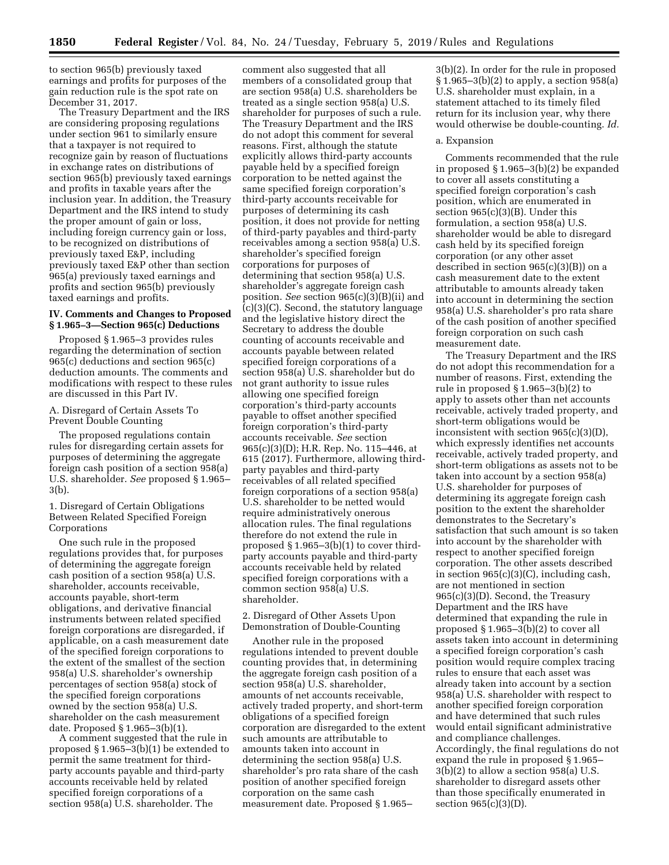to section 965(b) previously taxed earnings and profits for purposes of the gain reduction rule is the spot rate on December 31, 2017.

The Treasury Department and the IRS are considering proposing regulations under section 961 to similarly ensure that a taxpayer is not required to recognize gain by reason of fluctuations in exchange rates on distributions of section 965(b) previously taxed earnings and profits in taxable years after the inclusion year. In addition, the Treasury Department and the IRS intend to study the proper amount of gain or loss, including foreign currency gain or loss, to be recognized on distributions of previously taxed E&P, including previously taxed E&P other than section 965(a) previously taxed earnings and profits and section 965(b) previously taxed earnings and profits.

# **IV. Comments and Changes to Proposed § 1.965–3—Section 965(c) Deductions**

Proposed § 1.965–3 provides rules regarding the determination of section 965(c) deductions and section 965(c) deduction amounts. The comments and modifications with respect to these rules are discussed in this Part IV.

A. Disregard of Certain Assets To Prevent Double Counting

The proposed regulations contain rules for disregarding certain assets for purposes of determining the aggregate foreign cash position of a section 958(a) U.S. shareholder. *See* proposed § 1.965– 3(b).

1. Disregard of Certain Obligations Between Related Specified Foreign Corporations

One such rule in the proposed regulations provides that, for purposes of determining the aggregate foreign cash position of a section 958(a) U.S. shareholder, accounts receivable, accounts payable, short-term obligations, and derivative financial instruments between related specified foreign corporations are disregarded, if applicable, on a cash measurement date of the specified foreign corporations to the extent of the smallest of the section 958(a) U.S. shareholder's ownership percentages of section 958(a) stock of the specified foreign corporations owned by the section 958(a) U.S. shareholder on the cash measurement date. Proposed § 1.965–3(b)(1).

A comment suggested that the rule in proposed § 1.965–3(b)(1) be extended to permit the same treatment for thirdparty accounts payable and third-party accounts receivable held by related specified foreign corporations of a section 958(a) U.S. shareholder. The

comment also suggested that all members of a consolidated group that are section 958(a) U.S. shareholders be treated as a single section 958(a) U.S. shareholder for purposes of such a rule. The Treasury Department and the IRS do not adopt this comment for several reasons. First, although the statute explicitly allows third-party accounts payable held by a specified foreign corporation to be netted against the same specified foreign corporation's third-party accounts receivable for purposes of determining its cash position, it does not provide for netting of third-party payables and third-party receivables among a section 958(a) U.S. shareholder's specified foreign corporations for purposes of determining that section 958(a) U.S. shareholder's aggregate foreign cash position. *See* section 965(c)(3)(B)(ii) and (c)(3)(C). Second, the statutory language and the legislative history direct the Secretary to address the double counting of accounts receivable and accounts payable between related specified foreign corporations of a section 958(a) U.S. shareholder but do not grant authority to issue rules allowing one specified foreign corporation's third-party accounts payable to offset another specified foreign corporation's third-party accounts receivable. *See* section 965(c)(3)(D); H.R. Rep. No. 115–446, at 615 (2017). Furthermore, allowing thirdparty payables and third-party receivables of all related specified foreign corporations of a section 958(a) U.S. shareholder to be netted would require administratively onerous allocation rules. The final regulations therefore do not extend the rule in proposed § 1.965–3(b)(1) to cover thirdparty accounts payable and third-party accounts receivable held by related specified foreign corporations with a common section 958(a) U.S. shareholder.

## 2. Disregard of Other Assets Upon Demonstration of Double-Counting

Another rule in the proposed regulations intended to prevent double counting provides that, in determining the aggregate foreign cash position of a section 958(a) U.S. shareholder, amounts of net accounts receivable, actively traded property, and short-term obligations of a specified foreign corporation are disregarded to the extent such amounts are attributable to amounts taken into account in determining the section 958(a) U.S. shareholder's pro rata share of the cash position of another specified foreign corporation on the same cash measurement date. Proposed § 1.965–

3(b)(2). In order for the rule in proposed § 1.965–3(b)(2) to apply, a section 958(a) U.S. shareholder must explain, in a statement attached to its timely filed return for its inclusion year, why there would otherwise be double-counting. *Id.* 

### a. Expansion

Comments recommended that the rule in proposed § 1.965–3(b)(2) be expanded to cover all assets constituting a specified foreign corporation's cash position, which are enumerated in section 965(c)(3)(B). Under this formulation, a section 958(a) U.S. shareholder would be able to disregard cash held by its specified foreign corporation (or any other asset described in section 965(c)(3)(B)) on a cash measurement date to the extent attributable to amounts already taken into account in determining the section 958(a) U.S. shareholder's pro rata share of the cash position of another specified foreign corporation on such cash measurement date.

The Treasury Department and the IRS do not adopt this recommendation for a number of reasons. First, extending the rule in proposed § 1.965–3(b)(2) to apply to assets other than net accounts receivable, actively traded property, and short-term obligations would be inconsistent with section 965(c)(3)(D), which expressly identifies net accounts receivable, actively traded property, and short-term obligations as assets not to be taken into account by a section 958(a) U.S. shareholder for purposes of determining its aggregate foreign cash position to the extent the shareholder demonstrates to the Secretary's satisfaction that such amount is so taken into account by the shareholder with respect to another specified foreign corporation. The other assets described in section 965(c)(3)(C), including cash, are not mentioned in section 965(c)(3)(D). Second, the Treasury Department and the IRS have determined that expanding the rule in proposed § 1.965–3(b)(2) to cover all assets taken into account in determining a specified foreign corporation's cash position would require complex tracing rules to ensure that each asset was already taken into account by a section 958(a) U.S. shareholder with respect to another specified foreign corporation and have determined that such rules would entail significant administrative and compliance challenges. Accordingly, the final regulations do not expand the rule in proposed § 1.965– 3(b)(2) to allow a section 958(a) U.S. shareholder to disregard assets other than those specifically enumerated in section 965(c)(3)(D).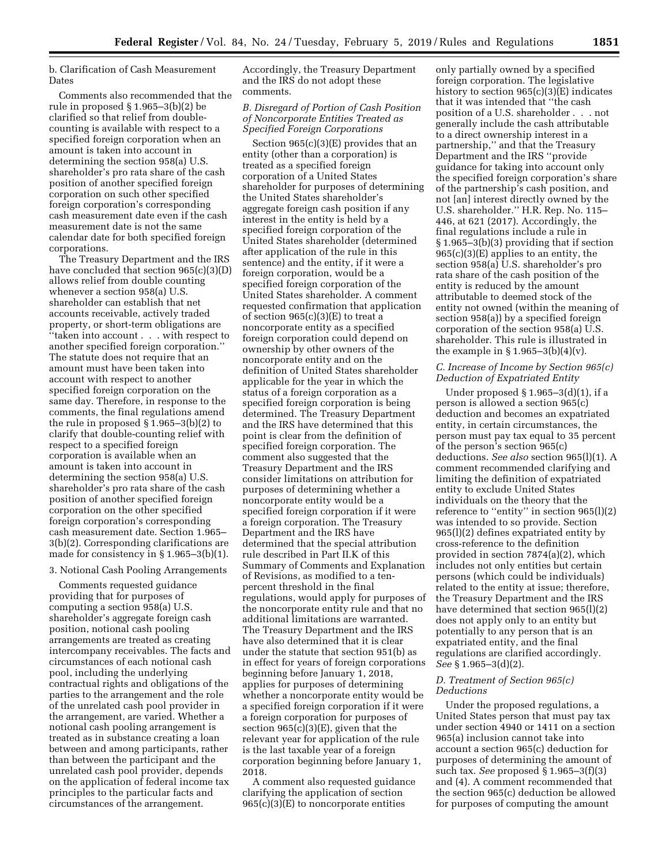b. Clarification of Cash Measurement Dates

Comments also recommended that the rule in proposed § 1.965–3(b)(2) be clarified so that relief from doublecounting is available with respect to a specified foreign corporation when an amount is taken into account in determining the section 958(a) U.S. shareholder's pro rata share of the cash position of another specified foreign corporation on such other specified foreign corporation's corresponding cash measurement date even if the cash measurement date is not the same calendar date for both specified foreign corporations.

The Treasury Department and the IRS have concluded that section 965(c)(3)(D) allows relief from double counting whenever a section 958(a) U.S. shareholder can establish that net accounts receivable, actively traded property, or short-term obligations are ''taken into account . . . with respect to another specified foreign corporation.'' The statute does not require that an amount must have been taken into account with respect to another specified foreign corporation on the same day. Therefore, in response to the comments, the final regulations amend the rule in proposed § 1.965–3(b)(2) to clarify that double-counting relief with respect to a specified foreign corporation is available when an amount is taken into account in determining the section 958(a) U.S. shareholder's pro rata share of the cash position of another specified foreign corporation on the other specified foreign corporation's corresponding cash measurement date. Section 1.965– 3(b)(2). Corresponding clarifications are made for consistency in  $\S 1.965-3(b)(1)$ .

### 3. Notional Cash Pooling Arrangements

Comments requested guidance providing that for purposes of computing a section 958(a) U.S. shareholder's aggregate foreign cash position, notional cash pooling arrangements are treated as creating intercompany receivables. The facts and circumstances of each notional cash pool, including the underlying contractual rights and obligations of the parties to the arrangement and the role of the unrelated cash pool provider in the arrangement, are varied. Whether a notional cash pooling arrangement is treated as in substance creating a loan between and among participants, rather than between the participant and the unrelated cash pool provider, depends on the application of federal income tax principles to the particular facts and circumstances of the arrangement.

Accordingly, the Treasury Department and the IRS do not adopt these comments.

# *B. Disregard of Portion of Cash Position of Noncorporate Entities Treated as Specified Foreign Corporations*

Section 965(c)(3)(E) provides that an entity (other than a corporation) is treated as a specified foreign corporation of a United States shareholder for purposes of determining the United States shareholder's aggregate foreign cash position if any interest in the entity is held by a specified foreign corporation of the United States shareholder (determined after application of the rule in this sentence) and the entity, if it were a foreign corporation, would be a specified foreign corporation of the United States shareholder. A comment requested confirmation that application of section 965(c)(3)(E) to treat a noncorporate entity as a specified foreign corporation could depend on ownership by other owners of the noncorporate entity and on the definition of United States shareholder applicable for the year in which the status of a foreign corporation as a specified foreign corporation is being determined. The Treasury Department and the IRS have determined that this point is clear from the definition of specified foreign corporation. The comment also suggested that the Treasury Department and the IRS consider limitations on attribution for purposes of determining whether a noncorporate entity would be a specified foreign corporation if it were a foreign corporation. The Treasury Department and the IRS have determined that the special attribution rule described in Part II.K of this Summary of Comments and Explanation of Revisions, as modified to a tenpercent threshold in the final regulations, would apply for purposes of the noncorporate entity rule and that no additional limitations are warranted. The Treasury Department and the IRS have also determined that it is clear under the statute that section 951(b) as in effect for years of foreign corporations beginning before January 1, 2018, applies for purposes of determining whether a noncorporate entity would be a specified foreign corporation if it were a foreign corporation for purposes of section 965(c)(3)(E), given that the relevant year for application of the rule is the last taxable year of a foreign corporation beginning before January 1, 2018.

A comment also requested guidance clarifying the application of section  $965(c)(3)(E)$  to noncorporate entities

only partially owned by a specified foreign corporation. The legislative history to section 965(c)(3)(E) indicates that it was intended that ''the cash position of a U.S. shareholder . . . not generally include the cash attributable to a direct ownership interest in a partnership,'' and that the Treasury Department and the IRS ''provide guidance for taking into account only the specified foreign corporation's share of the partnership's cash position, and not [an] interest directly owned by the U.S. shareholder.'' H.R. Rep. No. 115– 446, at 621 (2017). Accordingly, the final regulations include a rule in § 1.965–3(b)(3) providing that if section 965(c)(3)(E) applies to an entity, the section 958(a) U.S. shareholder's pro rata share of the cash position of the entity is reduced by the amount attributable to deemed stock of the entity not owned (within the meaning of section 958(a)) by a specified foreign corporation of the section 958(a) U.S. shareholder. This rule is illustrated in the example in  $\S 1.965 - 3(b)(4)(v)$ .

# *C. Increase of Income by Section 965(c) Deduction of Expatriated Entity*

Under proposed  $\S 1.965-3(d)(1)$ , if a person is allowed a section 965(c) deduction and becomes an expatriated entity, in certain circumstances, the person must pay tax equal to 35 percent of the person's section 965(c) deductions. *See also* section 965(l)(1). A comment recommended clarifying and limiting the definition of expatriated entity to exclude United States individuals on the theory that the reference to ''entity'' in section 965(l)(2) was intended to so provide. Section 965(l)(2) defines expatriated entity by cross-reference to the definition provided in section 7874(a)(2), which includes not only entities but certain persons (which could be individuals) related to the entity at issue; therefore, the Treasury Department and the IRS have determined that section 965(l)(2) does not apply only to an entity but potentially to any person that is an expatriated entity, and the final regulations are clarified accordingly. *See* § 1.965–3(d)(2).

# *D. Treatment of Section 965(c) Deductions*

Under the proposed regulations, a United States person that must pay tax under section 4940 or 1411 on a section 965(a) inclusion cannot take into account a section 965(c) deduction for purposes of determining the amount of such tax. *See* proposed § 1.965–3(f)(3) and (4). A comment recommended that the section 965(c) deduction be allowed for purposes of computing the amount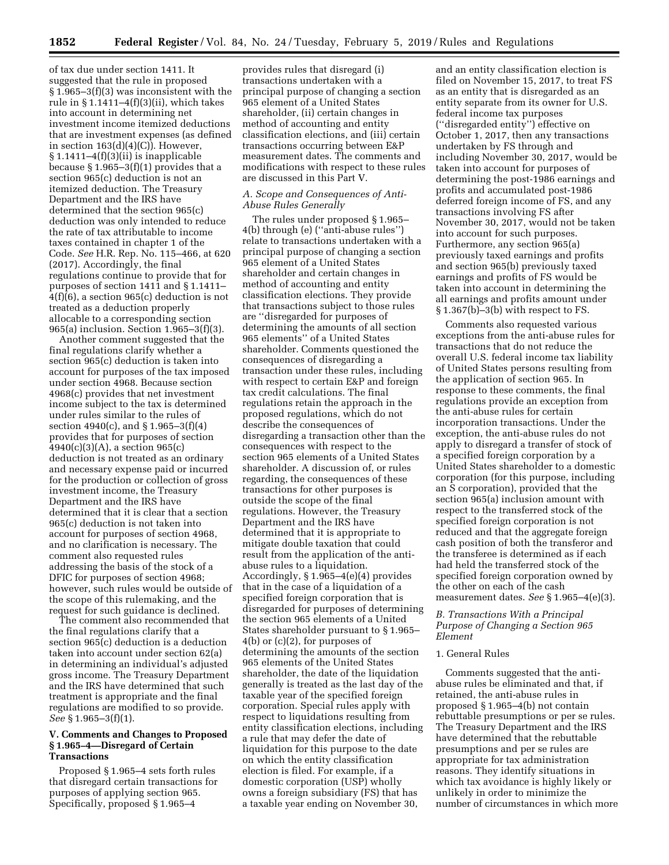of tax due under section 1411. It suggested that the rule in proposed § 1.965–3(f)(3) was inconsistent with the rule in § 1.1411–4(f)(3)(ii), which takes into account in determining net investment income itemized deductions that are investment expenses (as defined in section 163(d)(4)(C)). However, § 1.1411–4(f)(3)(ii) is inapplicable because  $\S 1.965-3(f)(1)$  provides that a section 965(c) deduction is not an itemized deduction. The Treasury Department and the IRS have determined that the section 965(c) deduction was only intended to reduce the rate of tax attributable to income taxes contained in chapter 1 of the Code. *See* H.R. Rep. No. 115–466, at 620 (2017). Accordingly, the final regulations continue to provide that for purposes of section 1411 and § 1.1411– 4(f)(6), a section 965(c) deduction is not treated as a deduction properly allocable to a corresponding section 965(a) inclusion. Section 1.965–3(f)(3).

Another comment suggested that the final regulations clarify whether a section 965(c) deduction is taken into account for purposes of the tax imposed under section 4968. Because section 4968(c) provides that net investment income subject to the tax is determined under rules similar to the rules of section 4940(c), and § 1.965–3(f)(4) provides that for purposes of section 4940(c)(3)(A), a section 965(c) deduction is not treated as an ordinary and necessary expense paid or incurred for the production or collection of gross investment income, the Treasury Department and the IRS have determined that it is clear that a section 965(c) deduction is not taken into account for purposes of section 4968, and no clarification is necessary. The comment also requested rules addressing the basis of the stock of a DFIC for purposes of section 4968; however, such rules would be outside of the scope of this rulemaking, and the request for such guidance is declined.

The comment also recommended that the final regulations clarify that a section 965(c) deduction is a deduction taken into account under section 62(a) in determining an individual's adjusted gross income. The Treasury Department and the IRS have determined that such treatment is appropriate and the final regulations are modified to so provide. *See* § 1.965–3(f)(1).

# **V. Comments and Changes to Proposed § 1.965–4—Disregard of Certain Transactions**

Proposed § 1.965–4 sets forth rules that disregard certain transactions for purposes of applying section 965. Specifically, proposed § 1.965–4

provides rules that disregard (i) transactions undertaken with a principal purpose of changing a section 965 element of a United States shareholder, (ii) certain changes in method of accounting and entity classification elections, and (iii) certain transactions occurring between E&P measurement dates. The comments and modifications with respect to these rules are discussed in this Part V.

## *A. Scope and Consequences of Anti-Abuse Rules Generally*

The rules under proposed § 1.965– 4(b) through (e) (''anti-abuse rules'') relate to transactions undertaken with a principal purpose of changing a section 965 element of a United States shareholder and certain changes in method of accounting and entity classification elections. They provide that transactions subject to those rules are ''disregarded for purposes of determining the amounts of all section 965 elements'' of a United States shareholder. Comments questioned the consequences of disregarding a transaction under these rules, including with respect to certain E&P and foreign tax credit calculations. The final regulations retain the approach in the proposed regulations, which do not describe the consequences of disregarding a transaction other than the consequences with respect to the section 965 elements of a United States shareholder. A discussion of, or rules regarding, the consequences of these transactions for other purposes is outside the scope of the final regulations. However, the Treasury Department and the IRS have determined that it is appropriate to mitigate double taxation that could result from the application of the antiabuse rules to a liquidation. Accordingly, § 1.965–4(e)(4) provides that in the case of a liquidation of a specified foreign corporation that is disregarded for purposes of determining the section 965 elements of a United States shareholder pursuant to § 1.965– 4(b) or (c)(2), for purposes of determining the amounts of the section 965 elements of the United States shareholder, the date of the liquidation generally is treated as the last day of the taxable year of the specified foreign corporation. Special rules apply with respect to liquidations resulting from entity classification elections, including a rule that may defer the date of liquidation for this purpose to the date on which the entity classification election is filed. For example, if a domestic corporation (USP) wholly owns a foreign subsidiary (FS) that has a taxable year ending on November 30,

and an entity classification election is filed on November 15, 2017, to treat FS as an entity that is disregarded as an entity separate from its owner for U.S. federal income tax purposes (''disregarded entity'') effective on October 1, 2017, then any transactions undertaken by FS through and including November 30, 2017, would be taken into account for purposes of determining the post-1986 earnings and profits and accumulated post-1986 deferred foreign income of FS, and any transactions involving FS after November 30, 2017, would not be taken into account for such purposes. Furthermore, any section 965(a) previously taxed earnings and profits and section 965(b) previously taxed earnings and profits of FS would be taken into account in determining the all earnings and profits amount under § 1.367(b)–3(b) with respect to FS.

Comments also requested various exceptions from the anti-abuse rules for transactions that do not reduce the overall U.S. federal income tax liability of United States persons resulting from the application of section 965. In response to these comments, the final regulations provide an exception from the anti-abuse rules for certain incorporation transactions. Under the exception, the anti-abuse rules do not apply to disregard a transfer of stock of a specified foreign corporation by a United States shareholder to a domestic corporation (for this purpose, including an S corporation), provided that the section 965(a) inclusion amount with respect to the transferred stock of the specified foreign corporation is not reduced and that the aggregate foreign cash position of both the transferor and the transferee is determined as if each had held the transferred stock of the specified foreign corporation owned by the other on each of the cash measurement dates. *See* § 1.965–4(e)(3).

## *B. Transactions With a Principal Purpose of Changing a Section 965 Element*

## 1. General Rules

Comments suggested that the antiabuse rules be eliminated and that, if retained, the anti-abuse rules in proposed § 1.965–4(b) not contain rebuttable presumptions or per se rules. The Treasury Department and the IRS have determined that the rebuttable presumptions and per se rules are appropriate for tax administration reasons. They identify situations in which tax avoidance is highly likely or unlikely in order to minimize the number of circumstances in which more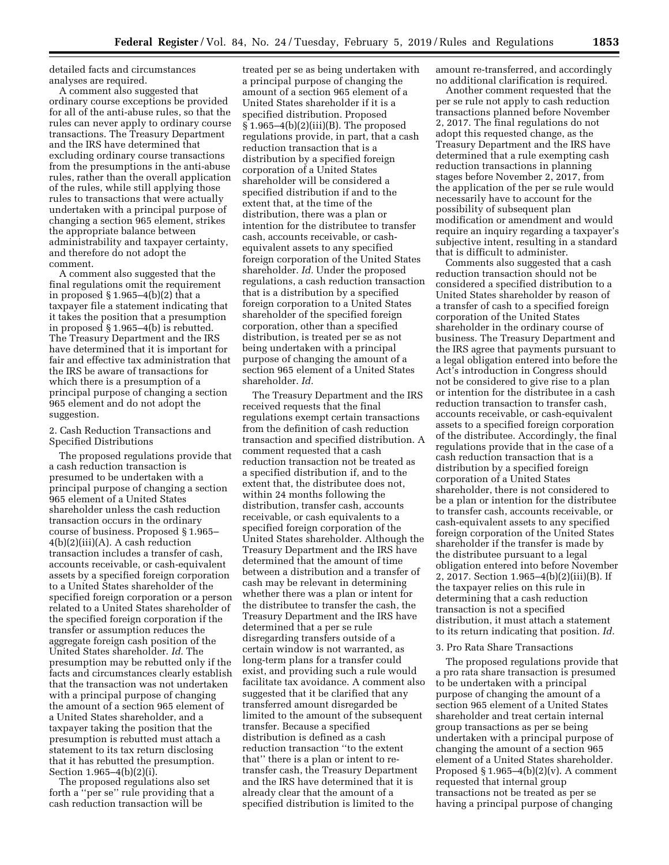detailed facts and circumstances analyses are required.

A comment also suggested that ordinary course exceptions be provided for all of the anti-abuse rules, so that the rules can never apply to ordinary course transactions. The Treasury Department and the IRS have determined that excluding ordinary course transactions from the presumptions in the anti-abuse rules, rather than the overall application of the rules, while still applying those rules to transactions that were actually undertaken with a principal purpose of changing a section 965 element, strikes the appropriate balance between administrability and taxpayer certainty, and therefore do not adopt the comment.

A comment also suggested that the final regulations omit the requirement in proposed § 1.965–4(b)(2) that a taxpayer file a statement indicating that it takes the position that a presumption in proposed § 1.965–4(b) is rebutted. The Treasury Department and the IRS have determined that it is important for fair and effective tax administration that the IRS be aware of transactions for which there is a presumption of a principal purpose of changing a section 965 element and do not adopt the suggestion.

## 2. Cash Reduction Transactions and Specified Distributions

The proposed regulations provide that a cash reduction transaction is presumed to be undertaken with a principal purpose of changing a section 965 element of a United States shareholder unless the cash reduction transaction occurs in the ordinary course of business. Proposed § 1.965– 4(b)(2)(iii)(A). A cash reduction transaction includes a transfer of cash, accounts receivable, or cash-equivalent assets by a specified foreign corporation to a United States shareholder of the specified foreign corporation or a person related to a United States shareholder of the specified foreign corporation if the transfer or assumption reduces the aggregate foreign cash position of the United States shareholder. *Id.* The presumption may be rebutted only if the facts and circumstances clearly establish that the transaction was not undertaken with a principal purpose of changing the amount of a section 965 element of a United States shareholder, and a taxpayer taking the position that the presumption is rebutted must attach a statement to its tax return disclosing that it has rebutted the presumption. Section 1.965–4(b)(2)(i).

The proposed regulations also set forth a ''per se'' rule providing that a cash reduction transaction will be

treated per se as being undertaken with a principal purpose of changing the amount of a section 965 element of a United States shareholder if it is a specified distribution. Proposed § 1.965–4(b)(2)(iii)(B). The proposed regulations provide, in part, that a cash reduction transaction that is a distribution by a specified foreign corporation of a United States shareholder will be considered a specified distribution if and to the extent that, at the time of the distribution, there was a plan or intention for the distributee to transfer cash, accounts receivable, or cashequivalent assets to any specified foreign corporation of the United States shareholder. *Id.* Under the proposed regulations, a cash reduction transaction that is a distribution by a specified foreign corporation to a United States shareholder of the specified foreign corporation, other than a specified distribution, is treated per se as not being undertaken with a principal purpose of changing the amount of a section 965 element of a United States shareholder. *Id.* 

The Treasury Department and the IRS received requests that the final regulations exempt certain transactions from the definition of cash reduction transaction and specified distribution. A comment requested that a cash reduction transaction not be treated as a specified distribution if, and to the extent that, the distributee does not, within 24 months following the distribution, transfer cash, accounts receivable, or cash equivalents to a specified foreign corporation of the United States shareholder. Although the Treasury Department and the IRS have determined that the amount of time between a distribution and a transfer of cash may be relevant in determining whether there was a plan or intent for the distributee to transfer the cash, the Treasury Department and the IRS have determined that a per se rule disregarding transfers outside of a certain window is not warranted, as long-term plans for a transfer could exist, and providing such a rule would facilitate tax avoidance. A comment also suggested that it be clarified that any transferred amount disregarded be limited to the amount of the subsequent transfer. Because a specified distribution is defined as a cash reduction transaction ''to the extent that'' there is a plan or intent to retransfer cash, the Treasury Department and the IRS have determined that it is already clear that the amount of a specified distribution is limited to the

amount re-transferred, and accordingly no additional clarification is required.

Another comment requested that the per se rule not apply to cash reduction transactions planned before November 2, 2017. The final regulations do not adopt this requested change, as the Treasury Department and the IRS have determined that a rule exempting cash reduction transactions in planning stages before November 2, 2017, from the application of the per se rule would necessarily have to account for the possibility of subsequent plan modification or amendment and would require an inquiry regarding a taxpayer's subjective intent, resulting in a standard that is difficult to administer.

Comments also suggested that a cash reduction transaction should not be considered a specified distribution to a United States shareholder by reason of a transfer of cash to a specified foreign corporation of the United States shareholder in the ordinary course of business. The Treasury Department and the IRS agree that payments pursuant to a legal obligation entered into before the Act's introduction in Congress should not be considered to give rise to a plan or intention for the distributee in a cash reduction transaction to transfer cash, accounts receivable, or cash-equivalent assets to a specified foreign corporation of the distributee. Accordingly, the final regulations provide that in the case of a cash reduction transaction that is a distribution by a specified foreign corporation of a United States shareholder, there is not considered to be a plan or intention for the distributee to transfer cash, accounts receivable, or cash-equivalent assets to any specified foreign corporation of the United States shareholder if the transfer is made by the distributee pursuant to a legal obligation entered into before November 2, 2017. Section 1.965–4(b)(2)(iii)(B). If the taxpayer relies on this rule in determining that a cash reduction transaction is not a specified distribution, it must attach a statement to its return indicating that position. *Id.* 

## 3. Pro Rata Share Transactions

The proposed regulations provide that a pro rata share transaction is presumed to be undertaken with a principal purpose of changing the amount of a section 965 element of a United States shareholder and treat certain internal group transactions as per se being undertaken with a principal purpose of changing the amount of a section 965 element of a United States shareholder. Proposed §  $1.965-4(b)(2)(v)$ . A comment requested that internal group transactions not be treated as per se having a principal purpose of changing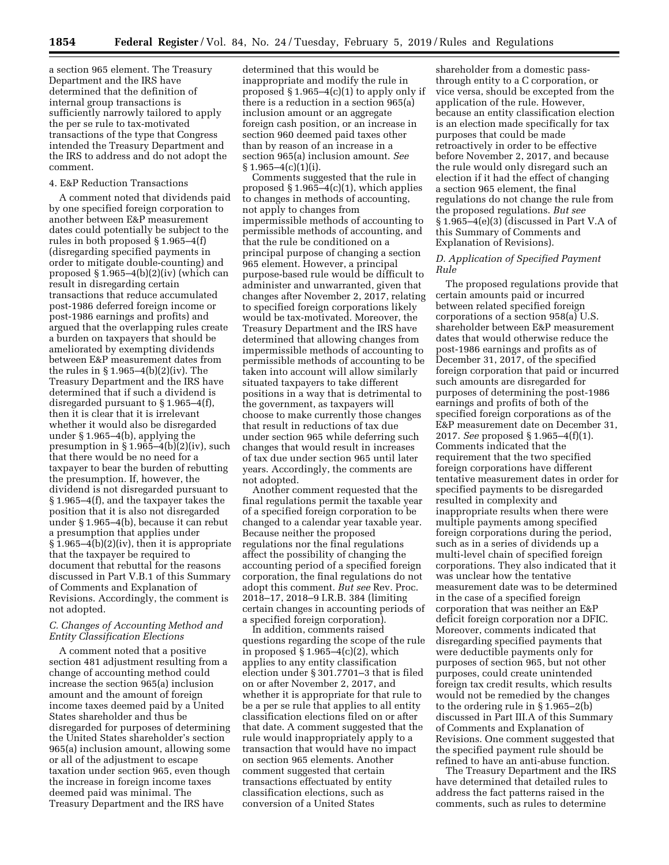a section 965 element. The Treasury Department and the IRS have determined that the definition of internal group transactions is sufficiently narrowly tailored to apply the per se rule to tax-motivated transactions of the type that Congress intended the Treasury Department and the IRS to address and do not adopt the comment.

### 4. E&P Reduction Transactions

A comment noted that dividends paid by one specified foreign corporation to another between E&P measurement dates could potentially be subject to the rules in both proposed § 1.965–4(f) (disregarding specified payments in order to mitigate double-counting) and proposed  $\S 1.965-4(b)(2)(iv)$  (which can result in disregarding certain transactions that reduce accumulated post-1986 deferred foreign income or post-1986 earnings and profits) and argued that the overlapping rules create a burden on taxpayers that should be ameliorated by exempting dividends between E&P measurement dates from the rules in § 1.965–4(b)(2)(iv). The Treasury Department and the IRS have determined that if such a dividend is disregarded pursuant to § 1.965–4(f), then it is clear that it is irrelevant whether it would also be disregarded under § 1.965–4(b), applying the presumption in § 1.965–4(b)(2)(iv), such that there would be no need for a taxpayer to bear the burden of rebutting the presumption. If, however, the dividend is not disregarded pursuant to § 1.965–4(f), and the taxpayer takes the position that it is also not disregarded under § 1.965–4(b), because it can rebut a presumption that applies under § 1.965–4(b)(2)(iv), then it is appropriate that the taxpayer be required to document that rebuttal for the reasons discussed in Part V.B.1 of this Summary of Comments and Explanation of Revisions. Accordingly, the comment is not adopted.

## *C. Changes of Accounting Method and Entity Classification Elections*

A comment noted that a positive section 481 adjustment resulting from a change of accounting method could increase the section 965(a) inclusion amount and the amount of foreign income taxes deemed paid by a United States shareholder and thus be disregarded for purposes of determining the United States shareholder's section 965(a) inclusion amount, allowing some or all of the adjustment to escape taxation under section 965, even though the increase in foreign income taxes deemed paid was minimal. The Treasury Department and the IRS have

determined that this would be inappropriate and modify the rule in proposed  $\S 1.965-4(c)(1)$  to apply only if there is a reduction in a section 965(a) inclusion amount or an aggregate foreign cash position, or an increase in section 960 deemed paid taxes other than by reason of an increase in a section 965(a) inclusion amount. *See*   $§ 1.965 - 4(c)(1)(i).$ 

Comments suggested that the rule in proposed  $\S 1.965-4(c)(1)$ , which applies to changes in methods of accounting, not apply to changes from impermissible methods of accounting to permissible methods of accounting, and that the rule be conditioned on a principal purpose of changing a section 965 element. However, a principal purpose-based rule would be difficult to administer and unwarranted, given that changes after November 2, 2017, relating to specified foreign corporations likely would be tax-motivated. Moreover, the Treasury Department and the IRS have determined that allowing changes from impermissible methods of accounting to permissible methods of accounting to be taken into account will allow similarly situated taxpayers to take different positions in a way that is detrimental to the government, as taxpayers will choose to make currently those changes that result in reductions of tax due under section 965 while deferring such changes that would result in increases of tax due under section 965 until later years. Accordingly, the comments are not adopted.

Another comment requested that the final regulations permit the taxable year of a specified foreign corporation to be changed to a calendar year taxable year. Because neither the proposed regulations nor the final regulations affect the possibility of changing the accounting period of a specified foreign corporation, the final regulations do not adopt this comment. *But see* Rev. Proc. 2018–17, 2018–9 I.R.B. 384 (limiting certain changes in accounting periods of a specified foreign corporation).

In addition, comments raised questions regarding the scope of the rule in proposed  $\S 1.965-4(c)(2)$ , which applies to any entity classification election under § 301.7701–3 that is filed on or after November 2, 2017, and whether it is appropriate for that rule to be a per se rule that applies to all entity classification elections filed on or after that date. A comment suggested that the rule would inappropriately apply to a transaction that would have no impact on section 965 elements. Another comment suggested that certain transactions effectuated by entity classification elections, such as conversion of a United States

shareholder from a domestic passthrough entity to a C corporation, or vice versa, should be excepted from the application of the rule. However, because an entity classification election is an election made specifically for tax purposes that could be made retroactively in order to be effective before November 2, 2017, and because the rule would only disregard such an election if it had the effect of changing a section 965 element, the final regulations do not change the rule from the proposed regulations. *But see*  § 1.965–4(e)(3) (discussed in Part V.A of this Summary of Comments and Explanation of Revisions).

## *D. Application of Specified Payment Rule*

The proposed regulations provide that certain amounts paid or incurred between related specified foreign corporations of a section 958(a) U.S. shareholder between E&P measurement dates that would otherwise reduce the post-1986 earnings and profits as of December 31, 2017, of the specified foreign corporation that paid or incurred such amounts are disregarded for purposes of determining the post-1986 earnings and profits of both of the specified foreign corporations as of the E&P measurement date on December 31, 2017. *See* proposed § 1.965–4(f)(1). Comments indicated that the requirement that the two specified foreign corporations have different tentative measurement dates in order for specified payments to be disregarded resulted in complexity and inappropriate results when there were multiple payments among specified foreign corporations during the period, such as in a series of dividends up a multi-level chain of specified foreign corporations. They also indicated that it was unclear how the tentative measurement date was to be determined in the case of a specified foreign corporation that was neither an E&P deficit foreign corporation nor a DFIC. Moreover, comments indicated that disregarding specified payments that were deductible payments only for purposes of section 965, but not other purposes, could create unintended foreign tax credit results, which results would not be remedied by the changes to the ordering rule in § 1.965–2(b) discussed in Part III.A of this Summary of Comments and Explanation of Revisions. One comment suggested that the specified payment rule should be refined to have an anti-abuse function.

The Treasury Department and the IRS have determined that detailed rules to address the fact patterns raised in the comments, such as rules to determine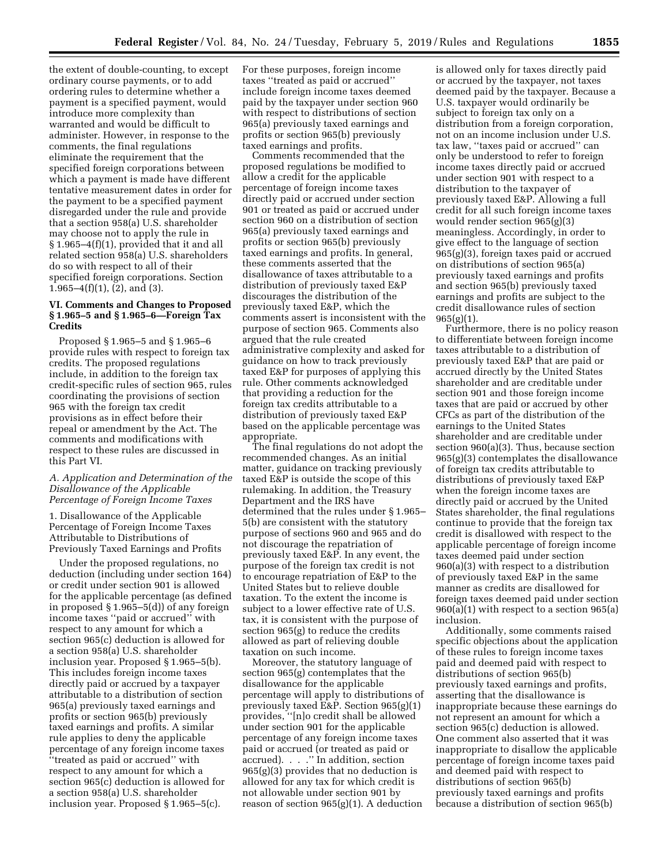the extent of double-counting, to except ordinary course payments, or to add ordering rules to determine whether a payment is a specified payment, would introduce more complexity than warranted and would be difficult to administer. However, in response to the comments, the final regulations eliminate the requirement that the specified foreign corporations between which a payment is made have different tentative measurement dates in order for the payment to be a specified payment disregarded under the rule and provide that a section 958(a) U.S. shareholder may choose not to apply the rule in § 1.965–4(f)(1), provided that it and all related section 958(a) U.S. shareholders do so with respect to all of their specified foreign corporations. Section  $1.965-4(f)(1)$ ,  $(2)$ , and  $(3)$ .

# **VI. Comments and Changes to Proposed § 1.965–5 and § 1.965–6—Foreign Tax Credits**

Proposed § 1.965–5 and § 1.965–6 provide rules with respect to foreign tax credits. The proposed regulations include, in addition to the foreign tax credit-specific rules of section 965, rules coordinating the provisions of section 965 with the foreign tax credit provisions as in effect before their repeal or amendment by the Act. The comments and modifications with respect to these rules are discussed in this Part VI.

## *A. Application and Determination of the Disallowance of the Applicable Percentage of Foreign Income Taxes*

1. Disallowance of the Applicable Percentage of Foreign Income Taxes Attributable to Distributions of Previously Taxed Earnings and Profits

Under the proposed regulations, no deduction (including under section 164) or credit under section 901 is allowed for the applicable percentage (as defined in proposed § 1.965–5(d)) of any foreign income taxes ''paid or accrued'' with respect to any amount for which a section 965(c) deduction is allowed for a section 958(a) U.S. shareholder inclusion year. Proposed § 1.965–5(b). This includes foreign income taxes directly paid or accrued by a taxpayer attributable to a distribution of section 965(a) previously taxed earnings and profits or section 965(b) previously taxed earnings and profits. A similar rule applies to deny the applicable percentage of any foreign income taxes ''treated as paid or accrued'' with respect to any amount for which a section 965(c) deduction is allowed for a section 958(a) U.S. shareholder inclusion year. Proposed § 1.965–5(c).

For these purposes, foreign income taxes ''treated as paid or accrued'' include foreign income taxes deemed paid by the taxpayer under section 960 with respect to distributions of section 965(a) previously taxed earnings and profits or section 965(b) previously taxed earnings and profits.

Comments recommended that the proposed regulations be modified to allow a credit for the applicable percentage of foreign income taxes directly paid or accrued under section 901 or treated as paid or accrued under section 960 on a distribution of section 965(a) previously taxed earnings and profits or section 965(b) previously taxed earnings and profits. In general, these comments asserted that the disallowance of taxes attributable to a distribution of previously taxed E&P discourages the distribution of the previously taxed E&P, which the comments assert is inconsistent with the purpose of section 965. Comments also argued that the rule created administrative complexity and asked for guidance on how to track previously taxed E&P for purposes of applying this rule. Other comments acknowledged that providing a reduction for the foreign tax credits attributable to a distribution of previously taxed E&P based on the applicable percentage was appropriate.

The final regulations do not adopt the recommended changes. As an initial matter, guidance on tracking previously taxed E&P is outside the scope of this rulemaking. In addition, the Treasury Department and the IRS have determined that the rules under § 1.965– 5(b) are consistent with the statutory purpose of sections 960 and 965 and do not discourage the repatriation of previously taxed E&P. In any event, the purpose of the foreign tax credit is not to encourage repatriation of E&P to the United States but to relieve double taxation. To the extent the income is subject to a lower effective rate of U.S. tax, it is consistent with the purpose of section 965(g) to reduce the credits allowed as part of relieving double taxation on such income.

Moreover, the statutory language of section 965(g) contemplates that the disallowance for the applicable percentage will apply to distributions of previously taxed E&P. Section 965(g)(1) provides, ''[n]o credit shall be allowed under section 901 for the applicable percentage of any foreign income taxes paid or accrued (or treated as paid or accrued). . . .'' In addition, section 965(g)(3) provides that no deduction is allowed for any tax for which credit is not allowable under section 901 by reason of section 965(g)(1). A deduction

is allowed only for taxes directly paid or accrued by the taxpayer, not taxes deemed paid by the taxpayer. Because a U.S. taxpayer would ordinarily be subject to foreign tax only on a distribution from a foreign corporation, not on an income inclusion under U.S. tax law, ''taxes paid or accrued'' can only be understood to refer to foreign income taxes directly paid or accrued under section 901 with respect to a distribution to the taxpayer of previously taxed E&P. Allowing a full credit for all such foreign income taxes would render section 965(g)(3) meaningless. Accordingly, in order to give effect to the language of section 965(g)(3), foreign taxes paid or accrued on distributions of section 965(a) previously taxed earnings and profits and section 965(b) previously taxed earnings and profits are subject to the credit disallowance rules of section  $965(g)(1)$ .

Furthermore, there is no policy reason to differentiate between foreign income taxes attributable to a distribution of previously taxed E&P that are paid or accrued directly by the United States shareholder and are creditable under section 901 and those foreign income taxes that are paid or accrued by other CFCs as part of the distribution of the earnings to the United States shareholder and are creditable under section 960(a)(3). Thus, because section 965(g)(3) contemplates the disallowance of foreign tax credits attributable to distributions of previously taxed E&P when the foreign income taxes are directly paid or accrued by the United States shareholder, the final regulations continue to provide that the foreign tax credit is disallowed with respect to the applicable percentage of foreign income taxes deemed paid under section 960(a)(3) with respect to a distribution of previously taxed E&P in the same manner as credits are disallowed for foreign taxes deemed paid under section 960(a)(1) with respect to a section 965(a) inclusion.

Additionally, some comments raised specific objections about the application of these rules to foreign income taxes paid and deemed paid with respect to distributions of section 965(b) previously taxed earnings and profits, asserting that the disallowance is inappropriate because these earnings do not represent an amount for which a section 965(c) deduction is allowed. One comment also asserted that it was inappropriate to disallow the applicable percentage of foreign income taxes paid and deemed paid with respect to distributions of section 965(b) previously taxed earnings and profits because a distribution of section 965(b)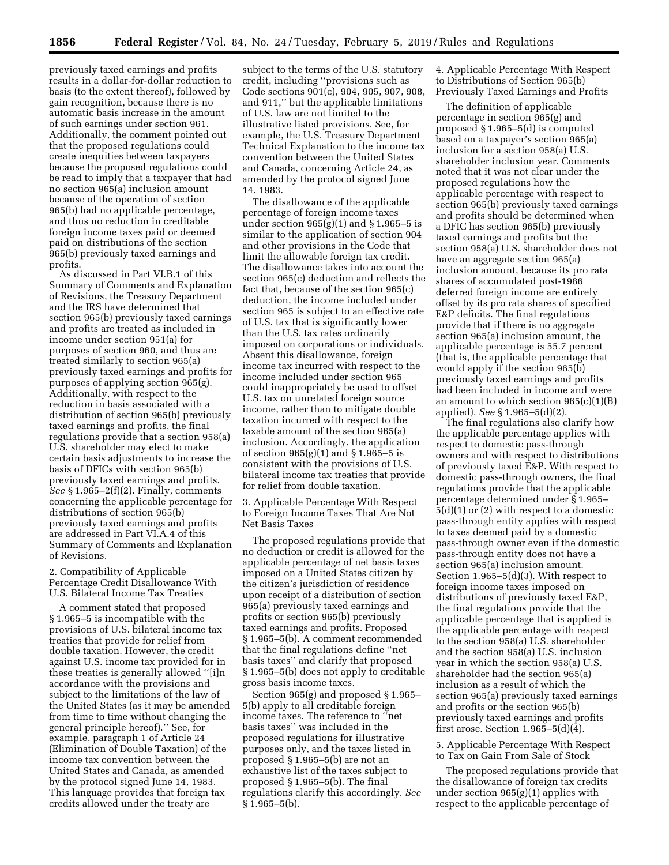previously taxed earnings and profits results in a dollar-for-dollar reduction to basis (to the extent thereof), followed by gain recognition, because there is no automatic basis increase in the amount of such earnings under section 961. Additionally, the comment pointed out that the proposed regulations could create inequities between taxpayers because the proposed regulations could be read to imply that a taxpayer that had no section 965(a) inclusion amount because of the operation of section 965(b) had no applicable percentage, and thus no reduction in creditable foreign income taxes paid or deemed paid on distributions of the section 965(b) previously taxed earnings and profits.

As discussed in Part VI.B.1 of this Summary of Comments and Explanation of Revisions, the Treasury Department and the IRS have determined that section 965(b) previously taxed earnings and profits are treated as included in income under section 951(a) for purposes of section 960, and thus are treated similarly to section 965(a) previously taxed earnings and profits for purposes of applying section 965(g). Additionally, with respect to the reduction in basis associated with a distribution of section 965(b) previously taxed earnings and profits, the final regulations provide that a section 958(a) U.S. shareholder may elect to make certain basis adjustments to increase the basis of DFICs with section 965(b) previously taxed earnings and profits. *See* § 1.965–2(f)(2). Finally, comments concerning the applicable percentage for distributions of section 965(b) previously taxed earnings and profits are addressed in Part VI.A.4 of this Summary of Comments and Explanation of Revisions.

2. Compatibility of Applicable Percentage Credit Disallowance With U.S. Bilateral Income Tax Treaties

A comment stated that proposed § 1.965–5 is incompatible with the provisions of U.S. bilateral income tax treaties that provide for relief from double taxation. However, the credit against U.S. income tax provided for in these treaties is generally allowed ''[i]n accordance with the provisions and subject to the limitations of the law of the United States (as it may be amended from time to time without changing the general principle hereof).'' See, for example, paragraph 1 of Article 24 (Elimination of Double Taxation) of the income tax convention between the United States and Canada, as amended by the protocol signed June 14, 1983. This language provides that foreign tax credits allowed under the treaty are

subject to the terms of the U.S. statutory credit, including ''provisions such as Code sections 901(c), 904, 905, 907, 908, and 911,'' but the applicable limitations of U.S. law are not limited to the illustrative listed provisions. See, for example, the U.S. Treasury Department Technical Explanation to the income tax convention between the United States and Canada, concerning Article 24, as amended by the protocol signed June 14, 1983.

The disallowance of the applicable percentage of foreign income taxes under section  $965(g)(1)$  and § 1.965–5 is similar to the application of section 904 and other provisions in the Code that limit the allowable foreign tax credit. The disallowance takes into account the section 965(c) deduction and reflects the fact that, because of the section 965(c) deduction, the income included under section 965 is subject to an effective rate of U.S. tax that is significantly lower than the U.S. tax rates ordinarily imposed on corporations or individuals. Absent this disallowance, foreign income tax incurred with respect to the income included under section 965 could inappropriately be used to offset U.S. tax on unrelated foreign source income, rather than to mitigate double taxation incurred with respect to the taxable amount of the section 965(a) inclusion. Accordingly, the application of section 965(g)(1) and § 1.965–5 is consistent with the provisions of U.S. bilateral income tax treaties that provide for relief from double taxation.

3. Applicable Percentage With Respect to Foreign Income Taxes That Are Not Net Basis Taxes

The proposed regulations provide that no deduction or credit is allowed for the applicable percentage of net basis taxes imposed on a United States citizen by the citizen's jurisdiction of residence upon receipt of a distribution of section 965(a) previously taxed earnings and profits or section 965(b) previously taxed earnings and profits. Proposed § 1.965–5(b). A comment recommended that the final regulations define ''net basis taxes'' and clarify that proposed § 1.965–5(b) does not apply to creditable gross basis income taxes.

Section 965(g) and proposed § 1.965– 5(b) apply to all creditable foreign income taxes. The reference to ''net basis taxes'' was included in the proposed regulations for illustrative purposes only, and the taxes listed in proposed § 1.965–5(b) are not an exhaustive list of the taxes subject to proposed § 1.965–5(b). The final regulations clarify this accordingly. *See*   $§ 1.965 - 5(b).$ 

4. Applicable Percentage With Respect to Distributions of Section 965(b) Previously Taxed Earnings and Profits

The definition of applicable percentage in section 965(g) and proposed § 1.965–5(d) is computed based on a taxpayer's section 965(a) inclusion for a section 958(a) U.S. shareholder inclusion year. Comments noted that it was not clear under the proposed regulations how the applicable percentage with respect to section 965(b) previously taxed earnings and profits should be determined when a DFIC has section 965(b) previously taxed earnings and profits but the section 958(a) U.S. shareholder does not have an aggregate section 965(a) inclusion amount, because its pro rata shares of accumulated post-1986 deferred foreign income are entirely offset by its pro rata shares of specified E&P deficits. The final regulations provide that if there is no aggregate section 965(a) inclusion amount, the applicable percentage is 55.7 percent (that is, the applicable percentage that would apply if the section 965(b) previously taxed earnings and profits had been included in income and were an amount to which section  $965(c)(1)(B)$ applied). *See* § 1.965–5(d)(2).

The final regulations also clarify how the applicable percentage applies with respect to domestic pass-through owners and with respect to distributions of previously taxed E&P. With respect to domestic pass-through owners, the final regulations provide that the applicable percentage determined under § 1.965– 5(d)(1) or (2) with respect to a domestic pass-through entity applies with respect to taxes deemed paid by a domestic pass-through owner even if the domestic pass-through entity does not have a section 965(a) inclusion amount. Section 1.965–5(d)(3). With respect to foreign income taxes imposed on distributions of previously taxed E&P, the final regulations provide that the applicable percentage that is applied is the applicable percentage with respect to the section 958(a) U.S. shareholder and the section 958(a) U.S. inclusion year in which the section 958(a) U.S. shareholder had the section 965(a) inclusion as a result of which the section 965(a) previously taxed earnings and profits or the section 965(b) previously taxed earnings and profits first arose. Section  $1.965-5(d)(4)$ .

5. Applicable Percentage With Respect to Tax on Gain From Sale of Stock

The proposed regulations provide that the disallowance of foreign tax credits under section 965(g)(1) applies with respect to the applicable percentage of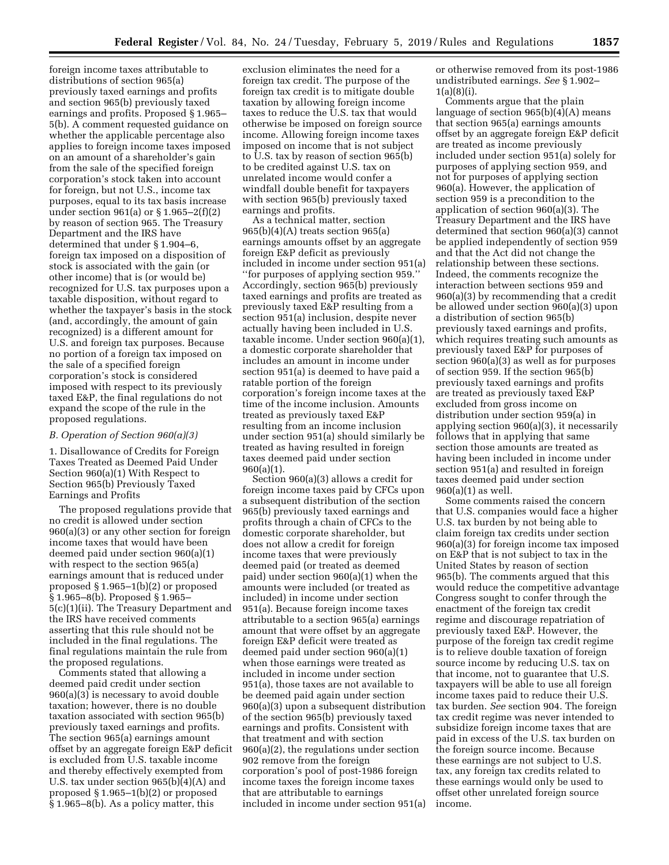foreign income taxes attributable to distributions of section 965(a) previously taxed earnings and profits and section 965(b) previously taxed earnings and profits. Proposed § 1.965– 5(b). A comment requested guidance on whether the applicable percentage also applies to foreign income taxes imposed on an amount of a shareholder's gain from the sale of the specified foreign corporation's stock taken into account for foreign, but not U.S., income tax purposes, equal to its tax basis increase under section 961(a) or § 1.965–2(f)(2) by reason of section 965. The Treasury Department and the IRS have determined that under § 1.904–6, foreign tax imposed on a disposition of stock is associated with the gain (or other income) that is (or would be) recognized for U.S. tax purposes upon a taxable disposition, without regard to whether the taxpayer's basis in the stock (and, accordingly, the amount of gain recognized) is a different amount for U.S. and foreign tax purposes. Because no portion of a foreign tax imposed on the sale of a specified foreign corporation's stock is considered imposed with respect to its previously taxed E&P, the final regulations do not expand the scope of the rule in the proposed regulations.

# *B. Operation of Section 960(a)(3)*

1. Disallowance of Credits for Foreign Taxes Treated as Deemed Paid Under Section 960(a)(1) With Respect to Section 965(b) Previously Taxed Earnings and Profits

The proposed regulations provide that no credit is allowed under section 960(a)(3) or any other section for foreign income taxes that would have been deemed paid under section 960(a)(1) with respect to the section 965(a) earnings amount that is reduced under proposed § 1.965–1(b)(2) or proposed § 1.965–8(b). Proposed § 1.965– 5(c)(1)(ii). The Treasury Department and the IRS have received comments asserting that this rule should not be included in the final regulations. The final regulations maintain the rule from the proposed regulations.

Comments stated that allowing a deemed paid credit under section 960(a)(3) is necessary to avoid double taxation; however, there is no double taxation associated with section 965(b) previously taxed earnings and profits. The section 965(a) earnings amount offset by an aggregate foreign E&P deficit is excluded from U.S. taxable income and thereby effectively exempted from U.S. tax under section 965(b)(4)(A) and proposed § 1.965–1(b)(2) or proposed § 1.965–8(b). As a policy matter, this

exclusion eliminates the need for a foreign tax credit. The purpose of the foreign tax credit is to mitigate double taxation by allowing foreign income taxes to reduce the U.S. tax that would otherwise be imposed on foreign source income. Allowing foreign income taxes imposed on income that is not subject to U.S. tax by reason of section 965(b) to be credited against U.S. tax on unrelated income would confer a windfall double benefit for taxpayers with section 965(b) previously taxed earnings and profits.

As a technical matter, section 965(b)(4)(A) treats section 965(a) earnings amounts offset by an aggregate foreign E&P deficit as previously included in income under section 951(a) ''for purposes of applying section 959.'' Accordingly, section 965(b) previously taxed earnings and profits are treated as previously taxed E&P resulting from a section 951(a) inclusion, despite never actually having been included in U.S. taxable income. Under section 960(a)(1), a domestic corporate shareholder that includes an amount in income under section 951(a) is deemed to have paid a ratable portion of the foreign corporation's foreign income taxes at the time of the income inclusion. Amounts treated as previously taxed E&P resulting from an income inclusion under section 951(a) should similarly be treated as having resulted in foreign taxes deemed paid under section 960(a)(1).

Section 960(a)(3) allows a credit for foreign income taxes paid by CFCs upon a subsequent distribution of the section 965(b) previously taxed earnings and profits through a chain of CFCs to the domestic corporate shareholder, but does not allow a credit for foreign income taxes that were previously deemed paid (or treated as deemed paid) under section 960(a)(1) when the amounts were included (or treated as included) in income under section 951(a). Because foreign income taxes attributable to a section 965(a) earnings amount that were offset by an aggregate foreign E&P deficit were treated as deemed paid under section 960(a)(1) when those earnings were treated as included in income under section 951(a), those taxes are not available to be deemed paid again under section 960(a)(3) upon a subsequent distribution of the section 965(b) previously taxed earnings and profits. Consistent with that treatment and with section 960(a)(2), the regulations under section 902 remove from the foreign corporation's pool of post-1986 foreign income taxes the foreign income taxes that are attributable to earnings included in income under section 951(a)

or otherwise removed from its post-1986 undistributed earnings. *See* § 1.902– 1(a)(8)(i).

Comments argue that the plain language of section 965(b)(4)(A) means that section 965(a) earnings amounts offset by an aggregate foreign E&P deficit are treated as income previously included under section 951(a) solely for purposes of applying section 959, and not for purposes of applying section 960(a). However, the application of section 959 is a precondition to the application of section 960(a)(3). The Treasury Department and the IRS have determined that section 960(a)(3) cannot be applied independently of section 959 and that the Act did not change the relationship between these sections. Indeed, the comments recognize the interaction between sections 959 and 960(a)(3) by recommending that a credit be allowed under section 960(a)(3) upon a distribution of section 965(b) previously taxed earnings and profits, which requires treating such amounts as previously taxed E&P for purposes of section 960(a)(3) as well as for purposes of section 959. If the section 965(b) previously taxed earnings and profits are treated as previously taxed E&P excluded from gross income on distribution under section 959(a) in applying section 960(a)(3), it necessarily follows that in applying that same section those amounts are treated as having been included in income under section 951(a) and resulted in foreign taxes deemed paid under section  $960(a)(1)$  as well.

Some comments raised the concern that U.S. companies would face a higher U.S. tax burden by not being able to claim foreign tax credits under section 960(a)(3) for foreign income tax imposed on E&P that is not subject to tax in the United States by reason of section 965(b). The comments argued that this would reduce the competitive advantage Congress sought to confer through the enactment of the foreign tax credit regime and discourage repatriation of previously taxed E&P. However, the purpose of the foreign tax credit regime is to relieve double taxation of foreign source income by reducing U.S. tax on that income, not to guarantee that U.S. taxpayers will be able to use all foreign income taxes paid to reduce their U.S. tax burden. *See* section 904. The foreign tax credit regime was never intended to subsidize foreign income taxes that are paid in excess of the U.S. tax burden on the foreign source income. Because these earnings are not subject to U.S. tax, any foreign tax credits related to these earnings would only be used to offset other unrelated foreign source income.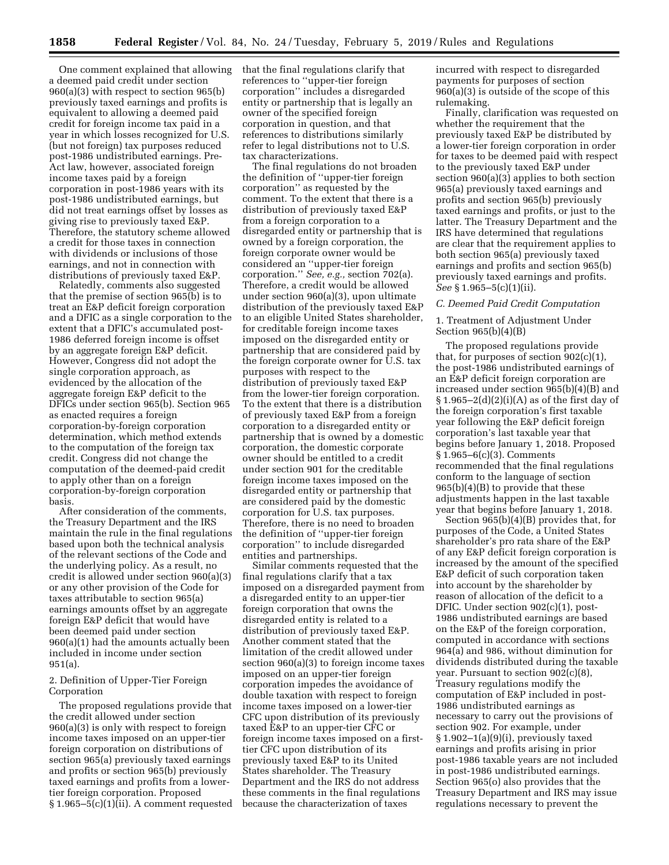One comment explained that allowing a deemed paid credit under section 960(a)(3) with respect to section 965(b) previously taxed earnings and profits is equivalent to allowing a deemed paid credit for foreign income tax paid in a year in which losses recognized for U.S. (but not foreign) tax purposes reduced post-1986 undistributed earnings. Pre-Act law, however, associated foreign income taxes paid by a foreign corporation in post-1986 years with its post-1986 undistributed earnings, but did not treat earnings offset by losses as giving rise to previously taxed E&P. Therefore, the statutory scheme allowed a credit for those taxes in connection with dividends or inclusions of those earnings, and not in connection with distributions of previously taxed E&P.

Relatedly, comments also suggested that the premise of section 965(b) is to treat an E&P deficit foreign corporation and a DFIC as a single corporation to the extent that a DFIC's accumulated post-1986 deferred foreign income is offset by an aggregate foreign E&P deficit. However, Congress did not adopt the single corporation approach, as evidenced by the allocation of the aggregate foreign E&P deficit to the DFICs under section 965(b). Section 965 as enacted requires a foreign corporation-by-foreign corporation determination, which method extends to the computation of the foreign tax credit. Congress did not change the computation of the deemed-paid credit to apply other than on a foreign corporation-by-foreign corporation basis.

After consideration of the comments, the Treasury Department and the IRS maintain the rule in the final regulations based upon both the technical analysis of the relevant sections of the Code and the underlying policy. As a result, no credit is allowed under section 960(a)(3) or any other provision of the Code for taxes attributable to section 965(a) earnings amounts offset by an aggregate foreign E&P deficit that would have been deemed paid under section 960(a)(1) had the amounts actually been included in income under section 951(a).

2. Definition of Upper-Tier Foreign Corporation

The proposed regulations provide that the credit allowed under section 960(a)(3) is only with respect to foreign income taxes imposed on an upper-tier foreign corporation on distributions of section 965(a) previously taxed earnings and profits or section 965(b) previously taxed earnings and profits from a lowertier foreign corporation. Proposed  $§ 1.965-5(c)(1)(ii)$ . A comment requested that the final regulations clarify that references to ''upper-tier foreign corporation'' includes a disregarded entity or partnership that is legally an owner of the specified foreign corporation in question, and that references to distributions similarly refer to legal distributions not to U.S. tax characterizations.

The final regulations do not broaden the definition of ''upper-tier foreign corporation'' as requested by the comment. To the extent that there is a distribution of previously taxed E&P from a foreign corporation to a disregarded entity or partnership that is owned by a foreign corporation, the foreign corporate owner would be considered an ''upper-tier foreign corporation.'' *See, e.g.,* section 702(a). Therefore, a credit would be allowed under section 960(a)(3), upon ultimate distribution of the previously taxed E&P to an eligible United States shareholder, for creditable foreign income taxes imposed on the disregarded entity or partnership that are considered paid by the foreign corporate owner for U.S. tax purposes with respect to the distribution of previously taxed E&P from the lower-tier foreign corporation. To the extent that there is a distribution of previously taxed E&P from a foreign corporation to a disregarded entity or partnership that is owned by a domestic corporation, the domestic corporate owner should be entitled to a credit under section 901 for the creditable foreign income taxes imposed on the disregarded entity or partnership that are considered paid by the domestic corporation for U.S. tax purposes. Therefore, there is no need to broaden the definition of ''upper-tier foreign corporation'' to include disregarded entities and partnerships.

Similar comments requested that the final regulations clarify that a tax imposed on a disregarded payment from a disregarded entity to an upper-tier foreign corporation that owns the disregarded entity is related to a distribution of previously taxed E&P. Another comment stated that the limitation of the credit allowed under section 960(a)(3) to foreign income taxes imposed on an upper-tier foreign corporation impedes the avoidance of double taxation with respect to foreign income taxes imposed on a lower-tier CFC upon distribution of its previously taxed E&P to an upper-tier CFC or foreign income taxes imposed on a firsttier CFC upon distribution of its previously taxed E&P to its United States shareholder. The Treasury Department and the IRS do not address these comments in the final regulations because the characterization of taxes

incurred with respect to disregarded payments for purposes of section 960(a)(3) is outside of the scope of this rulemaking.

Finally, clarification was requested on whether the requirement that the previously taxed E&P be distributed by a lower-tier foreign corporation in order for taxes to be deemed paid with respect to the previously taxed E&P under section 960(a)(3) applies to both section 965(a) previously taxed earnings and profits and section 965(b) previously taxed earnings and profits, or just to the latter. The Treasury Department and the IRS have determined that regulations are clear that the requirement applies to both section 965(a) previously taxed earnings and profits and section 965(b) previously taxed earnings and profits. *See* § 1.965–5(c)(1)(ii).

## *C. Deemed Paid Credit Computation*

1. Treatment of Adjustment Under Section 965(b)(4)(B)

The proposed regulations provide that, for purposes of section 902(c)(1), the post-1986 undistributed earnings of an E&P deficit foreign corporation are increased under section 965(b)(4)(B) and  $\S 1.965-2(d)(2)(i)(A)$  as of the first day of the foreign corporation's first taxable year following the E&P deficit foreign corporation's last taxable year that begins before January 1, 2018. Proposed § 1.965–6(c)(3). Comments recommended that the final regulations conform to the language of section 965(b)(4)(B) to provide that these adjustments happen in the last taxable year that begins before January 1, 2018.

Section 965(b)(4)(B) provides that, for purposes of the Code, a United States shareholder's pro rata share of the E&P of any E&P deficit foreign corporation is increased by the amount of the specified E&P deficit of such corporation taken into account by the shareholder by reason of allocation of the deficit to a DFIC. Under section 902(c)(1), post-1986 undistributed earnings are based on the E&P of the foreign corporation, computed in accordance with sections 964(a) and 986, without diminution for dividends distributed during the taxable year. Pursuant to section 902(c)(8), Treasury regulations modify the computation of E&P included in post-1986 undistributed earnings as necessary to carry out the provisions of section 902. For example, under § 1.902–1(a)(9)(i), previously taxed earnings and profits arising in prior post-1986 taxable years are not included in post-1986 undistributed earnings. Section 965(o) also provides that the Treasury Department and IRS may issue regulations necessary to prevent the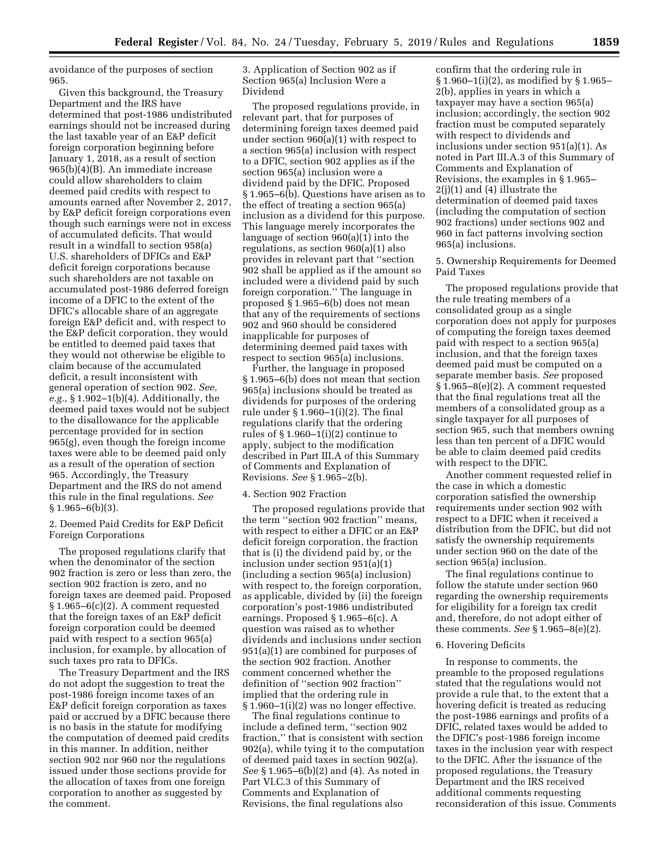avoidance of the purposes of section 965.

Given this background, the Treasury Department and the IRS have determined that post-1986 undistributed earnings should not be increased during the last taxable year of an E&P deficit foreign corporation beginning before January 1, 2018, as a result of section 965(b)(4)(B). An immediate increase could allow shareholders to claim deemed paid credits with respect to amounts earned after November 2, 2017, by E&P deficit foreign corporations even though such earnings were not in excess of accumulated deficits. That would result in a windfall to section 958(a) U.S. shareholders of DFICs and E&P deficit foreign corporations because such shareholders are not taxable on accumulated post-1986 deferred foreign income of a DFIC to the extent of the DFIC's allocable share of an aggregate foreign E&P deficit and, with respect to the E&P deficit corporation, they would be entitled to deemed paid taxes that they would not otherwise be eligible to claim because of the accumulated deficit, a result inconsistent with general operation of section 902. *See, e.g.,* § 1.902–1(b)(4). Additionally, the deemed paid taxes would not be subject to the disallowance for the applicable percentage provided for in section 965(g), even though the foreign income taxes were able to be deemed paid only as a result of the operation of section 965. Accordingly, the Treasury Department and the IRS do not amend this rule in the final regulations. *See*   $§ 1.965–6(b)(3).$ 

2. Deemed Paid Credits for E&P Deficit Foreign Corporations

The proposed regulations clarify that when the denominator of the section 902 fraction is zero or less than zero, the section 902 fraction is zero, and no foreign taxes are deemed paid. Proposed § 1.965–6(c)(2). A comment requested that the foreign taxes of an E&P deficit foreign corporation could be deemed paid with respect to a section 965(a) inclusion, for example, by allocation of such taxes pro rata to DFICs.

The Treasury Department and the IRS do not adopt the suggestion to treat the post-1986 foreign income taxes of an E&P deficit foreign corporation as taxes paid or accrued by a DFIC because there is no basis in the statute for modifying the computation of deemed paid credits in this manner. In addition, neither section 902 nor 960 nor the regulations issued under those sections provide for the allocation of taxes from one foreign corporation to another as suggested by the comment.

3. Application of Section 902 as if Section 965(a) Inclusion Were a Dividend

The proposed regulations provide, in relevant part, that for purposes of determining foreign taxes deemed paid under section 960(a)(1) with respect to a section 965(a) inclusion with respect to a DFIC, section 902 applies as if the section 965(a) inclusion were a dividend paid by the DFIC. Proposed § 1.965–6(b). Questions have arisen as to the effect of treating a section 965(a) inclusion as a dividend for this purpose. This language merely incorporates the language of section 960(a)(1) into the regulations, as section 960(a)(1) also provides in relevant part that ''section 902 shall be applied as if the amount so included were a dividend paid by such foreign corporation.'' The language in proposed § 1.965–6(b) does not mean that any of the requirements of sections 902 and 960 should be considered inapplicable for purposes of determining deemed paid taxes with respect to section 965(a) inclusions.

Further, the language in proposed § 1.965–6(b) does not mean that section 965(a) inclusions should be treated as dividends for purposes of the ordering rule under § 1.960–1(i)(2). The final regulations clarify that the ordering rules of  $\S 1.960-1(i)(2)$  continue to apply, subject to the modification described in Part III.A of this Summary of Comments and Explanation of Revisions. *See* § 1.965–2(b).

### 4. Section 902 Fraction

The proposed regulations provide that the term ''section 902 fraction'' means, with respect to either a DFIC or an E&P deficit foreign corporation, the fraction that is (i) the dividend paid by, or the inclusion under section 951(a)(1) (including a section 965(a) inclusion) with respect to, the foreign corporation, as applicable, divided by (ii) the foreign corporation's post-1986 undistributed earnings. Proposed § 1.965–6(c). A question was raised as to whether dividends and inclusions under section 951(a)(1) are combined for purposes of the section 902 fraction. Another comment concerned whether the definition of ''section 902 fraction'' implied that the ordering rule in § 1.960–1(i)(2) was no longer effective.

The final regulations continue to include a defined term, ''section 902 fraction,'' that is consistent with section 902(a), while tying it to the computation of deemed paid taxes in section 902(a). *See* § 1.965–6(b)(2) and (4). As noted in Part VI.C.3 of this Summary of Comments and Explanation of Revisions, the final regulations also

confirm that the ordering rule in § 1.960–1(i)(2), as modified by § 1.965– 2(b), applies in years in which a taxpayer may have a section 965(a) inclusion; accordingly, the section 902 fraction must be computed separately with respect to dividends and inclusions under section 951(a)(1). As noted in Part III.A.3 of this Summary of Comments and Explanation of Revisions, the examples in § 1.965– 2(j)(1) and (4) illustrate the determination of deemed paid taxes (including the computation of section 902 fractions) under sections 902 and 960 in fact patterns involving section 965(a) inclusions.

5. Ownership Requirements for Deemed Paid Taxes

The proposed regulations provide that the rule treating members of a consolidated group as a single corporation does not apply for purposes of computing the foreign taxes deemed paid with respect to a section 965(a) inclusion, and that the foreign taxes deemed paid must be computed on a separate member basis. *See* proposed § 1.965–8(e)(2). A comment requested that the final regulations treat all the members of a consolidated group as a single taxpayer for all purposes of section 965, such that members owning less than ten percent of a DFIC would be able to claim deemed paid credits with respect to the DFIC.

Another comment requested relief in the case in which a domestic corporation satisfied the ownership requirements under section 902 with respect to a DFIC when it received a distribution from the DFIC, but did not satisfy the ownership requirements under section 960 on the date of the section 965(a) inclusion.

The final regulations continue to follow the statute under section 960 regarding the ownership requirements for eligibility for a foreign tax credit and, therefore, do not adopt either of these comments. *See* § 1.965–8(e)(2).

# 6. Hovering Deficits

In response to comments, the preamble to the proposed regulations stated that the regulations would not provide a rule that, to the extent that a hovering deficit is treated as reducing the post-1986 earnings and profits of a DFIC, related taxes would be added to the DFIC's post-1986 foreign income taxes in the inclusion year with respect to the DFIC. After the issuance of the proposed regulations, the Treasury Department and the IRS received additional comments requesting reconsideration of this issue. Comments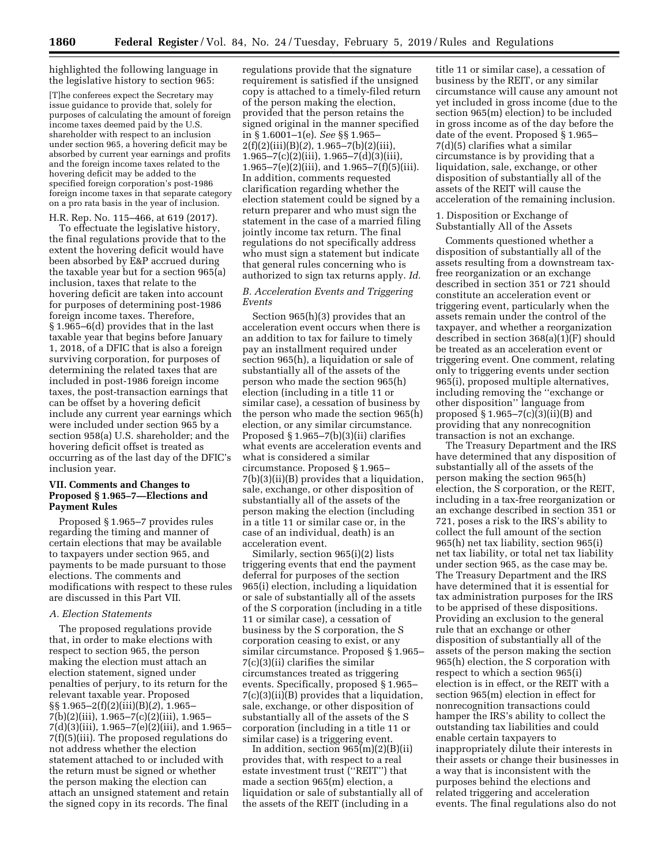highlighted the following language in the legislative history to section 965:

[T]he conferees expect the Secretary may issue guidance to provide that, solely for purposes of calculating the amount of foreign income taxes deemed paid by the U.S. shareholder with respect to an inclusion under section 965, a hovering deficit may be absorbed by current year earnings and profits and the foreign income taxes related to the hovering deficit may be added to the specified foreign corporation's post-1986 foreign income taxes in that separate category on a pro rata basis in the year of inclusion.

H.R. Rep. No. 115–466, at 619 (2017).

To effectuate the legislative history, the final regulations provide that to the extent the hovering deficit would have been absorbed by E&P accrued during the taxable year but for a section 965(a) inclusion, taxes that relate to the hovering deficit are taken into account for purposes of determining post-1986 foreign income taxes. Therefore, § 1.965–6(d) provides that in the last taxable year that begins before January 1, 2018, of a DFIC that is also a foreign surviving corporation, for purposes of determining the related taxes that are included in post-1986 foreign income taxes, the post-transaction earnings that can be offset by a hovering deficit include any current year earnings which were included under section 965 by a section 958(a) U.S. shareholder; and the hovering deficit offset is treated as occurring as of the last day of the DFIC's inclusion year.

# **VII. Comments and Changes to Proposed § 1.965–7—Elections and Payment Rules**

Proposed § 1.965–7 provides rules regarding the timing and manner of certain elections that may be available to taxpayers under section 965, and payments to be made pursuant to those elections. The comments and modifications with respect to these rules are discussed in this Part VII.

# *A. Election Statements*

The proposed regulations provide that, in order to make elections with respect to section 965, the person making the election must attach an election statement, signed under penalties of perjury, to its return for the relevant taxable year. Proposed §§ 1.965–2(f)(2)(iii)(B)(*2*), 1.965– 7(b)(2)(iii), 1.965–7(c)(2)(iii), 1.965– 7(d)(3)(iii), 1.965–7(e)(2)(iii), and 1.965– 7(f)(5)(iii). The proposed regulations do not address whether the election statement attached to or included with the return must be signed or whether the person making the election can attach an unsigned statement and retain the signed copy in its records. The final

regulations provide that the signature requirement is satisfied if the unsigned copy is attached to a timely-filed return of the person making the election, provided that the person retains the signed original in the manner specified in § 1.6001–1(e). *See* §§ 1.965– 2(f)(2)(iii)(B)(*2*), 1.965–7(b)(2)(iii), 1.965–7(c)(2)(iii), 1.965–7(d)(3)(iii), 1.965–7(e)(2)(iii), and  $1.965$ –7(f)(5)(iii). In addition, comments requested clarification regarding whether the election statement could be signed by a return preparer and who must sign the statement in the case of a married filing jointly income tax return. The final regulations do not specifically address who must sign a statement but indicate that general rules concerning who is authorized to sign tax returns apply. *Id.* 

# *B. Acceleration Events and Triggering Events*

Section 965(h)(3) provides that an acceleration event occurs when there is an addition to tax for failure to timely pay an installment required under section 965(h), a liquidation or sale of substantially all of the assets of the person who made the section 965(h) election (including in a title 11 or similar case), a cessation of business by the person who made the section 965(h) election, or any similar circumstance. Proposed § 1.965–7(b)(3)(ii) clarifies what events are acceleration events and what is considered a similar circumstance. Proposed § 1.965– 7(b)(3)(ii)(B) provides that a liquidation, sale, exchange, or other disposition of substantially all of the assets of the person making the election (including in a title 11 or similar case or, in the case of an individual, death) is an acceleration event.

Similarly, section 965(i)(2) lists triggering events that end the payment deferral for purposes of the section 965(i) election, including a liquidation or sale of substantially all of the assets of the S corporation (including in a title 11 or similar case), a cessation of business by the S corporation, the S corporation ceasing to exist, or any similar circumstance. Proposed § 1.965– 7(c)(3)(ii) clarifies the similar circumstances treated as triggering events. Specifically, proposed § 1.965– 7(c)(3)(ii)(B) provides that a liquidation, sale, exchange, or other disposition of substantially all of the assets of the S corporation (including in a title 11 or similar case) is a triggering event.

In addition, section  $965(m)(2)(B)(ii)$ provides that, with respect to a real estate investment trust (''REIT'') that made a section 965(m) election, a liquidation or sale of substantially all of the assets of the REIT (including in a

title 11 or similar case), a cessation of business by the REIT, or any similar circumstance will cause any amount not yet included in gross income (due to the section 965(m) election) to be included in gross income as of the day before the date of the event. Proposed § 1.965– 7(d)(5) clarifies what a similar circumstance is by providing that a liquidation, sale, exchange, or other disposition of substantially all of the assets of the REIT will cause the acceleration of the remaining inclusion.

1. Disposition or Exchange of Substantially All of the Assets

Comments questioned whether a disposition of substantially all of the assets resulting from a downstream taxfree reorganization or an exchange described in section 351 or 721 should constitute an acceleration event or triggering event, particularly when the assets remain under the control of the taxpayer, and whether a reorganization described in section 368(a)(1)(F) should be treated as an acceleration event or triggering event. One comment, relating only to triggering events under section 965(i), proposed multiple alternatives, including removing the ''exchange or other disposition'' language from proposed § 1.965–7(c)(3)(ii)(B) and providing that any nonrecognition transaction is not an exchange.

The Treasury Department and the IRS have determined that any disposition of substantially all of the assets of the person making the section 965(h) election, the S corporation, or the REIT, including in a tax-free reorganization or an exchange described in section 351 or 721, poses a risk to the IRS's ability to collect the full amount of the section 965(h) net tax liability, section 965(i) net tax liability, or total net tax liability under section 965, as the case may be. The Treasury Department and the IRS have determined that it is essential for tax administration purposes for the IRS to be apprised of these dispositions. Providing an exclusion to the general rule that an exchange or other disposition of substantially all of the assets of the person making the section 965(h) election, the S corporation with respect to which a section 965(i) election is in effect, or the REIT with a section 965(m) election in effect for nonrecognition transactions could hamper the IRS's ability to collect the outstanding tax liabilities and could enable certain taxpayers to inappropriately dilute their interests in their assets or change their businesses in a way that is inconsistent with the purposes behind the elections and related triggering and acceleration events. The final regulations also do not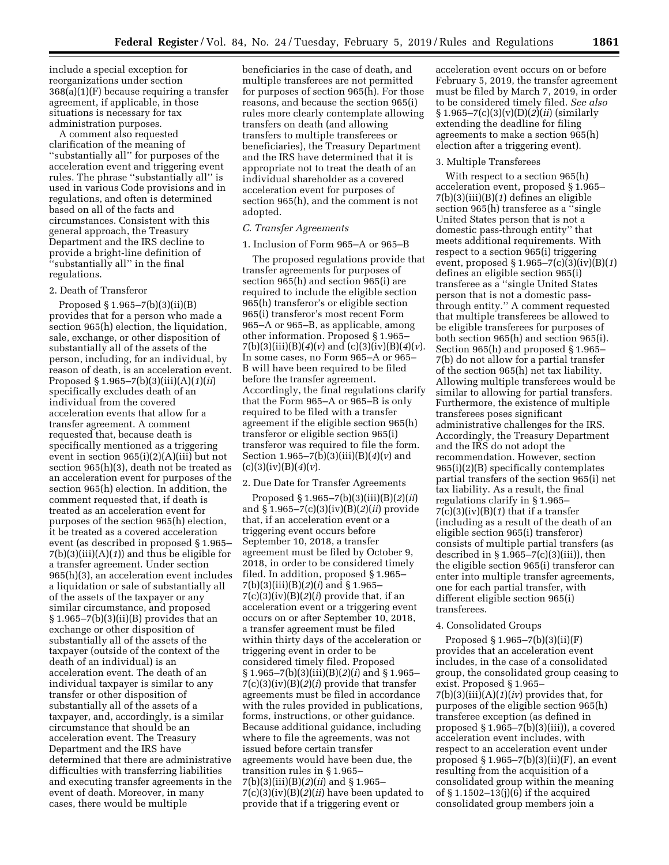include a special exception for reorganizations under section 368(a)(1)(F) because requiring a transfer agreement, if applicable, in those situations is necessary for tax administration purposes.

A comment also requested clarification of the meaning of ''substantially all'' for purposes of the acceleration event and triggering event rules. The phrase ''substantially all'' is used in various Code provisions and in regulations, and often is determined based on all of the facts and circumstances. Consistent with this general approach, the Treasury Department and the IRS decline to provide a bright-line definition of ''substantially all'' in the final regulations.

### 2. Death of Transferor

Proposed § 1.965–7(b)(3)(ii)(B) provides that for a person who made a section 965(h) election, the liquidation, sale, exchange, or other disposition of substantially all of the assets of the person, including, for an individual, by reason of death, is an acceleration event. Proposed § 1.965–7(b)(3)(iii)(A)(*1*)(*ii*) specifically excludes death of an individual from the covered acceleration events that allow for a transfer agreement. A comment requested that, because death is specifically mentioned as a triggering event in section 965(i)(2)(A)(iii) but not section 965(h)(3), death not be treated as an acceleration event for purposes of the section 965(h) election. In addition, the comment requested that, if death is treated as an acceleration event for purposes of the section 965(h) election, it be treated as a covered acceleration event (as described in proposed § 1.965– 7(b)(3)(iii)(A)(*1*)) and thus be eligible for a transfer agreement. Under section 965(h)(3), an acceleration event includes a liquidation or sale of substantially all of the assets of the taxpayer or any similar circumstance, and proposed  $§ 1.965 - 7(b)(3)(ii)(B)$  provides that an exchange or other disposition of substantially all of the assets of the taxpayer (outside of the context of the death of an individual) is an acceleration event. The death of an individual taxpayer is similar to any transfer or other disposition of substantially all of the assets of a taxpayer, and, accordingly, is a similar circumstance that should be an acceleration event. The Treasury Department and the IRS have determined that there are administrative difficulties with transferring liabilities and executing transfer agreements in the event of death. Moreover, in many cases, there would be multiple

beneficiaries in the case of death, and multiple transferees are not permitted for purposes of section 965(h). For those reasons, and because the section 965(i) rules more clearly contemplate allowing transfers on death (and allowing transfers to multiple transferees or beneficiaries), the Treasury Department and the IRS have determined that it is appropriate not to treat the death of an individual shareholder as a covered acceleration event for purposes of section 965(h), and the comment is not adopted.

### *C. Transfer Agreements*

#### 1. Inclusion of Form 965–A or 965–B

The proposed regulations provide that transfer agreements for purposes of section 965(h) and section 965(i) are required to include the eligible section 965(h) transferor's or eligible section 965(i) transferor's most recent Form 965–A or 965–B, as applicable, among other information. Proposed § 1.965– 7(b)(3)(iii)(B)(*4*)(*v*) and (c)(3)(iv)(B)(*4*)(*v*). In some cases, no Form 965–A or 965– B will have been required to be filed before the transfer agreement. Accordingly, the final regulations clarify that the Form 965–A or 965–B is only required to be filed with a transfer agreement if the eligible section 965(h) transferor or eligible section 965(i) transferor was required to file the form. Section 1.965–7(b)(3)(iii)(B)(*4*)(*v*) and (c)(3)(iv)(B)(*4*)(*v*).

### 2. Due Date for Transfer Agreements

Proposed § 1.965–7(b)(3)(iii)(B)(*2*)(*ii*) and § 1.965–7(c)(3)(iv)(B)(*2*)(*ii*) provide that, if an acceleration event or a triggering event occurs before September 10, 2018, a transfer agreement must be filed by October 9, 2018, in order to be considered timely filed. In addition, proposed § 1.965– 7(b)(3)(iii)(B)(*2*)(*i*) and § 1.965–  $7(c)(3)(iv)(B)(2)(i)$  provide that, if an acceleration event or a triggering event occurs on or after September 10, 2018, a transfer agreement must be filed within thirty days of the acceleration or triggering event in order to be considered timely filed. Proposed § 1.965–7(b)(3)(iii)(B)(*2*)(*i*) and § 1.965– 7(c)(3)(iv)(B)(*2*)(*i*) provide that transfer agreements must be filed in accordance with the rules provided in publications, forms, instructions, or other guidance. Because additional guidance, including where to file the agreements, was not issued before certain transfer agreements would have been due, the transition rules in § 1.965– 7(b)(3)(iii)(B)(*2*)(*ii*) and § 1.965– 7(c)(3)(iv)(B)(*2*)(*ii*) have been updated to provide that if a triggering event or

acceleration event occurs on or before February 5, 2019, the transfer agreement must be filed by March 7, 2019, in order to be considered timely filed. *See also*  § 1.965–7(c)(3)(v)(D)(*2*)(*ii*) (similarly extending the deadline for filing agreements to make a section 965(h) election after a triggering event).

### 3. Multiple Transferees

With respect to a section 965(h) acceleration event, proposed § 1.965– 7(b)(3)(iii)(B)(*1*) defines an eligible section 965(h) transferee as a ''single United States person that is not a domestic pass-through entity'' that meets additional requirements. With respect to a section 965(i) triggering event, proposed §  $1.965 - 7(c)\overline{3}$  $(iv)\overline{B}(1)$ defines an eligible section 965(i) transferee as a ''single United States person that is not a domestic passthrough entity.'' A comment requested that multiple transferees be allowed to be eligible transferees for purposes of both section 965(h) and section 965(i). Section 965(h) and proposed § 1.965– 7(b) do not allow for a partial transfer of the section 965(h) net tax liability. Allowing multiple transferees would be similar to allowing for partial transfers. Furthermore, the existence of multiple transferees poses significant administrative challenges for the IRS. Accordingly, the Treasury Department and the IRS do not adopt the recommendation. However, section 965(i)(2)(B) specifically contemplates partial transfers of the section 965(i) net tax liability. As a result, the final regulations clarify in § 1.965–  $7(c)(3)(iv)(B)(1)$  that if a transfer (including as a result of the death of an eligible section 965(i) transferor) consists of multiple partial transfers (as described in  $\S 1.965 - 7(c)(3)(iii)$ , then the eligible section 965(i) transferor can enter into multiple transfer agreements, one for each partial transfer, with different eligible section 965(i) transferees.

## 4. Consolidated Groups

Proposed § 1.965–7(b)(3)(ii)(F) provides that an acceleration event includes, in the case of a consolidated group, the consolidated group ceasing to exist. Proposed § 1.965– 7(b)(3)(iii)(A)(*1*)(*iv*) provides that, for purposes of the eligible section 965(h) transferee exception (as defined in proposed § 1.965–7(b)(3)(iii)), a covered acceleration event includes, with respect to an acceleration event under proposed  $\S 1.965-7(b)(3)(ii)(F)$ , an event resulting from the acquisition of a consolidated group within the meaning of § 1.1502–13(j)(6) if the acquired consolidated group members join a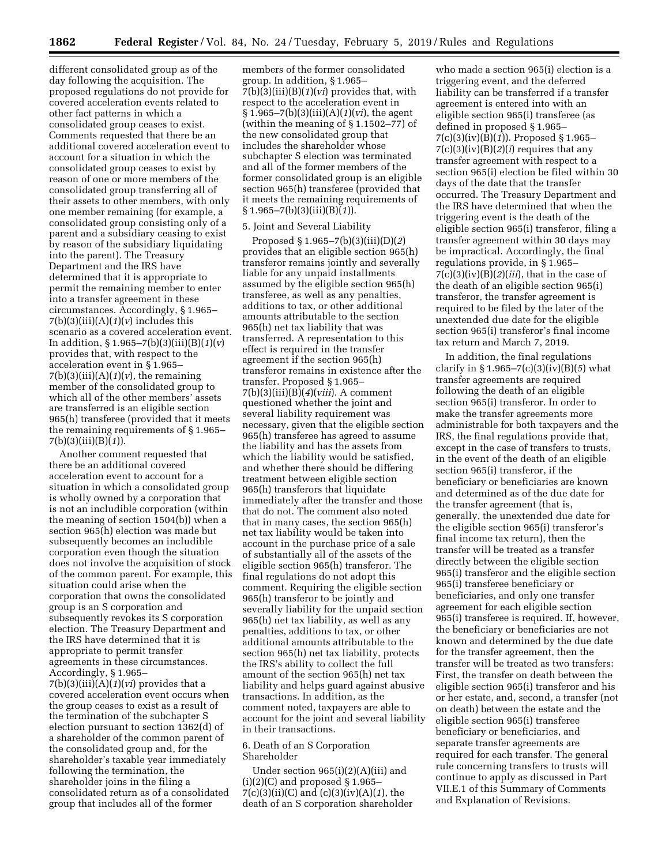different consolidated group as of the day following the acquisition. The proposed regulations do not provide for covered acceleration events related to other fact patterns in which a consolidated group ceases to exist. Comments requested that there be an additional covered acceleration event to account for a situation in which the consolidated group ceases to exist by reason of one or more members of the consolidated group transferring all of their assets to other members, with only one member remaining (for example, a consolidated group consisting only of a parent and a subsidiary ceasing to exist by reason of the subsidiary liquidating into the parent). The Treasury Department and the IRS have determined that it is appropriate to permit the remaining member to enter into a transfer agreement in these circumstances. Accordingly, § 1.965–  $7(b)(3)(iii)(A)(1)(v)$  includes this scenario as a covered acceleration event. In addition, § 1.965–7(b)(3)(iii)(B)(*1*)(*v*) provides that, with respect to the acceleration event in § 1.965–  $7(b)(3)(iii)(A)(1)(v)$ , the remaining member of the consolidated group to which all of the other members' assets are transferred is an eligible section 965(h) transferee (provided that it meets the remaining requirements of § 1.965– 7(b)(3)(iii)(B)(*1*)).

Another comment requested that there be an additional covered acceleration event to account for a situation in which a consolidated group is wholly owned by a corporation that is not an includible corporation (within the meaning of section 1504(b)) when a section 965(h) election was made but subsequently becomes an includible corporation even though the situation does not involve the acquisition of stock of the common parent. For example, this situation could arise when the corporation that owns the consolidated group is an S corporation and subsequently revokes its S corporation election. The Treasury Department and the IRS have determined that it is appropriate to permit transfer agreements in these circumstances. Accordingly, § 1.965–  $7(b)(3)(iii)(A)(1)(vi)$  provides that a covered acceleration event occurs when the group ceases to exist as a result of

the termination of the subchapter S election pursuant to section 1362(d) of a shareholder of the common parent of the consolidated group and, for the shareholder's taxable year immediately following the termination, the shareholder joins in the filing a consolidated return as of a consolidated group that includes all of the former

members of the former consolidated group. In addition, § 1.965– 7(b)(3)(iii)(B)(*1*)(*vi*) provides that, with respect to the acceleration event in § 1.965–7(b)(3)(iii)(A)(*1*)(*vi*), the agent (within the meaning of § 1.1502–77) of the new consolidated group that includes the shareholder whose subchapter S election was terminated and all of the former members of the former consolidated group is an eligible section 965(h) transferee (provided that it meets the remaining requirements of § 1.965–7(b)(3)(iii)(B)(*1*)).

### 5. Joint and Several Liability

Proposed § 1.965–7(b)(3)(iii)(D)(*2*) provides that an eligible section 965(h) transferor remains jointly and severally liable for any unpaid installments assumed by the eligible section 965(h) transferee, as well as any penalties, additions to tax, or other additional amounts attributable to the section 965(h) net tax liability that was transferred. A representation to this effect is required in the transfer agreement if the section 965(h) transferor remains in existence after the transfer. Proposed § 1.965– 7(b)(3)(iii)(B)(*4*)(*viii*). A comment questioned whether the joint and several liability requirement was necessary, given that the eligible section 965(h) transferee has agreed to assume the liability and has the assets from which the liability would be satisfied, and whether there should be differing treatment between eligible section 965(h) transferors that liquidate immediately after the transfer and those that do not. The comment also noted that in many cases, the section 965(h) net tax liability would be taken into account in the purchase price of a sale of substantially all of the assets of the eligible section 965(h) transferor. The final regulations do not adopt this comment. Requiring the eligible section 965(h) transferor to be jointly and severally liability for the unpaid section 965(h) net tax liability, as well as any penalties, additions to tax, or other additional amounts attributable to the section 965(h) net tax liability, protects the IRS's ability to collect the full amount of the section 965(h) net tax liability and helps guard against abusive transactions. In addition, as the comment noted, taxpayers are able to account for the joint and several liability in their transactions.

## 6. Death of an S Corporation Shareholder

Under section 965(i)(2)(A)(iii) and  $(i)(2)(C)$  and proposed § 1.965– 7(c)(3)(ii)(C) and (c)(3)(iv)(A)(*1*), the death of an S corporation shareholder

who made a section 965(i) election is a triggering event, and the deferred liability can be transferred if a transfer agreement is entered into with an eligible section 965(i) transferee (as defined in proposed § 1.965– 7(c)(3)(iv)(B)(*1*)). Proposed § 1.965– 7(c)(3)(iv)(B)(*2*)(*i*) requires that any transfer agreement with respect to a section 965(i) election be filed within 30 days of the date that the transfer occurred. The Treasury Department and the IRS have determined that when the triggering event is the death of the eligible section 965(i) transferor, filing a transfer agreement within 30 days may be impractical. Accordingly, the final regulations provide, in § 1.965–  $7(c)(3)(iv)(B)(2)(iii)$ , that in the case of the death of an eligible section 965(i) transferor, the transfer agreement is required to be filed by the later of the unextended due date for the eligible section 965(i) transferor's final income tax return and March 7, 2019.

In addition, the final regulations clarify in § 1.965–7(c)(3)(iv)(B)(*5*) what transfer agreements are required following the death of an eligible section 965(i) transferor. In order to make the transfer agreements more administrable for both taxpayers and the IRS, the final regulations provide that, except in the case of transfers to trusts, in the event of the death of an eligible section 965(i) transferor, if the beneficiary or beneficiaries are known and determined as of the due date for the transfer agreement (that is, generally, the unextended due date for the eligible section 965(i) transferor's final income tax return), then the transfer will be treated as a transfer directly between the eligible section 965(i) transferor and the eligible section 965(i) transferee beneficiary or beneficiaries, and only one transfer agreement for each eligible section 965(i) transferee is required. If, however, the beneficiary or beneficiaries are not known and determined by the due date for the transfer agreement, then the transfer will be treated as two transfers: First, the transfer on death between the eligible section 965(i) transferor and his or her estate, and, second, a transfer (not on death) between the estate and the eligible section 965(i) transferee beneficiary or beneficiaries, and separate transfer agreements are required for each transfer. The general rule concerning transfers to trusts will continue to apply as discussed in Part VII.E.1 of this Summary of Comments and Explanation of Revisions.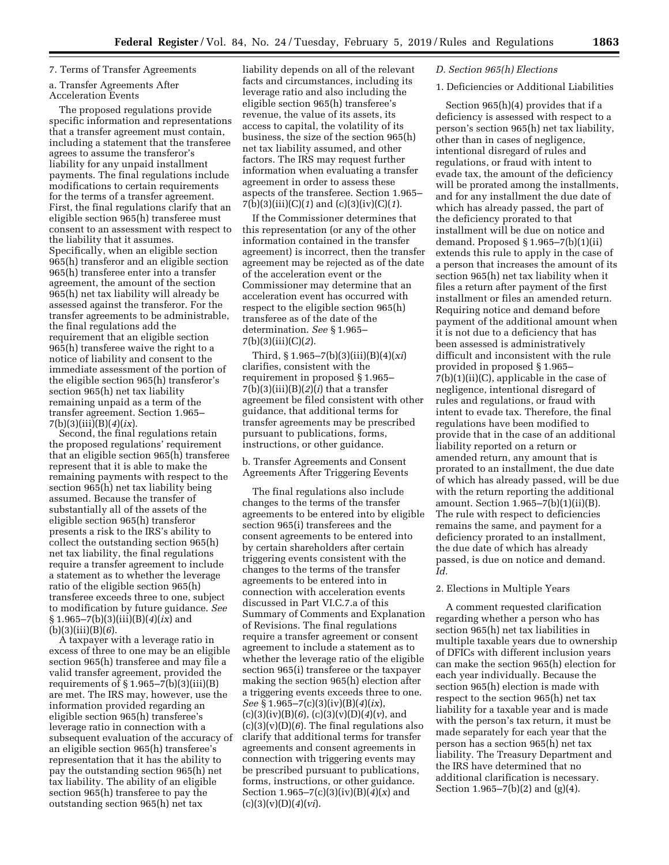## 7. Terms of Transfer Agreements

## a. Transfer Agreements After Acceleration Events

The proposed regulations provide specific information and representations that a transfer agreement must contain, including a statement that the transferee agrees to assume the transferor's liability for any unpaid installment payments. The final regulations include modifications to certain requirements for the terms of a transfer agreement. First, the final regulations clarify that an eligible section 965(h) transferee must consent to an assessment with respect to the liability that it assumes. Specifically, when an eligible section 965(h) transferor and an eligible section 965(h) transferee enter into a transfer agreement, the amount of the section 965(h) net tax liability will already be assessed against the transferor. For the transfer agreements to be administrable, the final regulations add the requirement that an eligible section 965(h) transferee waive the right to a notice of liability and consent to the immediate assessment of the portion of the eligible section 965(h) transferor's section 965(h) net tax liability remaining unpaid as a term of the transfer agreement. Section 1.965– 7(b)(3)(iii)(B)(*4*)(*ix*).

Second, the final regulations retain the proposed regulations' requirement that an eligible section 965(h) transferee represent that it is able to make the remaining payments with respect to the section 965(h) net tax liability being assumed. Because the transfer of substantially all of the assets of the eligible section 965(h) transferor presents a risk to the IRS's ability to collect the outstanding section 965(h) net tax liability, the final regulations require a transfer agreement to include a statement as to whether the leverage ratio of the eligible section 965(h) transferee exceeds three to one, subject to modification by future guidance. *See*  § 1.965–7(b)(3)(iii)(B)(*4*)(*ix*) and (b)(3)(iii)(B)(*6*).

A taxpayer with a leverage ratio in excess of three to one may be an eligible section 965(h) transferee and may file a valid transfer agreement, provided the requirements of  $\S 1.965 - 7(b)(3)(iii)(B)$ are met. The IRS may, however, use the information provided regarding an eligible section 965(h) transferee's leverage ratio in connection with a subsequent evaluation of the accuracy of an eligible section 965(h) transferee's representation that it has the ability to pay the outstanding section 965(h) net tax liability. The ability of an eligible section 965(h) transferee to pay the outstanding section 965(h) net tax

liability depends on all of the relevant facts and circumstances, including its leverage ratio and also including the eligible section 965(h) transferee's revenue, the value of its assets, its access to capital, the volatility of its business, the size of the section 965(h) net tax liability assumed, and other factors. The IRS may request further information when evaluating a transfer agreement in order to assess these aspects of the transferee. Section 1.965– 7(b)(3)(iii)(C)(*1*) and (c)(3)(iv)(C)(*1*).

If the Commissioner determines that this representation (or any of the other information contained in the transfer agreement) is incorrect, then the transfer agreement may be rejected as of the date of the acceleration event or the Commissioner may determine that an acceleration event has occurred with respect to the eligible section 965(h) transferee as of the date of the determination. *See* § 1.965– 7(b)(3)(iii)(C)(*2*).

Third, § 1.965–7(b)(3)(iii)(B)(4)(*xi*) clarifies, consistent with the requirement in proposed § 1.965–  $7(b)(3)(iii)(B)(2)(i)$  that a transfer agreement be filed consistent with other guidance, that additional terms for transfer agreements may be prescribed pursuant to publications, forms, instructions, or other guidance.

b. Transfer Agreements and Consent Agreements After Triggering Eevents

The final regulations also include changes to the terms of the transfer agreements to be entered into by eligible section 965(i) transferees and the consent agreements to be entered into by certain shareholders after certain triggering events consistent with the changes to the terms of the transfer agreements to be entered into in connection with acceleration events discussed in Part VI.C.7.a of this Summary of Comments and Explanation of Revisions. The final regulations require a transfer agreement or consent agreement to include a statement as to whether the leverage ratio of the eligible section 965(i) transferee or the taxpayer making the section 965(h) election after a triggering events exceeds three to one. *See* § 1.965–7(c)(3)(iv)(B)(*4*)(*ix*), (c)(3)(iv)(B)(*6*), (c)(3)(v)(D)(*4*)(*v*), and  $(c)(3)(v)(D)(6)$ . The final regulations also clarify that additional terms for transfer agreements and consent agreements in connection with triggering events may be prescribed pursuant to publications, forms, instructions, or other guidance. Section 1.965–7(c)(3)(iv)(B)(*4*)(*x*) and (c)(3)(v)(D)(*4*)(*vi*).

## *D. Section 965(h) Elections*

## 1. Deficiencies or Additional Liabilities

Section 965(h)(4) provides that if a deficiency is assessed with respect to a person's section 965(h) net tax liability, other than in cases of negligence, intentional disregard of rules and regulations, or fraud with intent to evade tax, the amount of the deficiency will be prorated among the installments, and for any installment the due date of which has already passed, the part of the deficiency prorated to that installment will be due on notice and demand. Proposed § 1.965–7(b)(1)(ii) extends this rule to apply in the case of a person that increases the amount of its section 965(h) net tax liability when it files a return after payment of the first installment or files an amended return. Requiring notice and demand before payment of the additional amount when it is not due to a deficiency that has been assessed is administratively difficult and inconsistent with the rule provided in proposed § 1.965– 7(b)(1)(ii)(C), applicable in the case of negligence, intentional disregard of rules and regulations, or fraud with intent to evade tax. Therefore, the final regulations have been modified to provide that in the case of an additional liability reported on a return or amended return, any amount that is prorated to an installment, the due date of which has already passed, will be due with the return reporting the additional amount. Section 1.965–7(b)(1)(ii)(B). The rule with respect to deficiencies remains the same, and payment for a deficiency prorated to an installment, the due date of which has already passed, is due on notice and demand. *Id.* 

# 2. Elections in Multiple Years

A comment requested clarification regarding whether a person who has section 965(h) net tax liabilities in multiple taxable years due to ownership of DFICs with different inclusion years can make the section 965(h) election for each year individually. Because the section 965(h) election is made with respect to the section 965(h) net tax liability for a taxable year and is made with the person's tax return, it must be made separately for each year that the person has a section 965(h) net tax liability. The Treasury Department and the IRS have determined that no additional clarification is necessary. Section 1.965–7(b)(2) and (g)(4).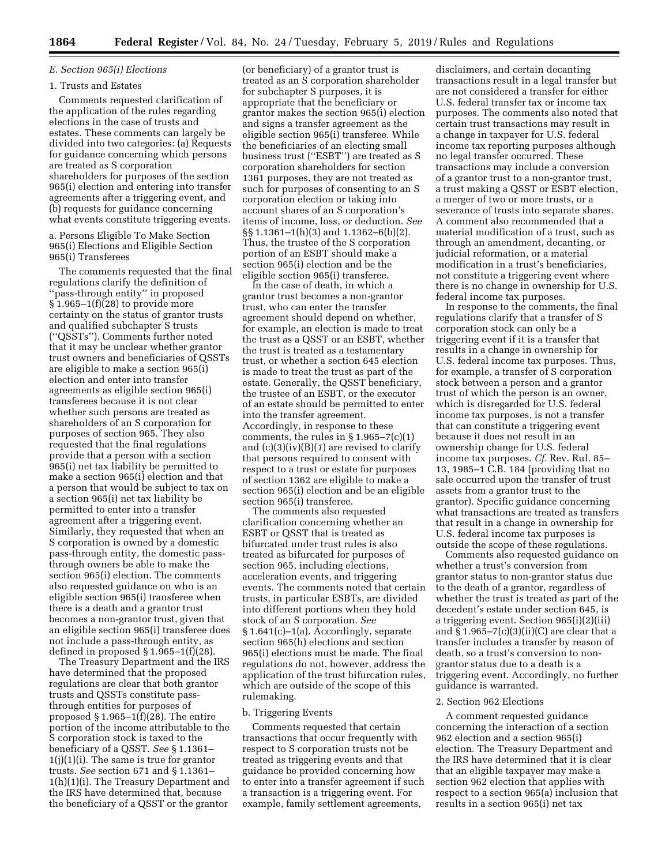# *E. Section 965(i) Elections*

# 1. Trusts and Estates

Comments requested clarification of the application of the rules regarding elections in the case of trusts and estates. These comments can largely be divided into two categories: (a) Requests for guidance concerning which persons are treated as S corporation shareholders for purposes of the section 965(i) election and entering into transfer agreements after a triggering event, and (b) requests for guidance concerning what events constitute triggering events.

a. Persons Eligible To Make Section 965(i) Elections and Eligible Section 965(i) Transferees

The comments requested that the final regulations clarify the definition of ''pass-through entity'' in proposed § 1.965–1(f)(28) to provide more certainty on the status of grantor trusts and qualified subchapter S trusts (''QSSTs''). Comments further noted that it may be unclear whether grantor trust owners and beneficiaries of QSSTs are eligible to make a section 965(i) election and enter into transfer agreements as eligible section 965(i) transferees because it is not clear whether such persons are treated as shareholders of an S corporation for purposes of section 965. They also requested that the final regulations provide that a person with a section 965(i) net tax liability be permitted to make a section 965(i) election and that a person that would be subject to tax on a section 965(i) net tax liability be permitted to enter into a transfer agreement after a triggering event. Similarly, they requested that when an S corporation is owned by a domestic pass-through entity, the domestic passthrough owners be able to make the section 965(i) election. The comments also requested guidance on who is an eligible section 965(i) transferee when there is a death and a grantor trust becomes a non-grantor trust, given that an eligible section 965(i) transferee does not include a pass-through entity, as defined in proposed  $\S 1.965-1(f)(28)$ .

The Treasury Department and the IRS have determined that the proposed regulations are clear that both grantor trusts and QSSTs constitute passthrough entities for purposes of proposed  $\S 1.965-1(f)(28)$ . The entire portion of the income attributable to the S corporation stock is taxed to the beneficiary of a QSST. *See* § 1.1361– 1(j)(1)(i). The same is true for grantor trusts. *See* section 671 and § 1.1361– 1(h)(1)(i). The Treasury Department and the IRS have determined that, because the beneficiary of a QSST or the grantor

(or beneficiary) of a grantor trust is treated as an S corporation shareholder for subchapter S purposes, it is appropriate that the beneficiary or grantor makes the section 965(i) election and signs a transfer agreement as the eligible section 965(i) transferee. While the beneficiaries of an electing small business trust (''ESBT'') are treated as S corporation shareholders for section 1361 purposes, they are not treated as such for purposes of consenting to an S corporation election or taking into account shares of an S corporation's items of income, loss, or deduction. *See*  §§ 1.1361–1(h)(3) and 1.1362–6(b)(2). Thus, the trustee of the S corporation portion of an ESBT should make a section 965(i) election and be the eligible section 965(i) transferee.

In the case of death, in which a grantor trust becomes a non-grantor trust, who can enter the transfer agreement should depend on whether, for example, an election is made to treat the trust as a QSST or an ESBT, whether the trust is treated as a testamentary trust, or whether a section 645 election is made to treat the trust as part of the estate. Generally, the QSST beneficiary, the trustee of an ESBT, or the executor of an estate should be permitted to enter into the transfer agreement. Accordingly, in response to these comments, the rules in  $\S 1.965 - 7(c)(1)$ and (c)(3)(iv)(B)(*1*) are revised to clarify that persons required to consent with respect to a trust or estate for purposes of section 1362 are eligible to make a section 965(i) election and be an eligible section 965(i) transferee.

The comments also requested clarification concerning whether an ESBT or QSST that is treated as bifurcated under trust rules is also treated as bifurcated for purposes of section 965, including elections, acceleration events, and triggering events. The comments noted that certain trusts, in particular ESBTs, are divided into different portions when they hold stock of an S corporation. *See*  § 1.641(c)–1(a). Accordingly, separate section 965(h) elections and section 965(i) elections must be made. The final regulations do not, however, address the application of the trust bifurcation rules, which are outside of the scope of this rulemaking.

### b. Triggering Events

Comments requested that certain transactions that occur frequently with respect to S corporation trusts not be treated as triggering events and that guidance be provided concerning how to enter into a transfer agreement if such a transaction is a triggering event. For example, family settlement agreements,

disclaimers, and certain decanting transactions result in a legal transfer but are not considered a transfer for either U.S. federal transfer tax or income tax purposes. The comments also noted that certain trust transactions may result in a change in taxpayer for U.S. federal income tax reporting purposes although no legal transfer occurred. These transactions may include a conversion of a grantor trust to a non-grantor trust, a trust making a QSST or ESBT election, a merger of two or more trusts, or a severance of trusts into separate shares. A comment also recommended that a material modification of a trust, such as through an amendment, decanting, or judicial reformation, or a material modification in a trust's beneficiaries, not constitute a triggering event where there is no change in ownership for U.S. federal income tax purposes.

In response to the comments, the final regulations clarify that a transfer of S corporation stock can only be a triggering event if it is a transfer that results in a change in ownership for U.S. federal income tax purposes. Thus, for example, a transfer of S corporation stock between a person and a grantor trust of which the person is an owner, which is disregarded for U.S. federal income tax purposes, is not a transfer that can constitute a triggering event because it does not result in an ownership change for U.S. federal income tax purposes. *Cf.* Rev. Rul. 85– 13, 1985–1 C.B. 184 (providing that no sale occurred upon the transfer of trust assets from a grantor trust to the grantor). Specific guidance concerning what transactions are treated as transfers that result in a change in ownership for U.S. federal income tax purposes is outside the scope of these regulations.

Comments also requested guidance on whether a trust's conversion from grantor status to non-grantor status due to the death of a grantor, regardless of whether the trust is treated as part of the decedent's estate under section 645, is a triggering event. Section 965(i)(2)(iii) and  $\S 1.965 - 7(c)(3)(ii)(C)$  are clear that a transfer includes a transfer by reason of death, so a trust's conversion to nongrantor status due to a death is a triggering event. Accordingly, no further guidance is warranted.

## 2. Section 962 Elections

A comment requested guidance concerning the interaction of a section 962 election and a section 965(i) election. The Treasury Department and the IRS have determined that it is clear that an eligible taxpayer may make a section 962 election that applies with respect to a section 965(a) inclusion that results in a section 965(i) net tax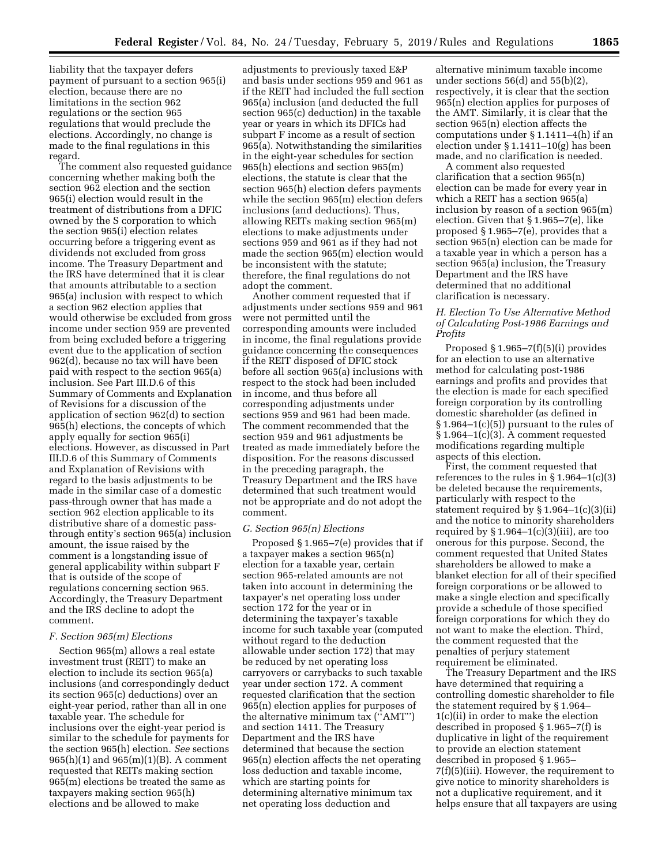liability that the taxpayer defers payment of pursuant to a section 965(i) election, because there are no limitations in the section 962 regulations or the section 965 regulations that would preclude the elections. Accordingly, no change is made to the final regulations in this regard.

The comment also requested guidance concerning whether making both the section 962 election and the section 965(i) election would result in the treatment of distributions from a DFIC owned by the S corporation to which the section 965(i) election relates occurring before a triggering event as dividends not excluded from gross income. The Treasury Department and the IRS have determined that it is clear that amounts attributable to a section 965(a) inclusion with respect to which a section 962 election applies that would otherwise be excluded from gross income under section 959 are prevented from being excluded before a triggering event due to the application of section 962(d), because no tax will have been paid with respect to the section 965(a) inclusion. See Part III.D.6 of this Summary of Comments and Explanation of Revisions for a discussion of the application of section 962(d) to section 965(h) elections, the concepts of which apply equally for section 965(i) elections. However, as discussed in Part III.D.6 of this Summary of Comments and Explanation of Revisions with regard to the basis adjustments to be made in the similar case of a domestic pass-through owner that has made a section 962 election applicable to its distributive share of a domestic passthrough entity's section 965(a) inclusion amount, the issue raised by the comment is a longstanding issue of general applicability within subpart F that is outside of the scope of regulations concerning section 965. Accordingly, the Treasury Department and the IRS decline to adopt the comment.

### *F. Section 965(m) Elections*

Section 965(m) allows a real estate investment trust (REIT) to make an election to include its section 965(a) inclusions (and correspondingly deduct its section 965(c) deductions) over an eight-year period, rather than all in one taxable year. The schedule for inclusions over the eight-year period is similar to the schedule for payments for the section 965(h) election. *See* sections 965(h)(1) and 965(m)(1)(B). A comment requested that REITs making section 965(m) elections be treated the same as taxpayers making section 965(h) elections and be allowed to make

adjustments to previously taxed E&P and basis under sections 959 and 961 as if the REIT had included the full section 965(a) inclusion (and deducted the full section 965(c) deduction) in the taxable year or years in which its DFICs had subpart F income as a result of section 965(a). Notwithstanding the similarities in the eight-year schedules for section 965(h) elections and section 965(m) elections, the statute is clear that the section 965(h) election defers payments while the section 965(m) election defers inclusions (and deductions). Thus, allowing REITs making section 965(m) elections to make adjustments under sections 959 and 961 as if they had not made the section 965(m) election would be inconsistent with the statute; therefore, the final regulations do not adopt the comment.

Another comment requested that if adjustments under sections 959 and 961 were not permitted until the corresponding amounts were included in income, the final regulations provide guidance concerning the consequences if the REIT disposed of DFIC stock before all section 965(a) inclusions with respect to the stock had been included in income, and thus before all corresponding adjustments under sections 959 and 961 had been made. The comment recommended that the section 959 and 961 adjustments be treated as made immediately before the disposition. For the reasons discussed in the preceding paragraph, the Treasury Department and the IRS have determined that such treatment would not be appropriate and do not adopt the comment.

### *G. Section 965(n) Elections*

Proposed § 1.965–7(e) provides that if a taxpayer makes a section 965(n) election for a taxable year, certain section 965-related amounts are not taken into account in determining the taxpayer's net operating loss under section 172 for the year or in determining the taxpayer's taxable income for such taxable year (computed without regard to the deduction allowable under section 172) that may be reduced by net operating loss carryovers or carrybacks to such taxable year under section 172. A comment requested clarification that the section 965(n) election applies for purposes of the alternative minimum tax (''AMT'') and section 1411. The Treasury Department and the IRS have determined that because the section 965(n) election affects the net operating loss deduction and taxable income, which are starting points for determining alternative minimum tax net operating loss deduction and

alternative minimum taxable income under sections 56(d) and 55(b)(2), respectively, it is clear that the section 965(n) election applies for purposes of the AMT. Similarly, it is clear that the section 965(n) election affects the computations under § 1.1411–4(h) if an election under § 1.1411–10(g) has been made, and no clarification is needed.

A comment also requested clarification that a section 965(n) election can be made for every year in which a REIT has a section 965(a) inclusion by reason of a section 965(m) election. Given that § 1.965–7(e), like proposed § 1.965–7(e), provides that a section 965(n) election can be made for a taxable year in which a person has a section 965(a) inclusion, the Treasury Department and the IRS have determined that no additional clarification is necessary.

## *H. Election To Use Alternative Method of Calculating Post-1986 Earnings and Profits*

Proposed  $§ 1.965-7(f)(5)(i)$  provides for an election to use an alternative method for calculating post-1986 earnings and profits and provides that the election is made for each specified foreign corporation by its controlling domestic shareholder (as defined in § 1.964–1(c)(5)) pursuant to the rules of  $§ 1.964-1(c)(3)$ . A comment requested modifications regarding multiple aspects of this election.

First, the comment requested that references to the rules in § 1.964–1(c)(3) be deleted because the requirements, particularly with respect to the statement required by § 1.964–1(c)(3)(ii) and the notice to minority shareholders required by  $\S 1.964-1(c)(3)(iii)$ , are too onerous for this purpose. Second, the comment requested that United States shareholders be allowed to make a blanket election for all of their specified foreign corporations or be allowed to make a single election and specifically provide a schedule of those specified foreign corporations for which they do not want to make the election. Third, the comment requested that the penalties of perjury statement requirement be eliminated.

The Treasury Department and the IRS have determined that requiring a controlling domestic shareholder to file the statement required by § 1.964– 1(c)(ii) in order to make the election described in proposed § 1.965–7(f) is duplicative in light of the requirement to provide an election statement described in proposed § 1.965– 7(f)(5)(iii). However, the requirement to give notice to minority shareholders is not a duplicative requirement, and it helps ensure that all taxpayers are using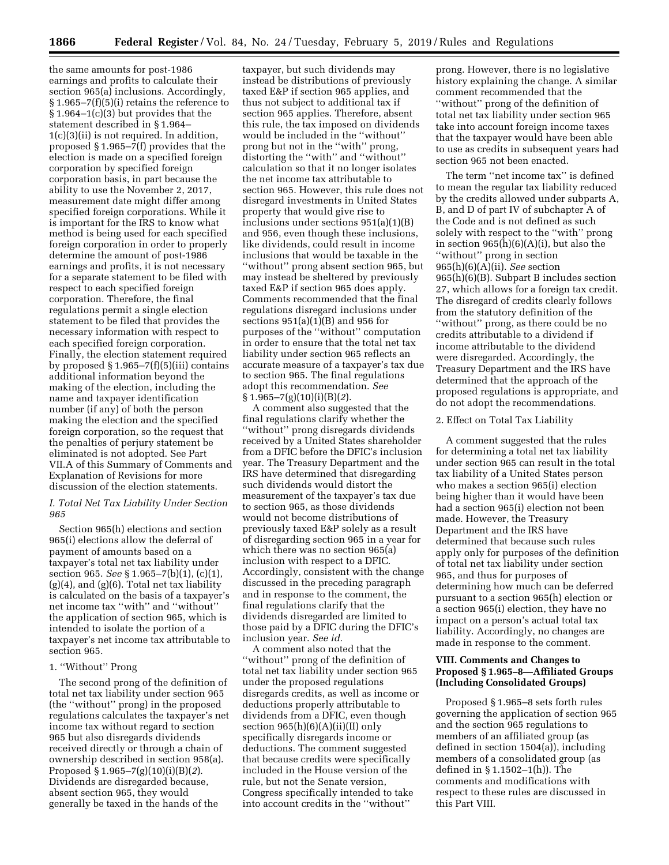the same amounts for post-1986 earnings and profits to calculate their section 965(a) inclusions. Accordingly, § 1.965–7(f)(5)(i) retains the reference to § 1.964–1(c)(3) but provides that the statement described in § 1.964– 1(c)(3)(ii) is not required. In addition, proposed § 1.965–7(f) provides that the election is made on a specified foreign corporation by specified foreign corporation basis, in part because the ability to use the November 2, 2017, measurement date might differ among specified foreign corporations. While it is important for the IRS to know what method is being used for each specified foreign corporation in order to properly determine the amount of post-1986 earnings and profits, it is not necessary for a separate statement to be filed with respect to each specified foreign corporation. Therefore, the final regulations permit a single election statement to be filed that provides the necessary information with respect to each specified foreign corporation. Finally, the election statement required by proposed  $\S 1.965 - 7(f)(5)(iii)$  contains additional information beyond the making of the election, including the name and taxpayer identification number (if any) of both the person making the election and the specified foreign corporation, so the request that the penalties of perjury statement be eliminated is not adopted. See Part VII.A of this Summary of Comments and Explanation of Revisions for more discussion of the election statements.

# *I. Total Net Tax Liability Under Section 965*

Section 965(h) elections and section 965(i) elections allow the deferral of payment of amounts based on a taxpayer's total net tax liability under section 965. *See* § 1.965–7(b)(1), (c)(1),  $(g)(4)$ , and  $(g)(6)$ . Total net tax liability is calculated on the basis of a taxpayer's net income tax ''with'' and ''without'' the application of section 965, which is intended to isolate the portion of a taxpayer's net income tax attributable to section 965.

# 1. ''Without'' Prong

The second prong of the definition of total net tax liability under section 965 (the ''without'' prong) in the proposed regulations calculates the taxpayer's net income tax without regard to section 965 but also disregards dividends received directly or through a chain of ownership described in section 958(a). Proposed § 1.965–7(g)(10)(i)(B)(*2*). Dividends are disregarded because, absent section 965, they would generally be taxed in the hands of the

taxpayer, but such dividends may instead be distributions of previously taxed E&P if section 965 applies, and thus not subject to additional tax if section 965 applies. Therefore, absent this rule, the tax imposed on dividends would be included in the ''without'' prong but not in the ''with'' prong, distorting the ''with'' and ''without'' calculation so that it no longer isolates the net income tax attributable to section 965. However, this rule does not disregard investments in United States property that would give rise to inclusions under sections 951(a)(1)(B) and 956, even though these inclusions, like dividends, could result in income inclusions that would be taxable in the ''without'' prong absent section 965, but may instead be sheltered by previously taxed E&P if section 965 does apply. Comments recommended that the final regulations disregard inclusions under sections 951(a)(1)(B) and 956 for purposes of the ''without'' computation in order to ensure that the total net tax liability under section 965 reflects an accurate measure of a taxpayer's tax due to section 965. The final regulations adopt this recommendation. *See*  § 1.965–7(g)(10)(i)(B)(*2*).

A comment also suggested that the final regulations clarify whether the ''without'' prong disregards dividends received by a United States shareholder from a DFIC before the DFIC's inclusion year. The Treasury Department and the IRS have determined that disregarding such dividends would distort the measurement of the taxpayer's tax due to section 965, as those dividends would not become distributions of previously taxed E&P solely as a result of disregarding section 965 in a year for which there was no section 965(a) inclusion with respect to a DFIC. Accordingly, consistent with the change discussed in the preceding paragraph and in response to the comment, the final regulations clarify that the dividends disregarded are limited to those paid by a DFIC during the DFIC's inclusion year. *See id.* 

A comment also noted that the ''without'' prong of the definition of total net tax liability under section 965 under the proposed regulations disregards credits, as well as income or deductions properly attributable to dividends from a DFIC, even though section  $965(h)(6)(A)(ii)(II)$  only specifically disregards income or deductions. The comment suggested that because credits were specifically included in the House version of the rule, but not the Senate version, Congress specifically intended to take into account credits in the ''without''

prong. However, there is no legislative history explaining the change. A similar comment recommended that the ''without'' prong of the definition of total net tax liability under section 965 take into account foreign income taxes that the taxpayer would have been able to use as credits in subsequent years had section 965 not been enacted.

The term ''net income tax'' is defined to mean the regular tax liability reduced by the credits allowed under subparts A, B, and D of part IV of subchapter A of the Code and is not defined as such solely with respect to the ''with'' prong in section  $965(h)(6)(A)(i)$ , but also the ''without'' prong in section 965(h)(6)(A)(ii). *See* section 965(h)(6)(B). Subpart B includes section 27, which allows for a foreign tax credit. The disregard of credits clearly follows from the statutory definition of the ''without'' prong, as there could be no credits attributable to a dividend if income attributable to the dividend were disregarded. Accordingly, the Treasury Department and the IRS have determined that the approach of the proposed regulations is appropriate, and do not adopt the recommendations.

### 2. Effect on Total Tax Liability

A comment suggested that the rules for determining a total net tax liability under section 965 can result in the total tax liability of a United States person who makes a section 965(i) election being higher than it would have been had a section 965(i) election not been made. However, the Treasury Department and the IRS have determined that because such rules apply only for purposes of the definition of total net tax liability under section 965, and thus for purposes of determining how much can be deferred pursuant to a section 965(h) election or a section 965(i) election, they have no impact on a person's actual total tax liability. Accordingly, no changes are made in response to the comment.

# **VIII. Comments and Changes to Proposed § 1.965–8—Affiliated Groups (Including Consolidated Groups)**

Proposed § 1.965–8 sets forth rules governing the application of section 965 and the section 965 regulations to members of an affiliated group (as defined in section 1504(a)), including members of a consolidated group (as defined in § 1.1502–1(h)). The comments and modifications with respect to these rules are discussed in this Part VIII.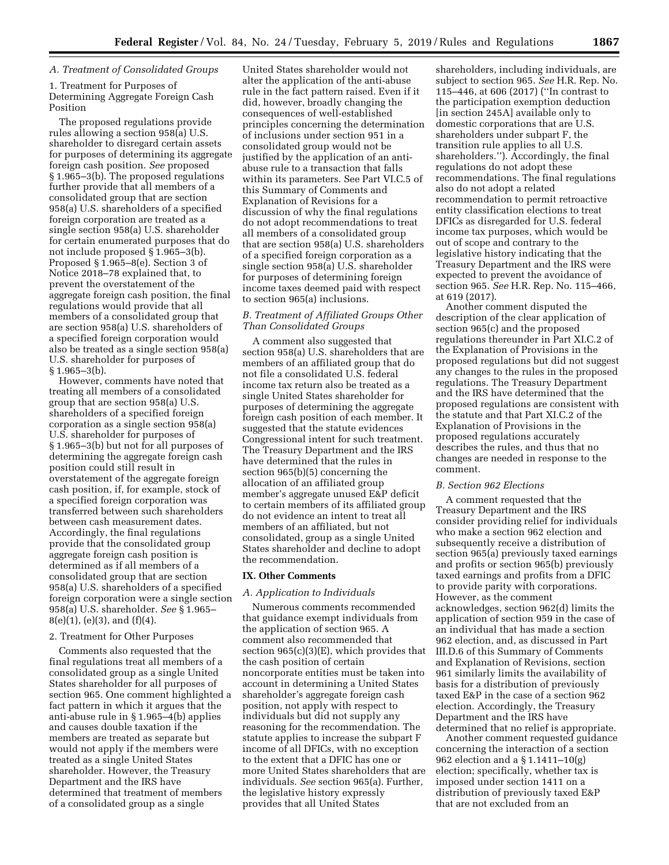# *A. Treatment of Consolidated Groups*

1. Treatment for Purposes of Determining Aggregate Foreign Cash Position

The proposed regulations provide rules allowing a section 958(a) U.S. shareholder to disregard certain assets for purposes of determining its aggregate foreign cash position. *See* proposed § 1.965–3(b). The proposed regulations further provide that all members of a consolidated group that are section 958(a) U.S. shareholders of a specified foreign corporation are treated as a single section 958(a) U.S. shareholder for certain enumerated purposes that do not include proposed § 1.965–3(b). Proposed § 1.965–8(e). Section 3 of Notice 2018–78 explained that, to prevent the overstatement of the aggregate foreign cash position, the final regulations would provide that all members of a consolidated group that are section 958(a) U.S. shareholders of a specified foreign corporation would also be treated as a single section 958(a) U.S. shareholder for purposes of § 1.965–3(b).

However, comments have noted that treating all members of a consolidated group that are section 958(a) U.S. shareholders of a specified foreign corporation as a single section 958(a) U.S. shareholder for purposes of § 1.965–3(b) but not for all purposes of determining the aggregate foreign cash position could still result in overstatement of the aggregate foreign cash position, if, for example, stock of a specified foreign corporation was transferred between such shareholders between cash measurement dates. Accordingly, the final regulations provide that the consolidated group aggregate foreign cash position is determined as if all members of a consolidated group that are section 958(a) U.S. shareholders of a specified foreign corporation were a single section 958(a) U.S. shareholder. *See* § 1.965–  $8(e)(1)$ ,  $(e)(3)$ , and  $(f)(4)$ .

## 2. Treatment for Other Purposes

Comments also requested that the final regulations treat all members of a consolidated group as a single United States shareholder for all purposes of section 965. One comment highlighted a fact pattern in which it argues that the anti-abuse rule in § 1.965–4(b) applies and causes double taxation if the members are treated as separate but would not apply if the members were treated as a single United States shareholder. However, the Treasury Department and the IRS have determined that treatment of members of a consolidated group as a single

United States shareholder would not alter the application of the anti-abuse rule in the fact pattern raised. Even if it did, however, broadly changing the consequences of well-established principles concerning the determination of inclusions under section 951 in a consolidated group would not be justified by the application of an antiabuse rule to a transaction that falls within its parameters. See Part VI.C.5 of this Summary of Comments and Explanation of Revisions for a discussion of why the final regulations do not adopt recommendations to treat all members of a consolidated group that are section 958(a) U.S. shareholders of a specified foreign corporation as a single section 958(a) U.S. shareholder for purposes of determining foreign income taxes deemed paid with respect to section 965(a) inclusions.

# *B. Treatment of Affiliated Groups Other Than Consolidated Groups*

A comment also suggested that section 958(a) U.S. shareholders that are members of an affiliated group that do not file a consolidated U.S. federal income tax return also be treated as a single United States shareholder for purposes of determining the aggregate foreign cash position of each member. It suggested that the statute evidences Congressional intent for such treatment. The Treasury Department and the IRS have determined that the rules in section 965(b)(5) concerning the allocation of an affiliated group member's aggregate unused E&P deficit to certain members of its affiliated group do not evidence an intent to treat all members of an affiliated, but not consolidated, group as a single United States shareholder and decline to adopt the recommendation.

## **IX. Other Comments**

# *A. Application to Individuals*

Numerous comments recommended that guidance exempt individuals from the application of section 965. A comment also recommended that section 965(c)(3)(E), which provides that the cash position of certain noncorporate entities must be taken into account in determining a United States shareholder's aggregate foreign cash position, not apply with respect to individuals but did not supply any reasoning for the recommendation. The statute applies to increase the subpart F income of all DFICs, with no exception to the extent that a DFIC has one or more United States shareholders that are individuals. *See* section 965(a). Further, the legislative history expressly provides that all United States

shareholders, including individuals, are subject to section 965. *See* H.R. Rep. No. 115–446, at 606 (2017) (''In contrast to the participation exemption deduction [in section 245A] available only to domestic corporations that are U.S. shareholders under subpart F, the transition rule applies to all U.S. shareholders.''). Accordingly, the final regulations do not adopt these recommendations. The final regulations also do not adopt a related recommendation to permit retroactive entity classification elections to treat DFICs as disregarded for U.S. federal income tax purposes, which would be out of scope and contrary to the legislative history indicating that the Treasury Department and the IRS were expected to prevent the avoidance of section 965. *See* H.R. Rep. No. 115–466, at 619 (2017).

Another comment disputed the description of the clear application of section 965(c) and the proposed regulations thereunder in Part XI.C.2 of the Explanation of Provisions in the proposed regulations but did not suggest any changes to the rules in the proposed regulations. The Treasury Department and the IRS have determined that the proposed regulations are consistent with the statute and that Part XI.C.2 of the Explanation of Provisions in the proposed regulations accurately describes the rules, and thus that no changes are needed in response to the comment.

### *B. Section 962 Elections*

A comment requested that the Treasury Department and the IRS consider providing relief for individuals who make a section 962 election and subsequently receive a distribution of section 965(a) previously taxed earnings and profits or section 965(b) previously taxed earnings and profits from a DFIC to provide parity with corporations. However, as the comment acknowledges, section 962(d) limits the application of section 959 in the case of an individual that has made a section 962 election, and, as discussed in Part III.D.6 of this Summary of Comments and Explanation of Revisions, section 961 similarly limits the availability of basis for a distribution of previously taxed E&P in the case of a section 962 election. Accordingly, the Treasury Department and the IRS have determined that no relief is appropriate.

Another comment requested guidance concerning the interaction of a section 962 election and a § 1.1411–10(g) election; specifically, whether tax is imposed under section 1411 on a distribution of previously taxed E&P that are not excluded from an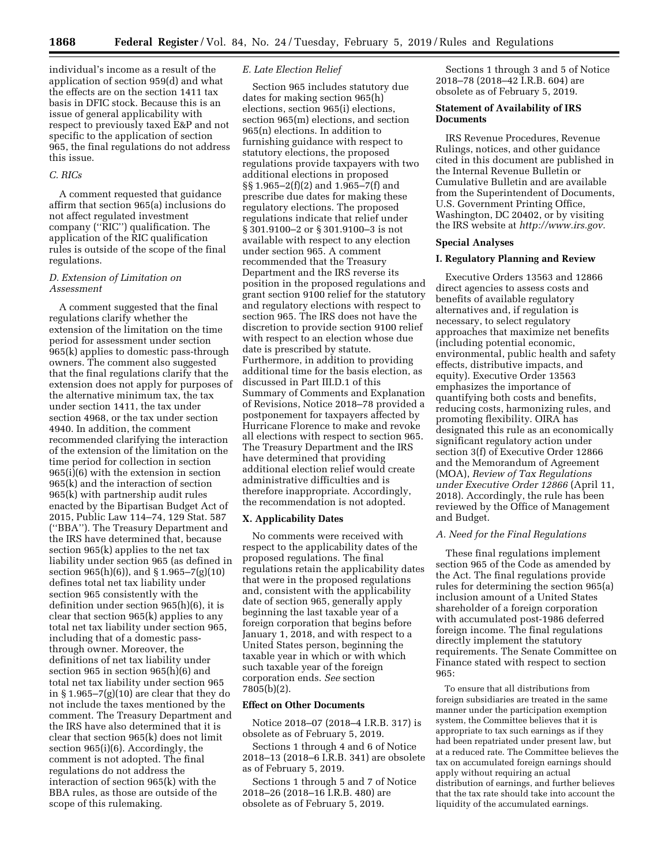individual's income as a result of the application of section 959(d) and what the effects are on the section 1411 tax basis in DFIC stock. Because this is an issue of general applicability with respect to previously taxed E&P and not specific to the application of section 965, the final regulations do not address this issue.

## *C. RICs*

A comment requested that guidance affirm that section 965(a) inclusions do not affect regulated investment company (''RIC'') qualification. The application of the RIC qualification rules is outside of the scope of the final regulations.

## *D. Extension of Limitation on Assessment*

A comment suggested that the final regulations clarify whether the extension of the limitation on the time period for assessment under section 965(k) applies to domestic pass-through owners. The comment also suggested that the final regulations clarify that the extension does not apply for purposes of the alternative minimum tax, the tax under section 1411, the tax under section 4968, or the tax under section 4940. In addition, the comment recommended clarifying the interaction of the extension of the limitation on the time period for collection in section 965(i)(6) with the extension in section 965(k) and the interaction of section 965(k) with partnership audit rules enacted by the Bipartisan Budget Act of 2015, Public Law 114–74, 129 Stat. 587 (''BBA''). The Treasury Department and the IRS have determined that, because section 965(k) applies to the net tax liability under section 965 (as defined in section 965(h)(6)), and § 1.965–7(g)(10) defines total net tax liability under section 965 consistently with the definition under section 965(h)(6), it is clear that section 965(k) applies to any total net tax liability under section 965, including that of a domestic passthrough owner. Moreover, the definitions of net tax liability under section 965 in section 965(h)(6) and total net tax liability under section 965 in § 1.965–7(g)(10) are clear that they do not include the taxes mentioned by the comment. The Treasury Department and the IRS have also determined that it is clear that section 965(k) does not limit section 965(i)(6). Accordingly, the comment is not adopted. The final regulations do not address the interaction of section 965(k) with the BBA rules, as those are outside of the scope of this rulemaking.

# *E. Late Election Relief*

Section 965 includes statutory due dates for making section 965(h) elections, section 965(i) elections, section 965(m) elections, and section 965(n) elections. In addition to furnishing guidance with respect to statutory elections, the proposed regulations provide taxpayers with two additional elections in proposed §§ 1.965–2(f)(2) and 1.965–7(f) and prescribe due dates for making these regulatory elections. The proposed regulations indicate that relief under § 301.9100–2 or § 301.9100–3 is not available with respect to any election under section 965. A comment recommended that the Treasury Department and the IRS reverse its position in the proposed regulations and grant section 9100 relief for the statutory and regulatory elections with respect to section 965. The IRS does not have the discretion to provide section 9100 relief with respect to an election whose due date is prescribed by statute. Furthermore, in addition to providing additional time for the basis election, as discussed in Part III.D.1 of this Summary of Comments and Explanation of Revisions, Notice 2018–78 provided a postponement for taxpayers affected by Hurricane Florence to make and revoke all elections with respect to section 965. The Treasury Department and the IRS have determined that providing additional election relief would create administrative difficulties and is therefore inappropriate. Accordingly, the recommendation is not adopted.

## **X. Applicability Dates**

No comments were received with respect to the applicability dates of the proposed regulations. The final regulations retain the applicability dates that were in the proposed regulations and, consistent with the applicability date of section 965, generally apply beginning the last taxable year of a foreign corporation that begins before January 1, 2018, and with respect to a United States person, beginning the taxable year in which or with which such taxable year of the foreign corporation ends. *See* section 7805(b)(2).

#### **Effect on Other Documents**

Notice 2018–07 (2018–4 I.R.B. 317) is obsolete as of February 5, 2019.

Sections 1 through 4 and 6 of Notice 2018–13 (2018–6 I.R.B. 341) are obsolete as of February 5, 2019.

Sections 1 through 5 and 7 of Notice 2018–26 (2018–16 I.R.B. 480) are obsolete as of February 5, 2019.

Sections 1 through 3 and 5 of Notice 2018–78 (2018–42 I.R.B. 604) are obsolete as of February 5, 2019.

## **Statement of Availability of IRS Documents**

IRS Revenue Procedures, Revenue Rulings, notices, and other guidance cited in this document are published in the Internal Revenue Bulletin or Cumulative Bulletin and are available from the Superintendent of Documents, U.S. Government Printing Office, Washington, DC 20402, or by visiting the IRS website at *[http://www.irs.gov.](http://www.irs.gov)* 

## **Special Analyses**

## **I. Regulatory Planning and Review**

Executive Orders 13563 and 12866 direct agencies to assess costs and benefits of available regulatory alternatives and, if regulation is necessary, to select regulatory approaches that maximize net benefits (including potential economic, environmental, public health and safety effects, distributive impacts, and equity). Executive Order 13563 emphasizes the importance of quantifying both costs and benefits, reducing costs, harmonizing rules, and promoting flexibility. OIRA has designated this rule as an economically significant regulatory action under section 3(f) of Executive Order 12866 and the Memorandum of Agreement (MOA), *Review of Tax Regulations under Executive Order 12866* (April 11, 2018). Accordingly, the rule has been reviewed by the Office of Management and Budget.

### *A. Need for the Final Regulations*

These final regulations implement section 965 of the Code as amended by the Act. The final regulations provide rules for determining the section 965(a) inclusion amount of a United States shareholder of a foreign corporation with accumulated post-1986 deferred foreign income. The final regulations directly implement the statutory requirements. The Senate Committee on Finance stated with respect to section 965:

To ensure that all distributions from foreign subsidiaries are treated in the same manner under the participation exemption system, the Committee believes that it is appropriate to tax such earnings as if they had been repatriated under present law, but at a reduced rate. The Committee believes the tax on accumulated foreign earnings should apply without requiring an actual distribution of earnings, and further believes that the tax rate should take into account the liquidity of the accumulated earnings.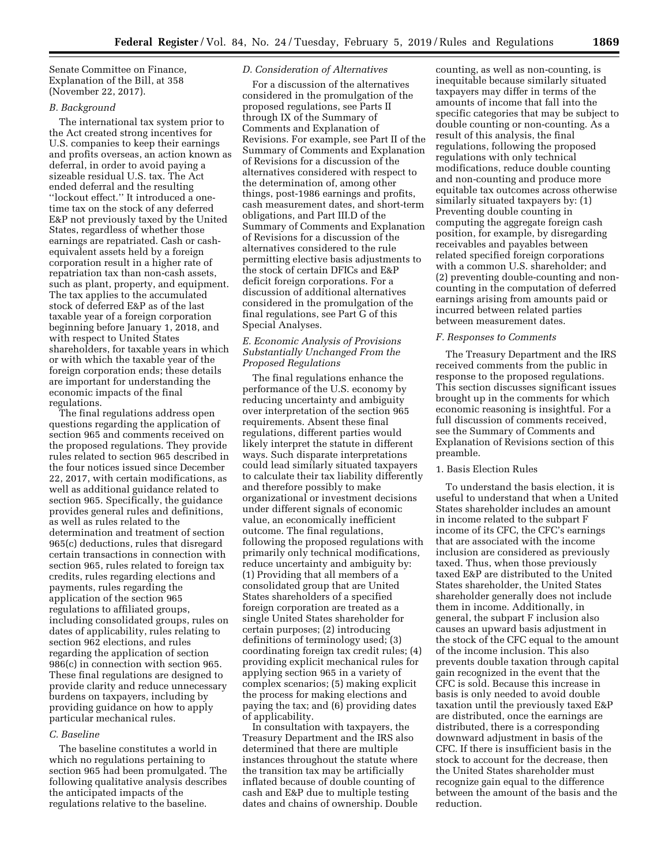Senate Committee on Finance, Explanation of the Bill, at 358 (November 22, 2017).

## *B. Background*

The international tax system prior to the Act created strong incentives for U.S. companies to keep their earnings and profits overseas, an action known as deferral, in order to avoid paying a sizeable residual U.S. tax. The Act ended deferral and the resulting ''lockout effect.'' It introduced a onetime tax on the stock of any deferred E&P not previously taxed by the United States, regardless of whether those earnings are repatriated. Cash or cashequivalent assets held by a foreign corporation result in a higher rate of repatriation tax than non-cash assets, such as plant, property, and equipment. The tax applies to the accumulated stock of deferred E&P as of the last taxable year of a foreign corporation beginning before January 1, 2018, and with respect to United States shareholders, for taxable years in which or with which the taxable year of the foreign corporation ends; these details are important for understanding the economic impacts of the final regulations.

The final regulations address open questions regarding the application of section 965 and comments received on the proposed regulations. They provide rules related to section 965 described in the four notices issued since December 22, 2017, with certain modifications, as well as additional guidance related to section 965. Specifically, the guidance provides general rules and definitions, as well as rules related to the determination and treatment of section 965(c) deductions, rules that disregard certain transactions in connection with section 965, rules related to foreign tax credits, rules regarding elections and payments, rules regarding the application of the section 965 regulations to affiliated groups, including consolidated groups, rules on dates of applicability, rules relating to section 962 elections, and rules regarding the application of section 986(c) in connection with section 965. These final regulations are designed to provide clarity and reduce unnecessary burdens on taxpayers, including by providing guidance on how to apply particular mechanical rules.

## *C. Baseline*

The baseline constitutes a world in which no regulations pertaining to section 965 had been promulgated. The following qualitative analysis describes the anticipated impacts of the regulations relative to the baseline.

## *D. Consideration of Alternatives*

For a discussion of the alternatives considered in the promulgation of the proposed regulations, see Parts II through IX of the Summary of Comments and Explanation of Revisions. For example, see Part II of the Summary of Comments and Explanation of Revisions for a discussion of the alternatives considered with respect to the determination of, among other things, post-1986 earnings and profits, cash measurement dates, and short-term obligations, and Part III.D of the Summary of Comments and Explanation of Revisions for a discussion of the alternatives considered to the rule permitting elective basis adjustments to the stock of certain DFICs and E&P deficit foreign corporations. For a discussion of additional alternatives considered in the promulgation of the final regulations, see Part G of this Special Analyses.

# *E. Economic Analysis of Provisions Substantially Unchanged From the Proposed Regulations*

The final regulations enhance the performance of the U.S. economy by reducing uncertainty and ambiguity over interpretation of the section 965 requirements. Absent these final regulations, different parties would likely interpret the statute in different ways. Such disparate interpretations could lead similarly situated taxpayers to calculate their tax liability differently and therefore possibly to make organizational or investment decisions under different signals of economic value, an economically inefficient outcome. The final regulations, following the proposed regulations with primarily only technical modifications, reduce uncertainty and ambiguity by: (1) Providing that all members of a consolidated group that are United States shareholders of a specified foreign corporation are treated as a single United States shareholder for certain purposes; (2) introducing definitions of terminology used; (3) coordinating foreign tax credit rules; (4) providing explicit mechanical rules for applying section 965 in a variety of complex scenarios; (5) making explicit the process for making elections and paying the tax; and (6) providing dates of applicability.

In consultation with taxpayers, the Treasury Department and the IRS also determined that there are multiple instances throughout the statute where the transition tax may be artificially inflated because of double counting of cash and E&P due to multiple testing dates and chains of ownership. Double

counting, as well as non-counting, is inequitable because similarly situated taxpayers may differ in terms of the amounts of income that fall into the specific categories that may be subject to double counting or non-counting. As a result of this analysis, the final regulations, following the proposed regulations with only technical modifications, reduce double counting and non-counting and produce more equitable tax outcomes across otherwise similarly situated taxpayers by: (1) Preventing double counting in computing the aggregate foreign cash position, for example, by disregarding receivables and payables between related specified foreign corporations with a common U.S. shareholder; and (2) preventing double-counting and noncounting in the computation of deferred earnings arising from amounts paid or incurred between related parties between measurement dates.

#### *F. Responses to Comments*

The Treasury Department and the IRS received comments from the public in response to the proposed regulations. This section discusses significant issues brought up in the comments for which economic reasoning is insightful. For a full discussion of comments received, see the Summary of Comments and Explanation of Revisions section of this preamble.

## 1. Basis Election Rules

To understand the basis election, it is useful to understand that when a United States shareholder includes an amount in income related to the subpart F income of its CFC, the CFC's earnings that are associated with the income inclusion are considered as previously taxed. Thus, when those previously taxed E&P are distributed to the United States shareholder, the United States shareholder generally does not include them in income. Additionally, in general, the subpart F inclusion also causes an upward basis adjustment in the stock of the CFC equal to the amount of the income inclusion. This also prevents double taxation through capital gain recognized in the event that the CFC is sold. Because this increase in basis is only needed to avoid double taxation until the previously taxed E&P are distributed, once the earnings are distributed, there is a corresponding downward adjustment in basis of the CFC. If there is insufficient basis in the stock to account for the decrease, then the United States shareholder must recognize gain equal to the difference between the amount of the basis and the reduction.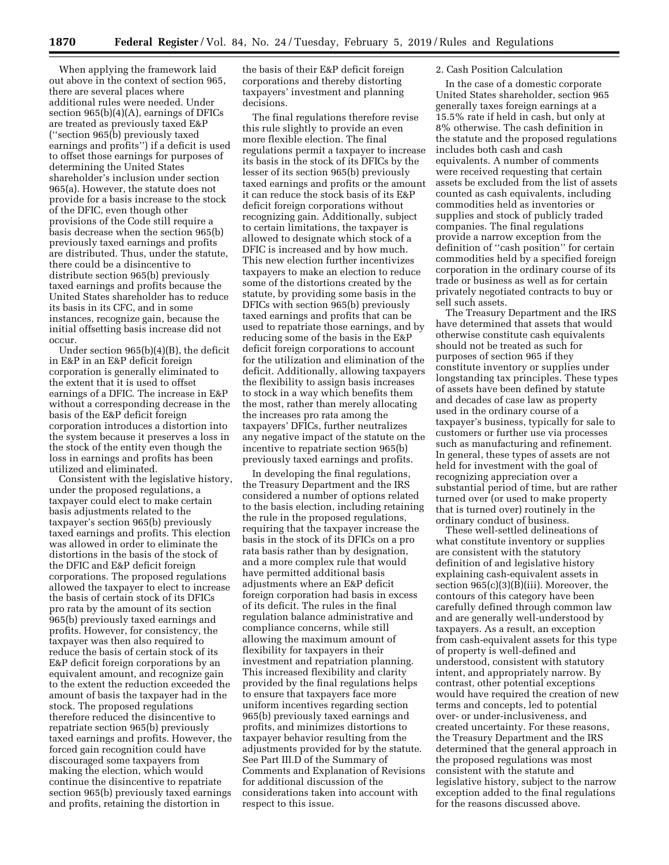When applying the framework laid out above in the context of section 965, there are several places where additional rules were needed. Under section 965(b)(4)(A), earnings of DFICs are treated as previously taxed E&P (''section 965(b) previously taxed earnings and profits'') if a deficit is used to offset those earnings for purposes of determining the United States shareholder's inclusion under section 965(a). However, the statute does not provide for a basis increase to the stock of the DFIC, even though other provisions of the Code still require a basis decrease when the section 965(b) previously taxed earnings and profits are distributed. Thus, under the statute, there could be a disincentive to distribute section 965(b) previously taxed earnings and profits because the United States shareholder has to reduce its basis in its CFC, and in some instances, recognize gain, because the initial offsetting basis increase did not occur.

Under section 965(b)(4)(B), the deficit in E&P in an E&P deficit foreign corporation is generally eliminated to the extent that it is used to offset earnings of a DFIC. The increase in E&P without a corresponding decrease in the basis of the E&P deficit foreign corporation introduces a distortion into the system because it preserves a loss in the stock of the entity even though the loss in earnings and profits has been utilized and eliminated.

Consistent with the legislative history, under the proposed regulations, a taxpayer could elect to make certain basis adjustments related to the taxpayer's section 965(b) previously taxed earnings and profits. This election was allowed in order to eliminate the distortions in the basis of the stock of the DFIC and E&P deficit foreign corporations. The proposed regulations allowed the taxpayer to elect to increase the basis of certain stock of its DFICs pro rata by the amount of its section 965(b) previously taxed earnings and profits. However, for consistency, the taxpayer was then also required to reduce the basis of certain stock of its E&P deficit foreign corporations by an equivalent amount, and recognize gain to the extent the reduction exceeded the amount of basis the taxpayer had in the stock. The proposed regulations therefore reduced the disincentive to repatriate section 965(b) previously taxed earnings and profits. However, the forced gain recognition could have discouraged some taxpayers from making the election, which would continue the disincentive to repatriate section 965(b) previously taxed earnings and profits, retaining the distortion in

the basis of their E&P deficit foreign corporations and thereby distorting taxpayers' investment and planning decisions.

The final regulations therefore revise this rule slightly to provide an even more flexible election. The final regulations permit a taxpayer to increase its basis in the stock of its DFICs by the lesser of its section 965(b) previously taxed earnings and profits or the amount it can reduce the stock basis of its E&P deficit foreign corporations without recognizing gain. Additionally, subject to certain limitations, the taxpayer is allowed to designate which stock of a DFIC is increased and by how much. This new election further incentivizes taxpayers to make an election to reduce some of the distortions created by the statute, by providing some basis in the DFICs with section 965(b) previously taxed earnings and profits that can be used to repatriate those earnings, and by reducing some of the basis in the E&P deficit foreign corporations to account for the utilization and elimination of the deficit. Additionally, allowing taxpayers the flexibility to assign basis increases to stock in a way which benefits them the most, rather than merely allocating the increases pro rata among the taxpayers' DFICs, further neutralizes any negative impact of the statute on the incentive to repatriate section 965(b) previously taxed earnings and profits.

In developing the final regulations, the Treasury Department and the IRS considered a number of options related to the basis election, including retaining the rule in the proposed regulations, requiring that the taxpayer increase the basis in the stock of its DFICs on a pro rata basis rather than by designation, and a more complex rule that would have permitted additional basis adjustments where an E&P deficit foreign corporation had basis in excess of its deficit. The rules in the final regulation balance administrative and compliance concerns, while still allowing the maximum amount of flexibility for taxpayers in their investment and repatriation planning. This increased flexibility and clarity provided by the final regulations helps to ensure that taxpayers face more uniform incentives regarding section 965(b) previously taxed earnings and profits, and minimizes distortions to taxpayer behavior resulting from the adjustments provided for by the statute. See Part III.D of the Summary of Comments and Explanation of Revisions for additional discussion of the considerations taken into account with respect to this issue.

### 2. Cash Position Calculation

In the case of a domestic corporate United States shareholder, section 965 generally taxes foreign earnings at a 15.5% rate if held in cash, but only at 8% otherwise. The cash definition in the statute and the proposed regulations includes both cash and cash equivalents. A number of comments were received requesting that certain assets be excluded from the list of assets counted as cash equivalents, including commodities held as inventories or supplies and stock of publicly traded companies. The final regulations provide a narrow exception from the definition of ''cash position'' for certain commodities held by a specified foreign corporation in the ordinary course of its trade or business as well as for certain privately negotiated contracts to buy or sell such assets.

The Treasury Department and the IRS have determined that assets that would otherwise constitute cash equivalents should not be treated as such for purposes of section 965 if they constitute inventory or supplies under longstanding tax principles. These types of assets have been defined by statute and decades of case law as property used in the ordinary course of a taxpayer's business, typically for sale to customers or further use via processes such as manufacturing and refinement. In general, these types of assets are not held for investment with the goal of recognizing appreciation over a substantial period of time, but are rather turned over (or used to make property that is turned over) routinely in the ordinary conduct of business.

These well-settled delineations of what constitute inventory or supplies are consistent with the statutory definition of and legislative history explaining cash-equivalent assets in section 965(c)(3)(B)(iii). Moreover, the contours of this category have been carefully defined through common law and are generally well-understood by taxpayers. As a result, an exception from cash-equivalent assets for this type of property is well-defined and understood, consistent with statutory intent, and appropriately narrow. By contrast, other potential exceptions would have required the creation of new terms and concepts, led to potential over- or under-inclusiveness, and created uncertainty. For these reasons, the Treasury Department and the IRS determined that the general approach in the proposed regulations was most consistent with the statute and legislative history, subject to the narrow exception added to the final regulations for the reasons discussed above.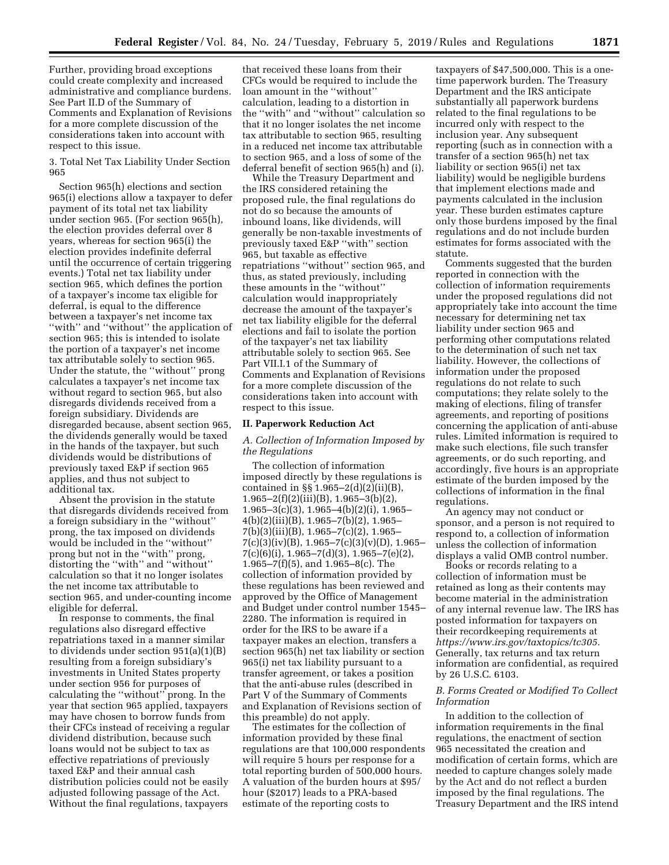Further, providing broad exceptions could create complexity and increased administrative and compliance burdens. See Part II.D of the Summary of Comments and Explanation of Revisions for a more complete discussion of the considerations taken into account with respect to this issue.

3. Total Net Tax Liability Under Section 965

Section 965(h) elections and section 965(i) elections allow a taxpayer to defer payment of its total net tax liability under section 965. (For section 965(h), the election provides deferral over 8 years, whereas for section 965(i) the election provides indefinite deferral until the occurrence of certain triggering events.) Total net tax liability under section 965, which defines the portion of a taxpayer's income tax eligible for deferral, is equal to the difference between a taxpayer's net income tax "with" and "without" the application of section 965; this is intended to isolate the portion of a taxpayer's net income tax attributable solely to section 965. Under the statute, the ''without'' prong calculates a taxpayer's net income tax without regard to section 965, but also disregards dividends received from a foreign subsidiary. Dividends are disregarded because, absent section 965, the dividends generally would be taxed in the hands of the taxpayer, but such dividends would be distributions of previously taxed E&P if section 965 applies, and thus not subject to additional tax.

Absent the provision in the statute that disregards dividends received from a foreign subsidiary in the ''without'' prong, the tax imposed on dividends would be included in the ''without'' prong but not in the ''with'' prong, distorting the ''with'' and ''without'' calculation so that it no longer isolates the net income tax attributable to section 965, and under-counting income eligible for deferral.

In response to comments, the final regulations also disregard effective repatriations taxed in a manner similar to dividends under section 951(a)(1)(B) resulting from a foreign subsidiary's investments in United States property under section 956 for purposes of calculating the ''without'' prong. In the year that section 965 applied, taxpayers may have chosen to borrow funds from their CFCs instead of receiving a regular dividend distribution, because such loans would not be subject to tax as effective repatriations of previously taxed E&P and their annual cash distribution policies could not be easily adjusted following passage of the Act. Without the final regulations, taxpayers

that received these loans from their CFCs would be required to include the loan amount in the ''without'' calculation, leading to a distortion in the ''with'' and ''without'' calculation so that it no longer isolates the net income tax attributable to section 965, resulting in a reduced net income tax attributable to section 965, and a loss of some of the deferral benefit of section 965(h) and (i).

While the Treasury Department and the IRS considered retaining the proposed rule, the final regulations do not do so because the amounts of inbound loans, like dividends, will generally be non-taxable investments of previously taxed E&P ''with'' section 965, but taxable as effective repatriations ''without'' section 965, and thus, as stated previously, including these amounts in the ''without'' calculation would inappropriately decrease the amount of the taxpayer's net tax liability eligible for the deferral elections and fail to isolate the portion of the taxpayer's net tax liability attributable solely to section 965. See Part VII.I.1 of the Summary of Comments and Explanation of Revisions for a more complete discussion of the considerations taken into account with respect to this issue.

### **II. Paperwork Reduction Act**

# *A. Collection of Information Imposed by the Regulations*

The collection of information imposed directly by these regulations is contained in §§ 1.965–2(d)(2)(ii)(B),  $1.965-2(f)(2)(iii)(B)$ ,  $1.965-3(b)(2)$ ,  $1.965-3(c)(3)$ ,  $1.965-4(b)(2)(i)$ ,  $1.965-$ 4(b)(2)(iii)(B), 1.965–7(b)(2), 1.965– 7(b)(3)(iii)(B), 1.965–7(c)(2), 1.965–  $7(c)(3)(iv)(B)$ , 1.965–7(c)(3)(v)(D), 1.965– 7(c)(6)(i), 1.965–7(d)(3), 1.965–7(e)(2), 1.965–7(f)(5), and 1.965–8(c). The collection of information provided by these regulations has been reviewed and approved by the Office of Management and Budget under control number 1545– 2280. The information is required in order for the IRS to be aware if a taxpayer makes an election, transfers a section 965(h) net tax liability or section 965(i) net tax liability pursuant to a transfer agreement, or takes a position that the anti-abuse rules (described in Part V of the Summary of Comments and Explanation of Revisions section of this preamble) do not apply.

The estimates for the collection of information provided by these final regulations are that 100,000 respondents will require 5 hours per response for a total reporting burden of 500,000 hours. A valuation of the burden hours at \$95/ hour (\$2017) leads to a PRA-based estimate of the reporting costs to

taxpayers of \$47,500,000. This is a onetime paperwork burden. The Treasury Department and the IRS anticipate substantially all paperwork burdens related to the final regulations to be incurred only with respect to the inclusion year. Any subsequent reporting (such as in connection with a transfer of a section 965(h) net tax liability or section 965(i) net tax liability) would be negligible burdens that implement elections made and payments calculated in the inclusion year. These burden estimates capture only those burdens imposed by the final regulations and do not include burden estimates for forms associated with the statute.

Comments suggested that the burden reported in connection with the collection of information requirements under the proposed regulations did not appropriately take into account the time necessary for determining net tax liability under section 965 and performing other computations related to the determination of such net tax liability. However, the collections of information under the proposed regulations do not relate to such computations; they relate solely to the making of elections, filing of transfer agreements, and reporting of positions concerning the application of anti-abuse rules. Limited information is required to make such elections, file such transfer agreements, or do such reporting, and accordingly, five hours is an appropriate estimate of the burden imposed by the collections of information in the final regulations.

An agency may not conduct or sponsor, and a person is not required to respond to, a collection of information unless the collection of information displays a valid OMB control number.

Books or records relating to a collection of information must be retained as long as their contents may become material in the administration of any internal revenue law. The IRS has posted information for taxpayers on their recordkeeping requirements at *[https://www.irs.gov/taxtopics/tc305.](https://www.irs.gov/taxtopics/tc305)*  Generally, tax returns and tax return information are confidential, as required by 26 U.S.C. 6103.

## *B. Forms Created or Modified To Collect Information*

In addition to the collection of information requirements in the final regulations, the enactment of section 965 necessitated the creation and modification of certain forms, which are needed to capture changes solely made by the Act and do not reflect a burden imposed by the final regulations. The Treasury Department and the IRS intend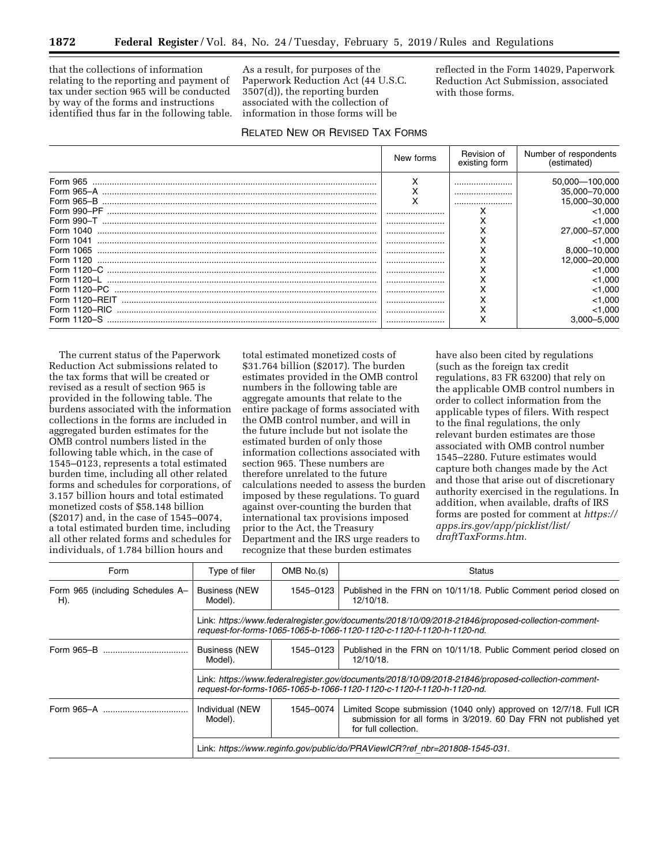that the collections of information relating to the reporting and payment of tax under section 965 will be conducted by way of the forms and instructions identified thus far in the following table.

As a result, for purposes of the Paperwork Reduction Act (44 U.S.C. 3507(d)), the reporting burden associated with the collection of information in those forms will be

reflected in the Form 14029, Paperwork Reduction Act Submission, associated with those forms.

# RELATED NEW OR REVISED TAX FORMS

|                                     | New forms | Revision of<br>existing form | Number of respondents<br>(estimated)                                   |
|-------------------------------------|-----------|------------------------------|------------------------------------------------------------------------|
| Form 990-T                          | <br>      | <br><br><br>ᄉ                | 50.000-100.000<br>35,000-70,000<br>15,000-30,000<br>< 1.000<br>< 1.000 |
| Form 1040<br>Form 1041<br>Form 1065 | <br>      |                              | 27,000-57,000<br>< 1.000<br>8.000-10.000                               |
| Form 1120                           | <br><br>  |                              | 12,000-20,000<br>< 1.000                                               |
| Form 1120-RFIT                      | <br><br>  |                              | < 1.000<br>< 1.000<br>< 1.000                                          |
| Form 1120-S                         | <br>      | ⌒<br>$\check{ }$<br>⋏        | < 1.000<br>3.000-5.000                                                 |

The current status of the Paperwork Reduction Act submissions related to the tax forms that will be created or revised as a result of section 965 is provided in the following table. The burdens associated with the information collections in the forms are included in aggregated burden estimates for the OMB control numbers listed in the following table which, in the case of 1545–0123, represents a total estimated burden time, including all other related forms and schedules for corporations, of 3.157 billion hours and total estimated monetized costs of \$58.148 billion (\$2017) and, in the case of 1545–0074, a total estimated burden time, including all other related forms and schedules for individuals, of 1.784 billion hours and

total estimated monetized costs of \$31.764 billion (\$2017). The burden estimates provided in the OMB control numbers in the following table are aggregate amounts that relate to the entire package of forms associated with the OMB control number, and will in the future include but not isolate the estimated burden of only those information collections associated with section 965. These numbers are therefore unrelated to the future calculations needed to assess the burden imposed by these regulations. To guard against over-counting the burden that international tax provisions imposed prior to the Act, the Treasury Department and the IRS urge readers to recognize that these burden estimates

have also been cited by regulations (such as the foreign tax credit regulations, 83 FR 63200) that rely on the applicable OMB control numbers in order to collect information from the applicable types of filers. With respect to the final regulations, the only relevant burden estimates are those associated with OMB control number 1545–2280. Future estimates would capture both changes made by the Act and those that arise out of discretionary authority exercised in the regulations. In addition, when available, drafts of IRS forms are posted for comment at *[https://](https://apps.irs.gov/app/picklist/list/draftTaxForms.htm) [apps.irs.gov/app/picklist/list/](https://apps.irs.gov/app/picklist/list/draftTaxForms.htm)  [draftTaxForms.htm.](https://apps.irs.gov/app/picklist/list/draftTaxForms.htm)* 

| Form                                    | Type of filer                                                                                                                                                               | OMB No.(s) | <b>Status</b>                                                                                                                                                  |  |  |
|-----------------------------------------|-----------------------------------------------------------------------------------------------------------------------------------------------------------------------------|------------|----------------------------------------------------------------------------------------------------------------------------------------------------------------|--|--|
| Form 965 (including Schedules A-<br>H). | <b>Business (NEW</b><br>Model).                                                                                                                                             | 1545-0123  | Published in the FRN on 10/11/18. Public Comment period closed on<br>12/10/18.                                                                                 |  |  |
|                                         | Link: https://www.federalregister.gov/documents/2018/10/09/2018-21846/proposed-collection-comment-<br>request-for-forms-1065-1065-b-1066-1120-1120-c-1120-f-1120-h-1120-nd. |            |                                                                                                                                                                |  |  |
|                                         | <b>Business (NEW</b><br>Model).                                                                                                                                             | 1545-0123  | Published in the FRN on 10/11/18. Public Comment period closed on<br>12/10/18.                                                                                 |  |  |
|                                         | Link: https://www.federalregister.gov/documents/2018/10/09/2018-21846/proposed-collection-comment-<br>request-for-forms-1065-1065-b-1066-1120-1120-c-1120-f-1120-h-1120-nd. |            |                                                                                                                                                                |  |  |
|                                         | Individual (NEW<br>Model).                                                                                                                                                  | 1545-0074  | Limited Scope submission (1040 only) approved on 12/7/18. Full ICR<br>submission for all forms in 3/2019. 60 Day FRN not published yet<br>for full collection. |  |  |
|                                         | Link: https://www.reginfo.gov/public/do/PRAViewICR?ref nbr=201808-1545-031.                                                                                                 |            |                                                                                                                                                                |  |  |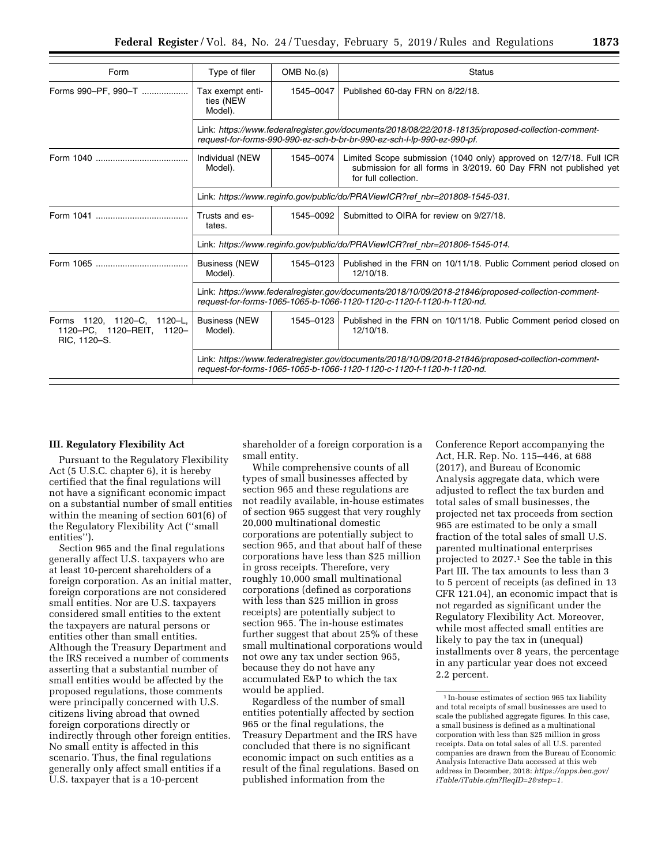| Form                                                                            | Type of filer                                                                                                                                                                 | OMB No.(s) | <b>Status</b>                                                                                                                                                  |  |  |
|---------------------------------------------------------------------------------|-------------------------------------------------------------------------------------------------------------------------------------------------------------------------------|------------|----------------------------------------------------------------------------------------------------------------------------------------------------------------|--|--|
| Forms 990-PF, 990-T                                                             | Tax exempt enti-<br>ties (NEW<br>Model).                                                                                                                                      | 1545-0047  | Published 60-day FRN on 8/22/18.                                                                                                                               |  |  |
|                                                                                 | Link: https://www.federalregister.gov/documents/2018/08/22/2018-18135/proposed-collection-comment-<br>request-for-forms-990-990-ez-sch-b-br-br-990-ez-sch-l-lp-990-ez-990-pf. |            |                                                                                                                                                                |  |  |
|                                                                                 | Individual (NEW<br>Model).                                                                                                                                                    | 1545-0074  | Limited Scope submission (1040 only) approved on 12/7/18. Full ICR<br>submission for all forms in 3/2019. 60 Day FRN not published yet<br>for full collection. |  |  |
|                                                                                 | Link: https://www.reginfo.gov/public/do/PRAViewICR?ref_nbr=201808-1545-031.                                                                                                   |            |                                                                                                                                                                |  |  |
|                                                                                 | Trusts and es-<br>tates.                                                                                                                                                      | 1545-0092  | Submitted to OIRA for review on 9/27/18.                                                                                                                       |  |  |
|                                                                                 | Link: https://www.reginfo.gov/public/do/PRAViewICR?ref nbr=201806-1545-014.                                                                                                   |            |                                                                                                                                                                |  |  |
|                                                                                 | <b>Business (NEW)</b><br>Model).                                                                                                                                              | 1545-0123  | Published in the FRN on 10/11/18. Public Comment period closed on<br>12/10/18.                                                                                 |  |  |
|                                                                                 | Link: https://www.federalregister.gov/documents/2018/10/09/2018-21846/proposed-collection-comment-<br>request-for-forms-1065-1065-b-1066-1120-1120-c-1120-f-1120-h-1120-nd.   |            |                                                                                                                                                                |  |  |
| Forms 1120, 1120-C.<br>$1120 - L.$<br>1120-PC, 1120-REIT, 1120-<br>RIC, 1120-S. | <b>Business (NEW</b><br>Model).                                                                                                                                               | 1545-0123  | Published in the FRN on 10/11/18. Public Comment period closed on<br>12/10/18.                                                                                 |  |  |
|                                                                                 | Link: https://www.federalregister.gov/documents/2018/10/09/2018-21846/proposed-collection-comment-<br>request-for-forms-1065-1065-b-1066-1120-1120-c-1120-f-1120-h-1120-nd.   |            |                                                                                                                                                                |  |  |

# **III. Regulatory Flexibility Act**

Pursuant to the Regulatory Flexibility Act (5 U.S.C. chapter 6), it is hereby certified that the final regulations will not have a significant economic impact on a substantial number of small entities within the meaning of section 601(6) of the Regulatory Flexibility Act (''small entities'').

Section 965 and the final regulations generally affect U.S. taxpayers who are at least 10-percent shareholders of a foreign corporation. As an initial matter, foreign corporations are not considered small entities. Nor are U.S. taxpayers considered small entities to the extent the taxpayers are natural persons or entities other than small entities. Although the Treasury Department and the IRS received a number of comments asserting that a substantial number of small entities would be affected by the proposed regulations, those comments were principally concerned with U.S. citizens living abroad that owned foreign corporations directly or indirectly through other foreign entities. No small entity is affected in this scenario. Thus, the final regulations generally only affect small entities if a U.S. taxpayer that is a 10-percent

shareholder of a foreign corporation is a small entity.

While comprehensive counts of all types of small businesses affected by section 965 and these regulations are not readily available, in-house estimates of section 965 suggest that very roughly 20,000 multinational domestic corporations are potentially subject to section 965, and that about half of these corporations have less than \$25 million in gross receipts. Therefore, very roughly 10,000 small multinational corporations (defined as corporations with less than \$25 million in gross receipts) are potentially subject to section 965. The in-house estimates further suggest that about 25% of these small multinational corporations would not owe any tax under section 965, because they do not have any accumulated E&P to which the tax would be applied.

Regardless of the number of small entities potentially affected by section 965 or the final regulations, the Treasury Department and the IRS have concluded that there is no significant economic impact on such entities as a result of the final regulations. Based on published information from the

Conference Report accompanying the Act, H.R. Rep. No. 115–446, at 688 (2017), and Bureau of Economic Analysis aggregate data, which were adjusted to reflect the tax burden and total sales of small businesses, the projected net tax proceeds from section 965 are estimated to be only a small fraction of the total sales of small U.S. parented multinational enterprises projected to 2027.1 See the table in this Part III. The tax amounts to less than 3 to 5 percent of receipts (as defined in 13 CFR 121.04), an economic impact that is not regarded as significant under the Regulatory Flexibility Act. Moreover, while most affected small entities are likely to pay the tax in (unequal) installments over 8 years, the percentage in any particular year does not exceed 2.2 percent.

<sup>1</sup> In-house estimates of section 965 tax liability and total receipts of small businesses are used to scale the published aggregate figures. In this case, a small business is defined as a multinational corporation with less than \$25 million in gross receipts. Data on total sales of all U.S. parented companies are drawn from the Bureau of Economic Analysis Interactive Data accessed at this web address in December, 2018: *[https://apps.bea.gov/](https://apps.bea.gov/iTable/iTable.cfm?ReqID=2&step=1) [iTable/iTable.cfm?ReqID=2&step=1.](https://apps.bea.gov/iTable/iTable.cfm?ReqID=2&step=1)*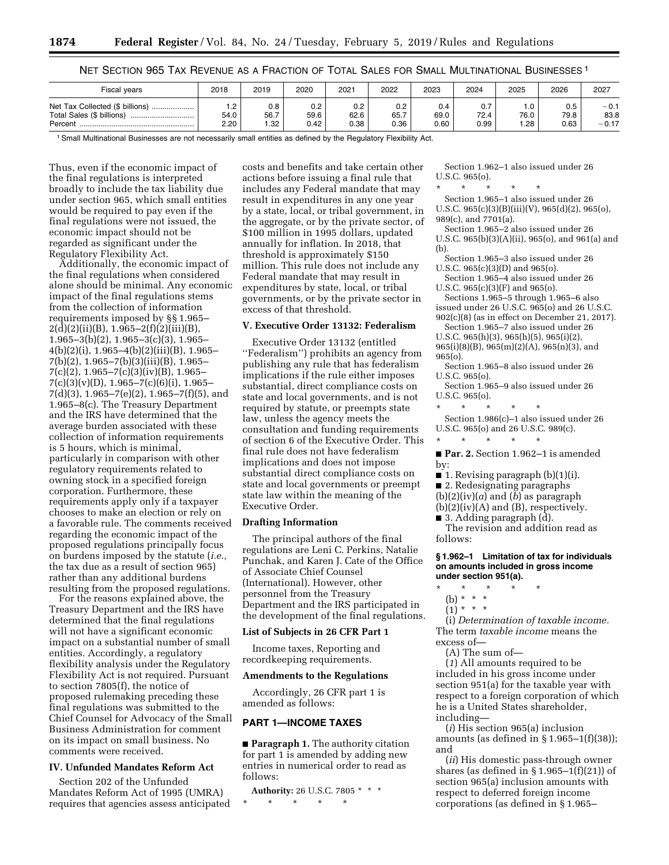|  |  |  |  |  |  | NET SECTION 965 TAX REVENUE AS A FRACTION OF TOTAL SALES FOR SMALL MULTINATIONAL BUSINESSES <sup>1</sup> |  |  |
|--|--|--|--|--|--|----------------------------------------------------------------------------------------------------------|--|--|
|  |  |  |  |  |  |                                                                                                          |  |  |

| <b>Fiscal years</b>                                                          | 2018         | 2019               | 2020                | 2021                | 2022                | 2023                | 2024                | 2025        | 2026                | 2027                      |
|------------------------------------------------------------------------------|--------------|--------------------|---------------------|---------------------|---------------------|---------------------|---------------------|-------------|---------------------|---------------------------|
| Net Tax Collected (\$ billions).<br>Total Sales (\$ billions)<br><br>Percent | 54.0<br>2.20 | 0.8<br>56.7<br>.32 | 0.2<br>59.6<br>0.42 | 0.2<br>62.6<br>0.38 | 0.2<br>65.7<br>0.36 | 0.4<br>69.0<br>0.60 | 0.7<br>72.4<br>0.99 | 76.0<br>.28 | 0.5<br>79.8<br>0.63 | $-0.1$<br>83.8<br>$-0.17$ |

1Small Multinational Businesses are not necessarily small entities as defined by the Regulatory Flexibility Act.

Thus, even if the economic impact of the final regulations is interpreted broadly to include the tax liability due under section 965, which small entities would be required to pay even if the final regulations were not issued, the economic impact should not be regarded as significant under the Regulatory Flexibility Act.

Additionally, the economic impact of the final regulations when considered alone should be minimal. Any economic impact of the final regulations stems from the collection of information requirements imposed by §§ 1.965–  $2(\bar{d})(2)(ii)(B), 1.965-2(f)(2)(iii)(B),$ 1.965–3(b)(2), 1.965–3(c)(3), 1.965– 4(b)(2)(i), 1.965–4(b)(2)(iii)(B), 1.965– 7(b)(2), 1.965–7(b)(3)(iii)(B), 1.965– 7(c)(2), 1.965–7(c)(3)(iv)(B), 1.965–  $7(c)(3)(v)(D), 1.965-7(c)(6)(i), 1.965 7(d)(3)$ , 1.965–7(e)(2), 1.965–7(f)(5), and 1.965–8(c). The Treasury Department and the IRS have determined that the average burden associated with these collection of information requirements is 5 hours, which is minimal, particularly in comparison with other regulatory requirements related to owning stock in a specified foreign corporation. Furthermore, these requirements apply only if a taxpayer chooses to make an election or rely on a favorable rule. The comments received regarding the economic impact of the proposed regulations principally focus on burdens imposed by the statute (*i.e.,*  the tax due as a result of section 965) rather than any additional burdens resulting from the proposed regulations.

For the reasons explained above, the Treasury Department and the IRS have determined that the final regulations will not have a significant economic impact on a substantial number of small entities. Accordingly, a regulatory flexibility analysis under the Regulatory Flexibility Act is not required. Pursuant to section 7805(f), the notice of proposed rulemaking preceding these final regulations was submitted to the Chief Counsel for Advocacy of the Small Business Administration for comment on its impact on small business. No comments were received.

# **IV. Unfunded Mandates Reform Act**

Section 202 of the Unfunded Mandates Reform Act of 1995 (UMRA) requires that agencies assess anticipated

costs and benefits and take certain other actions before issuing a final rule that includes any Federal mandate that may result in expenditures in any one year by a state, local, or tribal government, in the aggregate, or by the private sector, of \$100 million in 1995 dollars, updated annually for inflation. In 2018, that threshold is approximately \$150 million. This rule does not include any Federal mandate that may result in expenditures by state, local, or tribal governments, or by the private sector in excess of that threshold.

### **V. Executive Order 13132: Federalism**

Executive Order 13132 (entitled ''Federalism'') prohibits an agency from publishing any rule that has federalism implications if the rule either imposes substantial, direct compliance costs on state and local governments, and is not required by statute, or preempts state law, unless the agency meets the consultation and funding requirements of section 6 of the Executive Order. This final rule does not have federalism implications and does not impose substantial direct compliance costs on state and local governments or preempt state law within the meaning of the Executive Order.

### **Drafting Information**

The principal authors of the final regulations are Leni C. Perkins, Natalie Punchak, and Karen J. Cate of the Office of Associate Chief Counsel (International). However, other personnel from the Treasury Department and the IRS participated in the development of the final regulations.

### **List of Subjects in 26 CFR Part 1**

Income taxes, Reporting and recordkeeping requirements.

#### **Amendments to the Regulations**

Accordingly, 26 CFR part 1 is amended as follows:

## **PART 1—INCOME TAXES**

■ **Paragraph 1.** The authority citation for part 1 is amended by adding new entries in numerical order to read as follows:

**Authority:** 26 U.S.C. 7805 \* \* \* \* \* \* \* \*

Section 1.962–1 also issued under 26 U.S.C. 965(o).

\* \* \* \* \* Section 1.965–1 also issued under 26 U.S.C. 965(c)(3)(B)(iii)(V), 965(d)(2), 965(o), 989(c), and 7701(a).

Section 1.965–2 also issued under 26 U.S.C. 965(b)(3)(A)(ii), 965(o), and 961(a) and (b).

Section 1.965–3 also issued under 26 U.S.C. 965(c)(3)(D) and 965(o).

Section 1.965–4 also issued under 26 U.S.C. 965(c)(3)(F) and 965(o).

Sections 1.965–5 through 1.965–6 also issued under 26 U.S.C. 965(o) and 26 U.S.C. 902(c)(8) (as in effect on December 21, 2017).

Section 1.965–7 also issued under 26

U.S.C. 965(h)(3), 965(h)(5), 965(i)(2),

965(i)(8)(B), 965(m)(2)(A), 965(n)(3), and 965(o).

Section 1.965–8 also issued under 26 U.S.C. 965(o).

Section 1.965–9 also issued under 26 U.S.C. 965(o).

\* \* \* \* \* Section 1.986(c)–1 also issued under 26 U.S.C. 965(o) and 26 U.S.C. 989(c).

\* \* \* \* \*

■ **Par. 2.** Section 1.962–1 is amended by:

 $\blacksquare$  1. Revising paragraph (b)(1)(i).

■ 2. Redesignating paragraphs

(b)(2)(iv)(*a*) and (*b*) as paragraph

 $(b)(2)(iv)(A)$  and  $(B)$ , respectively. ■ 3. Adding paragraph (d).

The revision and addition read as follows:

### **§ 1.962–1 Limitation of tax for individuals on amounts included in gross income under section 951(a).**

- \* \* \* \* \*
- (b) \* \* \*
- $(1)^*$  \* \* \*

(i) *Determination of taxable income.*  The term *taxable income* means the excess of—

(A) The sum of—

(*1*) All amounts required to be included in his gross income under section 951(a) for the taxable year with respect to a foreign corporation of which he is a United States shareholder, including—

(*i*) His section 965(a) inclusion amounts (as defined in  $\S 1.965-1(f)(38)$ ); and

(*ii*) His domestic pass-through owner shares (as defined in  $\S 1.965-1(f)(21)$ ) of section 965(a) inclusion amounts with respect to deferred foreign income corporations (as defined in § 1.965–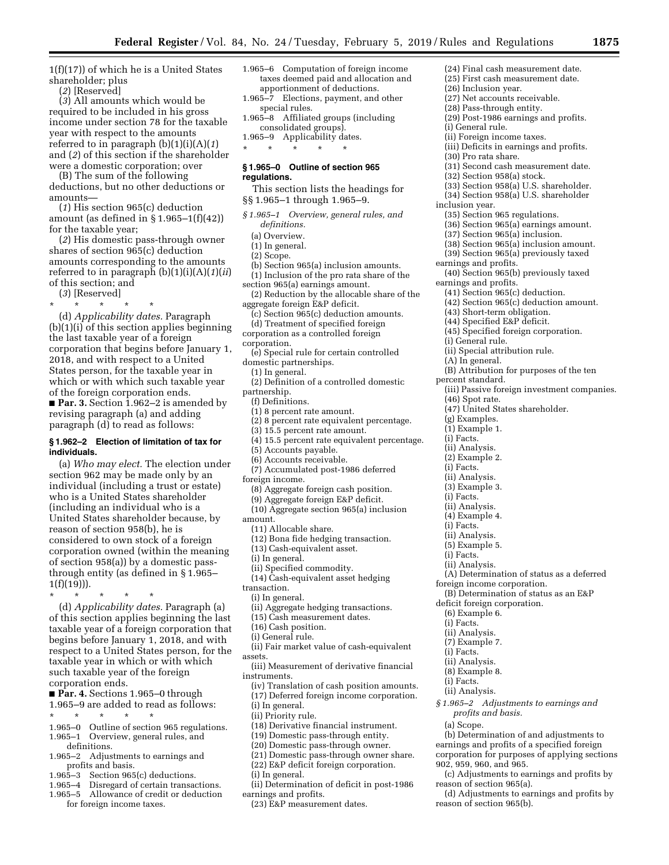1(f)(17)) of which he is a United States shareholder; plus

(*2*) [Reserved]

(*3*) All amounts which would be required to be included in his gross income under section 78 for the taxable year with respect to the amounts referred to in paragraph (b)(1)(i)(A)(*1*) and (*2*) of this section if the shareholder were a domestic corporation; over

(B) The sum of the following deductions, but no other deductions or amounts—

(*1*) His section 965(c) deduction amount (as defined in  $\S 1.965-1(f)(42)$ ) for the taxable year;

(*2*) His domestic pass-through owner shares of section 965(c) deduction amounts corresponding to the amounts referred to in paragraph (b)(1)(i)(A)(*1*)(*ii*) of this section; and

(*3*) [Reserved]

\* \* \* \* \* (d) *Applicability dates.* Paragraph (b)(1)(i) of this section applies beginning the last taxable year of a foreign corporation that begins before January 1, 2018, and with respect to a United States person, for the taxable year in which or with which such taxable year of the foreign corporation ends.

■ **Par. 3.** Section 1.962–2 is amended by revising paragraph (a) and adding paragraph (d) to read as follows:

### **§ 1.962–2 Election of limitation of tax for individuals.**

(a) *Who may elect.* The election under section 962 may be made only by an individual (including a trust or estate) who is a United States shareholder (including an individual who is a United States shareholder because, by reason of section 958(b), he is considered to own stock of a foreign corporation owned (within the meaning of section 958(a)) by a domestic passthrough entity (as defined in § 1.965–  $1(f)(19))$ .

\* \* \* \* \* (d) *Applicability dates.* Paragraph (a) of this section applies beginning the last taxable year of a foreign corporation that begins before January 1, 2018, and with respect to a United States person, for the taxable year in which or with which such taxable year of the foreign corporation ends.

■ **Par. 4.** Sections 1.965–0 through 1.965–9 are added to read as follows:

- 
- \* \* \* \* \*
- 1.965–0 Outline of section 965 regulations. 1.965–1 Overview, general rules, and definitions.
- 1.965–2 Adjustments to earnings and
- profits and basis.
- 1.965–3 Section 965(c) deductions.
- 1.965–4 Disregard of certain transactions.
- 1.965–5 Allowance of credit or deduction for foreign income taxes.
- 1.965–6 Computation of foreign income taxes deemed paid and allocation and apportionment of deductions.
- 1.965–7 Elections, payment, and other special rules.
- 1.965–8 Affiliated groups (including consolidated groups).
- 1.965–9 Applicability dates. \* \* \* \* \*

### **§ 1.965–0 Outline of section 965 regulations.**

- This section lists the headings for §§ 1.965–1 through 1.965–9.
- *§ 1.965–1 Overview, general rules, and definitions.* 
	- (a) Overview.
	- (1) In general.
	- (2) Scope.
- (b) Section 965(a) inclusion amounts.
- (1) Inclusion of the pro rata share of the
- section 965(a) earnings amount. (2) Reduction by the allocable share of the aggregate foreign E&P deficit.
- (c) Section 965(c) deduction amounts. (d) Treatment of specified foreign
- corporation as a controlled foreign
- corporation.
- (e) Special rule for certain controlled domestic partnerships.
- (1) In general.
- (2) Definition of a controlled domestic partnership.
- (f) Definitions.
- (1) 8 percent rate amount.
- (2) 8 percent rate equivalent percentage.
- (3) 15.5 percent rate amount.
- (4) 15.5 percent rate equivalent percentage.
- (5) Accounts payable.
- (6) Accounts receivable.
- (7) Accumulated post-1986 deferred
- foreign income.
	- (8) Aggregate foreign cash position.
	- (9) Aggregate foreign E&P deficit.
- (10) Aggregate section 965(a) inclusion amount.
- (11) Allocable share.
- (12) Bona fide hedging transaction.
- (13) Cash-equivalent asset.
- (i) In general.
- (ii) Specified commodity.
- (14) Cash-equivalent asset hedging
- transaction.
- (i) In general.
- (ii) Aggregate hedging transactions.
- (15) Cash measurement dates.
- (16) Cash position.
- (i) General rule.
- (ii) Fair market value of cash-equivalent assets.
- (iii) Measurement of derivative financial instruments.
- (iv) Translation of cash position amounts.
- (17) Deferred foreign income corporation.
- (i) In general.
- (ii) Priority rule.
- (18) Derivative financial instrument.
- (19) Domestic pass-through entity.
- (20) Domestic pass-through owner.
- (21) Domestic pass-through owner share. (22) E&P deficit foreign corporation.
- (i) In general.
- (ii) Determination of deficit in post-1986 earnings and profits.
- (23) E&P measurement dates.
- (24) Final cash measurement date.
- (25) First cash measurement date.
- (26) Inclusion year.
- (27) Net accounts receivable.
- (28) Pass-through entity.
- (29) Post-1986 earnings and profits.
- (i) General rule.
- (ii) Foreign income taxes.
- (iii) Deficits in earnings and profits.
- (30) Pro rata share.
- (31) Second cash measurement date.
- (32) Section 958(a) stock.
- (33) Section 958(a) U.S. shareholder.
- (34) Section 958(a) U.S. shareholder
- inclusion year.
	- (35) Section 965 regulations.
	- (36) Section 965(a) earnings amount.
	- (37) Section 965(a) inclusion.
	- (38) Section 965(a) inclusion amount.

(42) Section 965(c) deduction amount.

(B) Attribution for purposes of the ten

(iii) Passive foreign investment companies.

(A) Determination of status as a deferred

(B) Determination of status as an E&P

*§ 1.965–2 Adjustments to earnings and* 

(b) Determination of and adjustments to earnings and profits of a specified foreign corporation for purposes of applying sections

(c) Adjustments to earnings and profits by

(d) Adjustments to earnings and profits by

foreign income corporation.

deficit foreign corporation. (6) Example 6. (i) Facts. (ii) Analysis. (7) Example 7. (i) Facts. (ii) Analysis. (8) Example 8. (i) Facts. (ii) Analysis.

*profits and basis.* 

902, 959, 960, and 965.

reason of section 965(a).

reason of section 965(b).

(a) Scope.

- (39) Section 965(a) previously taxed earnings and profits.
- (40) Section 965(b) previously taxed earnings and profits.
- (41) Section 965(c) deduction.

(43) Short-term obligation. (44) Specified E&P deficit. (45) Specified foreign corporation.

(ii) Special attribution rule.

(47) United States shareholder.

(i) General rule.

(A) In general.

percent standard.

(46) Spot rate.

(g) Examples. (1) Example 1. (i) Facts. (ii) Analysis. (2) Example 2. (i) Facts. (ii) Analysis. (3) Example 3. (i) Facts. (ii) Analysis. (4) Example 4. (i) Facts. (ii) Analysis. (5) Example 5. (i) Facts. (ii) Analysis.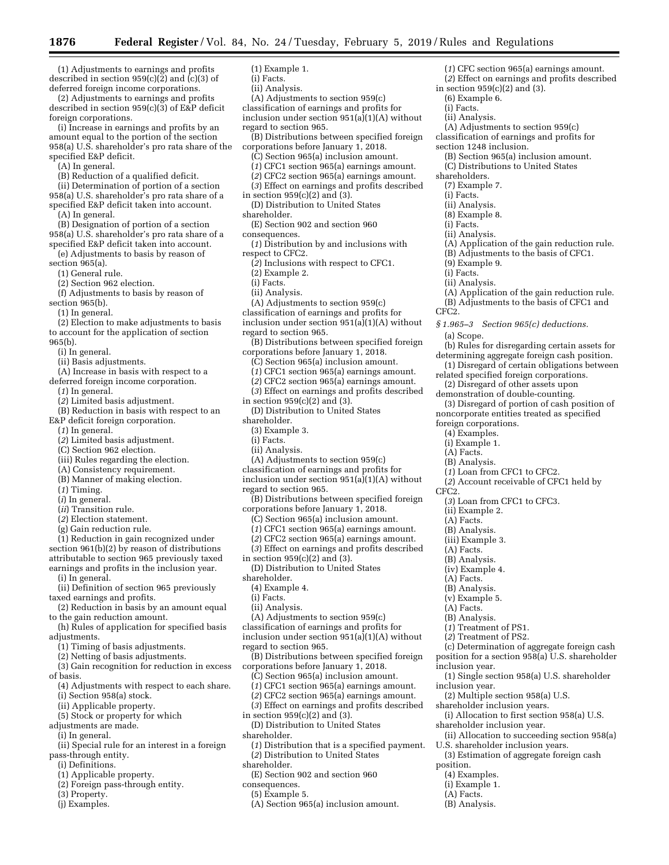**1876 Federal Register** / Vol. 84, No. 24 / Tuesday, February 5, 2019 / Rules and Regulations

(1) Adjustments to earnings and profits described in section  $959(c)(2)$  and  $(c)(3)$  of deferred foreign income corporations.

(2) Adjustments to earnings and profits described in section 959(c)(3) of E&P deficit foreign corporations.

(i) Increase in earnings and profits by an amount equal to the portion of the section 958(a) U.S. shareholder's pro rata share of the specified E&P deficit.

(A) In general.

(B) Reduction of a qualified deficit.

(ii) Determination of portion of a section 958(a) U.S. shareholder's pro rata share of a specified E&P deficit taken into account.

(A) In general.

- (B) Designation of portion of a section 958(a) U.S. shareholder's pro rata share of a specified E&P deficit taken into account.
- (e) Adjustments to basis by reason of  $section 965(a)$ .

(1) General rule.

(2) Section 962 election.

(f) Adjustments to basis by reason of section 965(b).

(1) In general.

(2) Election to make adjustments to basis

to account for the application of section 965(b).

(i) In general.

- (ii) Basis adjustments.
- (A) Increase in basis with respect to a deferred foreign income corporation.
	- (*1*) In general.
	- (*2*) Limited basis adjustment.
	- (B) Reduction in basis with respect to an
- E&P deficit foreign corporation.
	- (*1*) In general.
	- (*2*) Limited basis adjustment.
	- (C) Section 962 election.
	- (iii) Rules regarding the election.
	- (A) Consistency requirement.
	- (B) Manner of making election.
	- (*1*) Timing.
	- (*i*) In general.
	- (*ii*) Transition rule.
	- (*2*) Election statement.
	- (g) Gain reduction rule.

(1) Reduction in gain recognized under section 961(b)(2) by reason of distributions attributable to section 965 previously taxed earnings and profits in the inclusion year.

- (i) In general.
- (ii) Definition of section 965 previously taxed earnings and profits.
- (2) Reduction in basis by an amount equal to the gain reduction amount.
- (h) Rules of application for specified basis adjustments.
- (1) Timing of basis adjustments.
- (2) Netting of basis adjustments.
- (3) Gain recognition for reduction in excess of basis.
- (4) Adjustments with respect to each share.
- (i) Section 958(a) stock.
- (ii) Applicable property.
- (5) Stock or property for which
- adjustments are made.
- (i) In general.
- (ii) Special rule for an interest in a foreign pass-through entity.
- (i) Definitions.
- (1) Applicable property.
- (2) Foreign pass-through entity.
- (3) Property.
- (j) Examples.
- (1) Example 1.
- (i) Facts.
- (ii) Analysis.
- (A) Adjustments to section 959(c)

classification of earnings and profits for inclusion under section  $951(a)(A)$  without regard to section 965.

(*1*) CFC section 965(a) earnings amount. (*2*) Effect on earnings and profits described

(A) Adjustments to section 959(c) classification of earnings and profits for

(B) Section 965(a) inclusion amount. (C) Distributions to United States

(A) Application of the gain reduction rule. (B) Adjustments to the basis of CFC1.

(A) Application of the gain reduction rule. (B) Adjustments to the basis of CFC1 and

(b) Rules for disregarding certain assets for determining aggregate foreign cash position. (1) Disregard of certain obligations between related specified foreign corporations. (2) Disregard of other assets upon demonstration of double-counting.

(3) Disregard of portion of cash position of noncorporate entities treated as specified

(*2*) Account receivable of CFC1 held by

(c) Determination of aggregate foreign cash position for a section 958(a) U.S. shareholder

(1) Single section 958(a) U.S. shareholder

(i) Allocation to first section 958(a) U.S.

(3) Estimation of aggregate foreign cash

(ii) Allocation to succeeding section 958(a)

(2) Multiple section 958(a) U.S. shareholder inclusion years.

shareholder inclusion year.

U.S. shareholder inclusion years.

*§ 1.965–3 Section 965(c) deductions.* 

in section 959(c)(2) and (3). (6) Example 6. (i) Facts. (ii) Analysis.

section 1248 inclusion.

shareholders. (7) Example 7. (i) Facts. (ii) Analysis. (8) Example 8. (i) Facts. (ii) Analysis.

> (9) Example 9. (i) Facts. (ii) Analysis.

CFC2.

CFC2.

(a) Scope.

foreign corporations. (4) Examples. (i) Example 1. (A) Facts. (B) Analysis.

(ii) Example 2. (A) Facts. (B) Analysis. (iii) Example 3. (A) Facts. (B) Analysis. (iv) Example 4. (A) Facts. (B) Analysis. (v) Example 5. (A) Facts. (B) Analysis. (*1*) Treatment of PS1. (*2*) Treatment of PS2.

inclusion year.

inclusion year.

position. (4) Examples. (i) Example 1. (A) Facts. (B) Analysis.

(*1*) Loan from CFC1 to CFC2.

(*3*) Loan from CFC1 to CFC3.

- (B) Distributions between specified foreign corporations before January 1, 2018.
- 
- (C) Section 965(a) inclusion amount.
- (*1*) CFC1 section 965(a) earnings amount. (*2*) CFC2 section 965(a) earnings amount.
- 
- (*3*) Effect on earnings and profits described
- in section  $959(c)(2)$  and  $(3)$ . (D) Distribution to United States
- shareholder.
- (E) Section 902 and section 960
- consequences.
- (*1*) Distribution by and inclusions with respect to CFC2.
- (*2*) Inclusions with respect to CFC1.
- (2) Example 2.
- (i) Facts.
- (ii) Analysis.
- (A) Adjustments to section 959(c)
- classification of earnings and profits for
- inclusion under section  $951(a)(A)$  without regard to section 965.
- (B) Distributions between specified foreign corporations before January 1, 2018.
	- (C) Section 965(a) inclusion amount.
	- (*1*) CFC1 section 965(a) earnings amount.
	- (*2*) CFC2 section 965(a) earnings amount.
	- (*3*) Effect on earnings and profits described
- in section  $959(c)(2)$  and  $(3)$ .
- (D) Distribution to United States
- shareholder.
- (3) Example 3.
- (i) Facts.
- (ii) Analysis.
- (A) Adjustments to section 959(c) classification of earnings and profits for

inclusion under section  $951(a)(A)$  without regard to section 965.

- (B) Distributions between specified foreign corporations before January 1, 2018.
	- (C) Section 965(a) inclusion amount.
	- (*1*) CFC1 section 965(a) earnings amount.
	- (*2*) CFC2 section 965(a) earnings amount.

(B) Distributions between specified foreign

(*1*) Distribution that is a specified payment.

- (*3*) Effect on earnings and profits described
- in section  $959(c)(2)$  and  $(3)$ .
- (D) Distribution to United States

(A) Adjustments to section 959(c) classification of earnings and profits for inclusion under section  $951(a)(A)$  without

corporations before January 1, 2018. (C) Section 965(a) inclusion amount. (*1*) CFC1 section 965(a) earnings amount. (*2*) CFC2 section 965(a) earnings amount. (*3*) Effect on earnings and profits described

(*2*) Distribution to United States

(E) Section 902 and section 960

(A) Section 965(a) inclusion amount.

- shareholder.
- (4) Example 4.

regard to section 965.

in section 959(c)(2) and (3). (D) Distribution to United States

(i) Facts. (ii) Analysis.

shareholder.

shareholder.

consequences. (5) Example 5.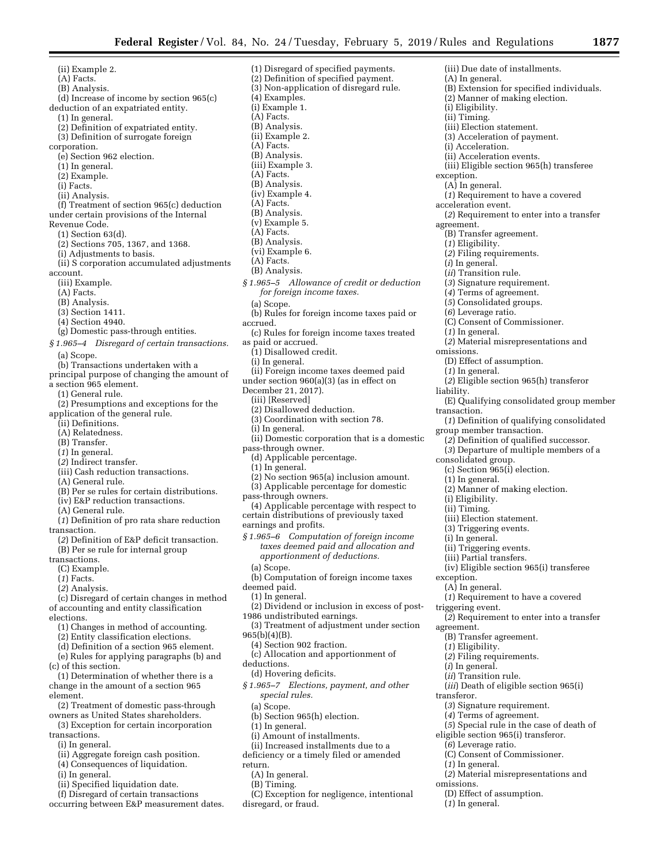(ii) Example 2. (A) Facts. (B) Analysis. (d) Increase of income by section 965(c) deduction of an expatriated entity. (1) In general. (2) Definition of expatriated entity. (3) Definition of surrogate foreign corporation. (e) Section 962 election. (1) In general. (2) Example. (i) Facts. (ii) Analysis. (f) Treatment of section 965(c) deduction under certain provisions of the Internal Revenue Code. (1) Section 63(d). (2) Sections 705, 1367, and 1368. (i) Adjustments to basis. (ii) S corporation accumulated adjustments account. (iii) Example. (A) Facts. (B) Analysis. (3) Section 1411. (4) Section 4940. (g) Domestic pass-through entities. *§ 1.965–4 Disregard of certain transactions.*  (a) Scope. (b) Transactions undertaken with a principal purpose of changing the amount of a section 965 element. (1) General rule. (2) Presumptions and exceptions for the application of the general rule. (ii) Definitions. (A) Relatedness. (B) Transfer. (*1*) In general. (*2*) Indirect transfer. (iii) Cash reduction transactions. (A) General rule. (B) Per se rules for certain distributions. (iv) E&P reduction transactions. (A) General rule. (*1*) Definition of pro rata share reduction transaction. (*2*) Definition of E&P deficit transaction. (B) Per se rule for internal group transactions. (C) Example. (*1*) Facts. (*2*) Analysis. (c) Disregard of certain changes in method of accounting and entity classification elections. (1) Changes in method of accounting. (2) Entity classification elections. (d) Definition of a section 965 element. (e) Rules for applying paragraphs (b) and (c) of this section. (1) Determination of whether there is a change in the amount of a section 965 element. (2) Treatment of domestic pass-through owners as United States shareholders. (3) Exception for certain incorporation

- transactions.
- (i) In general.
- (ii) Aggregate foreign cash position.
- (4) Consequences of liquidation.
- (i) In general.
- (ii) Specified liquidation date.
- (f) Disregard of certain transactions
- occurring between E&P measurement dates.

(1) Disregard of specified payments. (2) Definition of specified payment. (3) Non-application of disregard rule. (4) Examples. (i) Example 1. (A) Facts. (B) Analysis. (ii) Example 2. (A) Facts. (B) Analysis. (iii) Example 3. (A) Facts. (B) Analysis. (iv) Example 4. (A) Facts. (B) Analysis. (v) Example 5. (A) Facts. (B) Analysis. (vi) Example 6. (A) Facts. (B) Analysis. *§ 1.965–5 Allowance of credit or deduction for foreign income taxes.*  (a) Scope. (b) Rules for foreign income taxes paid or accrued. (c) Rules for foreign income taxes treated as paid or accrued. (1) Disallowed credit. (i) In general. (ii) Foreign income taxes deemed paid under section 960(a)(3) (as in effect on December 21, 2017). (iii) [Reserved] (2) Disallowed deduction. (3) Coordination with section 78. (i) In general. (ii) Domestic corporation that is a domestic pass-through owner. (d) Applicable percentage. (1) In general. (2) No section 965(a) inclusion amount. (3) Applicable percentage for domestic pass-through owners. (4) Applicable percentage with respect to certain distributions of previously taxed earnings and profits. *§ 1.965–6 Computation of foreign income taxes deemed paid and allocation and apportionment of deductions.*  (a) Scope. (b) Computation of foreign income taxes deemed paid. (1) In general. (2) Dividend or inclusion in excess of post-1986 undistributed earnings. (3) Treatment of adjustment under section 965(b)(4)(B). (4) Section 902 fraction. (c) Allocation and apportionment of deductions. (d) Hovering deficits. *§ 1.965–7 Elections, payment, and other special rules.*  (a) Scope. (b) Section 965(h) election. (1) In general. (i) Amount of installments. (ii) Increased installments due to a deficiency or a timely filed or amended return.

(A) In general. (B) Timing.

disregard, or fraud.

(C) Exception for negligence, intentional

(A) In general. (B) Extension for specified individuals. (2) Manner of making election. (i) Eligibility. (ii) Timing. (iii) Election statement. (3) Acceleration of payment. (i) Acceleration. (ii) Acceleration events. (iii) Eligible section 965(h) transferee exception. (A) In general. (*1*) Requirement to have a covered acceleration event. (*2*) Requirement to enter into a transfer agreement. (B) Transfer agreement. (*1*) Eligibility. (*2*) Filing requirements. (*i*) In general. (*ii*) Transition rule. (*3*) Signature requirement. (*4*) Terms of agreement. (*5*) Consolidated groups. (*6*) Leverage ratio. (C) Consent of Commissioner. (*1*) In general. (*2*) Material misrepresentations and omissions. (D) Effect of assumption. (*1*) In general. (*2*) Eligible section 965(h) transferor liability. (E) Qualifying consolidated group member transaction. (*1*) Definition of qualifying consolidated group member transaction. (*2*) Definition of qualified successor. (*3*) Departure of multiple members of a consolidated group. (c) Section 965(i) election. (1) In general. (2) Manner of making election. (i) Eligibility. (ii) Timing. (iii) Election statement. (3) Triggering events. (i) In general. (ii) Triggering events. (iii) Partial transfers. (iv) Eligible section 965(i) transferee exception. (A) In general. (*1*) Requirement to have a covered triggering event. (*2*) Requirement to enter into a transfer agreement. (B) Transfer agreement. (*1*) Eligibility. (*2*) Filing requirements. (*i*) In general. (*ii*) Transition rule. (*iii*) Death of eligible section 965(i) transferor. (*3*) Signature requirement. (*4*) Terms of agreement. (*5*) Special rule in the case of death of eligible section 965(i) transferor. (*6*) Leverage ratio. (C) Consent of Commissioner. (*1*) In general. (*2*) Material misrepresentations and omissions.

(iii) Due date of installments.

- (D) Effect of assumption.
- (*1*) In general.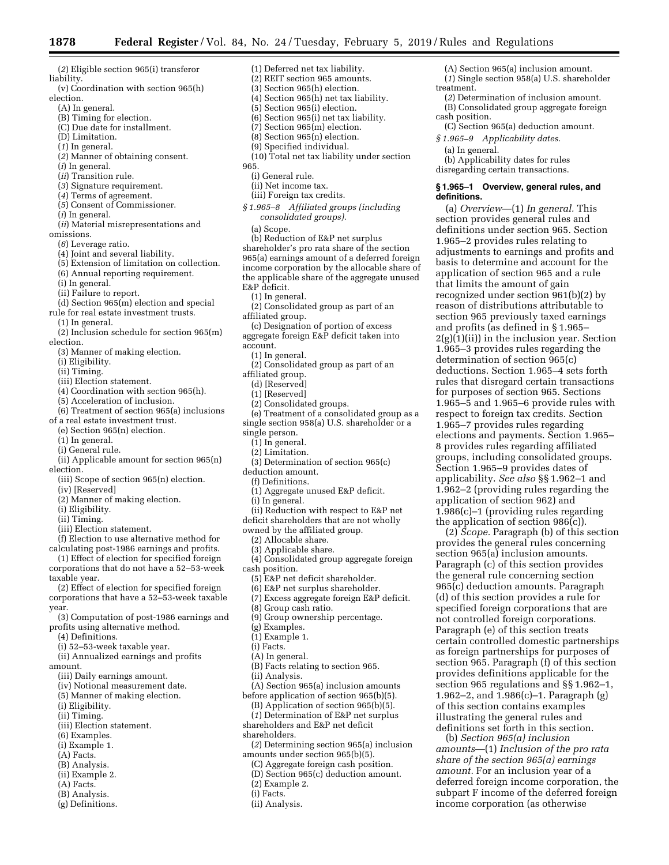- (*2*) Eligible section 965(i) transferor liability.
- (v) Coordination with section 965(h) election.
	- (A) In general.
	- (B) Timing for election.
	- (C) Due date for installment.
	- (D) Limitation.
	- (*1*) In general.
	- (*2*) Manner of obtaining consent.
	- (*i*) In general.
	- (*ii*) Transition rule.
	- (*3*) Signature requirement.
	-
	- (*4*) Terms of agreement.
	- (*5*) Consent of Commissioner.
- (*i*) In general.
- (*ii*) Material misrepresentations and omissions.
- (*6*) Leverage ratio.
- (4) Joint and several liability.
- (5) Extension of limitation on collection.
- (6) Annual reporting requirement.
- (i) In general.
- (ii) Failure to report.
- (d) Section 965(m) election and special rule for real estate investment trusts.
- (1) In general.
- (2) Inclusion schedule for section 965(m) election.
- (3) Manner of making election.
- (i) Eligibility.
- (ii) Timing.
- (iii) Election statement.
- (4) Coordination with section 965(h).
- (5) Acceleration of inclusion.
- (6) Treatment of section 965(a) inclusions
- of a real estate investment trust.
- (e) Section 965(n) election.
- (1) In general.
- (i) General rule.
- (ii) Applicable amount for section 965(n) election.
	- (iii) Scope of section 965(n) election.
- (iv) [Reserved]
- (2) Manner of making election.
- (i) Eligibility.
- (ii) Timing.
- (iii) Election statement.
- (f) Election to use alternative method for calculating post-1986 earnings and profits.
- (1) Effect of election for specified foreign corporations that do not have a 52–53-week
- taxable year. (2) Effect of election for specified foreign corporations that have a 52–53-week taxable
- year. (3) Computation of post-1986 earnings and
- profits using alternative method.
- (4) Definitions.
- (i) 52–53-week taxable year.
- (ii) Annualized earnings and profits
- amount.
	- (iii) Daily earnings amount.
	- (iv) Notional measurement date.
	- (5) Manner of making election.
	- (i) Eligibility.
	- (ii) Timing.
	- (iii) Election statement.
	- (6) Examples.
	-
	- (i) Example 1.
	- (A) Facts.
	- (B) Analysis.
	- (ii) Example 2.
	- (A) Facts.
	- (B) Analysis.
	- (g) Definitions.
- (1) Deferred net tax liability. (2) REIT section 965 amounts.
- (3) Section 965(h) election.
- (4) Section 965(h) net tax liability.
- (5) Section 965(i) election.
- (6) Section 965(i) net tax liability.
- (7) Section 965(m) election.
- (8) Section 965(n) election.
- (9) Specified individual.
- (10) Total net tax liability under section

(A) Section 965(a) inclusion amount. (*1*) Single section 958(a) U.S. shareholder

(*2*) Determination of inclusion amount. (B) Consolidated group aggregate foreign

(C) Section 965(a) deduction amount.

**§ 1.965–1 Overview, general rules, and** 

(a) *Overview*—(1) *In general.* This section provides general rules and definitions under section 965. Section 1.965–2 provides rules relating to adjustments to earnings and profits and basis to determine and account for the application of section 965 and a rule that limits the amount of gain recognized under section 961(b)(2) by reason of distributions attributable to section 965 previously taxed earnings and profits (as defined in § 1.965–  $2(g)(1)(ii)$  in the inclusion year. Section 1.965–3 provides rules regarding the determination of section 965(c) deductions. Section 1.965–4 sets forth rules that disregard certain transactions for purposes of section 965. Sections 1.965–5 and 1.965–6 provide rules with respect to foreign tax credits. Section 1.965–7 provides rules regarding elections and payments. Section 1.965– 8 provides rules regarding affiliated groups, including consolidated groups. Section 1.965–9 provides dates of applicability. *See also* §§ 1.962–1 and 1.962–2 (providing rules regarding the application of section 962) and 1.986(c)–1 (providing rules regarding the application of section 986(c)).

(2) *Scope.* Paragraph (b) of this section provides the general rules concerning section 965(a) inclusion amounts. Paragraph (c) of this section provides the general rule concerning section 965(c) deduction amounts. Paragraph (d) of this section provides a rule for specified foreign corporations that are not controlled foreign corporations. Paragraph (e) of this section treats certain controlled domestic partnerships as foreign partnerships for purposes of section 965. Paragraph (f) of this section provides definitions applicable for the section 965 regulations and §§ 1.962–1, 1.962–2, and 1.986(c)–1. Paragraph (g) of this section contains examples illustrating the general rules and definitions set forth in this section. (b) *Section 965(a) inclusion amounts*—(1) *Inclusion of the pro rata share of the section 965(a) earnings amount.* For an inclusion year of a deferred foreign income corporation, the subpart F income of the deferred foreign income corporation (as otherwise

*§ 1.965–9 Applicability dates.* 

(b) Applicability dates for rules disregarding certain transactions.

treatment.

cash position.

**definitions.** 

(a) In general.

- 965.
	- (i) General rule.
	- (ii) Net income tax.
	- (iii) Foreign tax credits.
- *§ 1.965–8 Affiliated groups (including consolidated groups).* 
	- (a) Scope.

(b) Reduction of E&P net surplus shareholder's pro rata share of the section 965(a) earnings amount of a deferred foreign income corporation by the allocable share of the applicable share of the aggregate unused E&P deficit.

- (1) In general.
- (2) Consolidated group as part of an affiliated group.
- (c) Designation of portion of excess
- aggregate foreign E&P deficit taken into
- account.
- (1) In general.
- (2) Consolidated group as part of an
- affiliated group.
	- (d) [Reserved]
	- (1) [Reserved]
	- (2) Consolidated groups.
- (e) Treatment of a consolidated group as a single section 958(a) U.S. shareholder or a
- single person.
- (1) In general.
- (2) Limitation.

deduction amount. (f) Definitions.

(i) In general.

cash position.

(3) Determination of section 965(c)

(1) Aggregate unused E&P deficit.

(5) E&P net deficit shareholder. (6) E&P net surplus shareholder. (7) Excess aggregate foreign E&P deficit.

(9) Group ownership percentage.

(B) Facts relating to section 965.

amounts under section 965(b)(5). (C) Aggregate foreign cash position. (D) Section 965(c) deduction amount.

(A) Section 965(a) inclusion amounts before application of section 965(b)(5). (B) Application of section 965(b)(5). (*1*) Determination of E&P net surplus shareholders and E&P net deficit

(*2*) Determining section 965(a) inclusion

(8) Group cash ratio.

(g) Examples. (1) Example 1. (i) Facts. (A) In general.

(ii) Analysis.

shareholders.

(2) Example 2. (i) Facts. (ii) Analysis.

(ii) Reduction with respect to E&P net deficit shareholders that are not wholly owned by the affiliated group. (2) Allocable share. (3) Applicable share.

(4) Consolidated group aggregate foreign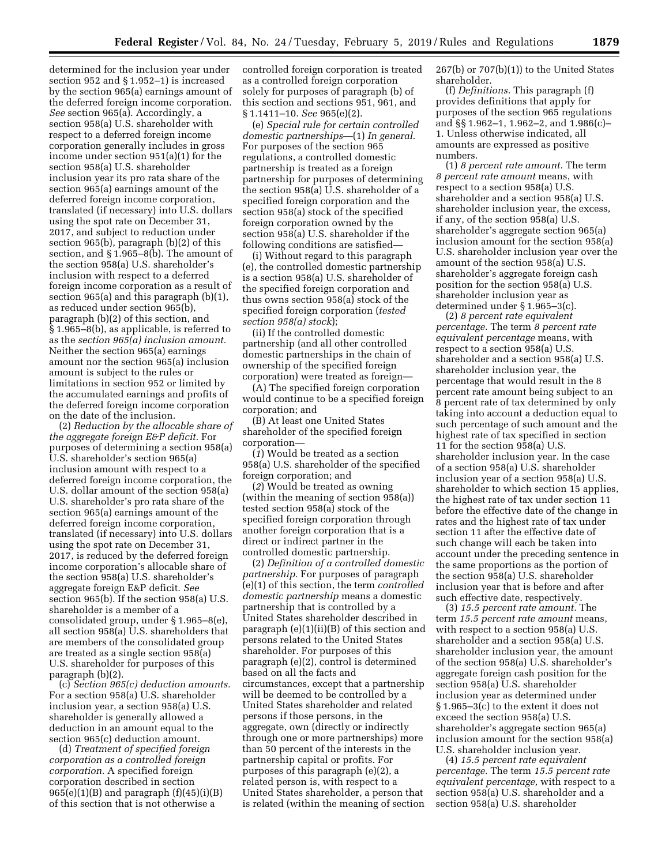determined for the inclusion year under section 952 and § 1.952–1) is increased by the section 965(a) earnings amount of the deferred foreign income corporation. *See* section 965(a). Accordingly, a section 958(a) U.S. shareholder with respect to a deferred foreign income corporation generally includes in gross income under section 951(a)(1) for the section 958(a) U.S. shareholder inclusion year its pro rata share of the section 965(a) earnings amount of the deferred foreign income corporation, translated (if necessary) into U.S. dollars using the spot rate on December 31, 2017, and subject to reduction under section 965(b), paragraph (b)(2) of this section, and § 1.965–8(b). The amount of the section 958(a) U.S. shareholder's inclusion with respect to a deferred foreign income corporation as a result of section 965(a) and this paragraph (b)(1), as reduced under section 965(b), paragraph (b)(2) of this section, and § 1.965–8(b), as applicable, is referred to as the *section 965(a) inclusion amount.*  Neither the section 965(a) earnings amount nor the section 965(a) inclusion amount is subject to the rules or limitations in section 952 or limited by the accumulated earnings and profits of the deferred foreign income corporation on the date of the inclusion.

(2) *Reduction by the allocable share of the aggregate foreign E&P deficit.* For purposes of determining a section 958(a) U.S. shareholder's section 965(a) inclusion amount with respect to a deferred foreign income corporation, the U.S. dollar amount of the section 958(a) U.S. shareholder's pro rata share of the section 965(a) earnings amount of the deferred foreign income corporation, translated (if necessary) into U.S. dollars using the spot rate on December 31, 2017, is reduced by the deferred foreign income corporation's allocable share of the section 958(a) U.S. shareholder's aggregate foreign E&P deficit. *See*  section 965(b). If the section 958(a) U.S. shareholder is a member of a consolidated group, under § 1.965–8(e), all section 958(a) U.S. shareholders that are members of the consolidated group are treated as a single section 958(a) U.S. shareholder for purposes of this paragraph (b)(2).

(c) *Section 965(c) deduction amounts.*  For a section 958(a) U.S. shareholder inclusion year, a section 958(a) U.S. shareholder is generally allowed a deduction in an amount equal to the section 965(c) deduction amount.

(d) *Treatment of specified foreign corporation as a controlled foreign corporation.* A specified foreign corporation described in section  $965(e)(1)(B)$  and paragraph  $(f)(45)(i)(B)$ of this section that is not otherwise a

controlled foreign corporation is treated as a controlled foreign corporation solely for purposes of paragraph (b) of this section and sections 951, 961, and § 1.1411–10. *See* 965(e)(2).

(e) *Special rule for certain controlled domestic partnerships*—(1) *In general.*  For purposes of the section 965 regulations, a controlled domestic partnership is treated as a foreign partnership for purposes of determining the section 958(a) U.S. shareholder of a specified foreign corporation and the section 958(a) stock of the specified foreign corporation owned by the section 958(a) U.S. shareholder if the following conditions are satisfied—

(i) Without regard to this paragraph (e), the controlled domestic partnership is a section 958(a) U.S. shareholder of the specified foreign corporation and thus owns section 958(a) stock of the specified foreign corporation (*tested section 958(a) stock*);

(ii) If the controlled domestic partnership (and all other controlled domestic partnerships in the chain of ownership of the specified foreign corporation) were treated as foreign—

(A) The specified foreign corporation would continue to be a specified foreign corporation; and

(B) At least one United States shareholder of the specified foreign corporation—

(*1*) Would be treated as a section 958(a) U.S. shareholder of the specified foreign corporation; and

(*2*) Would be treated as owning (within the meaning of section 958(a)) tested section 958(a) stock of the specified foreign corporation through another foreign corporation that is a direct or indirect partner in the controlled domestic partnership.

(2) *Definition of a controlled domestic partnership.* For purposes of paragraph (e)(1) of this section, the term *controlled domestic partnership* means a domestic partnership that is controlled by a United States shareholder described in paragraph (e)(1)(ii)(B) of this section and persons related to the United States shareholder. For purposes of this paragraph (e)(2), control is determined based on all the facts and circumstances, except that a partnership will be deemed to be controlled by a United States shareholder and related persons if those persons, in the aggregate, own (directly or indirectly through one or more partnerships) more than 50 percent of the interests in the partnership capital or profits. For purposes of this paragraph (e)(2), a related person is, with respect to a United States shareholder, a person that is related (within the meaning of section

 $267(b)$  or  $707(b)(1)$  to the United States shareholder.

(f) *Definitions.* This paragraph (f) provides definitions that apply for purposes of the section 965 regulations and §§ 1.962–1, 1.962–2, and 1.986(c)– 1. Unless otherwise indicated, all amounts are expressed as positive numbers.

(1) *8 percent rate amount.* The term *8 percent rate amount* means, with respect to a section 958(a) U.S. shareholder and a section 958(a) U.S. shareholder inclusion year, the excess, if any, of the section 958(a) U.S. shareholder's aggregate section 965(a) inclusion amount for the section 958(a) U.S. shareholder inclusion year over the amount of the section 958(a) U.S. shareholder's aggregate foreign cash position for the section 958(a) U.S. shareholder inclusion year as determined under § 1.965–3(c).

(2) *8 percent rate equivalent percentage.* The term *8 percent rate equivalent percentage* means, with respect to a section 958(a) U.S. shareholder and a section 958(a) U.S. shareholder inclusion year, the percentage that would result in the 8 percent rate amount being subject to an 8 percent rate of tax determined by only taking into account a deduction equal to such percentage of such amount and the highest rate of tax specified in section 11 for the section 958(a) U.S. shareholder inclusion year. In the case of a section 958(a) U.S. shareholder inclusion year of a section 958(a) U.S. shareholder to which section 15 applies, the highest rate of tax under section 11 before the effective date of the change in rates and the highest rate of tax under section 11 after the effective date of such change will each be taken into account under the preceding sentence in the same proportions as the portion of the section 958(a) U.S. shareholder inclusion year that is before and after such effective date, respectively.

(3) *15.5 percent rate amount.* The term *15.5 percent rate amount* means, with respect to a section 958(a) U.S. shareholder and a section 958(a) U.S. shareholder inclusion year, the amount of the section 958(a) U.S. shareholder's aggregate foreign cash position for the section 958(a) U.S. shareholder inclusion year as determined under § 1.965–3(c) to the extent it does not exceed the section 958(a) U.S. shareholder's aggregate section 965(a) inclusion amount for the section 958(a) U.S. shareholder inclusion year.

(4) *15.5 percent rate equivalent percentage.* The term *15.5 percent rate equivalent percentage,* with respect to a section 958(a) U.S. shareholder and a section 958(a) U.S. shareholder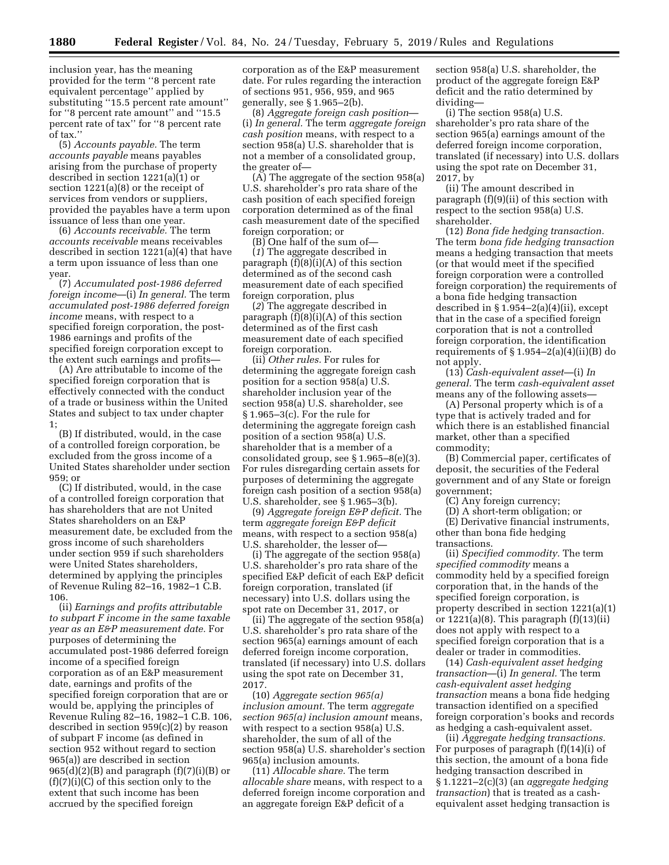inclusion year, has the meaning provided for the term ''8 percent rate equivalent percentage'' applied by substituting ''15.5 percent rate amount'' for ''8 percent rate amount'' and ''15.5 percent rate of tax'' for ''8 percent rate of tax.''

(5) *Accounts payable.* The term *accounts payable* means payables arising from the purchase of property described in section 1221(a)(1) or section 1221(a)(8) or the receipt of services from vendors or suppliers, provided the payables have a term upon issuance of less than one year.

(6) *Accounts receivable.* The term *accounts receivable* means receivables described in section 1221(a)(4) that have a term upon issuance of less than one year.

(7) *Accumulated post-1986 deferred foreign income*—(i) *In general.* The term *accumulated post-1986 deferred foreign income* means, with respect to a specified foreign corporation, the post-1986 earnings and profits of the specified foreign corporation except to the extent such earnings and profits—

(A) Are attributable to income of the specified foreign corporation that is effectively connected with the conduct of a trade or business within the United States and subject to tax under chapter 1;

(B) If distributed, would, in the case of a controlled foreign corporation, be excluded from the gross income of a United States shareholder under section  $959 \cdot$  or

(C) If distributed, would, in the case of a controlled foreign corporation that has shareholders that are not United States shareholders on an E&P measurement date, be excluded from the gross income of such shareholders under section 959 if such shareholders were United States shareholders, determined by applying the principles of Revenue Ruling 82–16, 1982–1 C.B. 106.

(ii) *Earnings and profits attributable to subpart F income in the same taxable year as an E&P measurement date.* For purposes of determining the accumulated post-1986 deferred foreign income of a specified foreign corporation as of an E&P measurement date, earnings and profits of the specified foreign corporation that are or would be, applying the principles of Revenue Ruling 82–16, 1982–1 C.B. 106, described in section 959(c)(2) by reason of subpart F income (as defined in section 952 without regard to section 965(a)) are described in section  $965(d)(2)(B)$  and paragraph  $(f)(7)(i)(B)$  or (f)(7)(i)(C) of this section only to the extent that such income has been accrued by the specified foreign

corporation as of the E&P measurement date. For rules regarding the interaction of sections 951, 956, 959, and 965 generally, see § 1.965–2(b).

(8) *Aggregate foreign cash position*— (i) *In general.* The term *aggregate foreign cash position* means, with respect to a section 958(a) U.S. shareholder that is not a member of a consolidated group, the greater of—

(A) The aggregate of the section 958(a) U.S. shareholder's pro rata share of the cash position of each specified foreign corporation determined as of the final cash measurement date of the specified foreign corporation; or

(B) One half of the sum of— (*1*) The aggregate described in paragraph  $(f)(8)(i)(A)$  of this section determined as of the second cash measurement date of each specified foreign corporation, plus

(*2*) The aggregate described in paragraph (f)(8)(i)(A) of this section determined as of the first cash measurement date of each specified foreign corporation.

(ii) *Other rules.* For rules for determining the aggregate foreign cash position for a section 958(a) U.S. shareholder inclusion year of the section 958(a) U.S. shareholder, see § 1.965–3(c). For the rule for determining the aggregate foreign cash position of a section 958(a) U.S. shareholder that is a member of a consolidated group, see § 1.965–8(e)(3). For rules disregarding certain assets for purposes of determining the aggregate foreign cash position of a section 958(a) U.S. shareholder, see § 1.965–3(b).

(9) *Aggregate foreign E&P deficit.* The term *aggregate foreign E&P deficit*  means, with respect to a section 958(a) U.S. shareholder, the lesser of—

(i) The aggregate of the section 958(a) U.S. shareholder's pro rata share of the specified E&P deficit of each E&P deficit foreign corporation, translated (if necessary) into U.S. dollars using the spot rate on December 31, 2017, or

(ii) The aggregate of the section 958(a) U.S. shareholder's pro rata share of the section 965(a) earnings amount of each deferred foreign income corporation, translated (if necessary) into U.S. dollars using the spot rate on December 31, 2017.

(10) *Aggregate section 965(a) inclusion amount.* The term *aggregate section 965(a) inclusion amount* means, with respect to a section 958(a) U.S. shareholder, the sum of all of the section 958(a) U.S. shareholder's section 965(a) inclusion amounts.

(11) *Allocable share.* The term *allocable share* means, with respect to a deferred foreign income corporation and an aggregate foreign E&P deficit of a

section 958(a) U.S. shareholder, the product of the aggregate foreign E&P deficit and the ratio determined by dividing—

(i) The section 958(a) U.S. shareholder's pro rata share of the section 965(a) earnings amount of the deferred foreign income corporation, translated (if necessary) into U.S. dollars using the spot rate on December 31, 2017, by

(ii) The amount described in paragraph (f)(9)(ii) of this section with respect to the section 958(a) U.S. shareholder.

(12) *Bona fide hedging transaction.*  The term *bona fide hedging transaction*  means a hedging transaction that meets (or that would meet if the specified foreign corporation were a controlled foreign corporation) the requirements of a bona fide hedging transaction described in § 1.954–2(a)(4)(ii), except that in the case of a specified foreign corporation that is not a controlled foreign corporation, the identification requirements of  $\S 1.954-2(a)(4)(ii)(B)$  do not apply.

(13) *Cash-equivalent asset*—(i) *In general.* The term *cash-equivalent asset*  means any of the following assets—

(A) Personal property which is of a type that is actively traded and for which there is an established financial market, other than a specified commodity;

(B) Commercial paper, certificates of deposit, the securities of the Federal government and of any State or foreign government;

(C) Any foreign currency;

(D) A short-term obligation; or

(E) Derivative financial instruments, other than bona fide hedging transactions.

(ii) *Specified commodity.* The term *specified commodity* means a commodity held by a specified foreign corporation that, in the hands of the specified foreign corporation, is property described in section 1221(a)(1) or  $1221(a)(8)$ . This paragraph  $(f)(13)(ii)$ does not apply with respect to a specified foreign corporation that is a dealer or trader in commodities.

(14) *Cash-equivalent asset hedging transaction*—(i) *In general.* The term *cash-equivalent asset hedging transaction* means a bona fide hedging transaction identified on a specified foreign corporation's books and records as hedging a cash-equivalent asset.

(ii) *Aggregate hedging transactions.*  For purposes of paragraph (f)(14)(i) of this section, the amount of a bona fide hedging transaction described in § 1.1221–2(c)(3) (an *aggregate hedging transaction*) that is treated as a cashequivalent asset hedging transaction is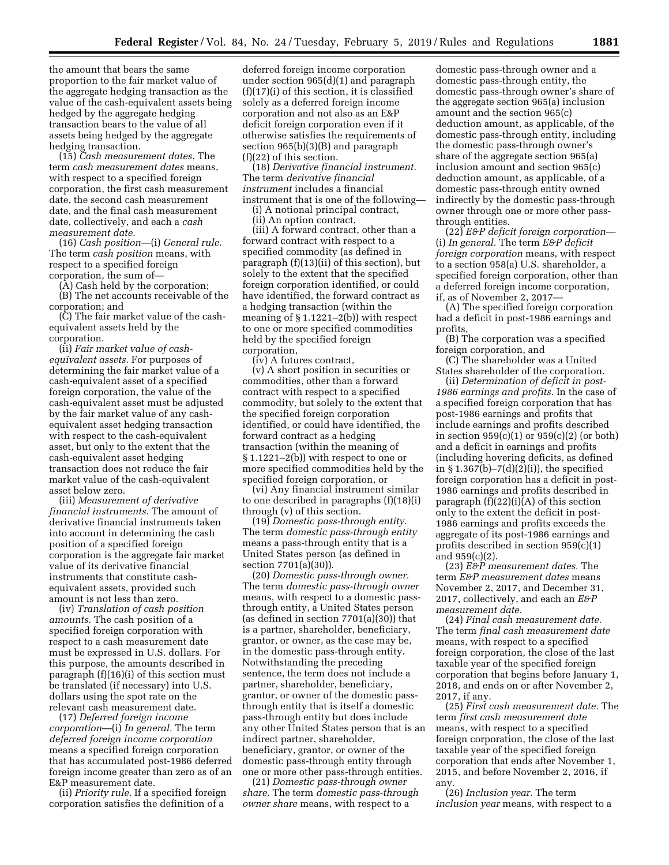the amount that bears the same proportion to the fair market value of the aggregate hedging transaction as the value of the cash-equivalent assets being hedged by the aggregate hedging transaction bears to the value of all assets being hedged by the aggregate hedging transaction.

(15) *Cash measurement dates.* The term *cash measurement dates* means, with respect to a specified foreign corporation, the first cash measurement date, the second cash measurement date, and the final cash measurement date, collectively, and each a *cash measurement date.* 

(16) *Cash position*—(i) *General rule.*  The term *cash position* means, with respect to a specified foreign corporation, the sum of—

(A) Cash held by the corporation;

(B) The net accounts receivable of the corporation; and

(C) The fair market value of the cashequivalent assets held by the corporation.

(ii) *Fair market value of cashequivalent assets.* For purposes of determining the fair market value of a cash-equivalent asset of a specified foreign corporation, the value of the cash-equivalent asset must be adjusted by the fair market value of any cashequivalent asset hedging transaction with respect to the cash-equivalent asset, but only to the extent that the cash-equivalent asset hedging transaction does not reduce the fair market value of the cash-equivalent asset below zero.

(iii) *Measurement of derivative financial instruments.* The amount of derivative financial instruments taken into account in determining the cash position of a specified foreign corporation is the aggregate fair market value of its derivative financial instruments that constitute cashequivalent assets, provided such amount is not less than zero.

(iv) *Translation of cash position amounts.* The cash position of a specified foreign corporation with respect to a cash measurement date must be expressed in U.S. dollars. For this purpose, the amounts described in paragraph (f)(16)(i) of this section must be translated (if necessary) into U.S. dollars using the spot rate on the relevant cash measurement date.

(17) *Deferred foreign income corporation*—(i) *In general.* The term *deferred foreign income corporation*  means a specified foreign corporation that has accumulated post-1986 deferred foreign income greater than zero as of an E&P measurement date.

(ii) *Priority rule.* If a specified foreign corporation satisfies the definition of a

deferred foreign income corporation under section 965(d)(1) and paragraph (f)(17)(i) of this section, it is classified solely as a deferred foreign income corporation and not also as an E&P deficit foreign corporation even if it otherwise satisfies the requirements of section 965(b)(3)(B) and paragraph (f)(22) of this section.

(18) *Derivative financial instrument.*  The term *derivative financial instrument* includes a financial instrument that is one of the following—

(i) A notional principal contract, (ii) An option contract,

(iii) A forward contract, other than a forward contract with respect to a specified commodity (as defined in paragraph (f)(13)(ii) of this section), but solely to the extent that the specified foreign corporation identified, or could have identified, the forward contract as a hedging transaction (within the meaning of § 1.1221–2(b)) with respect to one or more specified commodities held by the specified foreign corporation,

(iv) A futures contract,

(v) A short position in securities or commodities, other than a forward contract with respect to a specified commodity, but solely to the extent that the specified foreign corporation identified, or could have identified, the forward contract as a hedging transaction (within the meaning of § 1.1221–2(b)) with respect to one or more specified commodities held by the specified foreign corporation, or

(vi) Any financial instrument similar to one described in paragraphs (f)(18)(i) through (v) of this section.

(19) *Domestic pass-through entity.*  The term *domestic pass-through entity*  means a pass-through entity that is a United States person (as defined in section 7701(a)(30)).

(20) *Domestic pass-through owner.*  The term *domestic pass-through owner*  means, with respect to a domestic passthrough entity, a United States person (as defined in section 7701(a)(30)) that is a partner, shareholder, beneficiary, grantor, or owner, as the case may be, in the domestic pass-through entity. Notwithstanding the preceding sentence, the term does not include a partner, shareholder, beneficiary, grantor, or owner of the domestic passthrough entity that is itself a domestic pass-through entity but does include any other United States person that is an indirect partner, shareholder, beneficiary, grantor, or owner of the domestic pass-through entity through one or more other pass-through entities.

(21) *Domestic pass-through owner share.* The term *domestic pass-through owner share* means, with respect to a

domestic pass-through owner and a domestic pass-through entity, the domestic pass-through owner's share of the aggregate section 965(a) inclusion amount and the section 965(c) deduction amount, as applicable, of the domestic pass-through entity, including the domestic pass-through owner's share of the aggregate section 965(a) inclusion amount and section 965(c) deduction amount, as applicable, of a domestic pass-through entity owned indirectly by the domestic pass-through owner through one or more other passthrough entities.

(22) *E&P deficit foreign corporation*— (i) *In general.* The term *E&P deficit foreign corporation* means, with respect to a section 958(a) U.S. shareholder, a specified foreign corporation, other than a deferred foreign income corporation, if, as of November 2, 2017—

(A) The specified foreign corporation had a deficit in post-1986 earnings and profits,

(B) The corporation was a specified foreign corporation, and

(C) The shareholder was a United States shareholder of the corporation.

(ii) *Determination of deficit in post-1986 earnings and profits.* In the case of a specified foreign corporation that has post-1986 earnings and profits that include earnings and profits described in section  $959(c)(1)$  or  $959(c)(2)$  (or both) and a deficit in earnings and profits (including hovering deficits, as defined in  $\S 1.367(b) - 7(d)(2)(i)$ , the specified foreign corporation has a deficit in post-1986 earnings and profits described in paragraph (f)(22)(i)(A) of this section only to the extent the deficit in post-1986 earnings and profits exceeds the aggregate of its post-1986 earnings and profits described in section 959(c)(1) and 959(c)(2).

(23) *E&P measurement dates.* The term *E&P measurement dates* means November 2, 2017, and December 31, 2017, collectively, and each an *E&P measurement date.* 

(24) *Final cash measurement date.*  The term *final cash measurement date*  means, with respect to a specified foreign corporation, the close of the last taxable year of the specified foreign corporation that begins before January 1, 2018, and ends on or after November 2, 2017, if any.

(25) *First cash measurement date.* The term *first cash measurement date*  means, with respect to a specified foreign corporation, the close of the last taxable year of the specified foreign corporation that ends after November 1, 2015, and before November 2, 2016, if any.

(26) *Inclusion year.* The term *inclusion year* means, with respect to a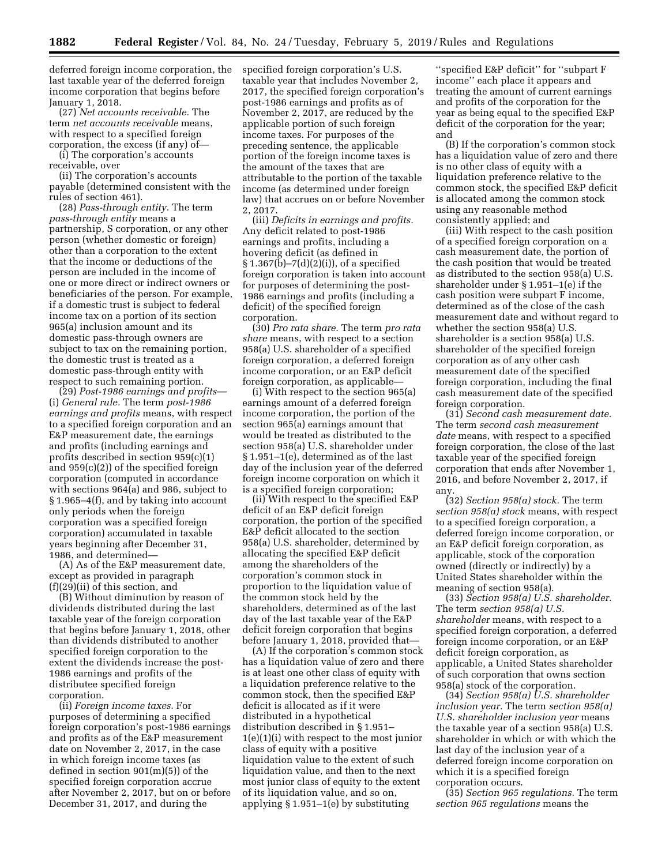deferred foreign income corporation, the last taxable year of the deferred foreign income corporation that begins before January 1, 2018.

(27) *Net accounts receivable.* The term *net accounts receivable* means, with respect to a specified foreign corporation, the excess (if any) of—

(i) The corporation's accounts receivable, over

(ii) The corporation's accounts payable (determined consistent with the rules of section 461).

(28) *Pass-through entity.* The term *pass-through entity* means a partnership, S corporation, or any other person (whether domestic or foreign) other than a corporation to the extent that the income or deductions of the person are included in the income of one or more direct or indirect owners or beneficiaries of the person. For example, if a domestic trust is subject to federal income tax on a portion of its section 965(a) inclusion amount and its domestic pass-through owners are subject to tax on the remaining portion, the domestic trust is treated as a domestic pass-through entity with respect to such remaining portion.

(29) *Post-1986 earnings and profits*— (i) *General rule.* The term *post-1986 earnings and profits* means, with respect to a specified foreign corporation and an E&P measurement date, the earnings and profits (including earnings and profits described in section 959(c)(1) and 959(c)(2)) of the specified foreign corporation (computed in accordance with sections 964(a) and 986, subject to § 1.965–4(f), and by taking into account only periods when the foreign corporation was a specified foreign corporation) accumulated in taxable years beginning after December 31, 1986, and determined—

(A) As of the E&P measurement date, except as provided in paragraph (f)(29)(ii) of this section, and

(B) Without diminution by reason of dividends distributed during the last taxable year of the foreign corporation that begins before January 1, 2018, other than dividends distributed to another specified foreign corporation to the extent the dividends increase the post-1986 earnings and profits of the distributee specified foreign corporation.

(ii) *Foreign income taxes.* For purposes of determining a specified foreign corporation's post-1986 earnings and profits as of the E&P measurement date on November 2, 2017, in the case in which foreign income taxes (as defined in section 901(m)(5)) of the specified foreign corporation accrue after November 2, 2017, but on or before December 31, 2017, and during the

specified foreign corporation's U.S. taxable year that includes November 2, 2017, the specified foreign corporation's post-1986 earnings and profits as of November 2, 2017, are reduced by the applicable portion of such foreign income taxes. For purposes of the preceding sentence, the applicable portion of the foreign income taxes is the amount of the taxes that are attributable to the portion of the taxable income (as determined under foreign law) that accrues on or before November 2, 2017.

(iii) *Deficits in earnings and profits.*  Any deficit related to post-1986 earnings and profits, including a hovering deficit (as defined in  $\S 1.367(b) - 7(d)(2)(i)$ , of a specified foreign corporation is taken into account for purposes of determining the post-1986 earnings and profits (including a deficit) of the specified foreign corporation.

(30) *Pro rata share.* The term *pro rata share* means, with respect to a section 958(a) U.S. shareholder of a specified foreign corporation, a deferred foreign income corporation, or an E&P deficit foreign corporation, as applicable—

(i) With respect to the section 965(a) earnings amount of a deferred foreign income corporation, the portion of the section 965(a) earnings amount that would be treated as distributed to the section 958(a) U.S. shareholder under § 1.951–1(e), determined as of the last day of the inclusion year of the deferred foreign income corporation on which it is a specified foreign corporation;

(ii) With respect to the specified E&P deficit of an E&P deficit foreign corporation, the portion of the specified E&P deficit allocated to the section 958(a) U.S. shareholder, determined by allocating the specified E&P deficit among the shareholders of the corporation's common stock in proportion to the liquidation value of the common stock held by the shareholders, determined as of the last day of the last taxable year of the E&P deficit foreign corporation that begins before January 1, 2018, provided that—

(A) If the corporation's common stock has a liquidation value of zero and there is at least one other class of equity with a liquidation preference relative to the common stock, then the specified E&P deficit is allocated as if it were distributed in a hypothetical distribution described in § 1.951– 1(e)(1)(i) with respect to the most junior class of equity with a positive liquidation value to the extent of such liquidation value, and then to the next most junior class of equity to the extent of its liquidation value, and so on, applying § 1.951–1(e) by substituting

''specified E&P deficit'' for ''subpart F income'' each place it appears and treating the amount of current earnings and profits of the corporation for the year as being equal to the specified E&P deficit of the corporation for the year; and

(B) If the corporation's common stock has a liquidation value of zero and there is no other class of equity with a liquidation preference relative to the common stock, the specified E&P deficit is allocated among the common stock using any reasonable method consistently applied; and

(iii) With respect to the cash position of a specified foreign corporation on a cash measurement date, the portion of the cash position that would be treated as distributed to the section 958(a) U.S. shareholder under § 1.951–1(e) if the cash position were subpart F income, determined as of the close of the cash measurement date and without regard to whether the section 958(a) U.S. shareholder is a section 958(a) U.S. shareholder of the specified foreign corporation as of any other cash measurement date of the specified foreign corporation, including the final cash measurement date of the specified foreign corporation.

(31) *Second cash measurement date.*  The term *second cash measurement date* means, with respect to a specified foreign corporation, the close of the last taxable year of the specified foreign corporation that ends after November 1, 2016, and before November 2, 2017, if any.

(32) *Section 958(a) stock.* The term *section 958(a) stock* means, with respect to a specified foreign corporation, a deferred foreign income corporation, or an E&P deficit foreign corporation, as applicable, stock of the corporation owned (directly or indirectly) by a United States shareholder within the meaning of section 958(a).

(33) *Section 958(a) U.S. shareholder.*  The term *section 958(a) U.S. shareholder* means, with respect to a specified foreign corporation, a deferred foreign income corporation, or an E&P deficit foreign corporation, as applicable, a United States shareholder of such corporation that owns section 958(a) stock of the corporation.

(34) *Section 958(a) U.S. shareholder inclusion year.* The term *section 958(a) U.S. shareholder inclusion year* means the taxable year of a section 958(a) U.S. shareholder in which or with which the last day of the inclusion year of a deferred foreign income corporation on which it is a specified foreign corporation occurs.

(35) *Section 965 regulations.* The term *section 965 regulations* means the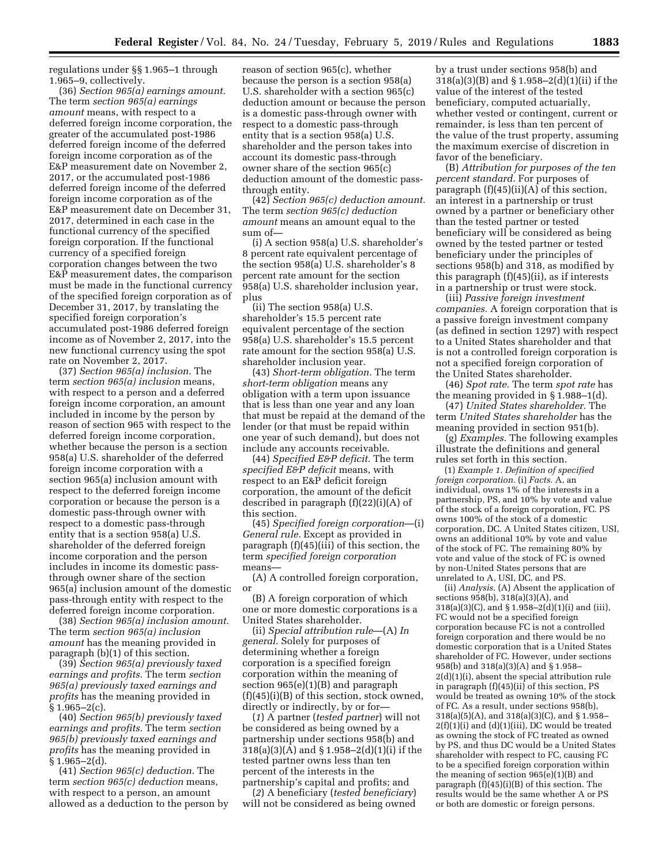regulations under §§ 1.965–1 through 1.965–9, collectively.

(36) *Section 965(a) earnings amount.*  The term *section 965(a) earnings amount* means, with respect to a deferred foreign income corporation, the greater of the accumulated post-1986 deferred foreign income of the deferred foreign income corporation as of the E&P measurement date on November 2, 2017, or the accumulated post-1986 deferred foreign income of the deferred foreign income corporation as of the E&P measurement date on December 31, 2017, determined in each case in the functional currency of the specified foreign corporation. If the functional currency of a specified foreign corporation changes between the two E&P measurement dates, the comparison must be made in the functional currency of the specified foreign corporation as of December 31, 2017, by translating the specified foreign corporation's accumulated post-1986 deferred foreign income as of November 2, 2017, into the new functional currency using the spot rate on November 2, 2017.

(37) *Section 965(a) inclusion.* The term *section 965(a) inclusion* means, with respect to a person and a deferred foreign income corporation, an amount included in income by the person by reason of section 965 with respect to the deferred foreign income corporation, whether because the person is a section 958(a) U.S. shareholder of the deferred foreign income corporation with a section 965(a) inclusion amount with respect to the deferred foreign income corporation or because the person is a domestic pass-through owner with respect to a domestic pass-through entity that is a section 958(a) U.S. shareholder of the deferred foreign income corporation and the person includes in income its domestic passthrough owner share of the section 965(a) inclusion amount of the domestic pass-through entity with respect to the deferred foreign income corporation.

(38) *Section 965(a) inclusion amount.*  The term *section 965(a) inclusion amount* has the meaning provided in paragraph (b)(1) of this section.

(39) *Section 965(a) previously taxed earnings and profits.* The term *section 965(a) previously taxed earnings and profits* has the meaning provided in  $§ 1.965 - 2(c).$ 

(40) *Section 965(b) previously taxed earnings and profits.* The term *section 965(b) previously taxed earnings and profits* has the meaning provided in  $§ 1.965 - 2(d).$ 

(41) *Section 965(c) deduction.* The term *section 965(c) deduction* means, with respect to a person, an amount allowed as a deduction to the person by

reason of section 965(c), whether because the person is a section 958(a) U.S. shareholder with a section 965(c) deduction amount or because the person is a domestic pass-through owner with respect to a domestic pass-through entity that is a section 958(a) U.S. shareholder and the person takes into account its domestic pass-through owner share of the section 965(c) deduction amount of the domestic passthrough entity.

(42) *Section 965(c) deduction amount.*  The term *section 965(c) deduction amount* means an amount equal to the sum of—

(i) A section 958(a) U.S. shareholder's 8 percent rate equivalent percentage of the section 958(a) U.S. shareholder's 8 percent rate amount for the section 958(a) U.S. shareholder inclusion year, plus

(ii) The section 958(a) U.S. shareholder's 15.5 percent rate equivalent percentage of the section 958(a) U.S. shareholder's 15.5 percent rate amount for the section 958(a) U.S. shareholder inclusion year.

(43) *Short-term obligation.* The term *short-term obligation* means any obligation with a term upon issuance that is less than one year and any loan that must be repaid at the demand of the lender (or that must be repaid within one year of such demand), but does not include any accounts receivable.

(44) *Specified E&P deficit.* The term *specified E&P deficit* means, with respect to an E&P deficit foreign corporation, the amount of the deficit described in paragraph (f)(22)(i)(A) of this section.

(45) *Specified foreign corporation*—(i) *General rule.* Except as provided in paragraph (f)(45)(iii) of this section, the term *specified foreign corporation*  means—

(A) A controlled foreign corporation, or

(B) A foreign corporation of which one or more domestic corporations is a United States shareholder.

(ii) *Special attribution rule*—(A) *In general.* Solely for purposes of determining whether a foreign corporation is a specified foreign corporation within the meaning of section 965(e)(1)(B) and paragraph (f)(45)(i)(B) of this section, stock owned, directly or indirectly, by or for—

(*1*) A partner (*tested partner*) will not be considered as being owned by a partnership under sections 958(b) and 318(a)(3)(A) and § 1.958–2(d)(1)(i) if the tested partner owns less than ten percent of the interests in the partnership's capital and profits; and

(*2*) A beneficiary (*tested beneficiary*) will not be considered as being owned

by a trust under sections 958(b) and 318(a)(3)(B) and § 1.958–2(d)(1)(ii) if the value of the interest of the tested beneficiary, computed actuarially, whether vested or contingent, current or remainder, is less than ten percent of the value of the trust property, assuming the maximum exercise of discretion in favor of the beneficiary.

(B) *Attribution for purposes of the ten percent standard.* For purposes of paragraph (f)(45)(ii)(A) of this section, an interest in a partnership or trust owned by a partner or beneficiary other than the tested partner or tested beneficiary will be considered as being owned by the tested partner or tested beneficiary under the principles of sections 958(b) and 318, as modified by this paragraph (f)(45)(ii), as if interests in a partnership or trust were stock.

(iii) *Passive foreign investment companies.* A foreign corporation that is a passive foreign investment company (as defined in section 1297) with respect to a United States shareholder and that is not a controlled foreign corporation is not a specified foreign corporation of the United States shareholder.

(46) *Spot rate.* The term *spot rate* has the meaning provided in § 1.988–1(d).

(47) *United States shareholder.* The term *United States shareholder* has the meaning provided in section 951(b).

(g) *Examples.* The following examples illustrate the definitions and general rules set forth in this section.

(1) *Example 1. Definition of specified foreign corporation.* (i) *Facts.* A, an individual, owns 1% of the interests in a partnership, PS, and 10% by vote and value of the stock of a foreign corporation, FC. PS owns 100% of the stock of a domestic corporation, DC. A United States citizen, USI, owns an additional 10% by vote and value of the stock of FC. The remaining 80% by vote and value of the stock of FC is owned by non-United States persons that are unrelated to A, USI, DC, and PS.

(ii) *Analysis.* (A) Absent the application of sections 958(b), 318(a)(3)(A), and 318(a)(3)(C), and § 1.958–2(d)(1)(i) and (iii), FC would not be a specified foreign corporation because FC is not a controlled foreign corporation and there would be no domestic corporation that is a United States shareholder of FC. However, under sections 958(b) and 318(a)(3)(A) and § 1.958– 2(d)(1)(i), absent the special attribution rule in paragraph (f)(45)(ii) of this section, PS would be treated as owning 10% of the stock of FC. As a result, under sections 958(b), 318(a)(5)(A), and 318(a)(3)(C), and § 1.958–  $2(f)(1)(i)$  and  $(d)(1)(iii)$ , DC would be treated as owning the stock of FC treated as owned by PS, and thus DC would be a United States shareholder with respect to FC, causing FC to be a specified foreign corporation within the meaning of section  $965(e)(1)(B)$  and paragraph  $\widehat{f}$  $(45)(i)(B)$  of this section. The results would be the same whether A or PS or both are domestic or foreign persons.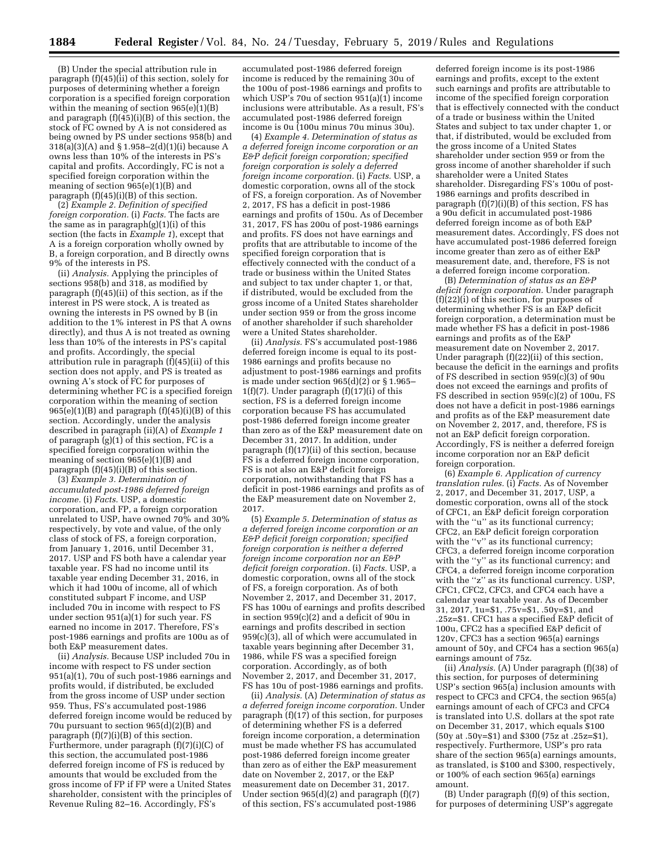(B) Under the special attribution rule in paragraph (f)(45)(ii) of this section, solely for purposes of determining whether a foreign corporation is a specified foreign corporation within the meaning of section  $965(e)(1)(B)$ and paragraph (f)(45)(i)(B) of this section, the stock of FC owned by A is not considered as being owned by PS under sections 958(b) and 318(a)(3)(A) and § 1.958–2(d)(1)(i) because A owns less than 10% of the interests in PS's capital and profits. Accordingly, FC is not a specified foreign corporation within the meaning of section 965(e)(1)(B) and paragraph (f)(45)(i)(B) of this section.

(2) *Example 2. Definition of specified foreign corporation.* (i) *Facts.* The facts are the same as in paragraph $(g)(1)(i)$  of this section (the facts in *Example 1*), except that A is a foreign corporation wholly owned by B, a foreign corporation, and B directly owns 9% of the interests in PS.

(ii) *Analysis.* Applying the principles of sections 958(b) and 318, as modified by paragraph (f)(45)(ii) of this section, as if the interest in PS were stock, A is treated as owning the interests in PS owned by B (in addition to the 1% interest in PS that A owns directly), and thus A is not treated as owning less than 10% of the interests in PS's capital and profits. Accordingly, the special attribution rule in paragraph (f)(45)(ii) of this section does not apply, and PS is treated as owning A's stock of FC for purposes of determining whether FC is a specified foreign corporation within the meaning of section  $965(e)(1)(B)$  and paragraph  $(f)(45)(i)(B)$  of this section. Accordingly, under the analysis described in paragraph (ii)(A) of *Example 1*  of paragraph (g)(1) of this section, FC is a specified foreign corporation within the meaning of section 965(e)(1)(B) and paragraph (f)(45)(i)(B) of this section.

(3) *Example 3. Determination of accumulated post-1986 deferred foreign income.* (i) *Facts.* USP, a domestic corporation, and FP, a foreign corporation unrelated to USP, have owned 70% and 30% respectively, by vote and value, of the only class of stock of FS, a foreign corporation, from January 1, 2016, until December 31, 2017. USP and FS both have a calendar year taxable year. FS had no income until its taxable year ending December 31, 2016, in which it had 100u of income, all of which constituted subpart F income, and USP included 70u in income with respect to FS under section  $951(a)(1)$  for such year. FS earned no income in 2017. Therefore, FS's post-1986 earnings and profits are 100u as of both E&P measurement dates.

(ii) *Analysis.* Because USP included 70u in income with respect to FS under section 951(a)(1), 70u of such post-1986 earnings and profits would, if distributed, be excluded from the gross income of USP under section 959. Thus, FS's accumulated post-1986 deferred foreign income would be reduced by 70u pursuant to section 965(d)(2)(B) and paragraph (f)(7)(i)(B) of this section. Furthermore, under paragraph (f)(7)(i)(C) of this section, the accumulated post-1986 deferred foreign income of FS is reduced by amounts that would be excluded from the gross income of FP if FP were a United States shareholder, consistent with the principles of Revenue Ruling 82–16. Accordingly, FS's

accumulated post-1986 deferred foreign income is reduced by the remaining 30u of the 100u of post-1986 earnings and profits to which USP's 70u of section  $951(a)(1)$  income inclusions were attributable. As a result, FS's accumulated post-1986 deferred foreign income is 0u (100u minus 70u minus 30u).

(4) *Example 4. Determination of status as a deferred foreign income corporation or an E&P deficit foreign corporation; specified foreign corporation is solely a deferred foreign income corporation.* (i) *Facts.* USP, a domestic corporation, owns all of the stock of FS, a foreign corporation. As of November 2, 2017, FS has a deficit in post-1986 earnings and profits of 150u. As of December 31, 2017, FS has 200u of post-1986 earnings and profits. FS does not have earnings and profits that are attributable to income of the specified foreign corporation that is effectively connected with the conduct of a trade or business within the United States and subject to tax under chapter 1, or that, if distributed, would be excluded from the gross income of a United States shareholder under section 959 or from the gross income of another shareholder if such shareholder were a United States shareholder.

(ii) *Analysis.* FS's accumulated post-1986 deferred foreign income is equal to its post-1986 earnings and profits because no adjustment to post-1986 earnings and profits is made under section  $965(d)(2)$  or § 1.965– 1(f)(7). Under paragraph (f)(17)(i) of this section, FS is a deferred foreign income corporation because FS has accumulated post-1986 deferred foreign income greater than zero as of the E&P measurement date on December 31, 2017. In addition, under paragraph (f)(17)(ii) of this section, because FS is a deferred foreign income corporation, FS is not also an E&P deficit foreign corporation, notwithstanding that FS has a deficit in post-1986 earnings and profits as of the E&P measurement date on November 2, 2017.

(5) *Example 5. Determination of status as a deferred foreign income corporation or an E&P deficit foreign corporation; specified foreign corporation is neither a deferred foreign income corporation nor an E&P deficit foreign corporation.* (i) *Facts.* USP, a domestic corporation, owns all of the stock of FS, a foreign corporation. As of both November 2, 2017, and December 31, 2017, FS has 100u of earnings and profits described in section 959(c)(2) and a deficit of 90u in earnings and profits described in section  $959(c)(3)$ , all of which were accumulated in taxable years beginning after December 31, 1986, while FS was a specified foreign corporation. Accordingly, as of both November 2, 2017, and December 31, 2017, FS has 10u of post-1986 earnings and profits.

(ii) *Analysis.* (A) *Determination of status as a deferred foreign income corporation.* Under paragraph (f)(17) of this section, for purposes of determining whether FS is a deferred foreign income corporation, a determination must be made whether FS has accumulated post-1986 deferred foreign income greater than zero as of either the E&P measurement date on November 2, 2017, or the E&P measurement date on December 31, 2017. Under section 965(d)(2) and paragraph (f)(7) of this section, FS's accumulated post-1986

deferred foreign income is its post-1986 earnings and profits, except to the extent such earnings and profits are attributable to income of the specified foreign corporation that is effectively connected with the conduct of a trade or business within the United States and subject to tax under chapter 1, or that, if distributed, would be excluded from the gross income of a United States shareholder under section 959 or from the gross income of another shareholder if such shareholder were a United States shareholder. Disregarding FS's 100u of post-1986 earnings and profits described in paragraph  $(f)(7)(i)(B)$  of this section, FS has a 90u deficit in accumulated post-1986 deferred foreign income as of both E&P measurement dates. Accordingly, FS does not have accumulated post-1986 deferred foreign income greater than zero as of either E&P measurement date, and, therefore, FS is not a deferred foreign income corporation.

(B) *Determination of status as an E&P deficit foreign corporation.* Under paragraph  $(f)(22)(i)$  of this section, for purposes of determining whether FS is an E&P deficit foreign corporation, a determination must be made whether FS has a deficit in post-1986 earnings and profits as of the E&P measurement date on November 2, 2017. Under paragraph (f)(22)(ii) of this section, because the deficit in the earnings and profits of FS described in section 959(c)(3) of 90u does not exceed the earnings and profits of FS described in section  $959(c)(2)$  of 100u, FS does not have a deficit in post-1986 earnings and profits as of the E&P measurement date on November 2, 2017, and, therefore, FS is not an E&P deficit foreign corporation. Accordingly, FS is neither a deferred foreign income corporation nor an E&P deficit foreign corporation.

(6) *Example 6. Application of currency translation rules.* (i) *Facts.* As of November 2, 2017, and December 31, 2017, USP, a domestic corporation, owns all of the stock of CFC1, an E&P deficit foreign corporation with the "u" as its functional currency; CFC2, an E&P deficit foreign corporation with the "v" as its functional currency; CFC3, a deferred foreign income corporation with the ''y'' as its functional currency; and CFC4, a deferred foreign income corporation with the ''z'' as its functional currency. USP, CFC1, CFC2, CFC3, and CFC4 each have a calendar year taxable year. As of December 31, 2017, 1u=\$1, .75v=\$1, .50y=\$1, and .25z=\$1. CFC1 has a specified E&P deficit of 100u, CFC2 has a specified E&P deficit of 120v, CFC3 has a section 965(a) earnings amount of 50y, and CFC4 has a section 965(a) earnings amount of 75z.

(ii) *Analysis.* (A) Under paragraph (f)(38) of this section, for purposes of determining USP's section 965(a) inclusion amounts with respect to CFC3 and CFC4, the section 965(a) earnings amount of each of CFC3 and CFC4 is translated into U.S. dollars at the spot rate on December 31, 2017, which equals \$100 (50y at .50y=\$1) and \$300 (75z at .25z=\$1), respectively. Furthermore, USP's pro rata share of the section 965(a) earnings amounts, as translated, is \$100 and \$300, respectively, or 100% of each section 965(a) earnings amount.

(B) Under paragraph (f)(9) of this section, for purposes of determining USP's aggregate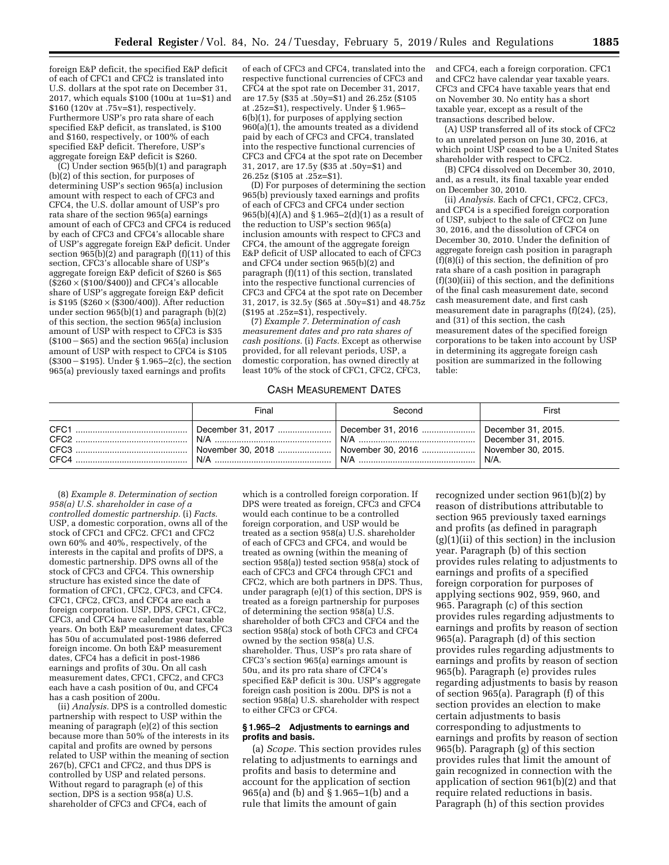foreign E&P deficit, the specified E&P deficit of each of CFC1 and CFC2 is translated into U.S. dollars at the spot rate on December 31, 2017, which equals \$100 (100u at 1u=\$1) and \$160 (120v at .75v=\$1), respectively. Furthermore USP's pro rata share of each specified E&P deficit, as translated, is \$100 and \$160, respectively, or 100% of each specified E&P deficit. Therefore, USP's aggregate foreign E&P deficit is \$260.

(C) Under section 965(b)(1) and paragraph (b)(2) of this section, for purposes of determining USP's section 965(a) inclusion amount with respect to each of CFC3 and CFC4, the U.S. dollar amount of USP's pro rata share of the section 965(a) earnings amount of each of CFC3 and CFC4 is reduced by each of CFC3 and CFC4's allocable share of USP's aggregate foreign E&P deficit. Under section  $965(b)(2)$  and paragraph  $(f)(11)$  of this section, CFC3's allocable share of USP's aggregate foreign E&P deficit of \$260 is \$65  $(\$260 \times (\$100/\$400))$  and CFC4's allocable share of USP's aggregate foreign E&P deficit is \$195 (\$260  $\times$  (\$300/400)). After reduction under section 965(b)(1) and paragraph (b)(2) of this section, the section 965(a) inclusion amount of USP with respect to CFC3 is \$35  $(S100 - S65)$  and the section 965(a) inclusion amount of USP with respect to CFC4 is \$105  $($300 - $195)$ . Under § 1.965–2(c), the section 965(a) previously taxed earnings and profits

of each of CFC3 and CFC4, translated into the respective functional currencies of CFC3 and CFC4 at the spot rate on December 31, 2017, are 17.5y (\$35 at .50y=\$1) and 26.25z (\$105 at .25z=\$1), respectively. Under § 1.965– 6(b)(1), for purposes of applying section 960(a)(1), the amounts treated as a dividend paid by each of CFC3 and CFC4, translated into the respective functional currencies of CFC3 and CFC4 at the spot rate on December 31, 2017, are 17.5y (\$35 at .50y=\$1) and 26.25z (\$105 at .25z=\$1).

(D) For purposes of determining the section 965(b) previously taxed earnings and profits of each of CFC3 and CFC4 under section 965(b)(4)(A) and § 1.965–2(d)(1) as a result of the reduction to USP's section 965(a) inclusion amounts with respect to CFC3 and CFC4, the amount of the aggregate foreign E&P deficit of USP allocated to each of CFC3 and CFC4 under section 965(b)(2) and paragraph (f)(11) of this section, translated into the respective functional currencies of CFC3 and CFC4 at the spot rate on December 31, 2017, is 32.5y (\$65 at .50y=\$1) and 48.75z (\$195 at .25z=\$1), respectively.

(7) *Example 7. Determination of cash measurement dates and pro rata shares of cash positions.* (i) *Facts.* Except as otherwise provided, for all relevant periods, USP, a domestic corporation, has owned directly at least 10% of the stock of CFC1, CFC2, CFC3,

and CFC4, each a foreign corporation. CFC1 and CFC2 have calendar year taxable years. CFC3 and CFC4 have taxable years that end on November 30. No entity has a short taxable year, except as a result of the transactions described below.

(A) USP transferred all of its stock of CFC2 to an unrelated person on June 30, 2016, at which point USP ceased to be a United States shareholder with respect to CFC2.

(B) CFC4 dissolved on December 30, 2010, and, as a result, its final taxable year ended on December 30, 2010.

(ii) *Analysis.* Each of CFC1, CFC2, CFC3, and CFC4 is a specified foreign corporation of USP, subject to the sale of CFC2 on June 30, 2016, and the dissolution of CFC4 on December 30, 2010. Under the definition of aggregate foreign cash position in paragraph  $(f)(8)(i)$  of this section, the definition of pro rata share of a cash position in paragraph (f)(30)(iii) of this section, and the definitions of the final cash measurement date, second cash measurement date, and first cash measurement date in paragraphs (f)(24), (25), and (31) of this section, the cash measurement dates of the specified foreign corporations to be taken into account by USP in determining its aggregate foreign cash position are summarized in the following table:

### CASH MEASUREMENT DATES

|                              | Final                                                                     | Second                   | First                                                                 |
|------------------------------|---------------------------------------------------------------------------|--------------------------|-----------------------------------------------------------------------|
| CFC1<br>CFC2<br>CFC3<br>CFC4 | December 31, 2017<br>N/A<br>November 30, 2018    November 30, 2016<br>N/A | December 31, 2016<br>N/A | December 31, 2015.<br>December 31, 2015.<br>November 30, 2015.<br>N/A |

(8) *Example 8. Determination of section 958(a) U.S. shareholder in case of a controlled domestic partnership.* (i) *Facts.*  USP, a domestic corporation, owns all of the stock of CFC1 and CFC2. CFC1 and CFC2 own 60% and 40%, respectively, of the interests in the capital and profits of DPS, a domestic partnership. DPS owns all of the stock of CFC3 and CFC4. This ownership structure has existed since the date of formation of CFC1, CFC2, CFC3, and CFC4. CFC1, CFC2, CFC3, and CFC4 are each a foreign corporation. USP, DPS, CFC1, CFC2, CFC3, and CFC4 have calendar year taxable years. On both E&P measurement dates, CFC3 has 50u of accumulated post-1986 deferred foreign income. On both E&P measurement dates, CFC4 has a deficit in post-1986 earnings and profits of 30u. On all cash measurement dates, CFC1, CFC2, and CFC3 each have a cash position of 0u, and CFC4 has a cash position of 200u.

(ii) *Analysis.* DPS is a controlled domestic partnership with respect to USP within the meaning of paragraph (e)(2) of this section because more than 50% of the interests in its capital and profits are owned by persons related to USP within the meaning of section 267(b), CFC1 and CFC2, and thus DPS is controlled by USP and related persons. Without regard to paragraph (e) of this section, DPS is a section 958(a) U.S. shareholder of CFC3 and CFC4, each of

which is a controlled foreign corporation. If DPS were treated as foreign, CFC3 and CFC4 would each continue to be a controlled foreign corporation, and USP would be treated as a section 958(a) U.S. shareholder of each of CFC3 and CFC4, and would be treated as owning (within the meaning of section 958(a)) tested section 958(a) stock of each of CFC3 and CFC4 through CFC1 and CFC2, which are both partners in DPS. Thus, under paragraph  $(e)(1)$  of this section, DPS is treated as a foreign partnership for purposes of determining the section 958(a) U.S. shareholder of both CFC3 and CFC4 and the section 958(a) stock of both CFC3 and CFC4 owned by the section 958(a) U.S. shareholder. Thus, USP's pro rata share of CFC3's section 965(a) earnings amount is 50u, and its pro rata share of CFC4's specified E&P deficit is 30u. USP's aggregate foreign cash position is 200u. DPS is not a section 958(a) U.S. shareholder with respect to either CFC3 or CFC4.

#### **§ 1.965–2 Adjustments to earnings and profits and basis.**

(a) *Scope.* This section provides rules relating to adjustments to earnings and profits and basis to determine and account for the application of section 965(a) and (b) and § 1.965–1(b) and a rule that limits the amount of gain

recognized under section 961(b)(2) by reason of distributions attributable to section 965 previously taxed earnings and profits (as defined in paragraph (g)(1)(ii) of this section) in the inclusion year. Paragraph (b) of this section provides rules relating to adjustments to earnings and profits of a specified foreign corporation for purposes of applying sections 902, 959, 960, and 965. Paragraph (c) of this section provides rules regarding adjustments to earnings and profits by reason of section 965(a). Paragraph (d) of this section provides rules regarding adjustments to earnings and profits by reason of section 965(b). Paragraph (e) provides rules regarding adjustments to basis by reason of section 965(a). Paragraph (f) of this section provides an election to make certain adjustments to basis corresponding to adjustments to earnings and profits by reason of section 965(b). Paragraph (g) of this section provides rules that limit the amount of gain recognized in connection with the application of section 961(b)(2) and that require related reductions in basis. Paragraph (h) of this section provides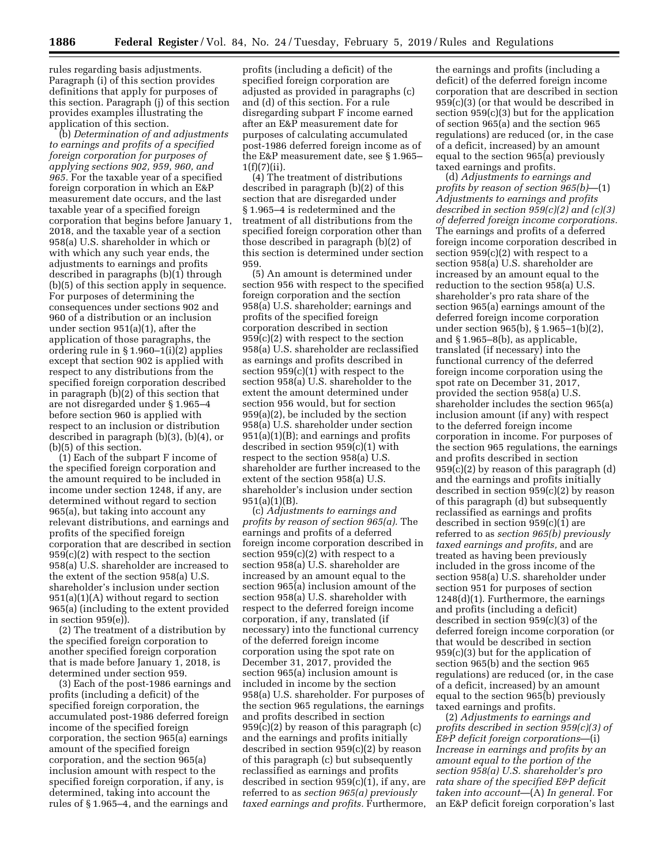rules regarding basis adjustments. Paragraph (i) of this section provides definitions that apply for purposes of this section. Paragraph (j) of this section provides examples illustrating the application of this section.

(b) *Determination of and adjustments to earnings and profits of a specified foreign corporation for purposes of applying sections 902, 959, 960, and 965.* For the taxable year of a specified foreign corporation in which an E&P measurement date occurs, and the last taxable year of a specified foreign corporation that begins before January 1, 2018, and the taxable year of a section 958(a) U.S. shareholder in which or with which any such year ends, the adjustments to earnings and profits described in paragraphs (b)(1) through (b)(5) of this section apply in sequence. For purposes of determining the consequences under sections 902 and 960 of a distribution or an inclusion under section 951(a)(1), after the application of those paragraphs, the ordering rule in § 1.960–1(i)(2) applies except that section 902 is applied with respect to any distributions from the specified foreign corporation described in paragraph (b)(2) of this section that are not disregarded under § 1.965–4 before section 960 is applied with respect to an inclusion or distribution described in paragraph (b)(3), (b)(4), or (b)(5) of this section.

(1) Each of the subpart F income of the specified foreign corporation and the amount required to be included in income under section 1248, if any, are determined without regard to section 965(a), but taking into account any relevant distributions, and earnings and profits of the specified foreign corporation that are described in section 959(c)(2) with respect to the section 958(a) U.S. shareholder are increased to the extent of the section 958(a) U.S. shareholder's inclusion under section  $951(a)(1)(A)$  without regard to section 965(a) (including to the extent provided in section 959(e)).

(2) The treatment of a distribution by the specified foreign corporation to another specified foreign corporation that is made before January 1, 2018, is determined under section 959.

(3) Each of the post-1986 earnings and profits (including a deficit) of the specified foreign corporation, the accumulated post-1986 deferred foreign income of the specified foreign corporation, the section 965(a) earnings amount of the specified foreign corporation, and the section 965(a) inclusion amount with respect to the specified foreign corporation, if any, is determined, taking into account the rules of § 1.965–4, and the earnings and

profits (including a deficit) of the specified foreign corporation are adjusted as provided in paragraphs (c) and (d) of this section. For a rule disregarding subpart F income earned after an E&P measurement date for purposes of calculating accumulated post-1986 deferred foreign income as of the E&P measurement date, see § 1.965–  $1(f)(7)(ii)$ .

(4) The treatment of distributions described in paragraph (b)(2) of this section that are disregarded under § 1.965–4 is redetermined and the treatment of all distributions from the specified foreign corporation other than those described in paragraph (b)(2) of this section is determined under section 959.

(5) An amount is determined under section 956 with respect to the specified foreign corporation and the section 958(a) U.S. shareholder; earnings and profits of the specified foreign corporation described in section 959(c)(2) with respect to the section 958(a) U.S. shareholder are reclassified as earnings and profits described in section  $959(c)(1)$  with respect to the section 958(a) U.S. shareholder to the extent the amount determined under section 956 would, but for section 959(a)(2), be included by the section 958(a) U.S. shareholder under section 951(a)(1)(B); and earnings and profits described in section 959(c)(1) with respect to the section 958(a) U.S. shareholder are further increased to the extent of the section 958(a) U.S. shareholder's inclusion under section 951(a)(1)(B).

(c) *Adjustments to earnings and profits by reason of section 965(a).* The earnings and profits of a deferred foreign income corporation described in section 959(c)(2) with respect to a section 958(a) U.S. shareholder are increased by an amount equal to the section 965(a) inclusion amount of the section 958(a) U.S. shareholder with respect to the deferred foreign income corporation, if any, translated (if necessary) into the functional currency of the deferred foreign income corporation using the spot rate on December 31, 2017, provided the section 965(a) inclusion amount is included in income by the section 958(a) U.S. shareholder. For purposes of the section 965 regulations, the earnings and profits described in section 959(c)(2) by reason of this paragraph (c) and the earnings and profits initially described in section 959(c)(2) by reason of this paragraph (c) but subsequently reclassified as earnings and profits described in section 959(c)(1), if any, are referred to as *section 965(a) previously taxed earnings and profits.* Furthermore,

the earnings and profits (including a deficit) of the deferred foreign income corporation that are described in section 959(c)(3) (or that would be described in section 959(c)(3) but for the application of section 965(a) and the section 965 regulations) are reduced (or, in the case of a deficit, increased) by an amount equal to the section 965(a) previously taxed earnings and profits.

(d) *Adjustments to earnings and profits by reason of section 965(b)*—(1) *Adjustments to earnings and profits described in section 959(c)(2) and (c)(3) of deferred foreign income corporations.*  The earnings and profits of a deferred foreign income corporation described in section  $959(c)(2)$  with respect to a section 958(a) U.S. shareholder are increased by an amount equal to the reduction to the section 958(a) U.S. shareholder's pro rata share of the section 965(a) earnings amount of the deferred foreign income corporation under section 965(b), § 1.965–1(b)(2), and § 1.965–8(b), as applicable, translated (if necessary) into the functional currency of the deferred foreign income corporation using the spot rate on December 31, 2017, provided the section 958(a) U.S. shareholder includes the section 965(a) inclusion amount (if any) with respect to the deferred foreign income corporation in income. For purposes of the section 965 regulations, the earnings and profits described in section 959(c)(2) by reason of this paragraph (d) and the earnings and profits initially described in section 959(c)(2) by reason of this paragraph (d) but subsequently reclassified as earnings and profits described in section 959(c)(1) are referred to as *section 965(b) previously taxed earnings and profits,* and are treated as having been previously included in the gross income of the section 958(a) U.S. shareholder under section 951 for purposes of section 1248(d)(1). Furthermore, the earnings and profits (including a deficit) described in section 959(c)(3) of the deferred foreign income corporation (or that would be described in section 959(c)(3) but for the application of section 965(b) and the section 965 regulations) are reduced (or, in the case of a deficit, increased) by an amount equal to the section 965(b) previously taxed earnings and profits.

(2) *Adjustments to earnings and profits described in section 959(c)(3) of E&P deficit foreign corporations*—(i) *Increase in earnings and profits by an amount equal to the portion of the section 958(a) U.S. shareholder's pro rata share of the specified E&P deficit taken into account*—(A) *In general.* For an E&P deficit foreign corporation's last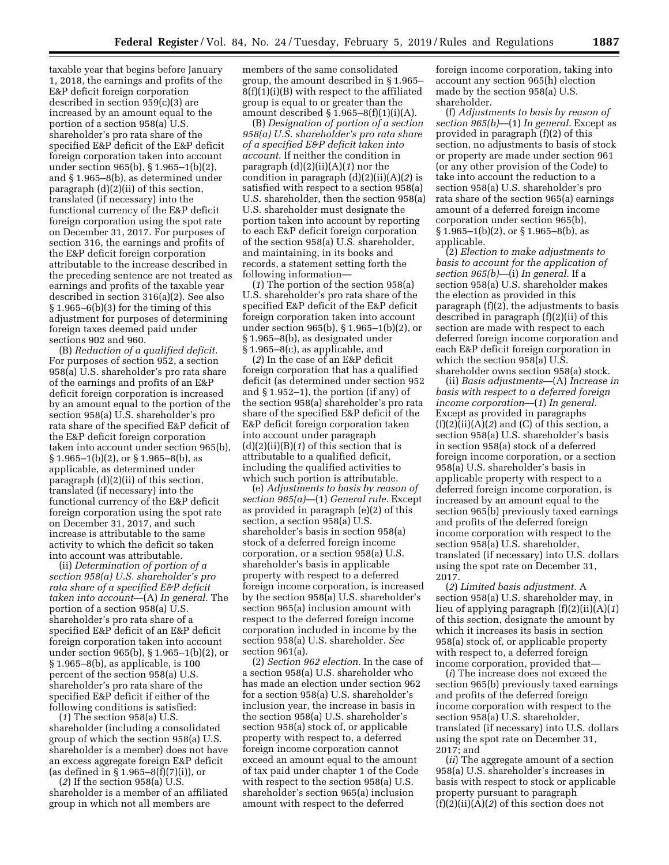taxable year that begins before January 1, 2018, the earnings and profits of the E&P deficit foreign corporation described in section 959(c)(3) are increased by an amount equal to the portion of a section 958(a) U.S. shareholder's pro rata share of the specified E&P deficit of the E&P deficit foreign corporation taken into account under section 965(b), § 1.965–1(b)(2), and § 1.965–8(b), as determined under paragraph (d)(2)(ii) of this section, translated (if necessary) into the functional currency of the E&P deficit foreign corporation using the spot rate on December 31, 2017. For purposes of section 316, the earnings and profits of the E&P deficit foreign corporation attributable to the increase described in the preceding sentence are not treated as earnings and profits of the taxable year described in section 316(a)(2). See also  $§ 1.965–6(b)(3)$  for the timing of this adjustment for purposes of determining foreign taxes deemed paid under sections 902 and 960.

(B) *Reduction of a qualified deficit.*  For purposes of section 952, a section 958(a) U.S. shareholder's pro rata share of the earnings and profits of an E&P deficit foreign corporation is increased by an amount equal to the portion of the section 958(a) U.S. shareholder's pro rata share of the specified E&P deficit of the E&P deficit foreign corporation taken into account under section 965(b),  $\S 1.965-1(b)(2)$ , or  $\S 1.965-8(b)$ , as applicable, as determined under paragraph (d)(2)(ii) of this section, translated (if necessary) into the functional currency of the E&P deficit foreign corporation using the spot rate on December 31, 2017, and such increase is attributable to the same activity to which the deficit so taken into account was attributable.

(ii) *Determination of portion of a section 958(a) U.S. shareholder's pro rata share of a specified E&P deficit taken into account*—(A) *In general.* The portion of a section  $958(a)$  U.S. shareholder's pro rata share of a specified E&P deficit of an E&P deficit foreign corporation taken into account under section 965(b), § 1.965–1(b)(2), or § 1.965–8(b), as applicable, is 100 percent of the section 958(a) U.S. shareholder's pro rata share of the specified E&P deficit if either of the following conditions is satisfied:

(*1*) The section 958(a) U.S. shareholder (including a consolidated group of which the section 958(a) U.S. shareholder is a member) does not have an excess aggregate foreign E&P deficit (as defined in § 1.965–8(f)(7)(i)), or

(*2*) If the section 958(a) U.S. shareholder is a member of an affiliated group in which not all members are

members of the same consolidated group, the amount described in § 1.965–  $8(f)(1)(i)(B)$  with respect to the affiliated group is equal to or greater than the amount described  $\S$  1.965–8(f)(1)(i)(A).

(B) *Designation of portion of a section 958(a) U.S. shareholder's pro rata share of a specified E&P deficit taken into account.* If neither the condition in paragraph (d)(2)(ii)(A)(*1*) nor the condition in paragraph (d)(2)(ii)(A)(*2*) is satisfied with respect to a section 958(a) U.S. shareholder, then the section 958(a) U.S. shareholder must designate the portion taken into account by reporting to each E&P deficit foreign corporation of the section 958(a) U.S. shareholder, and maintaining, in its books and records, a statement setting forth the following information—

(*1*) The portion of the section 958(a) U.S. shareholder's pro rata share of the specified E&P deficit of the E&P deficit foreign corporation taken into account under section 965(b), § 1.965–1(b)(2), or § 1.965–8(b), as designated under § 1.965–8(c), as applicable, and

(*2*) In the case of an E&P deficit foreign corporation that has a qualified deficit (as determined under section 952 and § 1.952–1), the portion (if any) of the section 958(a) shareholder's pro rata share of the specified E&P deficit of the E&P deficit foreign corporation taken into account under paragraph (d)(2)(ii)(B)(*1*) of this section that is attributable to a qualified deficit, including the qualified activities to which such portion is attributable.

(e) *Adjustments to basis by reason of section 965(a)*—(1) *General rule.* Except as provided in paragraph (e)(2) of this section, a section 958(a) U.S. shareholder's basis in section 958(a) stock of a deferred foreign income corporation, or a section 958(a) U.S. shareholder's basis in applicable property with respect to a deferred foreign income corporation, is increased by the section 958(a) U.S. shareholder's section 965(a) inclusion amount with respect to the deferred foreign income corporation included in income by the section 958(a) U.S. shareholder. *See*  section 961(a).

(2) *Section 962 election.* In the case of a section 958(a) U.S. shareholder who has made an election under section 962 for a section 958(a) U.S. shareholder's inclusion year, the increase in basis in the section 958(a) U.S. shareholder's section 958(a) stock of, or applicable property with respect to, a deferred foreign income corporation cannot exceed an amount equal to the amount of tax paid under chapter 1 of the Code with respect to the section 958(a) U.S. shareholder's section 965(a) inclusion amount with respect to the deferred

foreign income corporation, taking into account any section 965(h) election made by the section 958(a) U.S. shareholder.

(f) *Adjustments to basis by reason of section 965(b)*—(1) *In general.* Except as provided in paragraph (f)(2) of this section, no adjustments to basis of stock or property are made under section 961 (or any other provision of the Code) to take into account the reduction to a section 958(a) U.S. shareholder's pro rata share of the section 965(a) earnings amount of a deferred foreign income corporation under section 965(b),  $§ 1.965-1(b)(2),$  or  $§ 1.965-8(b),$  as applicable.

(2) *Election to make adjustments to basis to account for the application of section 965(b)*—(i) *In general.* If a section 958(a) U.S. shareholder makes the election as provided in this paragraph  $(f)(2)$ , the adjustments to basis described in paragraph (f)(2)(ii) of this section are made with respect to each deferred foreign income corporation and each E&P deficit foreign corporation in which the section 958(a) U.S. shareholder owns section 958(a) stock.

(ii) *Basis adjustments*—(A) *Increase in basis with respect to a deferred foreign income corporation*—(*1*) *In general.*  Except as provided in paragraphs  $(f)(2)(ii)(A)(2)$  and  $(C)$  of this section, a section 958(a) U.S. shareholder's basis in section 958(a) stock of a deferred foreign income corporation, or a section 958(a) U.S. shareholder's basis in applicable property with respect to a deferred foreign income corporation, is increased by an amount equal to the section 965(b) previously taxed earnings and profits of the deferred foreign income corporation with respect to the section 958(a) U.S. shareholder, translated (if necessary) into U.S. dollars using the spot rate on December 31, 2017.

(*2*) *Limited basis adjustment.* A section 958(a) U.S. shareholder may, in lieu of applying paragraph (f)(2)(ii)(A)(*1*) of this section, designate the amount by which it increases its basis in section 958(a) stock of, or applicable property with respect to, a deferred foreign income corporation, provided that—

(*i*) The increase does not exceed the section 965(b) previously taxed earnings and profits of the deferred foreign income corporation with respect to the section 958(a) U.S. shareholder, translated (if necessary) into U.S. dollars using the spot rate on December 31, 2017; and

(*ii*) The aggregate amount of a section 958(a) U.S. shareholder's increases in basis with respect to stock or applicable property pursuant to paragraph (f)(2)(ii)(A)(*2*) of this section does not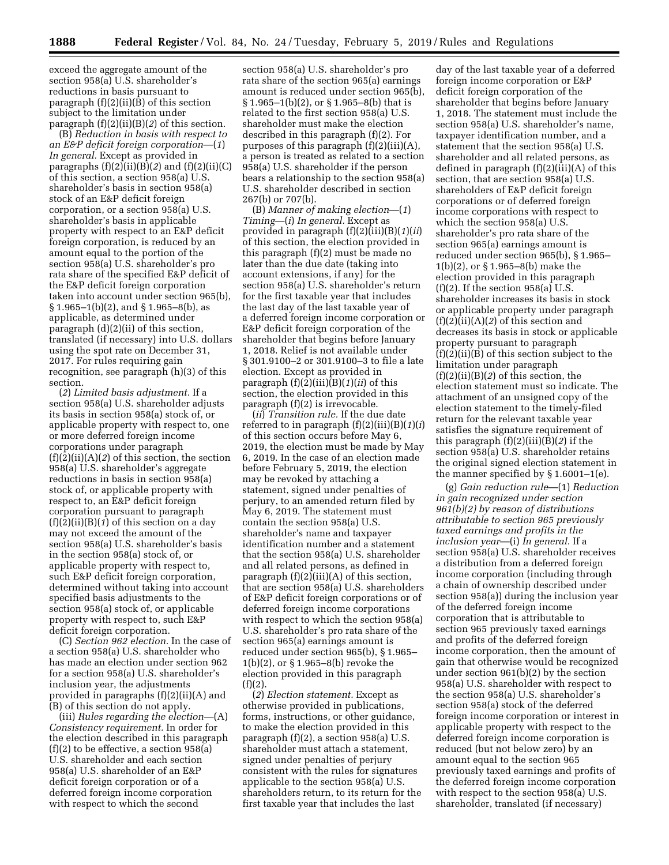exceed the aggregate amount of the section 958(a) U.S. shareholder's reductions in basis pursuant to paragraph (f)(2)(ii)(B) of this section subject to the limitation under paragraph (f)(2)(ii)(B)(*2*) of this section.

(B) *Reduction in basis with respect to an E&P deficit foreign corporation*—(*1*) *In general.* Except as provided in paragraphs  $(f)(2)(ii)(B)(2)$  and  $(f)(2)(ii)(C)$ of this section, a section 958(a) U.S. shareholder's basis in section 958(a) stock of an E&P deficit foreign corporation, or a section 958(a) U.S. shareholder's basis in applicable property with respect to an E&P deficit foreign corporation, is reduced by an amount equal to the portion of the section 958(a) U.S. shareholder's pro rata share of the specified E&P deficit of the E&P deficit foreign corporation taken into account under section 965(b),  $\S 1.965-1(b)(2)$ , and  $\S 1.965-8(b)$ , as applicable, as determined under paragraph (d)(2)(ii) of this section, translated (if necessary) into U.S. dollars using the spot rate on December 31, 2017. For rules requiring gain recognition, see paragraph (h)(3) of this section.

(*2*) *Limited basis adjustment.* If a section 958(a) U.S. shareholder adjusts its basis in section 958(a) stock of, or applicable property with respect to, one or more deferred foreign income corporations under paragraph (f)(2)(ii)(A)(*2*) of this section, the section 958(a) U.S. shareholder's aggregate reductions in basis in section 958(a) stock of, or applicable property with respect to, an E&P deficit foreign corporation pursuant to paragraph (f)(2)(ii)(B)(*1*) of this section on a day may not exceed the amount of the section 958(a) U.S. shareholder's basis in the section 958(a) stock of, or applicable property with respect to, such E&P deficit foreign corporation, determined without taking into account specified basis adjustments to the section 958(a) stock of, or applicable property with respect to, such E&P deficit foreign corporation.

(C) *Section 962 election.* In the case of a section 958(a) U.S. shareholder who has made an election under section 962 for a section 958(a) U.S. shareholder's inclusion year, the adjustments provided in paragraphs (f)(2)(ii)(A) and (B) of this section do not apply.

(iii) *Rules regarding the election*—(A) *Consistency requirement.* In order for the election described in this paragraph (f)(2) to be effective, a section 958(a) U.S. shareholder and each section 958(a) U.S. shareholder of an E&P deficit foreign corporation or of a deferred foreign income corporation with respect to which the second

section 958(a) U.S. shareholder's pro rata share of the section 965(a) earnings amount is reduced under section 965(b), § 1.965–1(b)(2), or § 1.965–8(b) that is related to the first section 958(a) U.S. shareholder must make the election described in this paragraph (f)(2). For purposes of this paragraph (f)(2)(iii)(A), a person is treated as related to a section 958(a) U.S. shareholder if the person bears a relationship to the section 958(a) U.S. shareholder described in section 267(b) or 707(b).

(B) *Manner of making election*—(*1*) *Timing*—(*i*) *In general.* Except as provided in paragraph (f)(2)(iii)(B)(*1*)(*ii*) of this section, the election provided in this paragraph (f)(2) must be made no later than the due date (taking into account extensions, if any) for the section 958(a) U.S. shareholder's return for the first taxable year that includes the last day of the last taxable year of a deferred foreign income corporation or E&P deficit foreign corporation of the shareholder that begins before January 1, 2018. Relief is not available under § 301.9100–2 or 301.9100–3 to file a late election. Except as provided in paragraph (f)(2)(iii)(B)(*1*)(*ii*) of this section, the election provided in this paragraph (f)(2) is irrevocable.

(*ii*) *Transition rule.* If the due date referred to in paragraph (f)(2)(iii)(B)(*1*)(*i*) of this section occurs before May 6, 2019, the election must be made by May 6, 2019. In the case of an election made before February 5, 2019, the election may be revoked by attaching a statement, signed under penalties of perjury, to an amended return filed by May 6, 2019. The statement must contain the section 958(a) U.S. shareholder's name and taxpayer identification number and a statement that the section 958(a) U.S. shareholder and all related persons, as defined in paragraph  $(f)(2)(iii)(A)$  of this section, that are section 958(a) U.S. shareholders of E&P deficit foreign corporations or of deferred foreign income corporations with respect to which the section 958(a) U.S. shareholder's pro rata share of the section 965(a) earnings amount is reduced under section 965(b), § 1.965– 1(b)(2), or § 1.965–8(b) revoke the election provided in this paragraph  $(f)(2)$ 

(*2*) *Election statement.* Except as otherwise provided in publications, forms, instructions, or other guidance, to make the election provided in this paragraph (f)(2), a section 958(a) U.S. shareholder must attach a statement, signed under penalties of perjury consistent with the rules for signatures applicable to the section 958(a) U.S. shareholders return, to its return for the first taxable year that includes the last

day of the last taxable year of a deferred foreign income corporation or E&P deficit foreign corporation of the shareholder that begins before January 1, 2018. The statement must include the section 958(a) U.S. shareholder's name, taxpayer identification number, and a statement that the section 958(a) U.S. shareholder and all related persons, as defined in paragraph (f)(2)(iii)(A) of this section, that are section 958(a) U.S. shareholders of E&P deficit foreign corporations or of deferred foreign income corporations with respect to which the section 958(a) U.S. shareholder's pro rata share of the section 965(a) earnings amount is reduced under section 965(b), § 1.965– 1(b)(2), or § 1.965–8(b) make the election provided in this paragraph  $(f)(2)$ . If the section 958(a) U.S. shareholder increases its basis in stock or applicable property under paragraph (f)(2)(ii)(A)(*2*) of this section and decreases its basis in stock or applicable property pursuant to paragraph  $(f)(2)(ii)(B)$  of this section subject to the limitation under paragraph (f)(2)(ii)(B)(*2*) of this section, the election statement must so indicate. The attachment of an unsigned copy of the election statement to the timely-filed return for the relevant taxable year satisfies the signature requirement of this paragraph (f)(2)(iii)(B)(*2*) if the section 958(a) U.S. shareholder retains the original signed election statement in the manner specified by § 1.6001–1(e).

(g) *Gain reduction rule*—(1) *Reduction in gain recognized under section 961(b)(2) by reason of distributions attributable to section 965 previously taxed earnings and profits in the inclusion year*—(i) *In general.* If a section 958(a) U.S. shareholder receives a distribution from a deferred foreign income corporation (including through a chain of ownership described under section 958(a)) during the inclusion year of the deferred foreign income corporation that is attributable to section 965 previously taxed earnings and profits of the deferred foreign income corporation, then the amount of gain that otherwise would be recognized under section 961(b)(2) by the section 958(a) U.S. shareholder with respect to the section 958(a) U.S. shareholder's section 958(a) stock of the deferred foreign income corporation or interest in applicable property with respect to the deferred foreign income corporation is reduced (but not below zero) by an amount equal to the section 965 previously taxed earnings and profits of the deferred foreign income corporation with respect to the section 958(a) U.S. shareholder, translated (if necessary)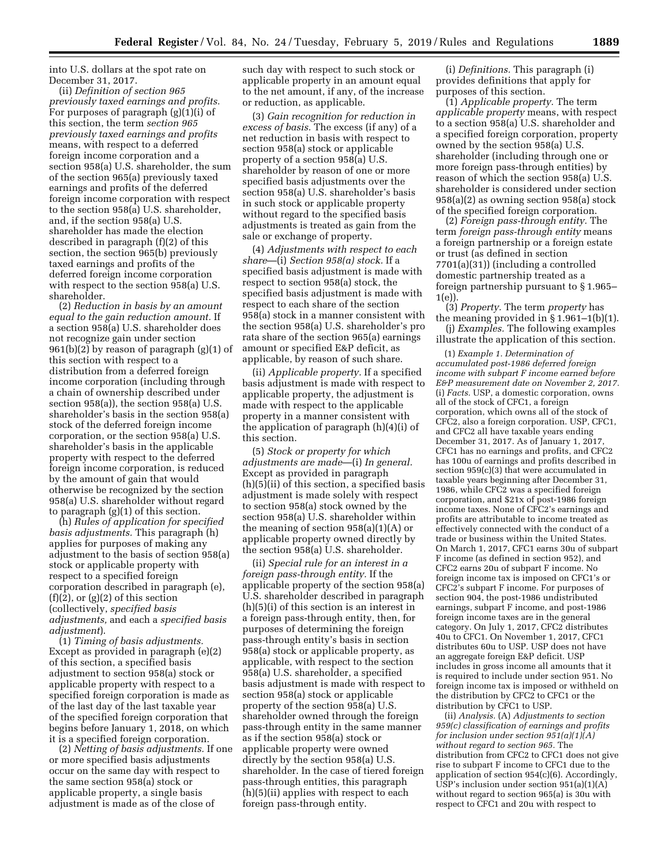into U.S. dollars at the spot rate on December 31, 2017.

(ii) *Definition of section 965 previously taxed earnings and profits.*  For purposes of paragraph (g)(1)(i) of this section, the term *section 965 previously taxed earnings and profits*  means, with respect to a deferred foreign income corporation and a section 958(a) U.S. shareholder, the sum of the section 965(a) previously taxed earnings and profits of the deferred foreign income corporation with respect to the section 958(a) U.S. shareholder, and, if the section 958(a) U.S. shareholder has made the election described in paragraph (f)(2) of this section, the section 965(b) previously taxed earnings and profits of the deferred foreign income corporation with respect to the section 958(a) U.S. shareholder.

(2) *Reduction in basis by an amount equal to the gain reduction amount.* If a section 958(a) U.S. shareholder does not recognize gain under section 961(b)(2) by reason of paragraph (g)(1) of this section with respect to a distribution from a deferred foreign income corporation (including through a chain of ownership described under section 958(a)), the section 958(a) U.S. shareholder's basis in the section 958(a) stock of the deferred foreign income corporation, or the section 958(a) U.S. shareholder's basis in the applicable property with respect to the deferred foreign income corporation, is reduced by the amount of gain that would otherwise be recognized by the section 958(a) U.S. shareholder without regard to paragraph (g)(1) of this section.

(h) *Rules of application for specified basis adjustments.* This paragraph (h) applies for purposes of making any adjustment to the basis of section 958(a) stock or applicable property with respect to a specified foreign corporation described in paragraph (e),  $(f)(2)$ , or  $(g)(2)$  of this section (collectively, *specified basis adjustments,* and each a *specified basis adjustment*).

(1) *Timing of basis adjustments.*  Except as provided in paragraph (e)(2) of this section, a specified basis adjustment to section 958(a) stock or applicable property with respect to a specified foreign corporation is made as of the last day of the last taxable year of the specified foreign corporation that begins before January 1, 2018, on which it is a specified foreign corporation.

(2) *Netting of basis adjustments.* If one or more specified basis adjustments occur on the same day with respect to the same section 958(a) stock or applicable property, a single basis adjustment is made as of the close of

such day with respect to such stock or applicable property in an amount equal to the net amount, if any, of the increase or reduction, as applicable.

(3) *Gain recognition for reduction in excess of basis.* The excess (if any) of a net reduction in basis with respect to section 958(a) stock or applicable property of a section 958(a) U.S. shareholder by reason of one or more specified basis adjustments over the section 958(a) U.S. shareholder's basis in such stock or applicable property without regard to the specified basis adjustments is treated as gain from the sale or exchange of property.

(4) *Adjustments with respect to each share*—(i) *Section 958(a) stock.* If a specified basis adjustment is made with respect to section 958(a) stock, the specified basis adjustment is made with respect to each share of the section 958(a) stock in a manner consistent with the section 958(a) U.S. shareholder's pro rata share of the section 965(a) earnings amount or specified E&P deficit, as applicable, by reason of such share.

(ii) *Applicable property.* If a specified basis adjustment is made with respect to applicable property, the adjustment is made with respect to the applicable property in a manner consistent with the application of paragraph (h)(4)(i) of this section.

(5) *Stock or property for which adjustments are made*—(i) *In general.*  Except as provided in paragraph (h)(5)(ii) of this section, a specified basis adjustment is made solely with respect to section 958(a) stock owned by the section 958(a) U.S. shareholder within the meaning of section 958(a)(1)(A) or applicable property owned directly by the section 958(a) U.S. shareholder.

(ii) *Special rule for an interest in a foreign pass-through entity.* If the applicable property of the section 958(a) U.S. shareholder described in paragraph (h)(5)(i) of this section is an interest in a foreign pass-through entity, then, for purposes of determining the foreign pass-through entity's basis in section 958(a) stock or applicable property, as applicable, with respect to the section 958(a) U.S. shareholder, a specified basis adjustment is made with respect to section 958(a) stock or applicable property of the section 958(a) U.S. shareholder owned through the foreign pass-through entity in the same manner as if the section 958(a) stock or applicable property were owned directly by the section 958(a) U.S. shareholder. In the case of tiered foreign pass-through entities, this paragraph (h)(5)(ii) applies with respect to each foreign pass-through entity.

(i) *Definitions.* This paragraph (i) provides definitions that apply for purposes of this section.

(1) *Applicable property.* The term *applicable property* means, with respect to a section 958(a) U.S. shareholder and a specified foreign corporation, property owned by the section 958(a) U.S. shareholder (including through one or more foreign pass-through entities) by reason of which the section 958(a) U.S. shareholder is considered under section 958(a)(2) as owning section 958(a) stock of the specified foreign corporation.

(2) *Foreign pass-through entity.* The term *foreign pass-through entity* means a foreign partnership or a foreign estate or trust (as defined in section 7701(a)(31)) (including a controlled domestic partnership treated as a foreign partnership pursuant to § 1.965– 1(e)).

(3) *Property.* The term *property* has the meaning provided in § 1.961–1(b)(1). (j) *Examples.* The following examples illustrate the application of this section.

(1) *Example 1. Determination of accumulated post-1986 deferred foreign income with subpart F income earned before E&P measurement date on November 2, 2017.*  (i) *Facts.* USP, a domestic corporation, owns all of the stock of CFC1, a foreign corporation, which owns all of the stock of CFC2, also a foreign corporation. USP, CFC1, and CFC2 all have taxable years ending December 31, 2017. As of January 1, 2017, CFC1 has no earnings and profits, and CFC2 has 100u of earnings and profits described in section 959(c)(3) that were accumulated in taxable years beginning after December 31, 1986, while CFC2 was a specified foreign corporation, and \$21x of post-1986 foreign income taxes. None of CFC2's earnings and profits are attributable to income treated as effectively connected with the conduct of a trade or business within the United States. On March 1, 2017, CFC1 earns 30u of subpart F income (as defined in section 952), and CFC2 earns 20u of subpart F income. No foreign income tax is imposed on CFC1's or CFC2's subpart F income. For purposes of section 904, the post-1986 undistributed earnings, subpart F income, and post-1986 foreign income taxes are in the general category. On July 1, 2017, CFC2 distributes 40u to CFC1. On November 1, 2017, CFC1 distributes 60u to USP. USP does not have an aggregate foreign E&P deficit. USP includes in gross income all amounts that it is required to include under section 951. No foreign income tax is imposed or withheld on the distribution by CFC2 to CFC1 or the distribution by CFC1 to USP.

(ii) *Analysis.* (A) *Adjustments to section 959(c) classification of earnings and profits for inclusion under section 951(a)(1)(A) without regard to section 965.* The distribution from CFC2 to CFC1 does not give rise to subpart F income to CFC1 due to the application of section 954(c)(6). Accordingly, USP's inclusion under section 951(a)(1)(A) without regard to section 965(a) is 30u with respect to CFC1 and 20u with respect to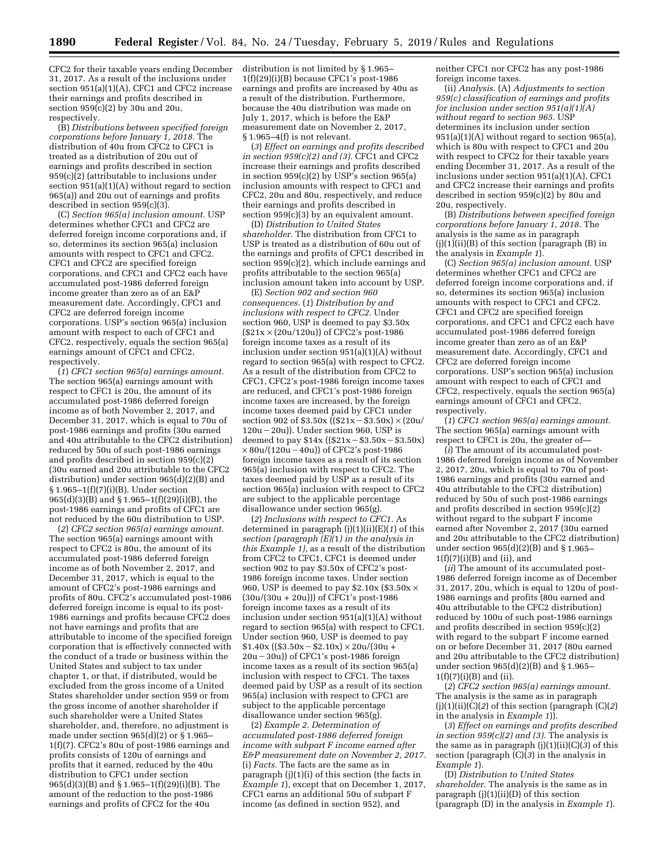CFC2 for their taxable years ending December 31, 2017. As a result of the inclusions under section 951(a)(1)(A), CFC1 and CFC2 increase their earnings and profits described in section 959(c)(2) by 30u and 20u, respectively.

(B) *Distributions between specified foreign corporations before January 1, 2018.* The distribution of 40u from CFC2 to CFC1 is treated as a distribution of 20u out of earnings and profits described in section 959(c)(2) (attributable to inclusions under section 951(a)(1)(A) without regard to section 965(a)) and 20u out of earnings and profits described in section 959(c)(3).

(C) *Section 965(a) inclusion amount.* USP determines whether CFC1 and CFC2 are deferred foreign income corporations and, if so, determines its section 965(a) inclusion amounts with respect to CFC1 and CFC2. CFC1 and CFC2 are specified foreign corporations, and CFC1 and CFC2 each have accumulated post-1986 deferred foreign income greater than zero as of an E&P measurement date. Accordingly, CFC1 and CFC2 are deferred foreign income corporations. USP's section 965(a) inclusion amount with respect to each of CFC1 and CFC2, respectively, equals the section 965(a) earnings amount of CFC1 and CFC2, respectively.

(*1*) *CFC1 section 965(a) earnings amount.*  The section 965(a) earnings amount with respect to CFC1 is 20u, the amount of its accumulated post-1986 deferred foreign income as of both November 2, 2017, and December 31, 2017, which is equal to 70u of post-1986 earnings and profits (30u earned and 40u attributable to the CFC2 distribution) reduced by 50u of such post-1986 earnings and profits described in section 959(c)(2) (30u earned and 20u attributable to the CFC2 distribution) under section 965(d)(2)(B) and § 1.965–1(f)(7)(i)(B). Under section 965(d)(3)(B) and § 1.965–1(f)(29)(i)(B), the post-1986 earnings and profits of CFC1 are not reduced by the 60u distribution to USP.

(*2*) *CFC2 section 965(a) earnings amount.*  The section 965(a) earnings amount with respect to CFC2 is 80u, the amount of its accumulated post-1986 deferred foreign income as of both November 2, 2017, and December 31, 2017, which is equal to the amount of CFC2's post-1986 earnings and profits of 80u. CFC2's accumulated post-1986 deferred foreign income is equal to its post-1986 earnings and profits because CFC2 does not have earnings and profits that are attributable to income of the specified foreign corporation that is effectively connected with the conduct of a trade or business within the United States and subject to tax under chapter 1, or that, if distributed, would be excluded from the gross income of a United States shareholder under section 959 or from the gross income of another shareholder if such shareholder were a United States shareholder, and, therefore, no adjustment is made under section  $965(d)(2)$  or § 1.965– 1(f)(7). CFC2's 80u of post-1986 earnings and profits consists of 120u of earnings and profits that it earned, reduced by the 40u distribution to CFC1 under section 965(d)(3)(B) and § 1.965–1(f)(29)(i)(B). The amount of the reduction to the post-1986 earnings and profits of CFC2 for the 40u

distribution is not limited by § 1.965– 1(f)(29)(i)(B) because CFC1's post-1986 earnings and profits are increased by 40u as a result of the distribution. Furthermore, because the 40u distribution was made on July 1, 2017, which is before the E&P measurement date on November 2, 2017, § 1.965–4(f) is not relevant.

(*3*) *Effect on earnings and profits described in section 959(c)(2) and (3).* CFC1 and CFC2 increase their earnings and profits described in section  $959(c)(2)$  by USP's section  $965(a)$ inclusion amounts with respect to CFC1 and CFC2, 20u and 80u, respectively, and reduce their earnings and profits described in section 959(c)(3) by an equivalent amount.

(D) *Distribution to United States shareholder.* The distribution from CFC1 to USP is treated as a distribution of 60u out of the earnings and profits of CFC1 described in section  $95\overline{9}$ (c)(2), which include earnings and profits attributable to the section 965(a) inclusion amount taken into account by USP.

(E) *Section 902 and section 960 consequences.* (*1*) *Distribution by and inclusions with respect to CFC2.* Under section 960, USP is deemed to pay \$3.50x (\$21x × (20u/120u)) of CFC2's post-1986 foreign income taxes as a result of its inclusion under section 951(a)(1)(A) without regard to section 965(a) with respect to CFC2. As a result of the distribution from CFC2 to CFC1, CFC2's post-1986 foreign income taxes are reduced, and CFC1's post-1986 foreign income taxes are increased, by the foreign income taxes deemed paid by CFC1 under section 902 of \$3.50x  $((\$21x - \$3.50x) \times (20u)$  $120u - 20u$ )). Under section 960, USP is deemed to pay  $$14x$  (( $$21x - $3.50x - $3.50x$ )  $\times 80$ u/(120u – 40u)) of CFC2's post-1986 foreign income taxes as a result of its section 965(a) inclusion with respect to CFC2. The taxes deemed paid by USP as a result of its section 965(a) inclusion with respect to CFC2 are subject to the applicable percentage disallowance under section 965(g).

(*2*) *Inclusions with respect to CFC1.* As determined in paragraph (j)(1)(ii)(E)(*1*) of this *section (paragraph (E)(*1*) in the analysis in this Example 1),* as a result of the distribution from CFC2 to CFC1, CFC1 is deemed under section 902 to pay \$3.50x of CFC2's post-1986 foreign income taxes. Under section 960, USP is deemed to pay \$2.10x (\$3.50x  $\times$  $(30u/(30u + 20u))$  of CFC1's post-1986 foreign income taxes as a result of its inclusion under section 951(a)(1)(A) without regard to section 965(a) with respect to CFC1. Under section 960, USP is deemed to pay  $$1.40x$  ((\$3.50x - \$2.10x) × 20u/(30u +  $20u - 30u$ ) of CFC1's post-1986 foreign income taxes as a result of its section 965(a) inclusion with respect to CFC1. The taxes deemed paid by USP as a result of its section 965(a) inclusion with respect to CFC1 are subject to the applicable percentage disallowance under section 965(g).

(2) *Example 2. Determination of accumulated post-1986 deferred foreign income with subpart F income earned after E&P measurement date on November 2, 2017.*  (i) *Facts.* The facts are the same as in paragraph (j)(1)(i) of this section (the facts in *Example 1*), except that on December 1, 2017, CFC1 earns an additional 50u of subpart F income (as defined in section 952), and

neither CFC1 nor CFC2 has any post-1986 foreign income taxes.

(ii) *Analysis.* (A) *Adjustments to section 959(c) classification of earnings and profits for inclusion under section 951(a)(1)(A) without regard to section 965.* USP determines its inclusion under section 951(a)(1)(A) without regard to section 965(a), which is 80u with respect to CFC1 and 20u with respect to CFC2 for their taxable years ending December 31, 2017. As a result of the inclusions under section 951(a)(1)(A), CFC1 and CFC2 increase their earnings and profits described in section 959(c)(2) by 80u and 20u, respectively.

(B) *Distributions between specified foreign corporations before January 1, 2018.* The analysis is the same as in paragraph  $(j)(1)(ii)(B)$  of this section (paragraph  $(B)$  in the analysis in *Example 1*).

(C) *Section 965(a) inclusion amount.* USP determines whether CFC1 and CFC2 are deferred foreign income corporations and, if so, determines its section 965(a) inclusion amounts with respect to CFC1 and CFC2. CFC1 and CFC2 are specified foreign corporations, and CFC1 and CFC2 each have accumulated post-1986 deferred foreign income greater than zero as of an E&P measurement date. Accordingly, CFC1 and CFC2 are deferred foreign income corporations. USP's section 965(a) inclusion amount with respect to each of CFC1 and CFC2, respectively, equals the section 965(a) earnings amount of CFC1 and CFC2, respectively.

(*1*) *CFC1 section 965(a) earnings amount.*  The section 965(a) earnings amount with respect to CFC1 is 20u, the greater of—

(*i*) The amount of its accumulated post-1986 deferred foreign income as of November 2, 2017, 20u, which is equal to 70u of post-1986 earnings and profits (30u earned and 40u attributable to the CFC2 distribution) reduced by 50u of such post-1986 earnings and profits described in section 959(c)(2) without regard to the subpart F income earned after November 2, 2017 (30u earned and 20u attributable to the CFC2 distribution) under section 965(d)(2)(B) and § 1.965–  $1(f)(7)(i)(B)$  and  $(ii)$ , and

(*ii*) The amount of its accumulated post-1986 deferred foreign income as of December 31, 2017, 20u, which is equal to 120u of post-1986 earnings and profits (80u earned and 40u attributable to the CFC2 distribution) reduced by 100u of such post-1986 earnings and profits described in section 959(c)(2) with regard to the subpart F income earned on or before December 31, 2017 (80u earned and 20u attributable to the CFC2 distribution) under section 965(d)(2)(B) and § 1.965–  $1(f)(7)(i)(B)$  and  $(ii).$ 

(*2*) *CFC2 section 965(a) earnings amount.*  The analysis is the same as in paragraph  $(j)(1)(ii)(C)(2)$  of this section (paragraph  $(C)(2)$ in the analysis in *Example 1*)).

(*3*) *Effect on earnings and profits described in section 959(c)(2) and (3).* The analysis is the same as in paragraph (j)(1)(ii)(C)(*3*) of this section (paragraph  $(C)(3)$  in the analysis in *Example 1*).

(D) *Distribution to United States shareholder.* The analysis is the same as in paragraph  $(j)(1)(ii)(D)$  of this section (paragraph (D) in the analysis in *Example 1*).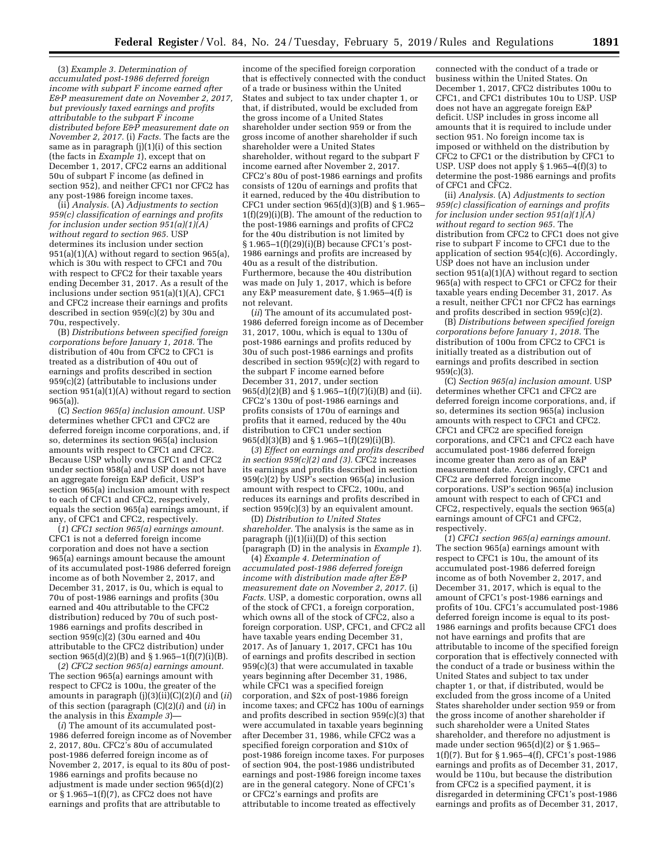(3) *Example 3. Determination of accumulated post-1986 deferred foreign income with subpart F income earned after E&P measurement date on November 2, 2017, but previously taxed earnings and profits attributable to the subpart F income distributed before E&P measurement date on November 2, 2017.* (i) *Facts.* The facts are the same as in paragraph  $(i)(1)(i)$  of this section (the facts in *Example 1*), except that on December 1, 2017, CFC2 earns an additional 50u of subpart F income (as defined in section 952), and neither CFC1 nor CFC2 has any post-1986 foreign income taxes.

(ii) *Analysis.* (A) *Adjustments to section 959(c) classification of earnings and profits for inclusion under section 951(a)(1)(A) without regard to section 965.* USP determines its inclusion under section 951(a)(1)(A) without regard to section 965(a), which is 30u with respect to CFC1 and 70u with respect to CFC2 for their taxable years ending December 31, 2017. As a result of the inclusions under section 951(a)(1)(A), CFC1 and CFC2 increase their earnings and profits described in section 959(c)(2) by 30u and 70u, respectively.

(B) *Distributions between specified foreign corporations before January 1, 2018.* The distribution of 40u from CFC2 to CFC1 is treated as a distribution of 40u out of earnings and profits described in section 959(c)(2) (attributable to inclusions under section 951(a)(1)(A) without regard to section 965(a)).

(C) *Section 965(a) inclusion amount.* USP determines whether CFC1 and CFC2 are deferred foreign income corporations, and, if so, determines its section 965(a) inclusion amounts with respect to CFC1 and CFC2. Because USP wholly owns CFC1 and CFC2 under section 958(a) and USP does not have an aggregate foreign E&P deficit, USP's section 965(a) inclusion amount with respect to each of CFC1 and CFC2, respectively, equals the section 965(a) earnings amount, if any, of CFC1 and CFC2, respectively.

(*1*) *CFC1 section 965(a) earnings amount.*  CFC1 is not a deferred foreign income corporation and does not have a section 965(a) earnings amount because the amount of its accumulated post-1986 deferred foreign income as of both November 2, 2017, and December 31, 2017, is 0u, which is equal to 70u of post-1986 earnings and profits (30u earned and 40u attributable to the CFC2 distribution) reduced by 70u of such post-1986 earnings and profits described in section  $959(c)(2)$  (30u earned and 40u attributable to the CFC2 distribution) under section 965(d)(2)(B) and § 1.965–1(f)(7)(i)(B).

(*2*) *CFC2 section 965(a) earnings amount.*  The section 965(a) earnings amount with respect to CFC2 is 100u, the greater of the amounts in paragraph (j)(3)(ii)(C)(2)(*i*) and (*ii*) of this section (paragraph (C)(2)(*i*) and (*ii*) in the analysis in this *Example 3*)—

(*i*) The amount of its accumulated post-1986 deferred foreign income as of November 2, 2017, 80u. CFC2's 80u of accumulated post-1986 deferred foreign income as of November 2, 2017, is equal to its 80u of post-1986 earnings and profits because no adjustment is made under section 965(d)(2) or  $\S 1.965-1(f)(7)$ , as CFC2 does not have earnings and profits that are attributable to

income of the specified foreign corporation that is effectively connected with the conduct of a trade or business within the United States and subject to tax under chapter 1, or that, if distributed, would be excluded from the gross income of a United States shareholder under section 959 or from the gross income of another shareholder if such shareholder were a United States shareholder, without regard to the subpart F income earned after November 2, 2017. CFC2's 80u of post-1986 earnings and profits consists of 120u of earnings and profits that it earned, reduced by the 40u distribution to CFC1 under section 965(d)(3)(B) and § 1.965– 1(f)(29)(i)(B). The amount of the reduction to the post-1986 earnings and profits of CFC2 for the 40u distribution is not limited by § 1.965–1(f)(29)(i)(B) because CFC1's post-1986 earnings and profits are increased by 40u as a result of the distribution. Furthermore, because the 40u distribution was made on July 1, 2017, which is before any E&P measurement date, § 1.965–4(f) is not relevant.

(*ii*) The amount of its accumulated post-1986 deferred foreign income as of December 31, 2017, 100u, which is equal to 130u of post-1986 earnings and profits reduced by 30u of such post-1986 earnings and profits described in section 959(c)(2) with regard to the subpart F income earned before December 31, 2017, under section 965(d)(2)(B) and § 1.965–1(f)(7)(i)(B) and (ii). CFC2's 130u of post-1986 earnings and profits consists of 170u of earnings and profits that it earned, reduced by the 40u distribution to CFC1 under section 965(d)(3)(B) and § 1.965–1(f)(29)(i)(B).

(*3*) *Effect on earnings and profits described in section 959(c)(2) and (3).* CFC2 increases its earnings and profits described in section  $959(c)(2)$  by USP's section 965(a) inclusion amount with respect to CFC2, 100u, and reduces its earnings and profits described in section 959(c)(3) by an equivalent amount.

(D) *Distribution to United States shareholder.* The analysis is the same as in paragraph  $(j)(1)(ii)(D)$  of this section (paragraph (D) in the analysis in *Example 1*).

(4) *Example 4. Determination of accumulated post-1986 deferred foreign income with distribution made after E&P measurement date on November 2, 2017.* (i) *Facts.* USP, a domestic corporation, owns all of the stock of CFC1, a foreign corporation, which owns all of the stock of CFC2, also a foreign corporation. USP, CFC1, and CFC2 all have taxable years ending December 31, 2017. As of January 1, 2017, CFC1 has 10u of earnings and profits described in section 959(c)(3) that were accumulated in taxable years beginning after December 31, 1986, while CFC1 was a specified foreign corporation, and \$2x of post-1986 foreign income taxes; and CFC2 has 100u of earnings and profits described in section 959(c)(3) that were accumulated in taxable years beginning after December 31, 1986, while CFC2 was a specified foreign corporation and \$10x of post-1986 foreign income taxes. For purposes of section 904, the post-1986 undistributed earnings and post-1986 foreign income taxes are in the general category. None of CFC1's or CFC2's earnings and profits are attributable to income treated as effectively

connected with the conduct of a trade or business within the United States. On December 1, 2017, CFC2 distributes 100u to CFC1, and CFC1 distributes 10u to USP. USP does not have an aggregate foreign E&P deficit. USP includes in gross income all amounts that it is required to include under section 951. No foreign income tax is imposed or withheld on the distribution by CFC2 to CFC1 or the distribution by CFC1 to USP. USP does not apply  $\S 1.965-4(f)(3)$  to determine the post-1986 earnings and profits of CFC1 and CFC2.

(ii) *Analysis.* (A) *Adjustments to section 959(c) classification of earnings and profits for inclusion under section 951(a)(1)(A) without regard to section 965.* The distribution from CFC2 to CFC1 does not give rise to subpart F income to CFC1 due to the application of section 954(c)(6). Accordingly, USP does not have an inclusion under section 951(a)(1)(A) without regard to section 965(a) with respect to CFC1 or CFC2 for their taxable years ending December 31, 2017. As a result, neither CFC1 nor CFC2 has earnings and profits described in section 959(c)(2).

(B) *Distributions between specified foreign corporations before January 1, 2018.* The distribution of 100u from CFC2 to CFC1 is initially treated as a distribution out of earnings and profits described in section 959(c)(3).

(C) *Section 965(a) inclusion amount.* USP determines whether CFC1 and CFC2 are deferred foreign income corporations, and, if so, determines its section 965(a) inclusion amounts with respect to CFC1 and CFC2. CFC1 and CFC2 are specified foreign corporations, and CFC1 and CFC2 each have accumulated post-1986 deferred foreign income greater than zero as of an E&P measurement date. Accordingly, CFC1 and CFC2 are deferred foreign income corporations. USP's section 965(a) inclusion amount with respect to each of CFC1 and CFC2, respectively, equals the section 965(a) earnings amount of CFC1 and CFC2, respectively.

(*1*) *CFC1 section 965(a) earnings amount.*  The section 965(a) earnings amount with respect to CFC1 is 10u, the amount of its accumulated post-1986 deferred foreign income as of both November 2, 2017, and December 31, 2017, which is equal to the amount of CFC1's post-1986 earnings and profits of 10u. CFC1's accumulated post-1986 deferred foreign income is equal to its post-1986 earnings and profits because CFC1 does not have earnings and profits that are attributable to income of the specified foreign corporation that is effectively connected with the conduct of a trade or business within the United States and subject to tax under chapter 1, or that, if distributed, would be excluded from the gross income of a United States shareholder under section 959 or from the gross income of another shareholder if such shareholder were a United States shareholder, and therefore no adjustment is made under section 965(d)(2) or § 1.965– 1(f)(7). But for § 1.965–4(f), CFC1's post-1986 earnings and profits as of December 31, 2017, would be 110u, but because the distribution from CFC2 is a specified payment, it is disregarded in determining CFC1's post-1986 earnings and profits as of December 31, 2017,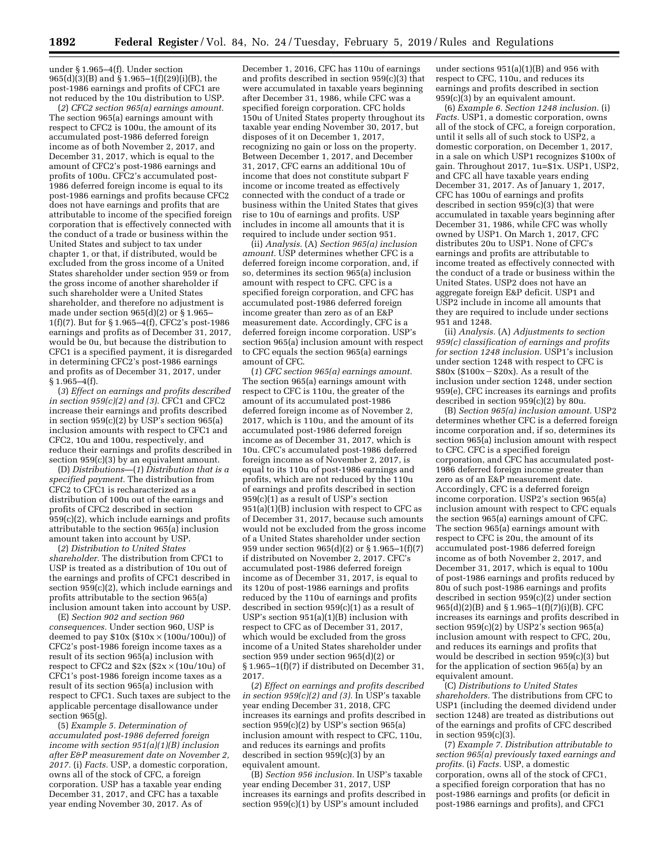under § 1.965–4(f). Under section 965(d)(3)(B) and § 1.965–1(f)(29)(i)(B), the post-1986 earnings and profits of CFC1 are not reduced by the 10u distribution to USP.

(*2*) *CFC2 section 965(a) earnings amount.*  The section 965(a) earnings amount with respect to CFC2 is 100u, the amount of its accumulated post-1986 deferred foreign income as of both November 2, 2017, and December 31, 2017, which is equal to the amount of CFC2's post-1986 earnings and profits of 100u. CFC2's accumulated post-1986 deferred foreign income is equal to its post-1986 earnings and profits because CFC2 does not have earnings and profits that are attributable to income of the specified foreign corporation that is effectively connected with the conduct of a trade or business within the United States and subject to tax under chapter 1, or that, if distributed, would be excluded from the gross income of a United States shareholder under section 959 or from the gross income of another shareholder if such shareholder were a United States shareholder, and therefore no adjustment is made under section 965(d)(2) or § 1.965– 1(f)(7). But for § 1.965–4(f), CFC2's post-1986 earnings and profits as of December 31, 2017, would be 0u, but because the distribution to CFC1 is a specified payment, it is disregarded in determining CFC2's post-1986 earnings and profits as of December 31, 2017, under § 1.965–4(f).

(*3*) *Effect on earnings and profits described in section 959(c)(2) and (3).* CFC1 and CFC2 increase their earnings and profits described in section  $959(c)(2)$  by USP's section  $965(a)$ inclusion amounts with respect to CFC1 and CFC2, 10u and 100u, respectively, and reduce their earnings and profits described in section 959(c)(3) by an equivalent amount.

(D) *Distributions*—(*1*) *Distribution that is a specified payment.* The distribution from CFC2 to CFC1 is recharacterized as a distribution of 100u out of the earnings and profits of CFC2 described in section 959(c)(2), which include earnings and profits attributable to the section 965(a) inclusion amount taken into account by USP.

(*2*) *Distribution to United States shareholder.* The distribution from CFC1 to USP is treated as a distribution of 10u out of the earnings and profits of CFC1 described in section 959(c)(2), which include earnings and profits attributable to the section 965(a) inclusion amount taken into account by USP.

(E) *Section 902 and section 960 consequences.* Under section 960, USP is deemed to pay  $$10x ($10x \times (100u/100u))$  of CFC2's post-1986 foreign income taxes as a result of its section 965(a) inclusion with respect to CFC2 and  $$2x ($2x \times (10u/10u)$  of CFC1's post-1986 foreign income taxes as a result of its section 965(a) inclusion with respect to CFC1. Such taxes are subject to the applicable percentage disallowance under section  $965(g)$ .

(5) *Example 5. Determination of accumulated post-1986 deferred foreign income with section 951(a)(1)(B) inclusion after E&P measurement date on November 2, 2017.* (i) *Facts.* USP, a domestic corporation, owns all of the stock of CFC, a foreign corporation. USP has a taxable year ending December 31, 2017, and CFC has a taxable year ending November 30, 2017. As of

December 1, 2016, CFC has 110u of earnings and profits described in section 959(c)(3) that were accumulated in taxable years beginning after December 31, 1986, while CFC was a specified foreign corporation. CFC holds 150u of United States property throughout its taxable year ending November 30, 2017, but disposes of it on December 1, 2017, recognizing no gain or loss on the property. Between December 1, 2017, and December 31, 2017, CFC earns an additional 10u of income that does not constitute subpart F income or income treated as effectively connected with the conduct of a trade or business within the United States that gives rise to 10u of earnings and profits. USP includes in income all amounts that it is required to include under section 951.

(ii) *Analysis.* (A) *Section 965(a) inclusion amount.* USP determines whether CFC is a deferred foreign income corporation, and, if so, determines its section 965(a) inclusion amount with respect to CFC. CFC is a specified foreign corporation, and CFC has accumulated post-1986 deferred foreign income greater than zero as of an E&P measurement date. Accordingly, CFC is a deferred foreign income corporation. USP's section 965(a) inclusion amount with respect to CFC equals the section 965(a) earnings amount of CFC.

(*1*) *CFC section 965(a) earnings amount.*  The section 965(a) earnings amount with respect to CFC is 110u, the greater of the amount of its accumulated post-1986 deferred foreign income as of November 2, 2017, which is 110u, and the amount of its accumulated post-1986 deferred foreign income as of December 31, 2017, which is 10u. CFC's accumulated post-1986 deferred foreign income as of November 2, 2017, is equal to its 110u of post-1986 earnings and profits, which are not reduced by the 110u of earnings and profits described in section 959(c)(1) as a result of USP's section 951(a)(1)(B) inclusion with respect to CFC as of December 31, 2017, because such amounts would not be excluded from the gross income of a United States shareholder under section 959 under section 965(d)(2) or § 1.965–1(f)(7) if distributed on November 2, 2017. CFC's accumulated post-1986 deferred foreign income as of December 31, 2017, is equal to its 120u of post-1986 earnings and profits reduced by the 110u of earnings and profits described in section  $959(c)(1)$  as a result of USP's section 951(a)(1)(B) inclusion with respect to CFC as of December 31, 2017, which would be excluded from the gross income of a United States shareholder under section 959 under section 965(d)(2) or § 1.965–1(f)(7) if distributed on December 31, 2017.

(*2*) *Effect on earnings and profits described in section 959(c)(2) and (3).* In USP's taxable year ending December 31, 2018, CFC increases its earnings and profits described in section 959(c)(2) by USP's section 965(a) inclusion amount with respect to CFC, 110u, and reduces its earnings and profits described in section  $959(c)(3)$  by an equivalent amount.

(B) *Section 956 inclusion.* In USP's taxable year ending December 31, 2017, USP increases its earnings and profits described in section  $959(c)(1)$  by USP's amount included

under sections 951(a)(1)(B) and 956 with respect to CFC, 110u, and reduces its earnings and profits described in section 959(c)(3) by an equivalent amount.

(6) *Example 6. Section 1248 inclusion.* (i) *Facts.* USP1, a domestic corporation, owns all of the stock of CFC, a foreign corporation, until it sells all of such stock to USP2, a domestic corporation, on December 1, 2017, in a sale on which USP1 recognizes \$100x of gain. Throughout 2017, 1u=\$1x. USP1, USP2, and CFC all have taxable years ending December 31, 2017. As of January 1, 2017, CFC has 100u of earnings and profits described in section  $959(c)(3)$  that were accumulated in taxable years beginning after December 31, 1986, while CFC was wholly owned by USP1. On March 1, 2017, CFC distributes 20u to USP1. None of CFC's earnings and profits are attributable to income treated as effectively connected with the conduct of a trade or business within the United States. USP2 does not have an aggregate foreign E&P deficit. USP1 and USP2 include in income all amounts that they are required to include under sections 951 and 1248.

(ii) *Analysis.* (A) *Adjustments to section 959(c) classification of earnings and profits for section 1248 inclusion.* USP1's inclusion under section 1248 with respect to CFC is  $$80x$ ($100x - $20x$ ). As a result of the inclusion under section 1248, under section 959(e), CFC increases its earnings and profits described in section 959(c)(2) by 80u.

(B) *Section 965(a) inclusion amount.* USP2 determines whether CFC is a deferred foreign income corporation and, if so, determines its section 965(a) inclusion amount with respect to CFC. CFC is a specified foreign corporation, and CFC has accumulated post-1986 deferred foreign income greater than zero as of an E&P measurement date. Accordingly, CFC is a deferred foreign income corporation. USP2's section 965(a) inclusion amount with respect to CFC equals the section 965(a) earnings amount of CFC. The section 965(a) earnings amount with respect to CFC is 20u, the amount of its accumulated post-1986 deferred foreign income as of both November 2, 2017, and December 31, 2017, which is equal to 100u of post-1986 earnings and profits reduced by 80u of such post-1986 earnings and profits described in section 959(c)(2) under section 965(d)(2)(B) and § 1.965–1(f)(7)(i)(B). CFC increases its earnings and profits described in section 959(c)(2) by USP2's section 965(a) inclusion amount with respect to CFC, 20u, and reduces its earnings and profits that would be described in section 959(c)(3) but for the application of section 965(a) by an equivalent amount.

(C) *Distributions to United States shareholders.* The distributions from CFC to USP1 (including the deemed dividend under section 1248) are treated as distributions out of the earnings and profits of CFC described in section  $959(c)(3)$ .

(7) *Example 7. Distribution attributable to section 965(a) previously taxed earnings and profits.* (i) *Facts.* USP, a domestic corporation, owns all of the stock of CFC1, a specified foreign corporation that has no post-1986 earnings and profits (or deficit in post-1986 earnings and profits), and CFC1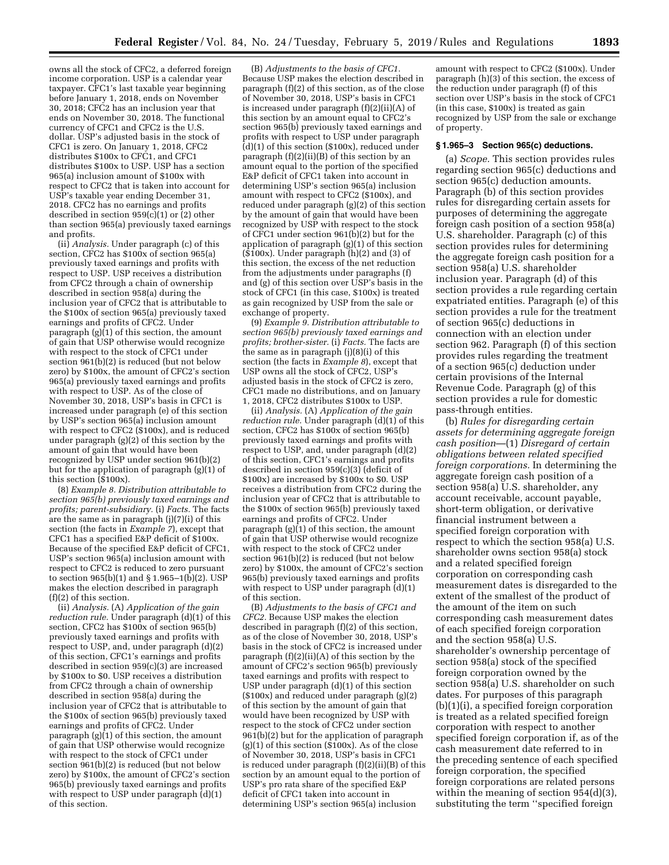owns all the stock of CFC2, a deferred foreign income corporation. USP is a calendar year taxpayer. CFC1's last taxable year beginning before January 1, 2018, ends on November 30, 2018; CFC2 has an inclusion year that ends on November 30, 2018. The functional currency of CFC1 and CFC2 is the U.S. dollar. USP's adjusted basis in the stock of CFC1 is zero. On January 1, 2018, CFC2 distributes \$100x to CFC1, and CFC1 distributes \$100x to USP. USP has a section 965(a) inclusion amount of \$100x with respect to CFC2 that is taken into account for USP's taxable year ending December 31, 2018. CFC2 has no earnings and profits described in section 959(c)(1) or (2) other than section 965(a) previously taxed earnings and profits.

(ii) *Analysis.* Under paragraph (c) of this section, CFC2 has \$100x of section 965(a) previously taxed earnings and profits with respect to USP. USP receives a distribution from CFC2 through a chain of ownership described in section 958(a) during the inclusion year of CFC2 that is attributable to the \$100x of section 965(a) previously taxed earnings and profits of CFC2. Under paragraph  $(g)(1)$  of this section, the amount of gain that USP otherwise would recognize with respect to the stock of CFC1 under section 961(b)(2) is reduced (but not below zero) by \$100x, the amount of CFC2's section 965(a) previously taxed earnings and profits with respect to USP. As of the close of November 30, 2018, USP's basis in CFC1 is increased under paragraph (e) of this section by USP's section 965(a) inclusion amount with respect to CFC2 (\$100x), and is reduced under paragraph (g)(2) of this section by the amount of gain that would have been recognized by USP under section 961(b)(2) but for the application of paragraph (g)(1) of this section (\$100x).

(8) *Example 8. Distribution attributable to section 965(b) previously taxed earnings and profits; parent-subsidiary.* (i) *Facts.* The facts are the same as in paragraph (j)(7)(i) of this section (the facts in *Example 7*), except that CFC1 has a specified E&P deficit of \$100x. Because of the specified E&P deficit of CFC1, USP's section 965(a) inclusion amount with respect to CFC2 is reduced to zero pursuant to section 965(b)(1) and § 1.965–1(b)(2). USP makes the election described in paragraph (f)(2) of this section.

(ii) *Analysis.* (A) *Application of the gain reduction rule.* Under paragraph (d)(1) of this section, CFC2 has \$100x of section 965(b) previously taxed earnings and profits with respect to USP, and, under paragraph (d)(2) of this section, CFC1's earnings and profits described in section 959(c)(3) are increased by \$100x to \$0. USP receives a distribution from CFC2 through a chain of ownership described in section 958(a) during the inclusion year of CFC2 that is attributable to the \$100x of section 965(b) previously taxed earnings and profits of CFC2. Under paragraph  $(g)(1)$  of this section, the amount of gain that USP otherwise would recognize with respect to the stock of CFC1 under section 961(b)(2) is reduced (but not below zero) by \$100x, the amount of CFC2's section 965(b) previously taxed earnings and profits with respect to USP under paragraph (d)(1) of this section.

(B) *Adjustments to the basis of CFC1.*  Because USP makes the election described in paragraph (f)(2) of this section, as of the close of November 30, 2018, USP's basis in CFC1 is increased under paragraph (f)(2)(ii)(A) of this section by an amount equal to CFC2's section 965(b) previously taxed earnings and profits with respect to USP under paragraph (d)(1) of this section (\$100x), reduced under paragraph (f)(2)(ii)(B) of this section by an amount equal to the portion of the specified E&P deficit of CFC1 taken into account in determining USP's section 965(a) inclusion amount with respect to CFC2 (\$100x), and reduced under paragraph (g)(2) of this section by the amount of gain that would have been recognized by USP with respect to the stock of CFC1 under section  $961(\overline{b})(2)$  but for the application of paragraph (g)(1) of this section (\$100x). Under paragraph (h)(2) and (3) of this section, the excess of the net reduction from the adjustments under paragraphs (f) and (g) of this section over USP's basis in the stock of CFC1 (in this case, \$100x) is treated as gain recognized by USP from the sale or exchange of property.

(9) *Example 9. Distribution attributable to section 965(b) previously taxed earnings and profits; brother-sister.* (i) *Facts.* The facts are the same as in paragraph (j)(8)(i) of this section (the facts in *Example 8*), except that USP owns all the stock of CFC2, USP's adjusted basis in the stock of CFC2 is zero, CFC1 made no distributions, and on January 1, 2018, CFC2 distributes \$100x to USP.

(ii) *Analysis.* (A) *Application of the gain reduction rule.* Under paragraph (d)(1) of this section, CFC2 has \$100x of section 965(b) previously taxed earnings and profits with respect to USP, and, under paragraph (d)(2) of this section, CFC1's earnings and profits described in section 959(c)(3) (deficit of \$100x) are increased by \$100x to \$0. USP receives a distribution from CFC2 during the inclusion year of CFC2 that is attributable to the \$100x of section 965(b) previously taxed earnings and profits of CFC2. Under paragraph (g)(1) of this section, the amount of gain that USP otherwise would recognize with respect to the stock of CFC2 under section 961(b)(2) is reduced (but not below zero) by \$100x, the amount of CFC2's section 965(b) previously taxed earnings and profits with respect to USP under paragraph  $(d)(1)$ of this section.

(B) *Adjustments to the basis of CFC1 and CFC2.* Because USP makes the election described in paragraph (f)(2) of this section, as of the close of November 30, 2018, USP's basis in the stock of CFC2 is increased under paragraph (f)(2)(ii)(A) of this section by the amount of CFC2's section 965(b) previously taxed earnings and profits with respect to USP under paragraph (d)(1) of this section (\$100x) and reduced under paragraph (g)(2) of this section by the amount of gain that would have been recognized by USP with respect to the stock of CFC2 under section 961(b)(2) but for the application of paragraph  $(g)(1)$  of this section  $($100x)$ . As of the close of November 30, 2018, USP's basis in CFC1 is reduced under paragraph (f)(2)(ii)(B) of this section by an amount equal to the portion of USP's pro rata share of the specified E&P deficit of CFC1 taken into account in determining USP's section 965(a) inclusion

amount with respect to CFC2 (\$100x). Under paragraph (h)(3) of this section, the excess of the reduction under paragraph (f) of this section over USP's basis in the stock of CFC1 (in this case, \$100x) is treated as gain recognized by USP from the sale or exchange of property.

#### **§ 1.965–3 Section 965(c) deductions.**

(a) *Scope.* This section provides rules regarding section 965(c) deductions and section 965(c) deduction amounts. Paragraph (b) of this section provides rules for disregarding certain assets for purposes of determining the aggregate foreign cash position of a section 958(a) U.S. shareholder. Paragraph (c) of this section provides rules for determining the aggregate foreign cash position for a section 958(a) U.S. shareholder inclusion year. Paragraph (d) of this section provides a rule regarding certain expatriated entities. Paragraph (e) of this section provides a rule for the treatment of section 965(c) deductions in connection with an election under section 962. Paragraph (f) of this section provides rules regarding the treatment of a section 965(c) deduction under certain provisions of the Internal Revenue Code. Paragraph (g) of this section provides a rule for domestic pass-through entities.

(b) *Rules for disregarding certain assets for determining aggregate foreign cash position*—(1) *Disregard of certain obligations between related specified foreign corporations.* In determining the aggregate foreign cash position of a section 958(a) U.S. shareholder, any account receivable, account payable, short-term obligation, or derivative financial instrument between a specified foreign corporation with respect to which the section 958(a) U.S. shareholder owns section 958(a) stock and a related specified foreign corporation on corresponding cash measurement dates is disregarded to the extent of the smallest of the product of the amount of the item on such corresponding cash measurement dates of each specified foreign corporation and the section 958(a) U.S. shareholder's ownership percentage of section 958(a) stock of the specified foreign corporation owned by the section 958(a) U.S. shareholder on such dates. For purposes of this paragraph (b)(1)(i), a specified foreign corporation is treated as a related specified foreign corporation with respect to another specified foreign corporation if, as of the cash measurement date referred to in the preceding sentence of each specified foreign corporation, the specified foreign corporations are related persons within the meaning of section 954(d)(3), substituting the term ''specified foreign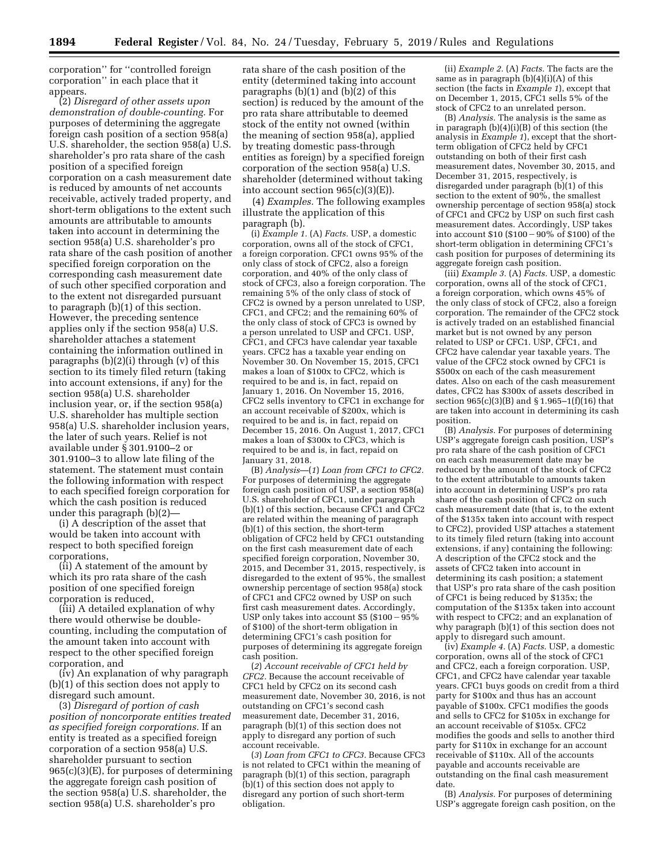corporation'' for ''controlled foreign corporation'' in each place that it appears.

(2) *Disregard of other assets upon demonstration of double-counting.* For purposes of determining the aggregate foreign cash position of a section 958(a) U.S. shareholder, the section 958(a) U.S. shareholder's pro rata share of the cash position of a specified foreign corporation on a cash measurement date is reduced by amounts of net accounts receivable, actively traded property, and short-term obligations to the extent such amounts are attributable to amounts taken into account in determining the section 958(a) U.S. shareholder's pro rata share of the cash position of another specified foreign corporation on the corresponding cash measurement date of such other specified corporation and to the extent not disregarded pursuant to paragraph (b)(1) of this section. However, the preceding sentence applies only if the section 958(a) U.S. shareholder attaches a statement containing the information outlined in paragraphs (b)(2)(i) through (v) of this section to its timely filed return (taking into account extensions, if any) for the section 958(a) U.S. shareholder inclusion year, or, if the section 958(a) U.S. shareholder has multiple section 958(a) U.S. shareholder inclusion years, the later of such years. Relief is not available under § 301.9100–2 or 301.9100–3 to allow late filing of the statement. The statement must contain the following information with respect to each specified foreign corporation for which the cash position is reduced under this paragraph (b)(2)—

(i) A description of the asset that would be taken into account with respect to both specified foreign corporations,

(ii) A statement of the amount by which its pro rata share of the cash position of one specified foreign corporation is reduced,

(iii) A detailed explanation of why there would otherwise be doublecounting, including the computation of the amount taken into account with respect to the other specified foreign corporation, and

(iv) An explanation of why paragraph (b)(1) of this section does not apply to disregard such amount.

(3) *Disregard of portion of cash position of noncorporate entities treated as specified foreign corporations.* If an entity is treated as a specified foreign corporation of a section 958(a) U.S. shareholder pursuant to section 965(c)(3)(E), for purposes of determining the aggregate foreign cash position of the section  $958(a)$  U.S. shareholder, the section 958(a) U.S. shareholder's pro

rata share of the cash position of the entity (determined taking into account paragraphs  $(b)(1)$  and  $(b)(2)$  of this section) is reduced by the amount of the pro rata share attributable to deemed stock of the entity not owned (within the meaning of section 958(a), applied by treating domestic pass-through entities as foreign) by a specified foreign corporation of the section 958(a) U.S. shareholder (determined without taking into account section  $965(c)(3)(E)$ .

(4) *Examples.* The following examples illustrate the application of this paragraph (b).

(i) *Example 1.* (A) *Facts.* USP, a domestic corporation, owns all of the stock of CFC1, a foreign corporation. CFC1 owns 95% of the only class of stock of CFC2, also a foreign corporation, and 40% of the only class of stock of CFC3, also a foreign corporation. The remaining 5% of the only class of stock of CFC2 is owned by a person unrelated to USP, CFC1, and CFC2; and the remaining 60% of the only class of stock of CFC3 is owned by a person unrelated to USP and CFC1. USP, CFC1, and CFC3 have calendar year taxable years. CFC2 has a taxable year ending on November 30. On November 15, 2015, CFC1 makes a loan of \$100x to CFC2, which is required to be and is, in fact, repaid on January 1, 2016. On November 15, 2016, CFC2 sells inventory to CFC1 in exchange for an account receivable of \$200x, which is required to be and is, in fact, repaid on December 15, 2016. On August 1, 2017, CFC1 makes a loan of \$300x to CFC3, which is required to be and is, in fact, repaid on January 31, 2018.

(B) *Analysis*—(*1*) *Loan from CFC1 to CFC2.*  For purposes of determining the aggregate foreign cash position of USP, a section 958(a) U.S. shareholder of CFC1, under paragraph (b)(1) of this section, because CFC1 and CFC2 are related within the meaning of paragraph (b)(1) of this section, the short-term obligation of CFC2 held by CFC1 outstanding on the first cash measurement date of each specified foreign corporation, November 30, 2015, and December 31, 2015, respectively, is disregarded to the extent of 95%, the smallest ownership percentage of section 958(a) stock of CFC1 and CFC2 owned by USP on such first cash measurement dates. Accordingly, USP only takes into account \$5  $$100 - 95\%$ of \$100) of the short-term obligation in determining CFC1's cash position for purposes of determining its aggregate foreign cash position.

(*2*) *Account receivable of CFC1 held by CFC2.* Because the account receivable of CFC1 held by CFC2 on its second cash measurement date, November 30, 2016, is not outstanding on CFC1's second cash measurement date, December 31, 2016, paragraph (b)(1) of this section does not apply to disregard any portion of such account receivable.

(*3*) *Loan from CFC1 to CFC3.* Because CFC3 is not related to CFC1 within the meaning of paragraph (b)(1) of this section, paragraph  $(b)(1)$  of this section does not apply to disregard any portion of such short-term obligation.

(ii) *Example 2.* (A) *Facts.* The facts are the same as in paragraph  $(b)(4)(i)(A)$  of this section (the facts in *Example 1*), except that on December 1, 2015, CFC1 sells 5% of the stock of CFC2 to an unrelated person.

(B) *Analysis.* The analysis is the same as in paragraph  $(b)(4)(i)(B)$  of this section (the analysis in *Example 1*), except that the shortterm obligation of CFC2 held by CFC1 outstanding on both of their first cash measurement dates, November 30, 2015, and December 31, 2015, respectively, is disregarded under paragraph (b)(1) of this section to the extent of 90%, the smallest ownership percentage of section 958(a) stock of CFC1 and CFC2 by USP on such first cash measurement dates. Accordingly, USP takes into account  $$10 ($100 - 90\% \text{ of } $100)$  of the short-term obligation in determining CFC1's cash position for purposes of determining its aggregate foreign cash position.

(iii) *Example 3.* (A) *Facts.* USP, a domestic corporation, owns all of the stock of CFC1, a foreign corporation, which owns 45% of the only class of stock of CFC2, also a foreign corporation. The remainder of the CFC2 stock is actively traded on an established financial market but is not owned by any person related to USP or CFC1. USP, CFC1, and CFC2 have calendar year taxable years. The value of the CFC2 stock owned by CFC1 is \$500x on each of the cash measurement dates. Also on each of the cash measurement dates, CFC2 has \$300x of assets described in section 965(c)(3)(B) and § 1.965–1(f)(16) that are taken into account in determining its cash position.

(B) *Analysis.* For purposes of determining USP's aggregate foreign cash position, USP's pro rata share of the cash position of CFC1 on each cash measurement date may be reduced by the amount of the stock of CFC2 to the extent attributable to amounts taken into account in determining USP's pro rata share of the cash position of CFC2 on such cash measurement date (that is, to the extent of the \$135x taken into account with respect to CFC2), provided USP attaches a statement to its timely filed return (taking into account extensions, if any) containing the following: A description of the CFC2 stock and the assets of CFC2 taken into account in determining its cash position; a statement that USP's pro rata share of the cash position of CFC1 is being reduced by \$135x; the computation of the \$135x taken into account with respect to CFC2; and an explanation of why paragraph (b)(1) of this section does not apply to disregard such amount.

(iv) *Example 4.* (A) *Facts.* USP, a domestic corporation, owns all of the stock of CFC1 and CFC2, each a foreign corporation. USP, CFC1, and CFC2 have calendar year taxable years. CFC1 buys goods on credit from a third party for \$100x and thus has an account payable of \$100x. CFC1 modifies the goods and sells to CFC2 for \$105x in exchange for an account receivable of \$105x. CFC2 modifies the goods and sells to another third party for \$110x in exchange for an account receivable of \$110x. All of the accounts payable and accounts receivable are outstanding on the final cash measurement date.

(B) *Analysis.* For purposes of determining USP's aggregate foreign cash position, on the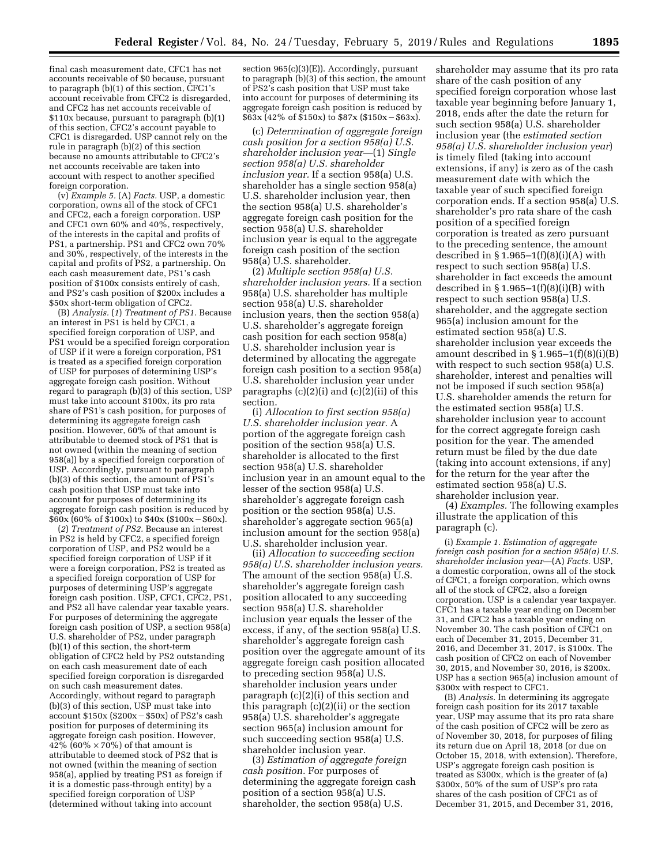final cash measurement date, CFC1 has net accounts receivable of \$0 because, pursuant to paragraph (b)(1) of this section, CFC1's account receivable from CFC2 is disregarded, and CFC2 has net accounts receivable of \$110x because, pursuant to paragraph (b)(1) of this section, CFC2's account payable to CFC1 is disregarded. USP cannot rely on the rule in paragraph (b)(2) of this section because no amounts attributable to CFC2's net accounts receivable are taken into account with respect to another specified foreign corporation.

(v) *Example 5.* (A) *Facts.* USP, a domestic corporation, owns all of the stock of CFC1 and CFC2, each a foreign corporation. USP and CFC1 own 60% and 40%, respectively, of the interests in the capital and profits of PS1, a partnership. PS1 and CFC2 own 70% and 30%, respectively, of the interests in the capital and profits of PS2, a partnership. On each cash measurement date, PS1's cash position of \$100x consists entirely of cash, and PS2's cash position of \$200x includes a \$50x short-term obligation of CFC2.

(B) *Analysis.* (*1*) *Treatment of PS1.* Because an interest in PS1 is held by CFC1, a specified foreign corporation of USP, and PS1 would be a specified foreign corporation of USP if it were a foreign corporation, PS1 is treated as a specified foreign corporation of USP for purposes of determining USP's aggregate foreign cash position. Without regard to paragraph (b)(3) of this section, USP must take into account \$100x, its pro rata share of PS1's cash position, for purposes of determining its aggregate foreign cash position. However, 60% of that amount is attributable to deemed stock of PS1 that is not owned (within the meaning of section 958(a)) by a specified foreign corporation of USP. Accordingly, pursuant to paragraph (b)(3) of this section, the amount of PS1's cash position that USP must take into account for purposes of determining its aggregate foreign cash position is reduced by  $$60x$$  (60% of \$100x) to \$40x (\$100x - \$60x).

(*2*) *Treatment of PS2.* Because an interest in PS2 is held by CFC2, a specified foreign corporation of USP, and PS2 would be a specified foreign corporation of USP if it were a foreign corporation, PS2 is treated as a specified foreign corporation of USP for purposes of determining USP's aggregate foreign cash position. USP, CFC1, CFC2, PS1, and PS2 all have calendar year taxable years. For purposes of determining the aggregate foreign cash position of USP, a section 958(a) U.S. shareholder of PS2, under paragraph (b)(1) of this section, the short-term obligation of CFC2 held by PS2 outstanding on each cash measurement date of each specified foreign corporation is disregarded on such cash measurement dates. Accordingly, without regard to paragraph (b)(3) of this section, USP must take into account  $$150x$  ( $$200x - $50x$ ) of PS2's cash position for purposes of determining its aggregate foreign cash position. However, 42% (60%  $\times$  70%) of that amount is attributable to deemed stock of PS2 that is not owned (within the meaning of section 958(a), applied by treating PS1 as foreign if it is a domestic pass-through entity) by a specified foreign corporation of USP (determined without taking into account

section  $965(c)(3)(E)$ . Accordingly, pursuant to paragraph (b)(3) of this section, the amount of PS2's cash position that USP must take into account for purposes of determining its aggregate foreign cash position is reduced by  $$63x (42\% \text{ of } $150x) \text{ to } $87x ($150x - $63x).$ 

(c) *Determination of aggregate foreign cash position for a section 958(a) U.S. shareholder inclusion year*—(1) *Single section 958(a) U.S. shareholder inclusion year.* If a section 958(a) U.S. shareholder has a single section 958(a) U.S. shareholder inclusion year, then the section 958(a) U.S. shareholder's aggregate foreign cash position for the section 958(a) U.S. shareholder inclusion year is equal to the aggregate foreign cash position of the section 958(a) U.S. shareholder.

(2) *Multiple section 958(a) U.S. shareholder inclusion years.* If a section 958(a) U.S. shareholder has multiple section 958(a) U.S. shareholder inclusion years, then the section 958(a) U.S. shareholder's aggregate foreign cash position for each section 958(a) U.S. shareholder inclusion year is determined by allocating the aggregate foreign cash position to a section 958(a) U.S. shareholder inclusion year under paragraphs  $(c)(2)(i)$  and  $(c)(2)(ii)$  of this section.

(i) *Allocation to first section 958(a) U.S. shareholder inclusion year.* A portion of the aggregate foreign cash position of the section 958(a) U.S. shareholder is allocated to the first section 958(a) U.S. shareholder inclusion year in an amount equal to the lesser of the section 958(a) U.S. shareholder's aggregate foreign cash position or the section 958(a) U.S. shareholder's aggregate section 965(a) inclusion amount for the section 958(a) U.S. shareholder inclusion year.

(ii) *Allocation to succeeding section 958(a) U.S. shareholder inclusion years.*  The amount of the section 958(a) U.S. shareholder's aggregate foreign cash position allocated to any succeeding section 958(a) U.S. shareholder inclusion year equals the lesser of the excess, if any, of the section 958(a) U.S. shareholder's aggregate foreign cash position over the aggregate amount of its aggregate foreign cash position allocated to preceding section 958(a) U.S. shareholder inclusion years under paragraph (c)(2)(i) of this section and this paragraph (c)(2)(ii) or the section 958(a) U.S. shareholder's aggregate section 965(a) inclusion amount for such succeeding section 958(a) U.S. shareholder inclusion year.

(3) *Estimation of aggregate foreign cash position.* For purposes of determining the aggregate foreign cash position of a section 958(a) U.S. shareholder, the section 958(a) U.S.

shareholder may assume that its pro rata share of the cash position of any specified foreign corporation whose last taxable year beginning before January 1, 2018, ends after the date the return for such section 958(a) U.S. shareholder inclusion year (the *estimated section 958(a) U.S. shareholder inclusion year*) is timely filed (taking into account extensions, if any) is zero as of the cash measurement date with which the taxable year of such specified foreign corporation ends. If a section 958(a) U.S. shareholder's pro rata share of the cash position of a specified foreign corporation is treated as zero pursuant to the preceding sentence, the amount described in  $§ 1.965-1(f)(8)(i)(A)$  with respect to such section 958(a) U.S. shareholder in fact exceeds the amount described in  $\S 1.965-1(f)(8)(i)(B)$  with respect to such section 958(a) U.S. shareholder, and the aggregate section 965(a) inclusion amount for the estimated section 958(a) U.S. shareholder inclusion year exceeds the amount described in  $\S 1.965-1(f)(8)(i)(B)$ with respect to such section 958(a) U.S. shareholder, interest and penalties will not be imposed if such section 958(a) U.S. shareholder amends the return for the estimated section 958(a) U.S. shareholder inclusion year to account for the correct aggregate foreign cash position for the year. The amended return must be filed by the due date (taking into account extensions, if any) for the return for the year after the estimated section 958(a) U.S. shareholder inclusion year.

(4) *Examples.* The following examples illustrate the application of this paragraph (c).

(i) *Example 1. Estimation of aggregate foreign cash position for a section 958(a) U.S. shareholder inclusion year*—(A) *Facts.* USP, a domestic corporation, owns all of the stock of CFC1, a foreign corporation, which owns all of the stock of CFC2, also a foreign corporation. USP is a calendar year taxpayer. CFC1 has a taxable year ending on December 31, and CFC2 has a taxable year ending on November 30. The cash position of CFC1 on each of December 31, 2015, December 31, 2016, and December 31, 2017, is \$100x. The cash position of CFC2 on each of November 30, 2015, and November 30, 2016, is \$200x. USP has a section 965(a) inclusion amount of \$300x with respect to CFC1.

(B) *Analysis.* In determining its aggregate foreign cash position for its 2017 taxable year, USP may assume that its pro rata share of the cash position of CFC2 will be zero as of November 30, 2018, for purposes of filing its return due on April 18, 2018 (or due on October 15, 2018, with extension). Therefore, USP's aggregate foreign cash position is treated as \$300x, which is the greater of (a) \$300x, 50% of the sum of USP's pro rata shares of the cash position of CFC1 as of December 31, 2015, and December 31, 2016,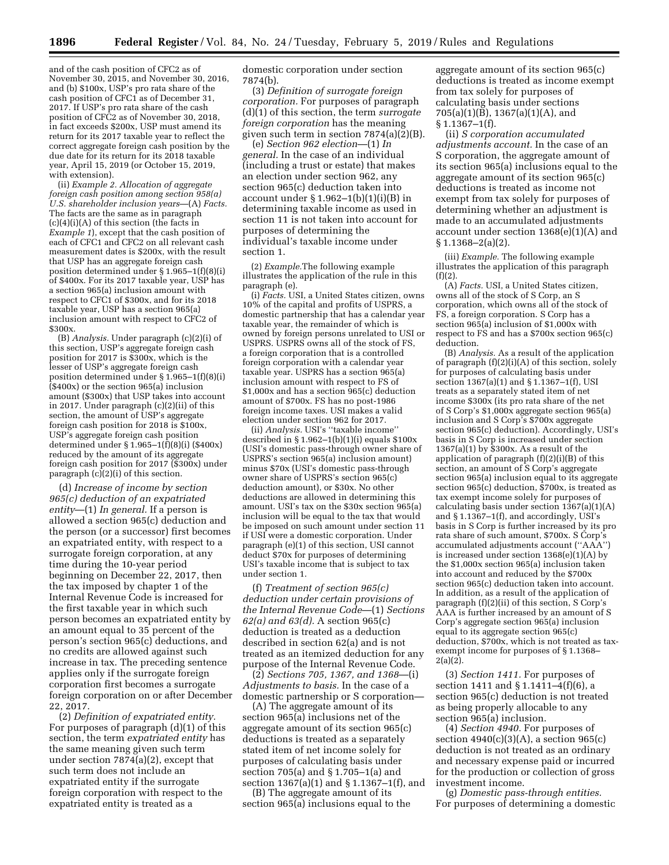and of the cash position of CFC2 as of November 30, 2015, and November 30, 2016, and (b) \$100x, USP's pro rata share of the cash position of CFC1 as of December 31, 2017. If USP's pro rata share of the cash position of CFC2 as of November 30, 2018, in fact exceeds \$200x, USP must amend its return for its 2017 taxable year to reflect the correct aggregate foreign cash position by the due date for its return for its 2018 taxable year, April 15, 2019 (or October 15, 2019, with extension).

(ii) *Example 2. Allocation of aggregate foreign cash position among section 958(a) U.S. shareholder inclusion years*—(A) *Facts.*  The facts are the same as in paragraph  $(c)(4)(i)(A)$  of this section (the facts in *Example 1*), except that the cash position of each of CFC1 and CFC2 on all relevant cash measurement dates is \$200x, with the result that USP has an aggregate foreign cash position determined under § 1.965–1(f)(8)(i) of \$400x. For its 2017 taxable year, USP has a section 965(a) inclusion amount with respect to CFC1 of \$300x, and for its 2018 taxable year, USP has a section 965(a) inclusion amount with respect to CFC2 of \$300x.

(B) *Analysis.* Under paragraph (c)(2)(i) of this section, USP's aggregate foreign cash position for 2017 is \$300x, which is the lesser of USP's aggregate foreign cash position determined under § 1.965–1(f)(8)(i)  $($ \$400x) or the section 965(a) inclusion amount (\$300x) that USP takes into account in 2017. Under paragraph (c)(2)(ii) of this section, the amount of USP's aggregate foreign cash position for 2018 is \$100x, USP's aggregate foreign cash position determined under  $\S 1.965-1(\hat{f})(8)(i)$  (\$400x) reduced by the amount of its aggregate foreign cash position for 2017 (\$300x) under paragraph (c)(2)(i) of this section.

(d) *Increase of income by section 965(c) deduction of an expatriated entity*—(1) *In general.* If a person is allowed a section 965(c) deduction and the person (or a successor) first becomes an expatriated entity, with respect to a surrogate foreign corporation, at any time during the 10-year period beginning on December 22, 2017, then the tax imposed by chapter 1 of the Internal Revenue Code is increased for the first taxable year in which such person becomes an expatriated entity by an amount equal to 35 percent of the person's section 965(c) deductions, and no credits are allowed against such increase in tax. The preceding sentence applies only if the surrogate foreign corporation first becomes a surrogate foreign corporation on or after December 22, 2017.

(2) *Definition of expatriated entity.*  For purposes of paragraph (d)(1) of this section, the term *expatriated entity* has the same meaning given such term under section 7874(a)(2), except that such term does not include an expatriated entity if the surrogate foreign corporation with respect to the expatriated entity is treated as a

domestic corporation under section 7874(b).

(3) *Definition of surrogate foreign corporation.* For purposes of paragraph (d)(1) of this section, the term *surrogate foreign corporation* has the meaning given such term in section 7874(a)(2)(B).

(e) *Section 962 election*—(1) *In general.* In the case of an individual (including a trust or estate) that makes an election under section 962, any section 965(c) deduction taken into account under  $\S 1.962-1(b)(1)(i)(B)$  in determining taxable income as used in section 11 is not taken into account for purposes of determining the individual's taxable income under section 1.

(2) *Example.*The following example illustrates the application of the rule in this paragraph (e).

(i) *Facts.* USI, a United States citizen, owns 10% of the capital and profits of USPRS, a domestic partnership that has a calendar year taxable year, the remainder of which is owned by foreign persons unrelated to USI or USPRS. USPRS owns all of the stock of FS, a foreign corporation that is a controlled foreign corporation with a calendar year taxable year. USPRS has a section 965(a) inclusion amount with respect to FS of \$1,000x and has a section 965(c) deduction amount of \$700x. FS has no post-1986 foreign income taxes. USI makes a valid election under section 962 for 2017.

(ii) *Analysis.* USI's ''taxable income'' described in  $\S 1.962-1(b)(1)(i)$  equals  $\$100x$ (USI's domestic pass-through owner share of USPRS's section 965(a) inclusion amount) minus \$70x (USI's domestic pass-through owner share of USPRS's section 965(c) deduction amount), or \$30x. No other deductions are allowed in determining this amount. USI's tax on the \$30x section 965(a) inclusion will be equal to the tax that would be imposed on such amount under section 11 if USI were a domestic corporation. Under paragraph (e)(1) of this section, USI cannot deduct \$70x for purposes of determining USI's taxable income that is subject to tax under section 1.

(f) *Treatment of section 965(c) deduction under certain provisions of the Internal Revenue Code*—(1) *Sections 62(a) and 63(d).* A section 965(c) deduction is treated as a deduction described in section 62(a) and is not treated as an itemized deduction for any purpose of the Internal Revenue Code.

(2) *Sections 705, 1367, and 1368*—(i) *Adjustments to basis.* In the case of a domestic partnership or S corporation—

(A) The aggregate amount of its section 965(a) inclusions net of the aggregate amount of its section 965(c) deductions is treated as a separately stated item of net income solely for purposes of calculating basis under section 705(a) and § 1.705–1(a) and section 1367(a)(1) and § 1.1367–1(f), and

(B) The aggregate amount of its section 965(a) inclusions equal to the

aggregate amount of its section 965(c) deductions is treated as income exempt from tax solely for purposes of calculating basis under sections  $705(a)(1)(\bar{B})$ , 1367(a)(1)(A), and § 1.1367–1(f).

(ii) *S corporation accumulated adjustments account.* In the case of an S corporation, the aggregate amount of its section 965(a) inclusions equal to the aggregate amount of its section 965(c) deductions is treated as income not exempt from tax solely for purposes of determining whether an adjustment is made to an accumulated adjustments account under section 1368(e)(1)(A) and  $§ 1.1368 - 2(a)(2).$ 

(iii) *Example.* The following example illustrates the application of this paragraph  $(f)(2)$ .

(A) *Facts.* USI, a United States citizen, owns all of the stock of S Corp, an S corporation, which owns all of the stock of FS, a foreign corporation. S Corp has a section 965(a) inclusion of \$1,000x with respect to FS and has a \$700x section 965(c) deduction.

(B) *Analysis.* As a result of the application of paragraph (f)(2)(i)(A) of this section, solely for purposes of calculating basis under section 1367(a)(1) and § 1.1367–1(f), USI treats as a separately stated item of net income \$300x (its pro rata share of the net of S Corp's \$1,000x aggregate section 965(a) inclusion and S Corp's \$700x aggregate section 965(c) deduction). Accordingly, USI's basis in S Corp is increased under section 1367(a)(1) by \$300x. As a result of the application of paragraph (f)(2)(i)(B) of this section, an amount of S Corp's aggregate section 965(a) inclusion equal to its aggregate section 965(c) deduction, \$700x, is treated as tax exempt income solely for purposes of calculating basis under section 1367(a)(1)(A) and § 1.1367–1(f), and accordingly, USI's basis in S Corp is further increased by its pro rata share of such amount, \$700x. S Corp's accumulated adjustments account (''AAA'') is increased under section 1368(e)(1)(A) by the \$1,000x section 965(a) inclusion taken into account and reduced by the \$700x section 965(c) deduction taken into account. In addition, as a result of the application of paragraph (f)(2)(ii) of this section, S Corp's AAA is further increased by an amount of S Corp's aggregate section 965(a) inclusion equal to its aggregate section 965(c) deduction, \$700x, which is not treated as taxexempt income for purposes of § 1.1368– 2(a)(2).

(3) *Section 1411.* For purposes of section 1411 and § 1.1411–4(f)(6), a section 965(c) deduction is not treated as being properly allocable to any section 965(a) inclusion.

(4) *Section 4940.* For purposes of section 4940(c)(3)(A), a section 965(c) deduction is not treated as an ordinary and necessary expense paid or incurred for the production or collection of gross investment income.

(g) *Domestic pass-through entities.*  For purposes of determining a domestic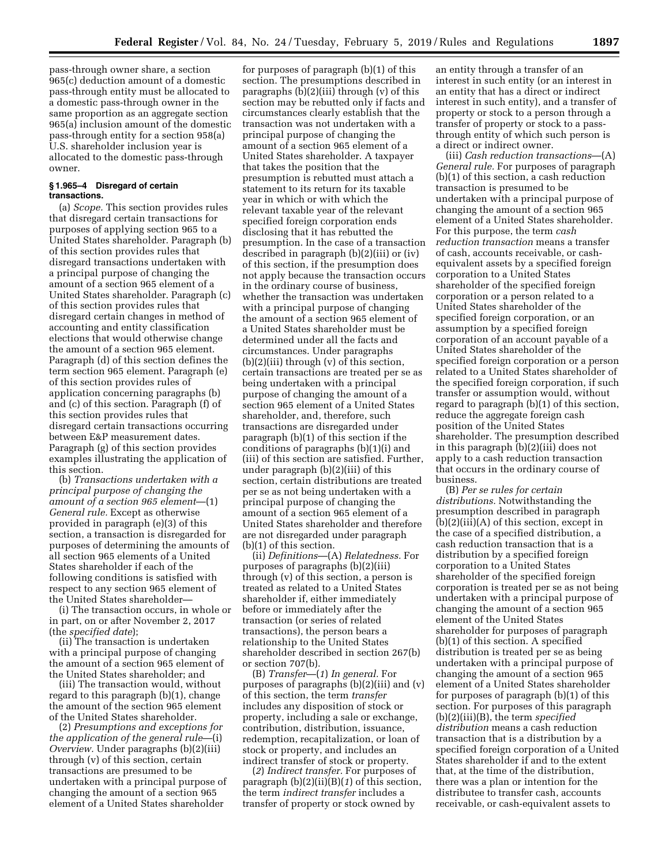pass-through owner share, a section 965(c) deduction amount of a domestic pass-through entity must be allocated to a domestic pass-through owner in the same proportion as an aggregate section 965(a) inclusion amount of the domestic pass-through entity for a section 958(a) U.S. shareholder inclusion year is allocated to the domestic pass-through owner.

### **§ 1.965–4 Disregard of certain transactions.**

(a) *Scope.* This section provides rules that disregard certain transactions for purposes of applying section 965 to a United States shareholder. Paragraph (b) of this section provides rules that disregard transactions undertaken with a principal purpose of changing the amount of a section 965 element of a United States shareholder. Paragraph (c) of this section provides rules that disregard certain changes in method of accounting and entity classification elections that would otherwise change the amount of a section 965 element. Paragraph (d) of this section defines the term section 965 element. Paragraph (e) of this section provides rules of application concerning paragraphs (b) and (c) of this section. Paragraph (f) of this section provides rules that disregard certain transactions occurring between E&P measurement dates. Paragraph (g) of this section provides examples illustrating the application of this section.

(b) *Transactions undertaken with a principal purpose of changing the amount of a section 965 element*—(1) *General rule.* Except as otherwise provided in paragraph (e)(3) of this section, a transaction is disregarded for purposes of determining the amounts of all section 965 elements of a United States shareholder if each of the following conditions is satisfied with respect to any section 965 element of the United States shareholder—

(i) The transaction occurs, in whole or in part, on or after November 2, 2017 (the *specified date*);

(ii) The transaction is undertaken with a principal purpose of changing the amount of a section 965 element of the United States shareholder; and

(iii) The transaction would, without regard to this paragraph (b)(1), change the amount of the section 965 element of the United States shareholder.

(2) *Presumptions and exceptions for the application of the general rule*—(i) *Overview.* Under paragraphs (b)(2)(iii) through (v) of this section, certain transactions are presumed to be undertaken with a principal purpose of changing the amount of a section 965 element of a United States shareholder

for purposes of paragraph (b)(1) of this section. The presumptions described in paragraphs (b)(2)(iii) through (v) of this section may be rebutted only if facts and circumstances clearly establish that the transaction was not undertaken with a principal purpose of changing the amount of a section 965 element of a United States shareholder. A taxpayer that takes the position that the presumption is rebutted must attach a statement to its return for its taxable year in which or with which the relevant taxable year of the relevant specified foreign corporation ends disclosing that it has rebutted the presumption. In the case of a transaction described in paragraph (b)(2)(iii) or (iv) of this section, if the presumption does not apply because the transaction occurs in the ordinary course of business, whether the transaction was undertaken with a principal purpose of changing the amount of a section 965 element of a United States shareholder must be determined under all the facts and circumstances. Under paragraphs (b)(2)(iii) through (v) of this section, certain transactions are treated per se as being undertaken with a principal purpose of changing the amount of a section 965 element of a United States shareholder, and, therefore, such transactions are disregarded under paragraph (b)(1) of this section if the conditions of paragraphs (b)(1)(i) and (iii) of this section are satisfied. Further, under paragraph (b)(2)(iii) of this section, certain distributions are treated per se as not being undertaken with a principal purpose of changing the amount of a section 965 element of a United States shareholder and therefore are not disregarded under paragraph (b)(1) of this section.

(ii) *Definitions*—(A) *Relatedness.* For purposes of paragraphs (b)(2)(iii) through (v) of this section, a person is treated as related to a United States shareholder if, either immediately before or immediately after the transaction (or series of related transactions), the person bears a relationship to the United States shareholder described in section 267(b) or section 707(b).

(B) *Transfer*—(*1*) *In general.* For purposes of paragraphs (b)(2)(iii) and (v) of this section, the term *transfer*  includes any disposition of stock or property, including a sale or exchange, contribution, distribution, issuance, redemption, recapitalization, or loan of stock or property, and includes an indirect transfer of stock or property.

(*2*) *Indirect transfer.* For purposes of paragraph (b)(2)(ii)(B)(*1*) of this section, the term *indirect transfer* includes a transfer of property or stock owned by

an entity through a transfer of an interest in such entity (or an interest in an entity that has a direct or indirect interest in such entity), and a transfer of property or stock to a person through a transfer of property or stock to a passthrough entity of which such person is a direct or indirect owner.

(iii) *Cash reduction transactions*—(A) *General rule.* For purposes of paragraph (b)(1) of this section, a cash reduction transaction is presumed to be undertaken with a principal purpose of changing the amount of a section 965 element of a United States shareholder. For this purpose, the term *cash reduction transaction* means a transfer of cash, accounts receivable, or cashequivalent assets by a specified foreign corporation to a United States shareholder of the specified foreign corporation or a person related to a United States shareholder of the specified foreign corporation, or an assumption by a specified foreign corporation of an account payable of a United States shareholder of the specified foreign corporation or a person related to a United States shareholder of the specified foreign corporation, if such transfer or assumption would, without regard to paragraph (b)(1) of this section, reduce the aggregate foreign cash position of the United States shareholder. The presumption described in this paragraph (b)(2)(iii) does not apply to a cash reduction transaction that occurs in the ordinary course of business.

(B) *Per se rules for certain distributions.* Notwithstanding the presumption described in paragraph (b)(2)(iii)(A) of this section, except in the case of a specified distribution, a cash reduction transaction that is a distribution by a specified foreign corporation to a United States shareholder of the specified foreign corporation is treated per se as not being undertaken with a principal purpose of changing the amount of a section 965 element of the United States shareholder for purposes of paragraph (b)(1) of this section. A specified distribution is treated per se as being undertaken with a principal purpose of changing the amount of a section 965 element of a United States shareholder for purposes of paragraph (b)(1) of this section. For purposes of this paragraph (b)(2)(iii)(B), the term *specified distribution* means a cash reduction transaction that is a distribution by a specified foreign corporation of a United States shareholder if and to the extent that, at the time of the distribution, there was a plan or intention for the distributee to transfer cash, accounts receivable, or cash-equivalent assets to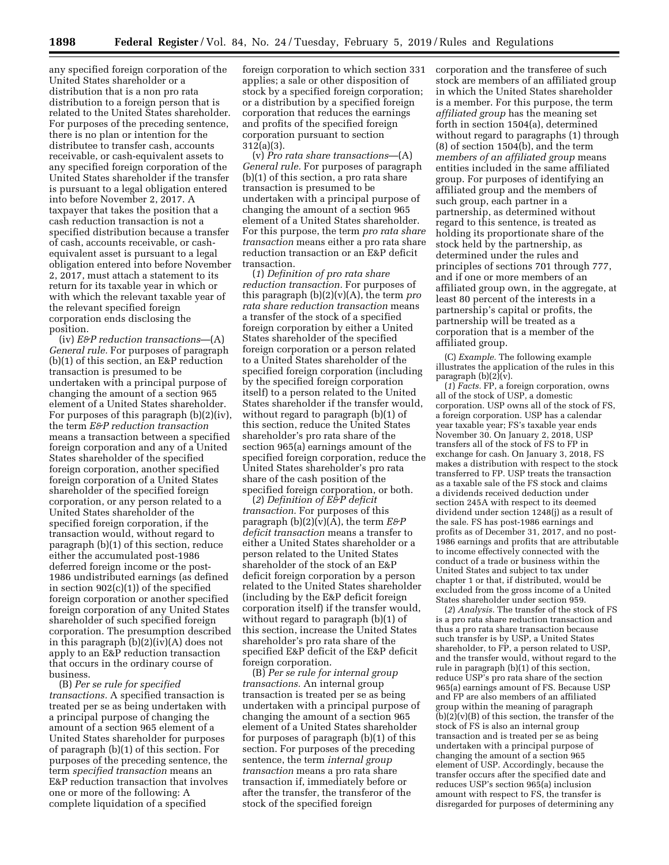**1898 Federal Register** / Vol. 84, No. 24 / Tuesday, February 5, 2019 / Rules and Regulations

any specified foreign corporation of the United States shareholder or a distribution that is a non pro rata distribution to a foreign person that is related to the United States shareholder. For purposes of the preceding sentence, there is no plan or intention for the distributee to transfer cash, accounts receivable, or cash-equivalent assets to any specified foreign corporation of the United States shareholder if the transfer is pursuant to a legal obligation entered into before November 2, 2017. A taxpayer that takes the position that a cash reduction transaction is not a specified distribution because a transfer of cash, accounts receivable, or cashequivalent asset is pursuant to a legal obligation entered into before November 2, 2017, must attach a statement to its return for its taxable year in which or with which the relevant taxable year of the relevant specified foreign corporation ends disclosing the position.

(iv) *E&P reduction transactions*—(A) *General rule.* For purposes of paragraph (b)(1) of this section, an E&P reduction transaction is presumed to be undertaken with a principal purpose of changing the amount of a section 965 element of a United States shareholder. For purposes of this paragraph (b)(2)(iv), the term *E&P reduction transaction*  means a transaction between a specified foreign corporation and any of a United States shareholder of the specified foreign corporation, another specified foreign corporation of a United States shareholder of the specified foreign corporation, or any person related to a United States shareholder of the specified foreign corporation, if the transaction would, without regard to paragraph (b)(1) of this section, reduce either the accumulated post-1986 deferred foreign income or the post-1986 undistributed earnings (as defined in section 902(c)(1)) of the specified foreign corporation or another specified foreign corporation of any United States shareholder of such specified foreign corporation. The presumption described in this paragraph (b)(2)(iv)(A) does not apply to an E&P reduction transaction that occurs in the ordinary course of business.

(B) *Per se rule for specified transactions.* A specified transaction is treated per se as being undertaken with a principal purpose of changing the amount of a section 965 element of a United States shareholder for purposes of paragraph (b)(1) of this section. For purposes of the preceding sentence, the term *specified transaction* means an E&P reduction transaction that involves one or more of the following: A complete liquidation of a specified

foreign corporation to which section 331 applies; a sale or other disposition of stock by a specified foreign corporation; or a distribution by a specified foreign corporation that reduces the earnings and profits of the specified foreign corporation pursuant to section 312(a)(3).

(v) *Pro rata share transactions*—(A) *General rule.* For purposes of paragraph (b)(1) of this section, a pro rata share transaction is presumed to be undertaken with a principal purpose of changing the amount of a section 965 element of a United States shareholder. For this purpose, the term *pro rata share transaction* means either a pro rata share reduction transaction or an E&P deficit transaction.

(*1*) *Definition of pro rata share reduction transaction.* For purposes of this paragraph (b)(2)(v)(A), the term *pro rata share reduction transaction* means a transfer of the stock of a specified foreign corporation by either a United States shareholder of the specified foreign corporation or a person related to a United States shareholder of the specified foreign corporation (including by the specified foreign corporation itself) to a person related to the United States shareholder if the transfer would, without regard to paragraph (b)(1) of this section, reduce the United States shareholder's pro rata share of the section 965(a) earnings amount of the specified foreign corporation, reduce the United States shareholder's pro rata share of the cash position of the specified foreign corporation, or both.

(*2*) *Definition of E&P deficit transaction.* For purposes of this paragraph  $(b)(2)(v)(A)$ , the term  $E\mathcal{B}P$ *deficit transaction* means a transfer to either a United States shareholder or a person related to the United States shareholder of the stock of an E&P deficit foreign corporation by a person related to the United States shareholder (including by the E&P deficit foreign corporation itself) if the transfer would, without regard to paragraph (b)(1) of this section, increase the United States shareholder's pro rata share of the specified E&P deficit of the E&P deficit foreign corporation.

(B) *Per se rule for internal group transactions.* An internal group transaction is treated per se as being undertaken with a principal purpose of changing the amount of a section 965 element of a United States shareholder for purposes of paragraph (b)(1) of this section. For purposes of the preceding sentence, the term *internal group transaction* means a pro rata share transaction if, immediately before or after the transfer, the transferor of the stock of the specified foreign

corporation and the transferee of such stock are members of an affiliated group in which the United States shareholder is a member. For this purpose, the term *affiliated group* has the meaning set forth in section 1504(a), determined without regard to paragraphs (1) through (8) of section 1504(b), and the term *members of an affiliated group* means entities included in the same affiliated group. For purposes of identifying an affiliated group and the members of such group, each partner in a partnership, as determined without regard to this sentence, is treated as holding its proportionate share of the stock held by the partnership, as determined under the rules and principles of sections 701 through 777, and if one or more members of an affiliated group own, in the aggregate, at least 80 percent of the interests in a partnership's capital or profits, the partnership will be treated as a corporation that is a member of the affiliated group.

(C) *Example.* The following example illustrates the application of the rules in this paragraph  $(b)(2)(\bar{v})$ .

(*1*) *Facts.* FP, a foreign corporation, owns all of the stock of USP, a domestic corporation. USP owns all of the stock of FS, a foreign corporation. USP has a calendar year taxable year; FS's taxable year ends November 30. On January 2, 2018, USP transfers all of the stock of FS to FP in exchange for cash. On January 3, 2018, FS makes a distribution with respect to the stock transferred to FP. USP treats the transaction as a taxable sale of the FS stock and claims a dividends received deduction under section 245A with respect to its deemed dividend under section 1248(j) as a result of the sale. FS has post-1986 earnings and profits as of December 31, 2017, and no post-1986 earnings and profits that are attributable to income effectively connected with the conduct of a trade or business within the United States and subject to tax under chapter 1 or that, if distributed, would be excluded from the gross income of a United States shareholder under section 959.

(*2*) *Analysis.* The transfer of the stock of FS is a pro rata share reduction transaction and thus a pro rata share transaction because such transfer is by USP, a United States shareholder, to FP, a person related to USP, and the transfer would, without regard to the rule in paragraph (b)(1) of this section, reduce USP's pro rata share of the section 965(a) earnings amount of FS. Because USP and FP are also members of an affiliated group within the meaning of paragraph  $(b)(2)(v)(B)$  of this section, the transfer of the stock of FS is also an internal group transaction and is treated per se as being undertaken with a principal purpose of changing the amount of a section 965 element of USP. Accordingly, because the transfer occurs after the specified date and reduces USP's section 965(a) inclusion amount with respect to FS, the transfer is disregarded for purposes of determining any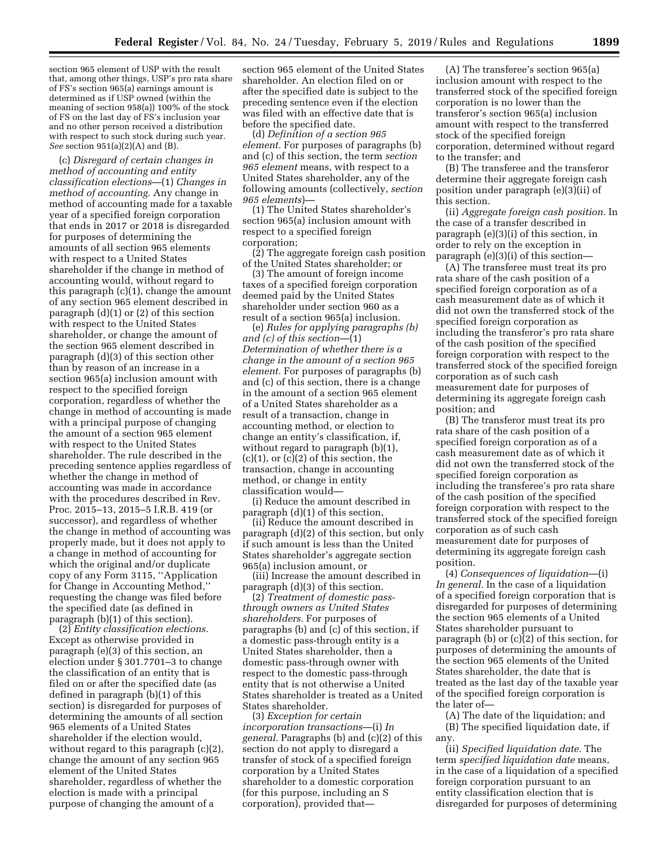section 965 element of USP with the result that, among other things, USP's pro rata share of FS's section 965(a) earnings amount is determined as if USP owned (within the meaning of section 958(a)) 100% of the stock of FS on the last day of FS's inclusion year and no other person received a distribution with respect to such stock during such year. *See* section 951(a)(2)(A) and (B).

(c) *Disregard of certain changes in method of accounting and entity classification elections*—(1) *Changes in method of accounting.* Any change in method of accounting made for a taxable year of a specified foreign corporation that ends in 2017 or 2018 is disregarded for purposes of determining the amounts of all section 965 elements with respect to a United States shareholder if the change in method of accounting would, without regard to this paragraph (c)(1), change the amount of any section 965 element described in paragraph (d)(1) or (2) of this section with respect to the United States shareholder, or change the amount of the section 965 element described in paragraph (d)(3) of this section other than by reason of an increase in a section 965(a) inclusion amount with respect to the specified foreign corporation, regardless of whether the change in method of accounting is made with a principal purpose of changing the amount of a section 965 element with respect to the United States shareholder. The rule described in the preceding sentence applies regardless of whether the change in method of accounting was made in accordance with the procedures described in Rev. Proc. 2015–13, 2015–5 I.R.B. 419 (or successor), and regardless of whether the change in method of accounting was properly made, but it does not apply to a change in method of accounting for which the original and/or duplicate copy of any Form 3115, ''Application for Change in Accounting Method,'' requesting the change was filed before the specified date (as defined in paragraph (b)(1) of this section).

(2) *Entity classification elections.*  Except as otherwise provided in paragraph (e)(3) of this section, an election under § 301.7701–3 to change the classification of an entity that is filed on or after the specified date (as defined in paragraph (b)(1) of this section) is disregarded for purposes of determining the amounts of all section 965 elements of a United States shareholder if the election would, without regard to this paragraph  $(c)(2)$ , change the amount of any section 965 element of the United States shareholder, regardless of whether the election is made with a principal purpose of changing the amount of a

section 965 element of the United States shareholder. An election filed on or after the specified date is subject to the preceding sentence even if the election was filed with an effective date that is before the specified date.

(d) *Definition of a section 965 element.* For purposes of paragraphs (b) and (c) of this section, the term *section 965 element* means, with respect to a United States shareholder, any of the following amounts (collectively, *section 965 elements*)—

(1) The United States shareholder's section 965(a) inclusion amount with respect to a specified foreign corporation;

(2) The aggregate foreign cash position of the United States shareholder; or

(3) The amount of foreign income taxes of a specified foreign corporation deemed paid by the United States shareholder under section 960 as a result of a section 965(a) inclusion.

(e) *Rules for applying paragraphs (b) and (c) of this section*—(1) *Determination of whether there is a change in the amount of a section 965 element.* For purposes of paragraphs (b) and (c) of this section, there is a change in the amount of a section 965 element of a United States shareholder as a result of a transaction, change in accounting method, or election to change an entity's classification, if, without regard to paragraph (b)(1),  $(c)(1)$ , or  $(c)(2)$  of this section, the transaction, change in accounting method, or change in entity classification would—

(i) Reduce the amount described in paragraph (d)(1) of this section,

(ii) Reduce the amount described in paragraph (d)(2) of this section, but only if such amount is less than the United States shareholder's aggregate section 965(a) inclusion amount, or

(iii) Increase the amount described in paragraph (d)(3) of this section.

(2) *Treatment of domestic passthrough owners as United States shareholders.* For purposes of paragraphs (b) and (c) of this section, if a domestic pass-through entity is a United States shareholder, then a domestic pass-through owner with respect to the domestic pass-through entity that is not otherwise a United States shareholder is treated as a United States shareholder.

(3) *Exception for certain incorporation transactions*—(i) *In general.* Paragraphs (b) and (c)(2) of this section do not apply to disregard a transfer of stock of a specified foreign corporation by a United States shareholder to a domestic corporation (for this purpose, including an S corporation), provided that—

(A) The transferee's section 965(a) inclusion amount with respect to the transferred stock of the specified foreign corporation is no lower than the transferor's section 965(a) inclusion amount with respect to the transferred stock of the specified foreign corporation, determined without regard to the transfer; and

(B) The transferee and the transferor determine their aggregate foreign cash position under paragraph (e)(3)(ii) of this section.

(ii) *Aggregate foreign cash position.* In the case of a transfer described in paragraph (e)(3)(i) of this section, in order to rely on the exception in paragraph (e)(3)(i) of this section—

(A) The transferee must treat its pro rata share of the cash position of a specified foreign corporation as of a cash measurement date as of which it did not own the transferred stock of the specified foreign corporation as including the transferor's pro rata share of the cash position of the specified foreign corporation with respect to the transferred stock of the specified foreign corporation as of such cash measurement date for purposes of determining its aggregate foreign cash position; and

(B) The transferor must treat its pro rata share of the cash position of a specified foreign corporation as of a cash measurement date as of which it did not own the transferred stock of the specified foreign corporation as including the transferee's pro rata share of the cash position of the specified foreign corporation with respect to the transferred stock of the specified foreign corporation as of such cash measurement date for purposes of determining its aggregate foreign cash position.

(4) *Consequences of liquidation*—(i) *In general.* In the case of a liquidation of a specified foreign corporation that is disregarded for purposes of determining the section 965 elements of a United States shareholder pursuant to paragraph (b) or (c)(2) of this section, for purposes of determining the amounts of the section 965 elements of the United States shareholder, the date that is treated as the last day of the taxable year of the specified foreign corporation is the later of—

(A) The date of the liquidation; and (B) The specified liquidation date, if any.

(ii) *Specified liquidation date.* The term *specified liquidation date* means, in the case of a liquidation of a specified foreign corporation pursuant to an entity classification election that is disregarded for purposes of determining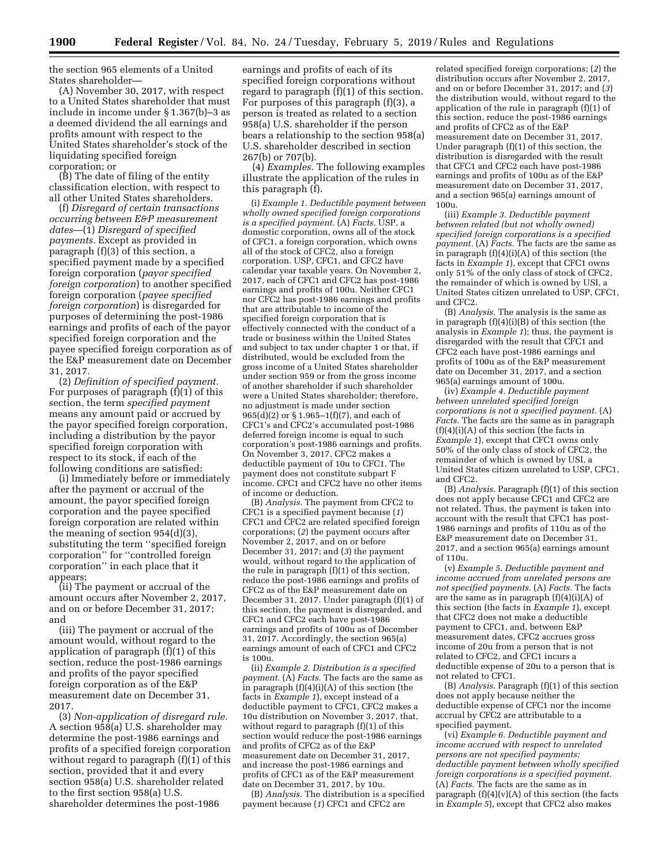the section 965 elements of a United States shareholder—

(A) November 30, 2017, with respect to a United States shareholder that must include in income under § 1.367(b)–3 as a deemed dividend the all earnings and profits amount with respect to the United States shareholder's stock of the liquidating specified foreign corporation; or

(B) The date of filing of the entity classification election, with respect to all other United States shareholders.

(f) *Disregard of certain transactions occurring between E&P measurement dates*—(1) *Disregard of specified payments.* Except as provided in paragraph (f)(3) of this section, a specified payment made by a specified foreign corporation (*payor specified foreign corporation*) to another specified foreign corporation (*payee specified foreign corporation*) is disregarded for purposes of determining the post-1986 earnings and profits of each of the payor specified foreign corporation and the payee specified foreign corporation as of the E&P measurement date on December 31, 2017.

(2) *Definition of specified payment.*  For purposes of paragraph (f)(1) of this section, the term *specified payment*  means any amount paid or accrued by the payor specified foreign corporation, including a distribution by the payor specified foreign corporation with respect to its stock, if each of the following conditions are satisfied:

(i) Immediately before or immediately after the payment or accrual of the amount, the payor specified foreign corporation and the payee specified foreign corporation are related within the meaning of section 954(d)(3), substituting the term ''specified foreign corporation'' for ''controlled foreign corporation'' in each place that it appears;

(ii) The payment or accrual of the amount occurs after November 2, 2017, and on or before December 31, 2017; and

(iii) The payment or accrual of the amount would, without regard to the application of paragraph (f)(1) of this section, reduce the post-1986 earnings and profits of the payor specified foreign corporation as of the E&P measurement date on December 31, 2017.

(3) *Non-application of disregard rule.*  A section 958(a) U.S. shareholder may determine the post-1986 earnings and profits of a specified foreign corporation without regard to paragraph (f)(1) of this section, provided that it and every section 958(a) U.S. shareholder related to the first section 958(a) U.S. shareholder determines the post-1986

earnings and profits of each of its specified foreign corporations without regard to paragraph (f)(1) of this section. For purposes of this paragraph (f)(3), a person is treated as related to a section 958(a) U.S. shareholder if the person bears a relationship to the section 958(a) U.S. shareholder described in section 267(b) or 707(b).

(4) *Examples.* The following examples illustrate the application of the rules in this paragraph (f).

(i) *Example 1. Deductible payment between wholly owned specified foreign corporations is a specified payment.* (A) *Facts*. USP, a domestic corporation, owns all of the stock of CFC1, a foreign corporation, which owns all of the stock of CFC2, also a foreign corporation. USP, CFC1, and CFC2 have calendar year taxable years. On November 2, 2017, each of CFC1 and CFC2 has post-1986 earnings and profits of 100u. Neither CFC1 nor CFC2 has post-1986 earnings and profits that are attributable to income of the specified foreign corporation that is effectively connected with the conduct of a trade or business within the United States and subject to tax under chapter 1 or that, if distributed, would be excluded from the gross income of a United States shareholder under section 959 or from the gross income of another shareholder if such shareholder were a United States shareholder; therefore, no adjustment is made under section 965(d)(2) or  $\S 1.965-1(f)(7)$ , and each of CFC1's and CFC2's accumulated post-1986 deferred foreign income is equal to such corporation's post-1986 earnings and profits. On November 3, 2017, CFC2 makes a deductible payment of 10u to CFC1. The payment does not constitute subpart F income. CFC1 and CFC2 have no other items of income or deduction.

(B) *Analysis.* The payment from CFC2 to CFC1 is a specified payment because (*1*) CFC1 and CFC2 are related specified foreign corporations; (*2*) the payment occurs after November 2, 2017, and on or before December 31, 2017; and (*3*) the payment would, without regard to the application of the rule in paragraph (f)(1) of this section, reduce the post-1986 earnings and profits of CFC2 as of the E&P measurement date on December 31, 2017. Under paragraph (f)(1) of this section, the payment is disregarded, and CFC1 and CFC2 each have post-1986 earnings and profits of 100u as of December 31, 2017. Accordingly, the section 965(a) earnings amount of each of CFC1 and CFC2 is 100u.

(ii) *Example 2. Distribution is a specified payment.* (A) *Facts.* The facts are the same as in paragraph (f)(4)(i)(A) of this section (the facts in *Example 1*), except instead of a deductible payment to CFC1, CFC2 makes a 10u distribution on November 3, 2017, that, without regard to paragraph (f)(1) of this section would reduce the post-1986 earnings and profits of CFC2 as of the E&P measurement date on December 31, 2017, and increase the post-1986 earnings and profits of CFC1 as of the E&P measurement date on December 31, 2017, by 10u.

(B) *Analysis.* The distribution is a specified payment because (*1*) CFC1 and CFC2 are

related specified foreign corporations; (*2*) the distribution occurs after November 2, 2017, and on or before December 31, 2017; and (*3*) the distribution would, without regard to the application of the rule in paragraph (f)(1) of this section, reduce the post-1986 earnings and profits of CFC2 as of the E&P measurement date on December 31, 2017. Under paragraph (f)(1) of this section, the distribution is disregarded with the result that CFC1 and CFC2 each have post-1986 earnings and profits of 100u as of the E&P measurement date on December 31, 2017, and a section 965(a) earnings amount of 100u.

(iii) *Example 3. Deductible payment between related (but not wholly owned) specified foreign corporations is a specified payment.* (A) *Facts.* The facts are the same as in paragraph (f)(4)(i)(A) of this section (the facts in *Example 1*), except that CFC1 owns only 51% of the only class of stock of CFC2, the remainder of which is owned by USI, a United States citizen unrelated to USP, CFC1, and CFC2.

(B) *Analysis.* The analysis is the same as in paragraph (f)(4)(i)(B) of this section (the analysis in *Example 1*); thus, the payment is disregarded with the result that CFC1 and CFC2 each have post-1986 earnings and profits of 100u as of the E&P measurement date on December 31, 2017, and a section 965(a) earnings amount of 100u.

(iv) *Example 4. Deductible payment between unrelated specified foreign corporations is not a specified payment.* (A) *Facts.* The facts are the same as in paragraph  $(f)(4)(i)(A)$  of this section (the facts in *Example 1*), except that CFC1 owns only 50% of the only class of stock of CFC2, the remainder of which is owned by USI, a United States citizen unrelated to USP, CFC1, and CFC2.

(B) *Analysis.* Paragraph (f)(1) of this section does not apply because CFC1 and CFC2 are not related. Thus, the payment is taken into account with the result that CFC1 has post-1986 earnings and profits of 110u as of the E&P measurement date on December 31, 2017, and a section 965(a) earnings amount of 110u.

(v) *Example 5. Deductible payment and income accrued from unrelated persons are not specified payments.* (A) *Facts.* The facts are the same as in paragraph  $(f)(4)(i)(A)$  of this section (the facts in *Example 1*), except that CFC2 does not make a deductible payment to CFC1, and, between E&P measurement dates, CFC2 accrues gross income of 20u from a person that is not related to CFC2, and CFC1 incurs a deductible expense of 20u to a person that is not related to CFC1.

(B) *Analysis.* Paragraph (f)(1) of this section does not apply because neither the deductible expense of CFC1 nor the income accrual by CFC2 are attributable to a specified payment.

(vi) *Example 6. Deductible payment and income accrued with respect to unrelated persons are not specified payments; deductible payment between wholly specified foreign corporations is a specified payment.*  (A) *Facts.* The facts are the same as in paragraph  $(f)(4)(v)(A)$  of this section (the facts in *Example 5*), except that CFC2 also makes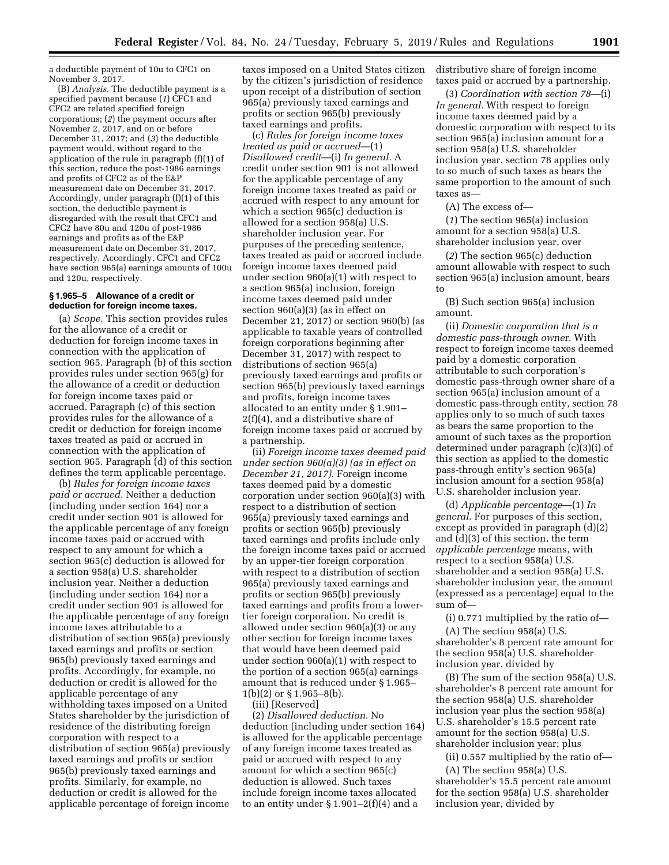a deductible payment of 10u to CFC1 on November 3, 2017.

(B) *Analysis.* The deductible payment is a specified payment because (*1*) CFC1 and CFC2 are related specified foreign corporations; (*2*) the payment occurs after November 2, 2017, and on or before December 31, 2017; and (*3*) the deductible payment would, without regard to the application of the rule in paragraph (f)(1) of this section, reduce the post-1986 earnings and profits of CFC2 as of the E&P measurement date on December 31, 2017. Accordingly, under paragraph (f)(1) of this section, the deductible payment is disregarded with the result that CFC1 and CFC2 have 80u and 120u of post-1986 earnings and profits as of the E&P measurement date on December 31, 2017, respectively. Accordingly, CFC1 and CFC2 have section 965(a) earnings amounts of 100u and 120u, respectively.

### **§ 1.965–5 Allowance of a credit or deduction for foreign income taxes.**

(a) *Scope.* This section provides rules for the allowance of a credit or deduction for foreign income taxes in connection with the application of section 965. Paragraph (b) of this section provides rules under section 965(g) for the allowance of a credit or deduction for foreign income taxes paid or accrued. Paragraph (c) of this section provides rules for the allowance of a credit or deduction for foreign income taxes treated as paid or accrued in connection with the application of section 965. Paragraph (d) of this section defines the term applicable percentage.

(b) *Rules for foreign income taxes paid or accrued.* Neither a deduction (including under section 164) nor a credit under section 901 is allowed for the applicable percentage of any foreign income taxes paid or accrued with respect to any amount for which a section 965(c) deduction is allowed for a section 958(a) U.S. shareholder inclusion year. Neither a deduction (including under section 164) nor a credit under section 901 is allowed for the applicable percentage of any foreign income taxes attributable to a distribution of section 965(a) previously taxed earnings and profits or section 965(b) previously taxed earnings and profits. Accordingly, for example, no deduction or credit is allowed for the applicable percentage of any withholding taxes imposed on a United States shareholder by the jurisdiction of residence of the distributing foreign corporation with respect to a distribution of section 965(a) previously taxed earnings and profits or section 965(b) previously taxed earnings and profits. Similarly, for example, no deduction or credit is allowed for the applicable percentage of foreign income

taxes imposed on a United States citizen by the citizen's jurisdiction of residence upon receipt of a distribution of section 965(a) previously taxed earnings and profits or section 965(b) previously taxed earnings and profits.

(c) *Rules for foreign income taxes treated as paid or accrued*—(1) *Disallowed credit*—(i) *In general.* A credit under section 901 is not allowed for the applicable percentage of any foreign income taxes treated as paid or accrued with respect to any amount for which a section 965(c) deduction is allowed for a section 958(a) U.S. shareholder inclusion year. For purposes of the preceding sentence, taxes treated as paid or accrued include foreign income taxes deemed paid under section 960(a)(1) with respect to a section 965(a) inclusion, foreign income taxes deemed paid under section 960(a)(3) (as in effect on December 21, 2017) or section 960(b) (as applicable to taxable years of controlled foreign corporations beginning after December 31, 2017) with respect to distributions of section 965(a) previously taxed earnings and profits or section 965(b) previously taxed earnings and profits, foreign income taxes allocated to an entity under § 1.901– 2(f)(4), and a distributive share of foreign income taxes paid or accrued by a partnership.

(ii) *Foreign income taxes deemed paid under section 960(a)(3) (as in effect on December 21, 2017).* Foreign income taxes deemed paid by a domestic corporation under section 960(a)(3) with respect to a distribution of section 965(a) previously taxed earnings and profits or section 965(b) previously taxed earnings and profits include only the foreign income taxes paid or accrued by an upper-tier foreign corporation with respect to a distribution of section 965(a) previously taxed earnings and profits or section 965(b) previously taxed earnings and profits from a lowertier foreign corporation. No credit is allowed under section 960(a)(3) or any other section for foreign income taxes that would have been deemed paid under section 960(a)(1) with respect to the portion of a section 965(a) earnings amount that is reduced under § 1.965– 1(b)(2) or § 1.965–8(b).

(iii) [Reserved]

(2) *Disallowed deduction.* No deduction (including under section 164) is allowed for the applicable percentage of any foreign income taxes treated as paid or accrued with respect to any amount for which a section 965(c) deduction is allowed. Such taxes include foreign income taxes allocated to an entity under  $\S 1.901-2(f)(4)$  and a

distributive share of foreign income taxes paid or accrued by a partnership.

(3) *Coordination with section 78*—(i) *In general.* With respect to foreign income taxes deemed paid by a domestic corporation with respect to its section 965(a) inclusion amount for a section 958(a) U.S. shareholder inclusion year, section 78 applies only to so much of such taxes as bears the same proportion to the amount of such taxes as—

(A) The excess of—

(*1*) The section 965(a) inclusion amount for a section 958(a) U.S. shareholder inclusion year, over

(*2*) The section 965(c) deduction amount allowable with respect to such section 965(a) inclusion amount, bears to

(B) Such section 965(a) inclusion amount.

(ii) *Domestic corporation that is a domestic pass-through owner.* With respect to foreign income taxes deemed paid by a domestic corporation attributable to such corporation's domestic pass-through owner share of a section 965(a) inclusion amount of a domestic pass-through entity, section 78 applies only to so much of such taxes as bears the same proportion to the amount of such taxes as the proportion determined under paragraph (c)(3)(i) of this section as applied to the domestic pass-through entity's section 965(a) inclusion amount for a section 958(a) U.S. shareholder inclusion year.

(d) *Applicable percentage*—(1) *In general.* For purposes of this section, except as provided in paragraph (d)(2) and (d)(3) of this section, the term *applicable percentage* means, with respect to a section 958(a) U.S. shareholder and a section 958(a) U.S. shareholder inclusion year, the amount (expressed as a percentage) equal to the sum of—

(i) 0.771 multiplied by the ratio of—

(A) The section 958(a) U.S. shareholder's 8 percent rate amount for the section 958(a) U.S. shareholder inclusion year, divided by

(B) The sum of the section 958(a) U.S. shareholder's 8 percent rate amount for the section 958(a) U.S. shareholder inclusion year plus the section 958(a) U.S. shareholder's 15.5 percent rate amount for the section 958(a) U.S. shareholder inclusion year; plus

(ii) 0.557 multiplied by the ratio of—

(A) The section 958(a) U.S. shareholder's 15.5 percent rate amount for the section 958(a) U.S. shareholder inclusion year, divided by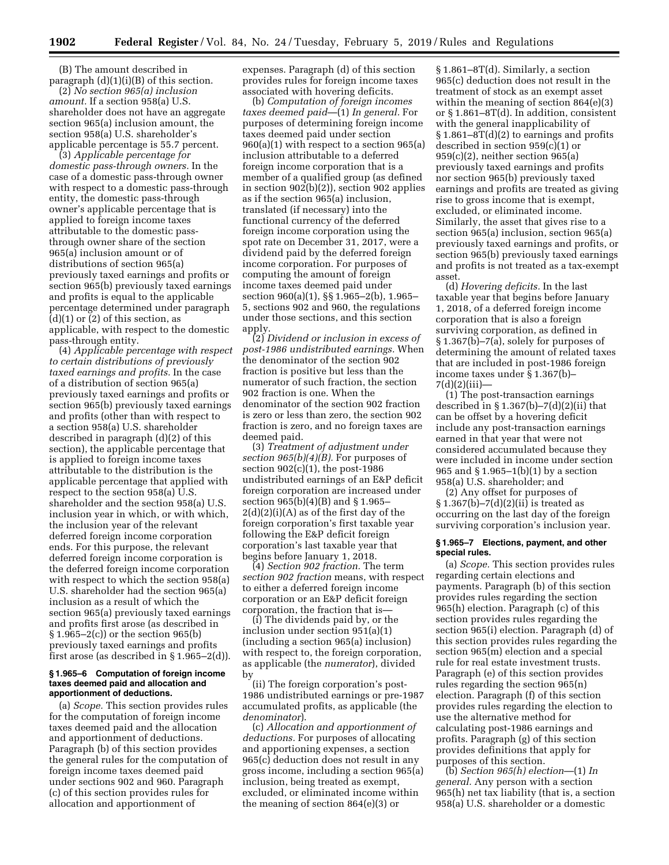(B) The amount described in paragraph (d)(1)(i)(B) of this section.

(2) *No section 965(a) inclusion amount.* If a section 958(a) U.S. shareholder does not have an aggregate section 965(a) inclusion amount, the section 958(a) U.S. shareholder's applicable percentage is 55.7 percent.

(3) *Applicable percentage for domestic pass-through owners.* In the case of a domestic pass-through owner with respect to a domestic pass-through entity, the domestic pass-through owner's applicable percentage that is applied to foreign income taxes attributable to the domestic passthrough owner share of the section 965(a) inclusion amount or of distributions of section 965(a) previously taxed earnings and profits or section 965(b) previously taxed earnings and profits is equal to the applicable percentage determined under paragraph (d)(1) or (2) of this section, as applicable, with respect to the domestic pass-through entity.

(4) *Applicable percentage with respect to certain distributions of previously taxed earnings and profits.* In the case of a distribution of section 965(a) previously taxed earnings and profits or section 965(b) previously taxed earnings and profits (other than with respect to a section 958(a) U.S. shareholder described in paragraph (d)(2) of this section), the applicable percentage that is applied to foreign income taxes attributable to the distribution is the applicable percentage that applied with respect to the section 958(a) U.S. shareholder and the section 958(a) U.S. inclusion year in which, or with which, the inclusion year of the relevant deferred foreign income corporation ends. For this purpose, the relevant deferred foreign income corporation is the deferred foreign income corporation with respect to which the section 958(a) U.S. shareholder had the section 965(a) inclusion as a result of which the section 965(a) previously taxed earnings and profits first arose (as described in § 1.965–2(c)) or the section 965(b) previously taxed earnings and profits first arose (as described in § 1.965–2(d)).

### **§ 1.965–6 Computation of foreign income taxes deemed paid and allocation and apportionment of deductions.**

(a) *Scope.* This section provides rules for the computation of foreign income taxes deemed paid and the allocation and apportionment of deductions. Paragraph (b) of this section provides the general rules for the computation of foreign income taxes deemed paid under sections 902 and 960. Paragraph (c) of this section provides rules for allocation and apportionment of

expenses. Paragraph (d) of this section provides rules for foreign income taxes associated with hovering deficits.

(b) *Computation of foreign incomes taxes deemed paid*—(1) *In general.* For purposes of determining foreign income taxes deemed paid under section 960(a)(1) with respect to a section 965(a) inclusion attributable to a deferred foreign income corporation that is a member of a qualified group (as defined in section 902(b)(2)), section 902 applies as if the section 965(a) inclusion, translated (if necessary) into the functional currency of the deferred foreign income corporation using the spot rate on December 31, 2017, were a dividend paid by the deferred foreign income corporation. For purposes of computing the amount of foreign income taxes deemed paid under section 960(a)(1), §§ 1.965–2(b), 1.965– 5, sections 902 and 960, the regulations under those sections, and this section apply.

(2) *Dividend or inclusion in excess of post-1986 undistributed earnings.* When the denominator of the section 902 fraction is positive but less than the numerator of such fraction, the section 902 fraction is one. When the denominator of the section 902 fraction is zero or less than zero, the section 902 fraction is zero, and no foreign taxes are deemed paid.

(3) *Treatment of adjustment under section 965(b)(4)(B).* For purposes of section 902(c)(1), the post-1986 undistributed earnings of an E&P deficit foreign corporation are increased under section 965(b)(4)(B) and § 1.965–  $2(d)(2)(i)(A)$  as of the first day of the foreign corporation's first taxable year following the E&P deficit foreign corporation's last taxable year that begins before January 1, 2018.

(4) *Section 902 fraction.* The term *section 902 fraction* means, with respect to either a deferred foreign income corporation or an E&P deficit foreign corporation, the fraction that is—

(i) The dividends paid by, or the inclusion under section 951(a)(1) (including a section 965(a) inclusion) with respect to, the foreign corporation, as applicable (the *numerator*), divided by

(ii) The foreign corporation's post-1986 undistributed earnings or pre-1987 accumulated profits, as applicable (the *denominator*).

(c) *Allocation and apportionment of deductions.* For purposes of allocating and apportioning expenses, a section 965(c) deduction does not result in any gross income, including a section 965(a) inclusion, being treated as exempt, excluded, or eliminated income within the meaning of section 864(e)(3) or

§ 1.861–8T(d). Similarly, a section 965(c) deduction does not result in the treatment of stock as an exempt asset within the meaning of section 864(e)(3) or § 1.861–8T(d). In addition, consistent with the general inapplicability of § 1.861–8T(d)(2) to earnings and profits described in section 959(c)(1) or 959(c)(2), neither section 965(a) previously taxed earnings and profits nor section 965(b) previously taxed earnings and profits are treated as giving rise to gross income that is exempt, excluded, or eliminated income. Similarly, the asset that gives rise to a section 965(a) inclusion, section 965(a) previously taxed earnings and profits, or section 965(b) previously taxed earnings and profits is not treated as a tax-exempt asset.

(d) *Hovering deficits.* In the last taxable year that begins before January 1, 2018, of a deferred foreign income corporation that is also a foreign surviving corporation, as defined in § 1.367(b)–7(a), solely for purposes of determining the amount of related taxes that are included in post-1986 foreign income taxes under § 1.367(b)– 7(d)(2)(iii)—

(1) The post-transaction earnings described in  $\S 1.367(b) - 7(d)(2)(ii)$  that can be offset by a hovering deficit include any post-transaction earnings earned in that year that were not considered accumulated because they were included in income under section 965 and § 1.965–1(b)(1) by a section 958(a) U.S. shareholder; and

(2) Any offset for purposes of  $§ 1.367(b) - 7(d)(2)(ii)$  is treated as occurring on the last day of the foreign surviving corporation's inclusion year.

### **§ 1.965–7 Elections, payment, and other special rules.**

(a) *Scope.* This section provides rules regarding certain elections and payments. Paragraph (b) of this section provides rules regarding the section 965(h) election. Paragraph (c) of this section provides rules regarding the section 965(i) election. Paragraph (d) of this section provides rules regarding the section 965(m) election and a special rule for real estate investment trusts. Paragraph (e) of this section provides rules regarding the section 965(n) election. Paragraph (f) of this section provides rules regarding the election to use the alternative method for calculating post-1986 earnings and profits. Paragraph (g) of this section provides definitions that apply for purposes of this section.

(b) *Section 965(h) election*—(1) *In general.* Any person with a section 965(h) net tax liability (that is, a section 958(a) U.S. shareholder or a domestic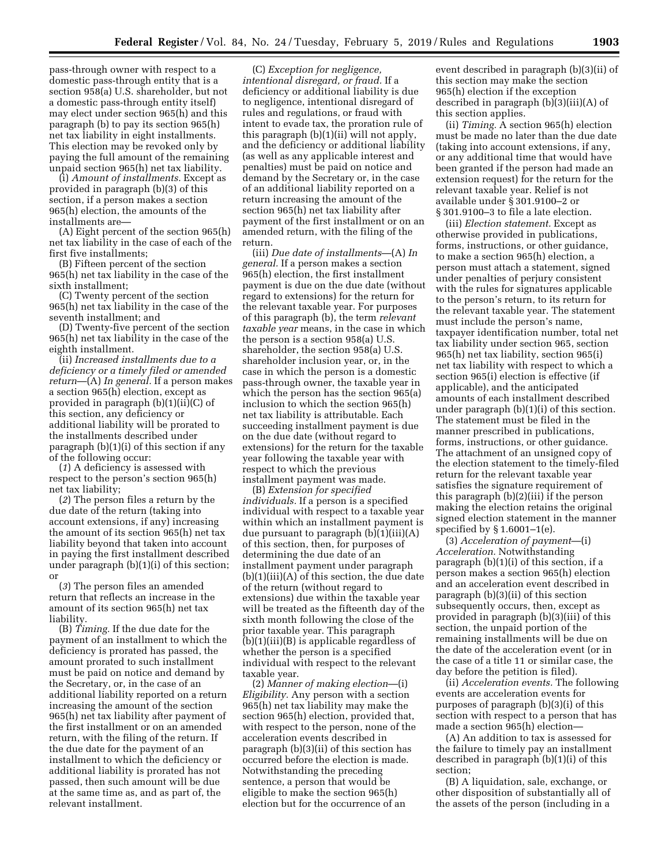pass-through owner with respect to a domestic pass-through entity that is a section 958(a) U.S. shareholder, but not a domestic pass-through entity itself) may elect under section 965(h) and this paragraph (b) to pay its section 965(h) net tax liability in eight installments. This election may be revoked only by paying the full amount of the remaining unpaid section 965(h) net tax liability.

(i) *Amount of installments.* Except as provided in paragraph (b)(3) of this section, if a person makes a section 965(h) election, the amounts of the installments are—

(A) Eight percent of the section 965(h) net tax liability in the case of each of the first five installments;

(B) Fifteen percent of the section 965(h) net tax liability in the case of the sixth installment;

(C) Twenty percent of the section 965(h) net tax liability in the case of the seventh installment; and

(D) Twenty-five percent of the section 965(h) net tax liability in the case of the eighth installment.

(ii) *Increased installments due to a deficiency or a timely filed or amended return*—(A) *In general.* If a person makes a section 965(h) election, except as provided in paragraph (b)(1)(ii)(C) of this section, any deficiency or additional liability will be prorated to the installments described under paragraph (b)(1)(i) of this section if any of the following occur:

(*1*) A deficiency is assessed with respect to the person's section 965(h) net tax liability;

(*2*) The person files a return by the due date of the return (taking into account extensions, if any) increasing the amount of its section 965(h) net tax liability beyond that taken into account in paying the first installment described under paragraph (b)(1)(i) of this section; or

(*3*) The person files an amended return that reflects an increase in the amount of its section 965(h) net tax liability.

(B) *Timing.* If the due date for the payment of an installment to which the deficiency is prorated has passed, the amount prorated to such installment must be paid on notice and demand by the Secretary, or, in the case of an additional liability reported on a return increasing the amount of the section 965(h) net tax liability after payment of the first installment or on an amended return, with the filing of the return. If the due date for the payment of an installment to which the deficiency or additional liability is prorated has not passed, then such amount will be due at the same time as, and as part of, the relevant installment.

(C) *Exception for negligence, intentional disregard, or fraud.* If a deficiency or additional liability is due to negligence, intentional disregard of rules and regulations, or fraud with intent to evade tax, the proration rule of this paragraph (b)(1)(ii) will not apply, and the deficiency or additional liability (as well as any applicable interest and penalties) must be paid on notice and demand by the Secretary or, in the case of an additional liability reported on a return increasing the amount of the section 965(h) net tax liability after payment of the first installment or on an amended return, with the filing of the return.

(iii) *Due date of installments*—(A) *In general.* If a person makes a section 965(h) election, the first installment payment is due on the due date (without regard to extensions) for the return for the relevant taxable year. For purposes of this paragraph (b), the term *relevant taxable year* means, in the case in which the person is a section 958(a) U.S. shareholder, the section 958(a) U.S. shareholder inclusion year, or, in the case in which the person is a domestic pass-through owner, the taxable year in which the person has the section 965(a) inclusion to which the section 965(h) net tax liability is attributable. Each succeeding installment payment is due on the due date (without regard to extensions) for the return for the taxable year following the taxable year with respect to which the previous installment payment was made.

(B) *Extension for specified individuals.* If a person is a specified individual with respect to a taxable year within which an installment payment is due pursuant to paragraph  $(b)(1)(iii)(A)$ of this section, then, for purposes of determining the due date of an installment payment under paragraph  $(b)(1)(iii)(A)$  of this section, the due date of the return (without regard to extensions) due within the taxable year will be treated as the fifteenth day of the sixth month following the close of the prior taxable year. This paragraph (b)(1)(iii)(B) is applicable regardless of whether the person is a specified individual with respect to the relevant taxable year.

(2) *Manner of making election*—(i) *Eligibility.* Any person with a section 965(h) net tax liability may make the section 965(h) election, provided that, with respect to the person, none of the acceleration events described in paragraph (b)(3)(ii) of this section has occurred before the election is made. Notwithstanding the preceding sentence, a person that would be eligible to make the section 965(h) election but for the occurrence of an

event described in paragraph (b)(3)(ii) of this section may make the section 965(h) election if the exception described in paragraph (b)(3)(iii)(A) of this section applies.

(ii) *Timing.* A section 965(h) election must be made no later than the due date (taking into account extensions, if any, or any additional time that would have been granted if the person had made an extension request) for the return for the relevant taxable year. Relief is not available under § 301.9100–2 or § 301.9100–3 to file a late election.

(iii) *Election statement.* Except as otherwise provided in publications, forms, instructions, or other guidance, to make a section 965(h) election, a person must attach a statement, signed under penalties of perjury consistent with the rules for signatures applicable to the person's return, to its return for the relevant taxable year. The statement must include the person's name, taxpayer identification number, total net tax liability under section 965, section 965(h) net tax liability, section 965(i) net tax liability with respect to which a section 965(i) election is effective (if applicable), and the anticipated amounts of each installment described under paragraph (b)(1)(i) of this section. The statement must be filed in the manner prescribed in publications, forms, instructions, or other guidance. The attachment of an unsigned copy of the election statement to the timely-filed return for the relevant taxable year satisfies the signature requirement of this paragraph (b)(2)(iii) if the person making the election retains the original signed election statement in the manner specified by § 1.6001–1(e).

(3) *Acceleration of payment*—(i) *Acceleration.* Notwithstanding paragraph (b)(1)(i) of this section, if a person makes a section 965(h) election and an acceleration event described in paragraph (b)(3)(ii) of this section subsequently occurs, then, except as provided in paragraph (b)(3)(iii) of this section, the unpaid portion of the remaining installments will be due on the date of the acceleration event (or in the case of a title 11 or similar case, the day before the petition is filed).

(ii) *Acceleration events.* The following events are acceleration events for purposes of paragraph (b)(3)(i) of this section with respect to a person that has made a section 965(h) election—

(A) An addition to tax is assessed for the failure to timely pay an installment described in paragraph (b)(1)(i) of this section;

(B) A liquidation, sale, exchange, or other disposition of substantially all of the assets of the person (including in a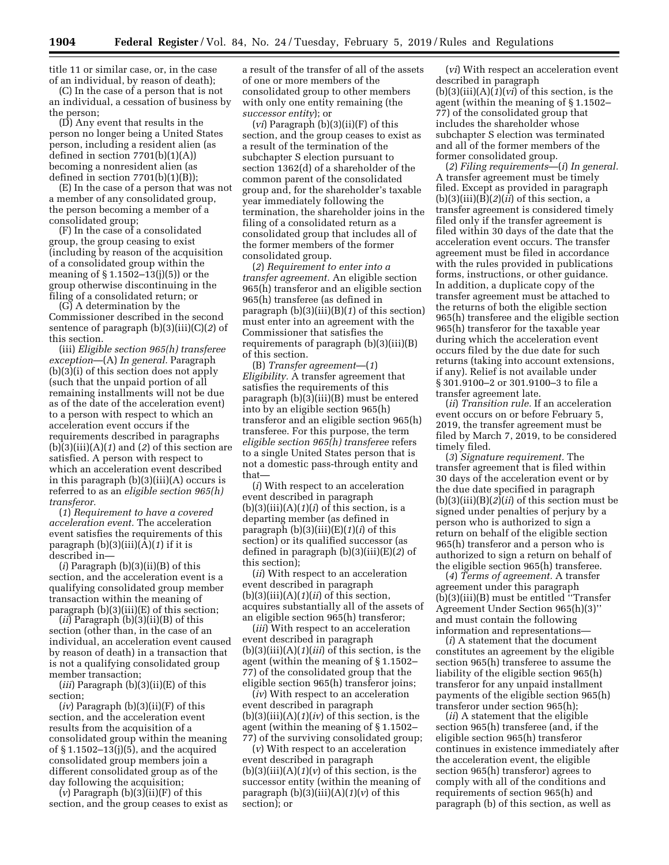title 11 or similar case, or, in the case of an individual, by reason of death);

(C) In the case of a person that is not an individual, a cessation of business by the person;

(D) Any event that results in the person no longer being a United States person, including a resident alien (as defined in section  $7701(b)(1)(A)$ becoming a nonresident alien (as defined in section  $7701(b)(1)(B)$ ;

(E) In the case of a person that was not a member of any consolidated group, the person becoming a member of a consolidated group;

(F) In the case of a consolidated group, the group ceasing to exist (including by reason of the acquisition of a consolidated group within the meaning of  $\S 1.1502 - 13(j)(5)$  or the group otherwise discontinuing in the filing of a consolidated return; or

(G) A determination by the Commissioner described in the second sentence of paragraph (b)(3)(iii)(C)(*2*) of this section.

(iii) *Eligible section 965(h) transferee exception*—(A) *In general.* Paragraph (b)(3)(i) of this section does not apply (such that the unpaid portion of all remaining installments will not be due as of the date of the acceleration event) to a person with respect to which an acceleration event occurs if the requirements described in paragraphs  $(b)(3)(iii)(A)(1)$  and  $(2)$  of this section are satisfied. A person with respect to which an acceleration event described in this paragraph (b)(3)(iii)(A) occurs is referred to as an *eligible section 965(h) transferor.* 

(*1*) *Requirement to have a covered acceleration event.* The acceleration event satisfies the requirements of this paragraph (b)(3)(iii)(A)(*1*) if it is described in—

(*i*) Paragraph (b)(3)(ii)(B) of this section, and the acceleration event is a qualifying consolidated group member transaction within the meaning of paragraph (b)(3)(iii)(E) of this section;

 $(ii)$  Paragraph  $(b)(3)(ii)(B)$  of this section (other than, in the case of an individual, an acceleration event caused by reason of death) in a transaction that is not a qualifying consolidated group member transaction;

(*iii*) Paragraph (b)(3)(ii)(E) of this section;

 $(iv)$  Paragraph  $(b)(3)(ii)(F)$  of this section, and the acceleration event results from the acquisition of a consolidated group within the meaning of § 1.1502–13(j)(5), and the acquired consolidated group members join a different consolidated group as of the day following the acquisition;

 $(v)$  Paragraph  $(b)(3)(ii)(F)$  of this section, and the group ceases to exist as

a result of the transfer of all of the assets of one or more members of the consolidated group to other members with only one entity remaining (the *successor entity*); or

(*vi*) Paragraph (b)(3)(ii)(F) of this section, and the group ceases to exist as a result of the termination of the subchapter S election pursuant to section 1362(d) of a shareholder of the common parent of the consolidated group and, for the shareholder's taxable year immediately following the termination, the shareholder joins in the filing of a consolidated return as a consolidated group that includes all of the former members of the former consolidated group.

(*2*) *Requirement to enter into a transfer agreement.* An eligible section 965(h) transferor and an eligible section 965(h) transferee (as defined in paragraph (b)(3)(iii)(B)(*1*) of this section) must enter into an agreement with the Commissioner that satisfies the requirements of paragraph (b)(3)(iii)(B) of this section.

(B) *Transfer agreement*—(*1*) *Eligibility.* A transfer agreement that satisfies the requirements of this paragraph (b)(3)(iii)(B) must be entered into by an eligible section 965(h) transferor and an eligible section 965(h) transferee. For this purpose, the term *eligible section 965(h) transferee* refers to a single United States person that is not a domestic pass-through entity and that—

(*i*) With respect to an acceleration event described in paragraph  $(b)(3)(iii)(A)(1)(i)$  of this section, is a departing member (as defined in paragraph (b)(3)(iii)(E)(*1*)(*i*) of this section) or its qualified successor (as defined in paragraph (b)(3)(iii)(E)(*2*) of this section);

(*ii*) With respect to an acceleration event described in paragraph  $(b)(3)(iii)(A)(1)(ii)$  of this section, acquires substantially all of the assets of an eligible section 965(h) transferor;

(*iii*) With respect to an acceleration event described in paragraph (b)(3)(iii)(A)(*1*)(*iii*) of this section, is the agent (within the meaning of § 1.1502– 77) of the consolidated group that the eligible section 965(h) transferor joins;

(*iv*) With respect to an acceleration event described in paragraph (b)(3)(iii)(A)(*1*)(*iv*) of this section, is the agent (within the meaning of § 1.1502– 77) of the surviving consolidated group;

(*v*) With respect to an acceleration event described in paragraph (b)(3)(iii)(A)(*1*)(*v*) of this section, is the successor entity (within the meaning of paragraph (b)(3)(iii)(A)(*1*)(*v*) of this section); or

(*vi*) With respect an acceleration event described in paragraph (b)(3)(iii)(A)(*1*)(*vi*) of this section, is the agent (within the meaning of § 1.1502– 77) of the consolidated group that includes the shareholder whose subchapter S election was terminated and all of the former members of the former consolidated group.

(*2*) *Filing requirements*—(*i*) *In general.*  A transfer agreement must be timely filed. Except as provided in paragraph (b)(3)(iii)(B)(*2*)(*ii*) of this section, a transfer agreement is considered timely filed only if the transfer agreement is filed within 30 days of the date that the acceleration event occurs. The transfer agreement must be filed in accordance with the rules provided in publications forms, instructions, or other guidance. In addition, a duplicate copy of the transfer agreement must be attached to the returns of both the eligible section 965(h) transferee and the eligible section 965(h) transferor for the taxable year during which the acceleration event occurs filed by the due date for such returns (taking into account extensions, if any). Relief is not available under § 301.9100–2 or 301.9100–3 to file a transfer agreement late.

(*ii*) *Transition rule.* If an acceleration event occurs on or before February 5, 2019, the transfer agreement must be filed by March 7, 2019, to be considered timely filed.

(*3*) *Signature requirement.* The transfer agreement that is filed within 30 days of the acceleration event or by the due date specified in paragraph (b)(3)(iii)(B)(*2*)(*ii*) of this section must be signed under penalties of perjury by a person who is authorized to sign a return on behalf of the eligible section 965(h) transferor and a person who is authorized to sign a return on behalf of the eligible section 965(h) transferee.

(*4*) *Terms of agreement.* A transfer agreement under this paragraph (b)(3)(iii)(B) must be entitled ''Transfer Agreement Under Section 965(h)(3)'' and must contain the following information and representations—

(*i*) A statement that the document constitutes an agreement by the eligible section 965(h) transferee to assume the liability of the eligible section 965(h) transferor for any unpaid installment payments of the eligible section 965(h) transferor under section 965(h);

(*ii*) A statement that the eligible section 965(h) transferee (and, if the eligible section 965(h) transferor continues in existence immediately after the acceleration event, the eligible section 965(h) transferor) agrees to comply with all of the conditions and requirements of section 965(h) and paragraph (b) of this section, as well as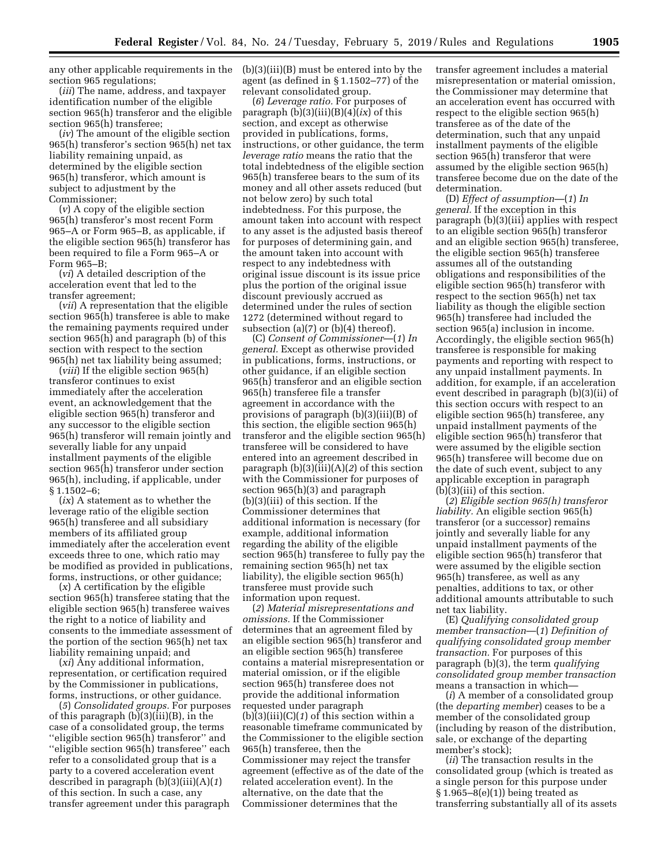any other applicable requirements in the (b)(3)(iii)(B) must be entered into by the section 965 regulations;

(*iii*) The name, address, and taxpayer identification number of the eligible section 965(h) transferor and the eligible section 965(h) transferee;

(*iv*) The amount of the eligible section 965(h) transferor's section 965(h) net tax liability remaining unpaid, as determined by the eligible section 965(h) transferor, which amount is subject to adjustment by the Commissioner;

(*v*) A copy of the eligible section 965(h) transferor's most recent Form 965–A or Form 965–B, as applicable, if the eligible section 965(h) transferor has been required to file a Form 965–A or Form 965–B;

(*vi*) A detailed description of the acceleration event that led to the transfer agreement;

(*vii*) A representation that the eligible section 965(h) transferee is able to make the remaining payments required under section 965(h) and paragraph (b) of this section with respect to the section 965(h) net tax liability being assumed;

(*viii*) If the eligible section 965(h) transferor continues to exist immediately after the acceleration event, an acknowledgement that the eligible section 965(h) transferor and any successor to the eligible section 965(h) transferor will remain jointly and severally liable for any unpaid installment payments of the eligible section 965(h) transferor under section 965(h), including, if applicable, under § 1.1502–6;

(*ix*) A statement as to whether the leverage ratio of the eligible section 965(h) transferee and all subsidiary members of its affiliated group immediately after the acceleration event exceeds three to one, which ratio may be modified as provided in publications, forms, instructions, or other guidance;

(*x*) A certification by the eligible section 965(h) transferee stating that the eligible section 965(h) transferee waives the right to a notice of liability and consents to the immediate assessment of the portion of the section 965(h) net tax liability remaining unpaid; and

(*xi*) Any additional information, representation, or certification required by the Commissioner in publications, forms, instructions, or other guidance.

(*5*) *Consolidated groups.* For purposes of this paragraph (b)(3)(iii)(B), in the case of a consolidated group, the terms ''eligible section 965(h) transferor'' and ''eligible section 965(h) transferee'' each refer to a consolidated group that is a party to a covered acceleration event described in paragraph (b)(3)(iii)(A)(*1*) of this section. In such a case, any transfer agreement under this paragraph

agent (as defined in § 1.1502–77) of the relevant consolidated group.

(*6*) *Leverage ratio.* For purposes of paragraph  $(b)(3)(iii)(B)(4)(ix)$  of this section, and except as otherwise provided in publications, forms, instructions, or other guidance, the term *leverage ratio* means the ratio that the total indebtedness of the eligible section 965(h) transferee bears to the sum of its money and all other assets reduced (but not below zero) by such total indebtedness. For this purpose, the amount taken into account with respect to any asset is the adjusted basis thereof for purposes of determining gain, and the amount taken into account with respect to any indebtedness with original issue discount is its issue price plus the portion of the original issue discount previously accrued as determined under the rules of section 1272 (determined without regard to subsection  $(a)(7)$  or  $(b)(4)$  thereof).

(C) *Consent of Commissioner*—(*1*) *In general.* Except as otherwise provided in publications, forms, instructions, or other guidance, if an eligible section 965(h) transferor and an eligible section 965(h) transferee file a transfer agreement in accordance with the provisions of paragraph (b)(3)(iii)(B) of this section, the eligible section 965(h) transferor and the eligible section 965(h) transferee will be considered to have entered into an agreement described in paragraph (b)(3)(iii)(A)(*2*) of this section with the Commissioner for purposes of section 965(h)(3) and paragraph (b)(3)(iii) of this section. If the Commissioner determines that additional information is necessary (for example, additional information regarding the ability of the eligible section 965(h) transferee to fully pay the remaining section 965(h) net tax liability), the eligible section 965(h) transferee must provide such information upon request.

(*2*) *Material misrepresentations and omissions.* If the Commissioner determines that an agreement filed by an eligible section 965(h) transferor and an eligible section 965(h) transferee contains a material misrepresentation or material omission, or if the eligible section 965(h) transferee does not provide the additional information requested under paragraph (b)(3)(iii)(C)(*1*) of this section within a reasonable timeframe communicated by the Commissioner to the eligible section 965(h) transferee, then the Commissioner may reject the transfer agreement (effective as of the date of the related acceleration event). In the alternative, on the date that the Commissioner determines that the

transfer agreement includes a material misrepresentation or material omission, the Commissioner may determine that an acceleration event has occurred with respect to the eligible section 965(h) transferee as of the date of the determination, such that any unpaid installment payments of the eligible section 965(h) transferor that were assumed by the eligible section 965(h) transferee become due on the date of the determination.

(D) *Effect of assumption*—(*1*) *In general.* If the exception in this paragraph (b)(3)(iii) applies with respect to an eligible section 965(h) transferor and an eligible section 965(h) transferee, the eligible section 965(h) transferee assumes all of the outstanding obligations and responsibilities of the eligible section 965(h) transferor with respect to the section 965(h) net tax liability as though the eligible section 965(h) transferee had included the section 965(a) inclusion in income. Accordingly, the eligible section 965(h) transferee is responsible for making payments and reporting with respect to any unpaid installment payments. In addition, for example, if an acceleration event described in paragraph (b)(3)(ii) of this section occurs with respect to an eligible section 965(h) transferee, any unpaid installment payments of the eligible section 965(h) transferor that were assumed by the eligible section 965(h) transferee will become due on the date of such event, subject to any applicable exception in paragraph (b)(3)(iii) of this section.

(*2*) *Eligible section 965(h) transferor liability.* An eligible section 965(h) transferor (or a successor) remains jointly and severally liable for any unpaid installment payments of the eligible section 965(h) transferor that were assumed by the eligible section 965(h) transferee, as well as any penalties, additions to tax, or other additional amounts attributable to such net tax liability.

(E) *Qualifying consolidated group member transaction*—(*1*) *Definition of qualifying consolidated group member transaction.* For purposes of this paragraph (b)(3), the term *qualifying consolidated group member transaction*  means a transaction in which—

(*i*) A member of a consolidated group (the *departing member*) ceases to be a member of the consolidated group (including by reason of the distribution, sale, or exchange of the departing member's stock);

(*ii*) The transaction results in the consolidated group (which is treated as a single person for this purpose under  $§ 1.965-8(e)(1))$  being treated as transferring substantially all of its assets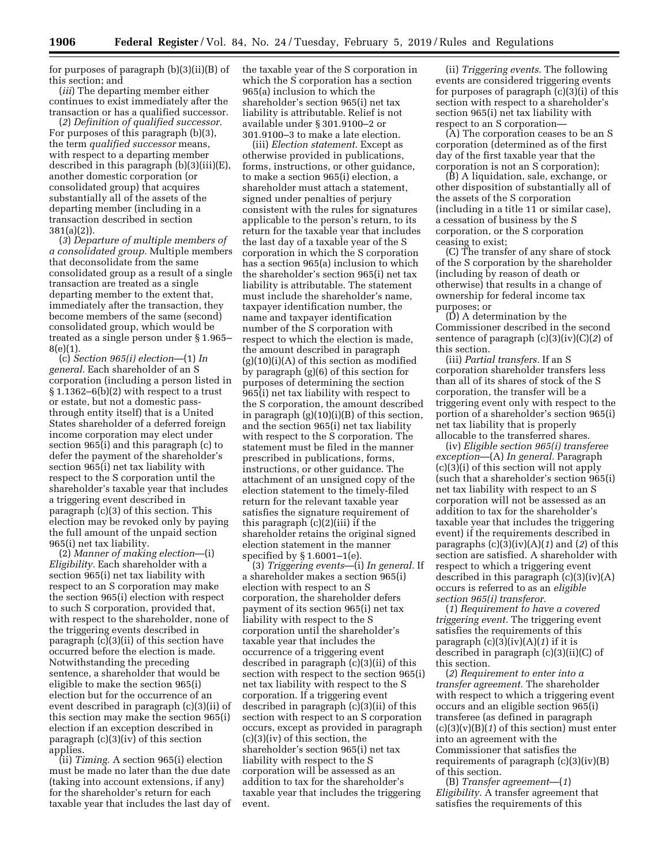for purposes of paragraph (b)(3)(ii)(B) of this section; and

(*iii*) The departing member either continues to exist immediately after the transaction or has a qualified successor.

(*2*) *Definition of qualified successor.*  For purposes of this paragraph (b)(3), the term *qualified successor* means, with respect to a departing member described in this paragraph (b)(3)(iii)(E), another domestic corporation (or consolidated group) that acquires substantially all of the assets of the departing member (including in a transaction described in section 381(a)(2)).

(*3*) *Departure of multiple members of a consolidated group.* Multiple members that deconsolidate from the same consolidated group as a result of a single transaction are treated as a single departing member to the extent that, immediately after the transaction, they become members of the same (second) consolidated group, which would be treated as a single person under § 1.965– 8(e)(1).

(c) *Section 965(i) election*—(1) *In general.* Each shareholder of an S corporation (including a person listed in  $§ 1.1362-6(b)(2)$  with respect to a trust or estate, but not a domestic passthrough entity itself) that is a United States shareholder of a deferred foreign income corporation may elect under section 965(i) and this paragraph (c) to defer the payment of the shareholder's section 965(i) net tax liability with respect to the S corporation until the shareholder's taxable year that includes a triggering event described in paragraph (c)(3) of this section. This election may be revoked only by paying the full amount of the unpaid section 965(i) net tax liability.

(2) *Manner of making election*—(i) *Eligibility.* Each shareholder with a section 965(i) net tax liability with respect to an S corporation may make the section 965(i) election with respect to such S corporation, provided that, with respect to the shareholder, none of the triggering events described in paragraph (c)(3)(ii) of this section have occurred before the election is made. Notwithstanding the preceding sentence, a shareholder that would be eligible to make the section 965(i) election but for the occurrence of an event described in paragraph (c)(3)(ii) of this section may make the section 965(i) election if an exception described in paragraph  $(c)(3)(iv)$  of this section applies.

(ii) *Timing.* A section 965(i) election must be made no later than the due date (taking into account extensions, if any) for the shareholder's return for each taxable year that includes the last day of the taxable year of the S corporation in which the S corporation has a section 965(a) inclusion to which the shareholder's section 965(i) net tax liability is attributable. Relief is not available under § 301.9100–2 or 301.9100–3 to make a late election.

(iii) *Election statement.* Except as otherwise provided in publications, forms, instructions, or other guidance, to make a section 965(i) election, a shareholder must attach a statement, signed under penalties of perjury consistent with the rules for signatures applicable to the person's return, to its return for the taxable year that includes the last day of a taxable year of the S corporation in which the S corporation has a section 965(a) inclusion to which the shareholder's section 965(i) net tax liability is attributable. The statement must include the shareholder's name, taxpayer identification number, the name and taxpayer identification number of the S corporation with respect to which the election is made, the amount described in paragraph  $(g)(10)(i)(A)$  of this section as modified by paragraph (g)(6) of this section for purposes of determining the section 965(i) net tax liability with respect to the S corporation, the amount described in paragraph (g)(10)(i)(B) of this section, and the section 965(i) net tax liability with respect to the S corporation. The statement must be filed in the manner prescribed in publications, forms, instructions, or other guidance. The attachment of an unsigned copy of the election statement to the timely-filed return for the relevant taxable year satisfies the signature requirement of this paragraph (c)(2)(iii) if the shareholder retains the original signed election statement in the manner specified by § 1.6001–1(e).

(3) *Triggering events*—(i) *In general.* If a shareholder makes a section 965(i) election with respect to an S corporation, the shareholder defers payment of its section 965(i) net tax liability with respect to the S corporation until the shareholder's taxable year that includes the occurrence of a triggering event described in paragraph (c)(3)(ii) of this section with respect to the section 965(i) net tax liability with respect to the S corporation. If a triggering event described in paragraph (c)(3)(ii) of this section with respect to an S corporation occurs, except as provided in paragraph (c)(3)(iv) of this section, the shareholder's section 965(i) net tax liability with respect to the S corporation will be assessed as an addition to tax for the shareholder's taxable year that includes the triggering event.

(ii) *Triggering events.* The following events are considered triggering events for purposes of paragraph (c)(3)(i) of this section with respect to a shareholder's section 965(i) net tax liability with respect to an S corporation—

(A) The corporation ceases to be an S corporation (determined as of the first day of the first taxable year that the corporation is not an S corporation);

(B) A liquidation, sale, exchange, or other disposition of substantially all of the assets of the S corporation (including in a title 11 or similar case), a cessation of business by the S corporation, or the S corporation ceasing to exist;

(C) The transfer of any share of stock of the S corporation by the shareholder (including by reason of death or otherwise) that results in a change of ownership for federal income tax purposes; or

(D) A determination by the Commissioner described in the second sentence of paragraph (c)(3)(iv)(C)(*2*) of this section.

(iii) *Partial transfers.* If an S corporation shareholder transfers less than all of its shares of stock of the S corporation, the transfer will be a triggering event only with respect to the portion of a shareholder's section 965(i) net tax liability that is properly allocable to the transferred shares.

(iv) *Eligible section 965(i) transferee exception*—(A) *In general.* Paragraph  $(c)(3)(i)$  of this section will not apply (such that a shareholder's section 965(i) net tax liability with respect to an S corporation will not be assessed as an addition to tax for the shareholder's taxable year that includes the triggering event) if the requirements described in paragraphs (c)(3)(iv)(A)(*1*) and (*2*) of this section are satisfied. A shareholder with respect to which a triggering event described in this paragraph  $(c)(3)(iv)(A)$ occurs is referred to as an *eligible section 965(i) transferor.* 

(*1*) *Requirement to have a covered triggering event.* The triggering event satisfies the requirements of this paragraph (c)(3)(iv)(A)(*1*) if it is described in paragraph (c)(3)(ii)(C) of this section.

(*2*) *Requirement to enter into a transfer agreement.* The shareholder with respect to which a triggering event occurs and an eligible section 965(i) transferee (as defined in paragraph  $(c)(3)(v)(B)(1)$  of this section) must enter into an agreement with the Commissioner that satisfies the requirements of paragraph  $(c)(3)(iv)(B)$ of this section.

(B) *Transfer agreement*—(*1*) *Eligibility.* A transfer agreement that satisfies the requirements of this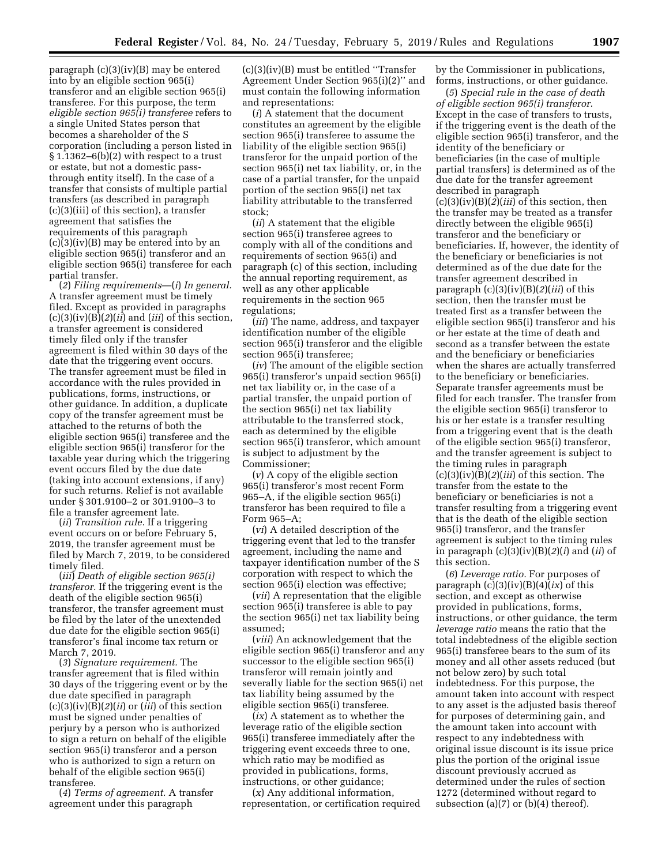paragraph (c)(3)(iv)(B) may be entered into by an eligible section 965(i) transferor and an eligible section 965(i) transferee. For this purpose, the term *eligible section 965(i) transferee* refers to a single United States person that becomes a shareholder of the S corporation (including a person listed in  $§ 1.1362-6(b)(2)$  with respect to a trust or estate, but not a domestic passthrough entity itself). In the case of a transfer that consists of multiple partial transfers (as described in paragraph (c)(3)(iii) of this section), a transfer agreement that satisfies the requirements of this paragraph (c)(3)(iv)(B) may be entered into by an eligible section 965(i) transferor and an eligible section 965(i) transferee for each partial transfer.

(*2*) *Filing requirements*—(*i*) *In general.*  A transfer agreement must be timely filed. Except as provided in paragraphs (c)(3)(iv)(B)(*2*)(*ii*) and (*iii*) of this section, a transfer agreement is considered timely filed only if the transfer agreement is filed within 30 days of the date that the triggering event occurs. The transfer agreement must be filed in accordance with the rules provided in publications, forms, instructions, or other guidance. In addition, a duplicate copy of the transfer agreement must be attached to the returns of both the eligible section 965(i) transferee and the eligible section 965(i) transferor for the taxable year during which the triggering event occurs filed by the due date (taking into account extensions, if any) for such returns. Relief is not available under § 301.9100–2 or 301.9100–3 to file a transfer agreement late.

(*ii*) *Transition rule.* If a triggering event occurs on or before February 5, 2019, the transfer agreement must be filed by March 7, 2019, to be considered timely filed.

(*iii*) *Death of eligible section 965(i) transferor.* If the triggering event is the death of the eligible section 965(i) transferor, the transfer agreement must be filed by the later of the unextended due date for the eligible section 965(i) transferor's final income tax return or March 7, 2019.

(*3*) *Signature requirement.* The transfer agreement that is filed within 30 days of the triggering event or by the due date specified in paragraph (c)(3)(iv)(B)(*2*)(*ii*) or (*iii*) of this section must be signed under penalties of perjury by a person who is authorized to sign a return on behalf of the eligible section 965(i) transferor and a person who is authorized to sign a return on behalf of the eligible section 965(i) transferee.

(*4*) *Terms of agreement.* A transfer agreement under this paragraph

(c)(3)(iv)(B) must be entitled ''Transfer Agreement Under Section 965(i)(2)'' and must contain the following information and representations:

(*i*) A statement that the document constitutes an agreement by the eligible section 965(i) transferee to assume the liability of the eligible section 965(i) transferor for the unpaid portion of the section 965(i) net tax liability, or, in the case of a partial transfer, for the unpaid portion of the section 965(i) net tax liability attributable to the transferred stock;

(*ii*) A statement that the eligible section 965(i) transferee agrees to comply with all of the conditions and requirements of section 965(i) and paragraph (c) of this section, including the annual reporting requirement, as well as any other applicable requirements in the section 965 regulations;

(*iii*) The name, address, and taxpayer identification number of the eligible section 965(i) transferor and the eligible section 965(i) transferee;

(*iv*) The amount of the eligible section 965(i) transferor's unpaid section 965(i) net tax liability or, in the case of a partial transfer, the unpaid portion of the section 965(i) net tax liability attributable to the transferred stock, each as determined by the eligible section 965(i) transferor, which amount is subject to adjustment by the Commissioner;

(*v*) A copy of the eligible section 965(i) transferor's most recent Form 965–A, if the eligible section 965(i) transferor has been required to file a Form 965–A;

(*vi*) A detailed description of the triggering event that led to the transfer agreement, including the name and taxpayer identification number of the S corporation with respect to which the section 965(i) election was effective;

(*vii*) A representation that the eligible section 965(i) transferee is able to pay the section 965(i) net tax liability being assumed;

(*viii*) An acknowledgement that the eligible section 965(i) transferor and any successor to the eligible section 965(i) transferor will remain jointly and severally liable for the section 965(i) net tax liability being assumed by the eligible section 965(i) transferee.

(*ix*) A statement as to whether the leverage ratio of the eligible section 965(i) transferee immediately after the triggering event exceeds three to one, which ratio may be modified as provided in publications, forms, instructions, or other guidance;

(*x*) Any additional information, representation, or certification required

by the Commissioner in publications, forms, instructions, or other guidance.

(*5*) *Special rule in the case of death of eligible section 965(i) transferor.*  Except in the case of transfers to trusts, if the triggering event is the death of the eligible section 965(i) transferor, and the identity of the beneficiary or beneficiaries (in the case of multiple partial transfers) is determined as of the due date for the transfer agreement described in paragraph (c)(3)(iv)(B)(*2*)(*iii*) of this section, then the transfer may be treated as a transfer directly between the eligible 965(i) transferor and the beneficiary or beneficiaries. If, however, the identity of the beneficiary or beneficiaries is not determined as of the due date for the transfer agreement described in paragraph (c)(3)(iv)(B)(*2*)(*iii*) of this section, then the transfer must be treated first as a transfer between the eligible section 965(i) transferor and his or her estate at the time of death and second as a transfer between the estate and the beneficiary or beneficiaries when the shares are actually transferred to the beneficiary or beneficiaries. Separate transfer agreements must be filed for each transfer. The transfer from the eligible section 965(i) transferor to his or her estate is a transfer resulting from a triggering event that is the death of the eligible section 965(i) transferor, and the transfer agreement is subject to the timing rules in paragraph (c)(3)(iv)(B)(*2*)(*iii*) of this section. The transfer from the estate to the beneficiary or beneficiaries is not a transfer resulting from a triggering event that is the death of the eligible section 965(i) transferor, and the transfer agreement is subject to the timing rules in paragraph (c)(3)(iv)(B)(*2*)(*i*) and (*ii*) of this section.

(*6*) *Leverage ratio.* For purposes of paragraph (c)(3)(iv)(B)(4)(*ix*) of this section, and except as otherwise provided in publications, forms, instructions, or other guidance, the term *leverage ratio* means the ratio that the total indebtedness of the eligible section 965(i) transferee bears to the sum of its money and all other assets reduced (but not below zero) by such total indebtedness. For this purpose, the amount taken into account with respect to any asset is the adjusted basis thereof for purposes of determining gain, and the amount taken into account with respect to any indebtedness with original issue discount is its issue price plus the portion of the original issue discount previously accrued as determined under the rules of section 1272 (determined without regard to subsection (a) $(7)$  or (b) $(4)$  thereof).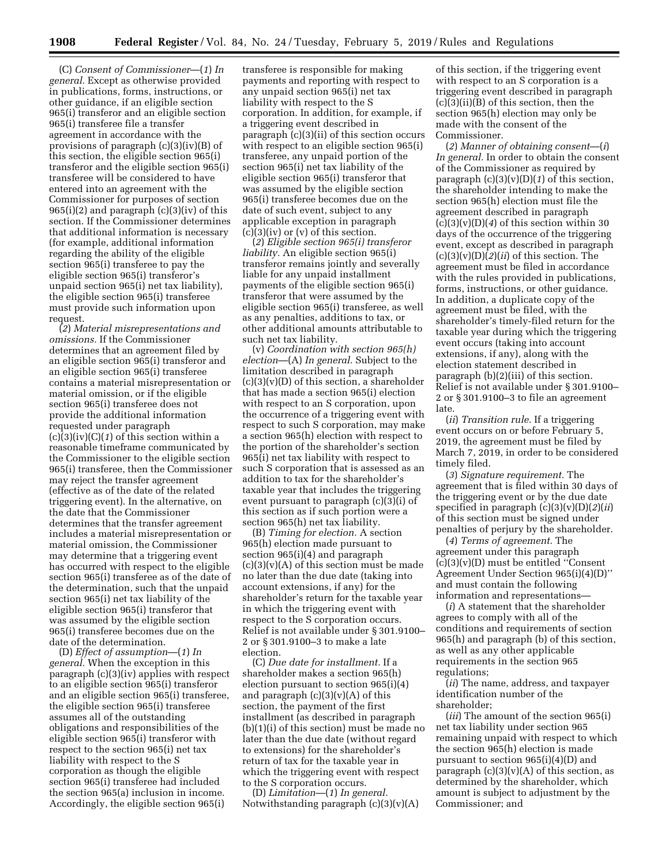(C) *Consent of Commissioner*—(*1*) *In general.* Except as otherwise provided in publications, forms, instructions, or other guidance, if an eligible section 965(i) transferor and an eligible section 965(i) transferee file a transfer agreement in accordance with the provisions of paragraph (c)(3)(iv)(B) of this section, the eligible section 965(i) transferor and the eligible section 965(i) transferee will be considered to have entered into an agreement with the Commissioner for purposes of section  $965(i)(2)$  and paragraph  $(c)(3)(iv)$  of this section. If the Commissioner determines that additional information is necessary (for example, additional information regarding the ability of the eligible section 965(i) transferee to pay the eligible section 965(i) transferor's unpaid section 965(i) net tax liability), the eligible section 965(i) transferee must provide such information upon request.

(*2*) *Material misrepresentations and omissions.* If the Commissioner determines that an agreement filed by an eligible section 965(i) transferor and an eligible section 965(i) transferee contains a material misrepresentation or material omission, or if the eligible section 965(i) transferee does not provide the additional information requested under paragraph (c)(3)(iv)(C)(*1*) of this section within a reasonable timeframe communicated by the Commissioner to the eligible section 965(i) transferee, then the Commissioner may reject the transfer agreement (effective as of the date of the related triggering event). In the alternative, on the date that the Commissioner determines that the transfer agreement includes a material misrepresentation or material omission, the Commissioner may determine that a triggering event has occurred with respect to the eligible section 965(i) transferee as of the date of the determination, such that the unpaid section 965(i) net tax liability of the eligible section 965(i) transferor that was assumed by the eligible section 965(i) transferee becomes due on the date of the determination.

(D) *Effect of assumption*—(*1*) *In general.* When the exception in this paragraph (c)(3)(iv) applies with respect to an eligible section 965(i) transferor and an eligible section 965(i) transferee, the eligible section 965(i) transferee assumes all of the outstanding obligations and responsibilities of the eligible section 965(i) transferor with respect to the section 965(i) net tax liability with respect to the S corporation as though the eligible section 965(i) transferee had included the section 965(a) inclusion in income. Accordingly, the eligible section 965(i)

transferee is responsible for making payments and reporting with respect to any unpaid section 965(i) net tax liability with respect to the S corporation. In addition, for example, if a triggering event described in paragraph (c)(3)(ii) of this section occurs with respect to an eligible section 965(i) transferee, any unpaid portion of the section 965(i) net tax liability of the eligible section 965(i) transferor that was assumed by the eligible section 965(i) transferee becomes due on the date of such event, subject to any applicable exception in paragraph  $(c)(3)(iv)$  or  $(v)$  of this section.

(*2*) *Eligible section 965(i) transferor liability.* An eligible section 965(i) transferor remains jointly and severally liable for any unpaid installment payments of the eligible section 965(i) transferor that were assumed by the eligible section 965(i) transferee, as well as any penalties, additions to tax, or other additional amounts attributable to such net tax liability.

(v) *Coordination with section 965(h) election*—(A) *In general.* Subject to the limitation described in paragraph  $(c)(3)(v)(D)$  of this section, a shareholder that has made a section 965(i) election with respect to an S corporation, upon the occurrence of a triggering event with respect to such S corporation, may make a section 965(h) election with respect to the portion of the shareholder's section 965(i) net tax liability with respect to such S corporation that is assessed as an addition to tax for the shareholder's taxable year that includes the triggering event pursuant to paragraph (c)(3)(i) of this section as if such portion were a section 965(h) net tax liability.

(B) *Timing for election.* A section 965(h) election made pursuant to section 965(i)(4) and paragraph  $(c)(3)(v)(A)$  of this section must be made no later than the due date (taking into account extensions, if any) for the shareholder's return for the taxable year in which the triggering event with respect to the S corporation occurs. Relief is not available under § 301.9100– 2 or § 301.9100–3 to make a late election.

(C) *Due date for installment.* If a shareholder makes a section 965(h) election pursuant to section 965(i)(4) and paragraph  $(c)(3)(v)(A)$  of this section, the payment of the first installment (as described in paragraph (b)(1)(i) of this section) must be made no later than the due date (without regard to extensions) for the shareholder's return of tax for the taxable year in which the triggering event with respect to the S corporation occurs.

(D) *Limitation*—(*1*) *In general.*  Notwithstanding paragraph  $(c)(3)(v)(A)$ 

of this section, if the triggering event with respect to an S corporation is a triggering event described in paragraph (c)(3)(ii)(B) of this section, then the section 965(h) election may only be made with the consent of the Commissioner.

(*2*) *Manner of obtaining consent*—(*i*) *In general.* In order to obtain the consent of the Commissioner as required by paragraph (c)(3)(v)(D)(*1*) of this section, the shareholder intending to make the section 965(h) election must file the agreement described in paragraph  $(c)(3)(v)(D)(4)$  of this section within 30 days of the occurrence of the triggering event, except as described in paragraph  $(c)(3)(v)(D)(2)(ii)$  of this section. The agreement must be filed in accordance with the rules provided in publications, forms, instructions, or other guidance. In addition, a duplicate copy of the agreement must be filed, with the shareholder's timely-filed return for the taxable year during which the triggering event occurs (taking into account extensions, if any), along with the election statement described in paragraph (b)(2)(iii) of this section. Relief is not available under § 301.9100– 2 or § 301.9100–3 to file an agreement late.

(*ii*) *Transition rule.* If a triggering event occurs on or before February 5, 2019, the agreement must be filed by March 7, 2019, in order to be considered timely filed.

(*3*) *Signature requirement.* The agreement that is filed within 30 days of the triggering event or by the due date specified in paragraph (c)(3)(v)(D)(*2*)(*ii*) of this section must be signed under penalties of perjury by the shareholder.

(*4*) *Terms of agreement.* The agreement under this paragraph (c)(3)(v)(D) must be entitled ''Consent Agreement Under Section 965(i)(4)(D)'' and must contain the following information and representations—

(*i*) A statement that the shareholder agrees to comply with all of the conditions and requirements of section 965(h) and paragraph (b) of this section, as well as any other applicable requirements in the section 965 regulations;

(*ii*) The name, address, and taxpayer identification number of the shareholder;

(*iii*) The amount of the section 965(i) net tax liability under section 965 remaining unpaid with respect to which the section 965(h) election is made pursuant to section 965(i)(4)(D) and paragraph  $(c)(3)(v)(A)$  of this section, as determined by the shareholder, which amount is subject to adjustment by the Commissioner; and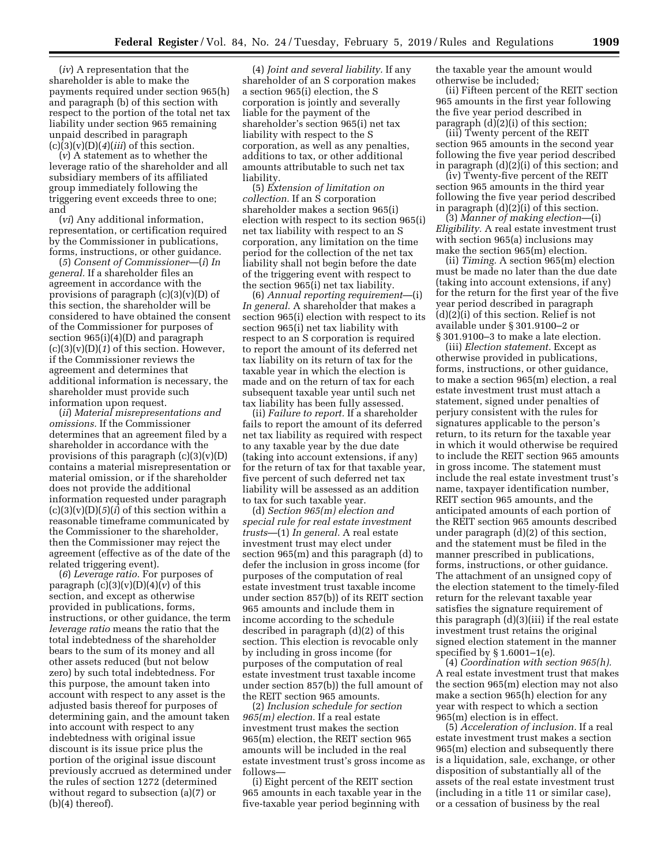(*iv*) A representation that the shareholder is able to make the payments required under section 965(h) and paragraph (b) of this section with respect to the portion of the total net tax liability under section 965 remaining unpaid described in paragraph  $(c)(3)(v)(D)(4)(iii)$  of this section.

(*v*) A statement as to whether the leverage ratio of the shareholder and all subsidiary members of its affiliated group immediately following the triggering event exceeds three to one; and

(*vi*) Any additional information, representation, or certification required by the Commissioner in publications, forms, instructions, or other guidance.

(*5*) *Consent of Commissioner*—(*i*) *In general.* If a shareholder files an agreement in accordance with the provisions of paragraph (c)(3)(v)(D) of this section, the shareholder will be considered to have obtained the consent of the Commissioner for purposes of section 965(i)(4)(D) and paragraph  $(c)(3)(v)(D)(1)$  of this section. However, if the Commissioner reviews the agreement and determines that additional information is necessary, the shareholder must provide such information upon request.

(*ii*) *Material misrepresentations and omissions.* If the Commissioner determines that an agreement filed by a shareholder in accordance with the provisions of this paragraph  $(c)(3)(v)(D)$ contains a material misrepresentation or material omission, or if the shareholder does not provide the additional information requested under paragraph  $(c)(3)(v)(D)(5)(i)$  of this section within a reasonable timeframe communicated by the Commissioner to the shareholder, then the Commissioner may reject the agreement (effective as of the date of the related triggering event).

(*6*) *Leverage ratio.* For purposes of paragraph  $(c)(3)(v)(D)(4)(v)$  of this section, and except as otherwise provided in publications, forms, instructions, or other guidance, the term *leverage ratio* means the ratio that the total indebtedness of the shareholder bears to the sum of its money and all other assets reduced (but not below zero) by such total indebtedness. For this purpose, the amount taken into account with respect to any asset is the adjusted basis thereof for purposes of determining gain, and the amount taken into account with respect to any indebtedness with original issue discount is its issue price plus the portion of the original issue discount previously accrued as determined under the rules of section 1272 (determined without regard to subsection (a)(7) or  $(b)(4)$  thereof).

(4) *Joint and several liability.* If any shareholder of an S corporation makes a section 965(i) election, the S corporation is jointly and severally liable for the payment of the shareholder's section 965(i) net tax liability with respect to the S corporation, as well as any penalties, additions to tax, or other additional amounts attributable to such net tax liability.

(5) *Extension of limitation on collection.* If an S corporation shareholder makes a section 965(i) election with respect to its section 965(i) net tax liability with respect to an S corporation, any limitation on the time period for the collection of the net tax liability shall not begin before the date of the triggering event with respect to the section 965(i) net tax liability.

(6) *Annual reporting requirement*—(i) *In general.* A shareholder that makes a section 965(i) election with respect to its section 965(i) net tax liability with respect to an S corporation is required to report the amount of its deferred net tax liability on its return of tax for the taxable year in which the election is made and on the return of tax for each subsequent taxable year until such net tax liability has been fully assessed.

(ii) *Failure to report.* If a shareholder fails to report the amount of its deferred net tax liability as required with respect to any taxable year by the due date (taking into account extensions, if any) for the return of tax for that taxable year, five percent of such deferred net tax liability will be assessed as an addition to tax for such taxable year.

(d) *Section 965(m) election and special rule for real estate investment trusts*—(1) *In general.* A real estate investment trust may elect under section 965(m) and this paragraph (d) to defer the inclusion in gross income (for purposes of the computation of real estate investment trust taxable income under section 857(b)) of its REIT section 965 amounts and include them in income according to the schedule described in paragraph (d)(2) of this section. This election is revocable only by including in gross income (for purposes of the computation of real estate investment trust taxable income under section 857(b)) the full amount of the REIT section 965 amounts.

(2) *Inclusion schedule for section 965(m) election.* If a real estate investment trust makes the section 965(m) election, the REIT section 965 amounts will be included in the real estate investment trust's gross income as follows—

(i) Eight percent of the REIT section 965 amounts in each taxable year in the five-taxable year period beginning with

the taxable year the amount would otherwise be included;

(ii) Fifteen percent of the REIT section 965 amounts in the first year following the five year period described in paragraph (d)(2)(i) of this section;

(iii) Twenty percent of the REIT section 965 amounts in the second year following the five year period described in paragraph (d)(2)(i) of this section; and

(iv) Twenty-five percent of the REIT section 965 amounts in the third year following the five year period described in paragraph (d)(2)(i) of this section.

(3) *Manner of making election*—(i) *Eligibility.* A real estate investment trust with section 965(a) inclusions may make the section 965(m) election.

(ii) *Timing.* A section 965(m) election must be made no later than the due date (taking into account extensions, if any) for the return for the first year of the five year period described in paragraph (d)(2)(i) of this section. Relief is not available under § 301.9100–2 or § 301.9100–3 to make a late election.

(iii) *Election statement.* Except as otherwise provided in publications, forms, instructions, or other guidance, to make a section 965(m) election, a real estate investment trust must attach a statement, signed under penalties of perjury consistent with the rules for signatures applicable to the person's return, to its return for the taxable year in which it would otherwise be required to include the REIT section 965 amounts in gross income. The statement must include the real estate investment trust's name, taxpayer identification number, REIT section 965 amounts, and the anticipated amounts of each portion of the REIT section 965 amounts described under paragraph (d)(2) of this section, and the statement must be filed in the manner prescribed in publications, forms, instructions, or other guidance. The attachment of an unsigned copy of the election statement to the timely-filed return for the relevant taxable year satisfies the signature requirement of this paragraph (d)(3)(iii) if the real estate investment trust retains the original signed election statement in the manner specified by § 1.6001–1(e).

(4) *Coordination with section 965(h).*  A real estate investment trust that makes the section 965(m) election may not also make a section 965(h) election for any year with respect to which a section 965(m) election is in effect.

(5) *Acceleration of inclusion.* If a real estate investment trust makes a section 965(m) election and subsequently there is a liquidation, sale, exchange, or other disposition of substantially all of the assets of the real estate investment trust (including in a title 11 or similar case), or a cessation of business by the real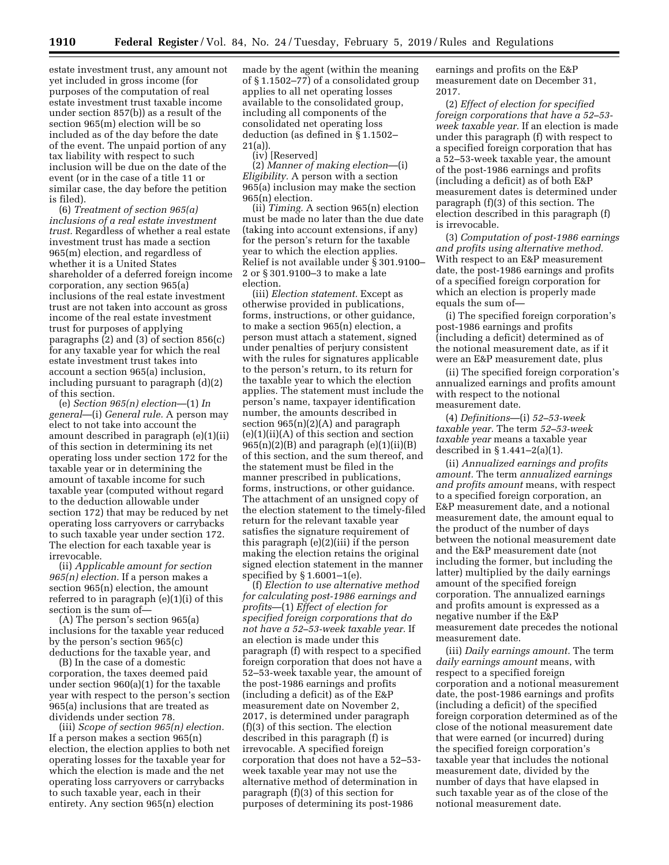estate investment trust, any amount not yet included in gross income (for purposes of the computation of real estate investment trust taxable income under section 857(b)) as a result of the section 965(m) election will be so included as of the day before the date of the event. The unpaid portion of any tax liability with respect to such inclusion will be due on the date of the event (or in the case of a title 11 or similar case, the day before the petition is filed).

(6) *Treatment of section 965(a) inclusions of a real estate investment trust.* Regardless of whether a real estate investment trust has made a section 965(m) election, and regardless of whether it is a United States shareholder of a deferred foreign income corporation, any section 965(a) inclusions of the real estate investment trust are not taken into account as gross income of the real estate investment trust for purposes of applying paragraphs (2) and (3) of section 856(c) for any taxable year for which the real estate investment trust takes into account a section 965(a) inclusion, including pursuant to paragraph (d)(2) of this section.

(e) *Section 965(n) election*—(1) *In general*—(i) *General rule.* A person may elect to not take into account the amount described in paragraph (e)(1)(ii) of this section in determining its net operating loss under section 172 for the taxable year or in determining the amount of taxable income for such taxable year (computed without regard to the deduction allowable under section 172) that may be reduced by net operating loss carryovers or carrybacks to such taxable year under section 172. The election for each taxable year is irrevocable.

(ii) *Applicable amount for section 965(n) election.* If a person makes a section 965(n) election, the amount referred to in paragraph (e)(1)(i) of this section is the sum of—

(A) The person's section 965(a) inclusions for the taxable year reduced by the person's section 965(c) deductions for the taxable year, and

(B) In the case of a domestic corporation, the taxes deemed paid under section 960(a)(1) for the taxable year with respect to the person's section 965(a) inclusions that are treated as dividends under section 78.

(iii) *Scope of section 965(n) election.*  If a person makes a section 965(n) election, the election applies to both net operating losses for the taxable year for which the election is made and the net operating loss carryovers or carrybacks to such taxable year, each in their entirety. Any section 965(n) election

made by the agent (within the meaning of § 1.1502–77) of a consolidated group applies to all net operating losses available to the consolidated group, including all components of the consolidated net operating loss deduction (as defined in § 1.1502– 21(a)).

(iv) [Reserved]

(2) *Manner of making election*—(i) *Eligibility.* A person with a section 965(a) inclusion may make the section 965(n) election.

(ii) *Timing.* A section 965(n) election must be made no later than the due date (taking into account extensions, if any) for the person's return for the taxable year to which the election applies. Relief is not available under § 301.9100– 2 or § 301.9100–3 to make a late election.

(iii) *Election statement.* Except as otherwise provided in publications, forms, instructions, or other guidance, to make a section 965(n) election, a person must attach a statement, signed under penalties of perjury consistent with the rules for signatures applicable to the person's return, to its return for the taxable year to which the election applies. The statement must include the person's name, taxpayer identification number, the amounts described in section  $965(n)(2)(A)$  and paragraph  $(e)(1)(ii)(A)$  of this section and section  $965(n)(2)(B)$  and paragraph  $(e)(1)(ii)(B)$ of this section, and the sum thereof, and the statement must be filed in the manner prescribed in publications, forms, instructions, or other guidance. The attachment of an unsigned copy of the election statement to the timely-filed return for the relevant taxable year satisfies the signature requirement of this paragraph (e)(2)(iii) if the person making the election retains the original signed election statement in the manner specified by § 1.6001–1(e).

(f) *Election to use alternative method for calculating post-1986 earnings and profits*—(1) *Effect of election for specified foreign corporations that do not have a 52–53-week taxable year.* If an election is made under this paragraph (f) with respect to a specified foreign corporation that does not have a 52–53-week taxable year, the amount of the post-1986 earnings and profits (including a deficit) as of the E&P measurement date on November 2, 2017, is determined under paragraph (f)(3) of this section. The election described in this paragraph (f) is irrevocable. A specified foreign corporation that does not have a 52–53 week taxable year may not use the alternative method of determination in paragraph (f)(3) of this section for purposes of determining its post-1986

earnings and profits on the E&P measurement date on December 31, 2017.

(2) *Effect of election for specified foreign corporations that have a 52–53 week taxable year.* If an election is made under this paragraph (f) with respect to a specified foreign corporation that has a 52–53-week taxable year, the amount of the post-1986 earnings and profits (including a deficit) as of both E&P measurement dates is determined under paragraph (f)(3) of this section. The election described in this paragraph (f) is irrevocable.

(3) *Computation of post-1986 earnings and profits using alternative method.*  With respect to an E&P measurement date, the post-1986 earnings and profits of a specified foreign corporation for which an election is properly made equals the sum of—

(i) The specified foreign corporation's post-1986 earnings and profits (including a deficit) determined as of the notional measurement date, as if it were an E&P measurement date, plus

(ii) The specified foreign corporation's annualized earnings and profits amount with respect to the notional measurement date.

(4) *Definitions*—(i) *52–53-week taxable year.* The term *52–53-week taxable year* means a taxable year described in § 1.441–2(a)(1).

(ii) *Annualized earnings and profits amount.* The term *annualized earnings and profits amount* means, with respect to a specified foreign corporation, an E&P measurement date, and a notional measurement date, the amount equal to the product of the number of days between the notional measurement date and the E&P measurement date (not including the former, but including the latter) multiplied by the daily earnings amount of the specified foreign corporation. The annualized earnings and profits amount is expressed as a negative number if the E&P measurement date precedes the notional measurement date.

(iii) *Daily earnings amount.* The term *daily earnings amount* means, with respect to a specified foreign corporation and a notional measurement date, the post-1986 earnings and profits (including a deficit) of the specified foreign corporation determined as of the close of the notional measurement date that were earned (or incurred) during the specified foreign corporation's taxable year that includes the notional measurement date, divided by the number of days that have elapsed in such taxable year as of the close of the notional measurement date.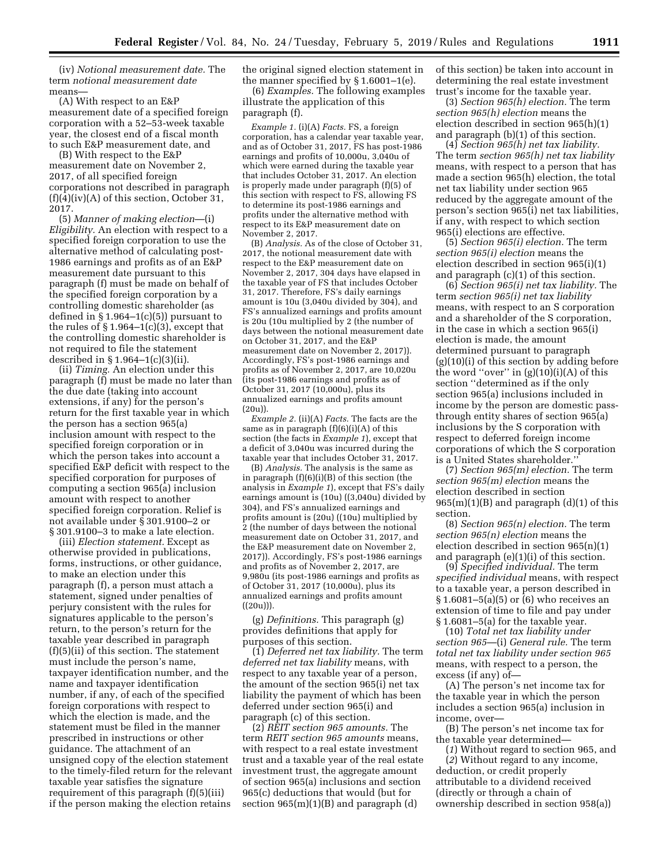(iv) *Notional measurement date.* The term *notional measurement date*  means—

(A) With respect to an E&P measurement date of a specified foreign corporation with a 52–53-week taxable year, the closest end of a fiscal month to such E&P measurement date, and

(B) With respect to the E&P measurement date on November 2, 2017, of all specified foreign corporations not described in paragraph  $(f)(4)(iv)(A)$  of this section, October 31, 2017.

(5) *Manner of making election*—(i) *Eligibility.* An election with respect to a specified foreign corporation to use the alternative method of calculating post-1986 earnings and profits as of an E&P measurement date pursuant to this paragraph (f) must be made on behalf of the specified foreign corporation by a controlling domestic shareholder (as defined in  $\S 1.964-1(c)(5)$  pursuant to the rules of  $\S 1.964-1(c)(3)$ , except that the controlling domestic shareholder is not required to file the statement described in § 1.964–1(c)(3)(ii).

(ii) *Timing.* An election under this paragraph (f) must be made no later than the due date (taking into account extensions, if any) for the person's return for the first taxable year in which the person has a section 965(a) inclusion amount with respect to the specified foreign corporation or in which the person takes into account a specified E&P deficit with respect to the specified corporation for purposes of computing a section 965(a) inclusion amount with respect to another specified foreign corporation. Relief is not available under § 301.9100–2 or § 301.9100–3 to make a late election.

(iii) *Election statement.* Except as otherwise provided in publications, forms, instructions, or other guidance, to make an election under this paragraph (f), a person must attach a statement, signed under penalties of perjury consistent with the rules for signatures applicable to the person's return, to the person's return for the taxable year described in paragraph (f)(5)(ii) of this section. The statement must include the person's name, taxpayer identification number, and the name and taxpayer identification number, if any, of each of the specified foreign corporations with respect to which the election is made, and the statement must be filed in the manner prescribed in instructions or other guidance. The attachment of an unsigned copy of the election statement to the timely-filed return for the relevant taxable year satisfies the signature requirement of this paragraph (f)(5)(iii) if the person making the election retains

the original signed election statement in the manner specified by § 1.6001–1(e).

(6) *Examples.* The following examples illustrate the application of this paragraph (f).

*Example 1.* (i)(A) *Facts.* FS, a foreign corporation, has a calendar year taxable year, and as of October 31, 2017, FS has post-1986 earnings and profits of 10,000u, 3,040u of which were earned during the taxable year that includes October 31, 2017. An election is properly made under paragraph (f)(5) of this section with respect to FS, allowing FS to determine its post-1986 earnings and profits under the alternative method with respect to its E&P measurement date on November 2, 2017.

(B) *Analysis.* As of the close of October 31, 2017, the notional measurement date with respect to the E&P measurement date on November 2, 2017, 304 days have elapsed in the taxable year of FS that includes October 31, 2017. Therefore, FS's daily earnings amount is 10u (3,040u divided by 304), and FS's annualized earnings and profits amount is 20u (10u multiplied by 2 (the number of days between the notional measurement date on October 31, 2017, and the E&P measurement date on November 2, 2017)). Accordingly, FS's post-1986 earnings and profits as of November 2, 2017, are 10,020u (its post-1986 earnings and profits as of October 31, 2017 (10,000u), plus its annualized earnings and profits amount (20u)).

*Example 2.* (ii)(A) *Facts.* The facts are the same as in paragraph  $(f)(6)(i)(A)$  of this section (the facts in *Example 1*), except that a deficit of 3,040u was incurred during the taxable year that includes October 31, 2017.

(B) *Analysis.* The analysis is the same as in paragraph (f)(6)(i)(B) of this section (the analysis in *Example 1*), except that FS's daily earnings amount is (10u) ((3,040u) divided by 304), and FS's annualized earnings and profits amount is (20u) ((10u) multiplied by 2 (the number of days between the notional measurement date on October 31, 2017, and the E&P measurement date on November 2, 2017)). Accordingly, FS's post-1986 earnings and profits as of November 2, 2017, are 9,980u (its post-1986 earnings and profits as of October 31, 2017 (10,000u), plus its annualized earnings and profits amount  $((20u))$ .

(g) *Definitions.* This paragraph (g) provides definitions that apply for purposes of this section.

(1) *Deferred net tax liability.* The term *deferred net tax liability* means, with respect to any taxable year of a person, the amount of the section 965(i) net tax liability the payment of which has been deferred under section 965(i) and paragraph (c) of this section.

(2) *REIT section 965 amounts.* The term *REIT section 965 amounts* means, with respect to a real estate investment trust and a taxable year of the real estate investment trust, the aggregate amount of section 965(a) inclusions and section 965(c) deductions that would (but for section  $965(m)(1)(B)$  and paragraph  $(d)$ 

of this section) be taken into account in determining the real estate investment trust's income for the taxable year.

(3) *Section 965(h) election.* The term *section 965(h) election* means the election described in section 965(h)(1) and paragraph (b)(1) of this section.

(4) *Section 965(h) net tax liability.*  The term *section 965(h) net tax liability*  means, with respect to a person that has made a section 965(h) election, the total net tax liability under section 965 reduced by the aggregate amount of the person's section 965(i) net tax liabilities, if any, with respect to which section 965(i) elections are effective.

(5) *Section 965(i) election.* The term *section 965(i) election* means the election described in section 965(i)(1) and paragraph (c)(1) of this section.

(6) *Section 965(i) net tax liability.* The term *section 965(i) net tax liability*  means, with respect to an S corporation and a shareholder of the S corporation, in the case in which a section 965(i) election is made, the amount determined pursuant to paragraph (g)(10)(i) of this section by adding before the word "over" in  $(g)(10)(i)(A)$  of this section ''determined as if the only section 965(a) inclusions included in income by the person are domestic passthrough entity shares of section 965(a) inclusions by the S corporation with respect to deferred foreign income corporations of which the S corporation is a United States shareholder.''

(7) *Section 965(m) election.* The term *section 965(m) election* means the election described in section  $965(m)(1)(B)$  and paragraph  $(d)(1)$  of this section.

(8) *Section 965(n) election.* The term *section 965(n) election* means the election described in section 965(n)(1) and paragraph (e)(1)(i) of this section.

(9) *Specified individual.* The term *specified individual* means, with respect to a taxable year, a person described in  $§ 1.6081-5(a)(5)$  or  $\overline{6}$ ) who receives an extension of time to file and pay under § 1.6081–5(a) for the taxable year.

(10) *Total net tax liability under section 965*—(i) *General rule.* The term *total net tax liability under section 965*  means, with respect to a person, the excess (if any) of—

(A) The person's net income tax for the taxable year in which the person includes a section 965(a) inclusion in income, over—

(B) The person's net income tax for the taxable year determined—

(*1*) Without regard to section 965, and (*2*) Without regard to any income, deduction, or credit properly attributable to a dividend received (directly or through a chain of ownership described in section 958(a))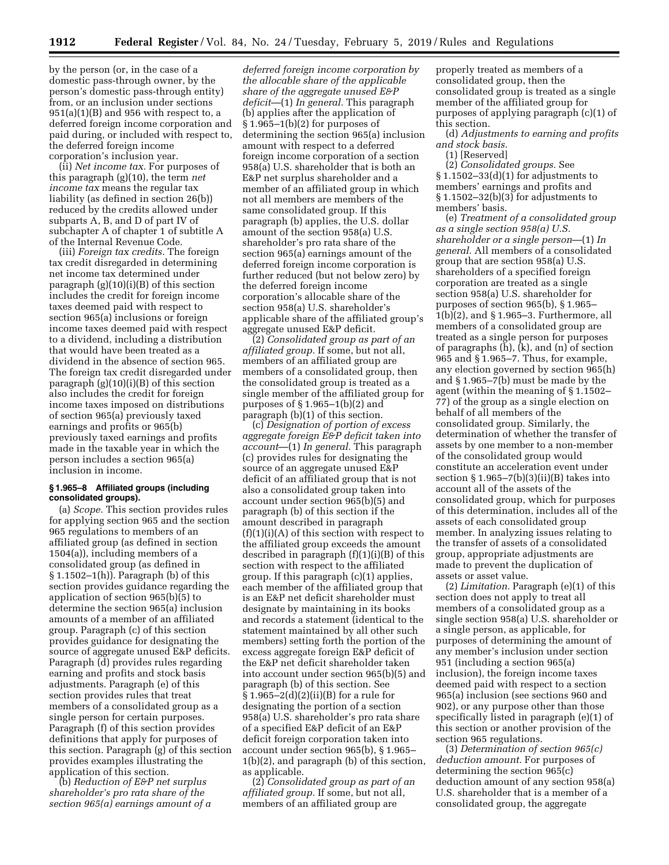by the person (or, in the case of a domestic pass-through owner, by the person's domestic pass-through entity) from, or an inclusion under sections  $951(a)(1)(B)$  and  $956$  with respect to, a deferred foreign income corporation and paid during, or included with respect to, the deferred foreign income corporation's inclusion year.

(ii) *Net income tax.* For purposes of this paragraph (g)(10), the term *net income tax* means the regular tax liability (as defined in section 26(b)) reduced by the credits allowed under subparts A, B, and D of part IV of subchapter A of chapter 1 of subtitle A of the Internal Revenue Code.

(iii) *Foreign tax credits.* The foreign tax credit disregarded in determining net income tax determined under paragraph (g)(10)(i)(B) of this section includes the credit for foreign income taxes deemed paid with respect to section 965(a) inclusions or foreign income taxes deemed paid with respect to a dividend, including a distribution that would have been treated as a dividend in the absence of section 965. The foreign tax credit disregarded under paragraph (g)(10)(i)(B) of this section also includes the credit for foreign income taxes imposed on distributions of section 965(a) previously taxed earnings and profits or 965(b) previously taxed earnings and profits made in the taxable year in which the person includes a section 965(a) inclusion in income.

### **§ 1.965–8 Affiliated groups (including consolidated groups).**

(a) *Scope.* This section provides rules for applying section 965 and the section 965 regulations to members of an affiliated group (as defined in section 1504(a)), including members of a consolidated group (as defined in § 1.1502–1(h)). Paragraph (b) of this section provides guidance regarding the application of section 965(b)(5) to determine the section 965(a) inclusion amounts of a member of an affiliated group. Paragraph (c) of this section provides guidance for designating the source of aggregate unused E&P deficits. Paragraph (d) provides rules regarding earning and profits and stock basis adjustments. Paragraph (e) of this section provides rules that treat members of a consolidated group as a single person for certain purposes. Paragraph (f) of this section provides definitions that apply for purposes of this section. Paragraph (g) of this section provides examples illustrating the application of this section.

(b) *Reduction of E&P net surplus shareholder's pro rata share of the section 965(a) earnings amount of a* 

*deferred foreign income corporation by the allocable share of the applicable share of the aggregate unused E&P deficit*—(1) *In general.* This paragraph (b) applies after the application of  $§ 1.965-1(b)(2)$  for purposes of determining the section 965(a) inclusion amount with respect to a deferred foreign income corporation of a section 958(a) U.S. shareholder that is both an E&P net surplus shareholder and a member of an affiliated group in which not all members are members of the same consolidated group. If this paragraph (b) applies, the U.S. dollar amount of the section 958(a) U.S. shareholder's pro rata share of the section 965(a) earnings amount of the deferred foreign income corporation is further reduced (but not below zero) by the deferred foreign income corporation's allocable share of the section 958(a) U.S. shareholder's applicable share of the affiliated group's aggregate unused E&P deficit.

(2) *Consolidated group as part of an affiliated group.* If some, but not all, members of an affiliated group are members of a consolidated group, then the consolidated group is treated as a single member of the affiliated group for purposes of  $\S 1.965-1(b)(2)$  and paragraph (b)(1) of this section.

(c) *Designation of portion of excess aggregate foreign E&P deficit taken into account*—(1) *In general.* This paragraph (c) provides rules for designating the source of an aggregate unused E&P deficit of an affiliated group that is not also a consolidated group taken into account under section 965(b)(5) and paragraph (b) of this section if the amount described in paragraph  $(f)(1)(i)(A)$  of this section with respect to the affiliated group exceeds the amount described in paragraph (f)(1)(i)(B) of this section with respect to the affiliated group. If this paragraph (c)(1) applies, each member of the affiliated group that is an E&P net deficit shareholder must designate by maintaining in its books and records a statement (identical to the statement maintained by all other such members) setting forth the portion of the excess aggregate foreign E&P deficit of the E&P net deficit shareholder taken into account under section 965(b)(5) and paragraph (b) of this section. See  $§ 1.965-2(d)(2)(ii)(B)$  for a rule for designating the portion of a section 958(a) U.S. shareholder's pro rata share of a specified E&P deficit of an E&P deficit foreign corporation taken into account under section 965(b), § 1.965– 1(b)(2), and paragraph (b) of this section, as applicable.

(2) *Consolidated group as part of an affiliated group.* If some, but not all, members of an affiliated group are

properly treated as members of a consolidated group, then the consolidated group is treated as a single member of the affiliated group for purposes of applying paragraph (c)(1) of this section.

(d) *Adjustments to earning and profits and stock basis.* 

(1) [Reserved] (2) *Consolidated groups.* See  $§ 1.1502-33(d)(1)$  for adjustments to

members' earnings and profits and § 1.1502–32(b)(3) for adjustments to members' basis.

(e) *Treatment of a consolidated group as a single section 958(a) U.S. shareholder or a single person*—(1) *In general.* All members of a consolidated group that are section 958(a) U.S. shareholders of a specified foreign corporation are treated as a single section 958(a) U.S. shareholder for purposes of section 965(b), § 1.965– 1(b)(2), and § 1.965–3. Furthermore, all members of a consolidated group are treated as a single person for purposes of paragraphs (h), (k), and (n) of section 965 and § 1.965–7. Thus, for example, any election governed by section 965(h) and § 1.965–7(b) must be made by the agent (within the meaning of § 1.1502– 77) of the group as a single election on behalf of all members of the consolidated group. Similarly, the determination of whether the transfer of assets by one member to a non-member of the consolidated group would constitute an acceleration event under section  $\S 1.965-7(b)(3)(ii)(B)$  takes into account all of the assets of the consolidated group, which for purposes of this determination, includes all of the assets of each consolidated group member. In analyzing issues relating to the transfer of assets of a consolidated group, appropriate adjustments are made to prevent the duplication of assets or asset value.

(2) *Limitation.* Paragraph (e)(1) of this section does not apply to treat all members of a consolidated group as a single section 958(a) U.S. shareholder or a single person, as applicable, for purposes of determining the amount of any member's inclusion under section 951 (including a section 965(a) inclusion), the foreign income taxes deemed paid with respect to a section 965(a) inclusion (see sections 960 and 902), or any purpose other than those specifically listed in paragraph (e)(1) of this section or another provision of the section 965 regulations.

(3) *Determination of section 965(c) deduction amount.* For purposes of determining the section 965(c) deduction amount of any section 958(a) U.S. shareholder that is a member of a consolidated group, the aggregate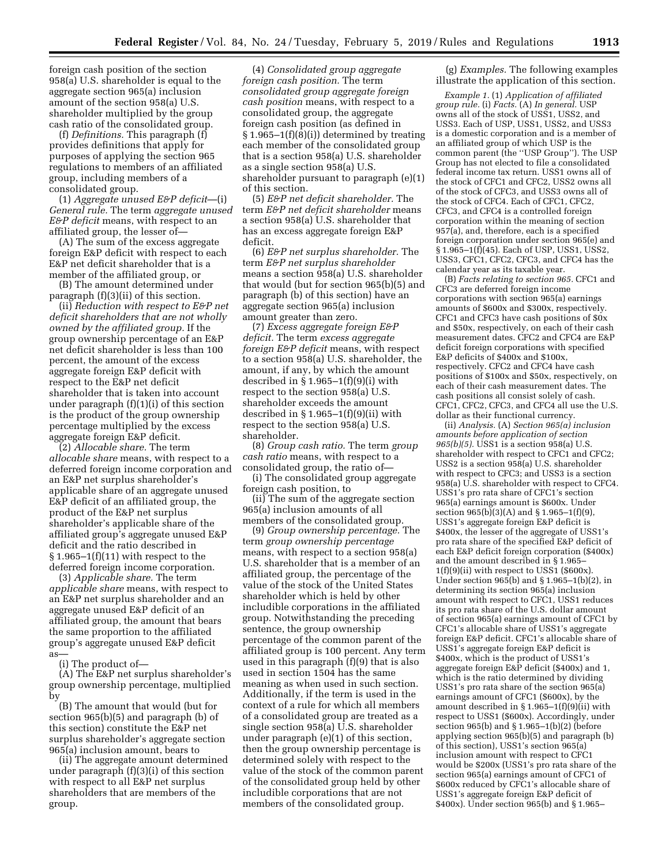foreign cash position of the section 958(a) U.S. shareholder is equal to the aggregate section 965(a) inclusion amount of the section 958(a) U.S. shareholder multiplied by the group cash ratio of the consolidated group.

(f) *Definitions.* This paragraph (f) provides definitions that apply for purposes of applying the section 965 regulations to members of an affiliated group, including members of a consolidated group.

(1) *Aggregate unused E&P deficit*—(i) *General rule.* The term *aggregate unused E&P deficit* means, with respect to an affiliated group, the lesser of—

(A) The sum of the excess aggregate foreign E&P deficit with respect to each E&P net deficit shareholder that is a member of the affiliated group, or

(B) The amount determined under paragraph (f)(3)(ii) of this section.

(ii) *Reduction with respect to E&P net deficit shareholders that are not wholly owned by the affiliated group.* If the group ownership percentage of an E&P net deficit shareholder is less than 100 percent, the amount of the excess aggregate foreign E&P deficit with respect to the E&P net deficit shareholder that is taken into account under paragraph (f)(1)(i) of this section is the product of the group ownership percentage multiplied by the excess aggregate foreign E&P deficit.

(2) *Allocable share.* The term *allocable share* means, with respect to a deferred foreign income corporation and an E&P net surplus shareholder's applicable share of an aggregate unused E&P deficit of an affiliated group, the product of the E&P net surplus shareholder's applicable share of the affiliated group's aggregate unused E&P deficit and the ratio described in  $§ 1.965-1(f)(11)$  with respect to the deferred foreign income corporation.

(3) *Applicable share.* The term *applicable share* means, with respect to an E&P net surplus shareholder and an aggregate unused E&P deficit of an affiliated group, the amount that bears the same proportion to the affiliated group's aggregate unused E&P deficit as—

(i) The product of—

(A) The E&P net surplus shareholder's group ownership percentage, multiplied by

(B) The amount that would (but for section 965(b)(5) and paragraph (b) of this section) constitute the E&P net surplus shareholder's aggregate section 965(a) inclusion amount, bears to

(ii) The aggregate amount determined under paragraph (f)(3)(i) of this section with respect to all E&P net surplus shareholders that are members of the group.

(4) *Consolidated group aggregate foreign cash position.* The term *consolidated group aggregate foreign cash position* means, with respect to a consolidated group, the aggregate foreign cash position (as defined in § 1.965–1(f)(8)(i)) determined by treating each member of the consolidated group that is a section 958(a) U.S. shareholder as a single section 958(a) U.S. shareholder pursuant to paragraph (e)(1) of this section.

(5) *E&P net deficit shareholder.* The term *E&P net deficit shareholder* means a section 958(a) U.S. shareholder that has an excess aggregate foreign E&P deficit.

(6) *E&P net surplus shareholder.* The term *E&P net surplus shareholder*  means a section 958(a) U.S. shareholder that would (but for section 965(b)(5) and paragraph (b) of this section) have an aggregate section 965(a) inclusion amount greater than zero.

(7) *Excess aggregate foreign E&P deficit.* The term *excess aggregate foreign E&P deficit* means, with respect to a section 958(a) U.S. shareholder, the amount, if any, by which the amount described in  $\S 1.965-1(f)(9)(i)$  with respect to the section 958(a) U.S. shareholder exceeds the amount described in  $\S 1.965-1(f)(9)(ii)$  with respect to the section 958(a) U.S. shareholder.

(8) *Group cash ratio.* The term *group cash ratio* means, with respect to a consolidated group, the ratio of—

(i) The consolidated group aggregate foreign cash position, to

(ii) The sum of the aggregate section 965(a) inclusion amounts of all members of the consolidated group.

(9) *Group ownership percentage.* The term *group ownership percentage*  means, with respect to a section 958(a) U.S. shareholder that is a member of an affiliated group, the percentage of the value of the stock of the United States shareholder which is held by other includible corporations in the affiliated group. Notwithstanding the preceding sentence, the group ownership percentage of the common parent of the affiliated group is 100 percent. Any term used in this paragraph (f)(9) that is also used in section 1504 has the same meaning as when used in such section. Additionally, if the term is used in the context of a rule for which all members of a consolidated group are treated as a single section  $958(a)$  U.S. shareholder under paragraph (e)(1) of this section, then the group ownership percentage is determined solely with respect to the value of the stock of the common parent of the consolidated group held by other includible corporations that are not members of the consolidated group.

(g) *Examples.* The following examples illustrate the application of this section.

*Example 1.* (1) *Application of affiliated group rule.* (i) *Facts.* (A) *In general.* USP owns all of the stock of USS1, USS2, and USS3. Each of USP, USS1, USS2, and USS3 is a domestic corporation and is a member of an affiliated group of which USP is the common parent (the ''USP Group''). The USP Group has not elected to file a consolidated federal income tax return. USS1 owns all of the stock of CFC1 and CFC2, USS2 owns all of the stock of CFC3, and USS3 owns all of the stock of CFC4. Each of CFC1, CFC2, CFC3, and CFC4 is a controlled foreign corporation within the meaning of section 957(a), and, therefore, each is a specified foreign corporation under section 965(e) and § 1.965–1(f)(45). Each of USP, USS1, USS2, USS3, CFC1, CFC2, CFC3, and CFC4 has the calendar year as its taxable year.

(B) *Facts relating to section 965.* CFC1 and CFC3 are deferred foreign income corporations with section 965(a) earnings amounts of \$600x and \$300x, respectively. CFC1 and CFC3 have cash positions of \$0x and \$50x, respectively, on each of their cash measurement dates. CFC2 and CFC4 are E&P deficit foreign corporations with specified E&P deficits of \$400x and \$100x, respectively. CFC2 and CFC4 have cash positions of \$100x and \$50x, respectively, on each of their cash measurement dates. The cash positions all consist solely of cash. CFC1, CFC2, CFC3, and CFC4 all use the U.S. dollar as their functional currency.

(ii) *Analysis.* (A) *Section 965(a) inclusion amounts before application of section 965(b)(5).* USS1 is a section 958(a) U.S. shareholder with respect to CFC1 and CFC2; USS2 is a section  $958(a)$  U.S. shareholder with respect to CFC3; and USS3 is a section 958(a) U.S. shareholder with respect to CFC4. USS1's pro rata share of CFC1's section 965(a) earnings amount is \$600x. Under section  $965(b)(3)(A)$  and  $§ 1.965-1(f)(9)$ , USS1's aggregate foreign E&P deficit is \$400x, the lesser of the aggregate of USS1's pro rata share of the specified E&P deficit of each E&P deficit foreign corporation (\$400x) and the amount described in § 1.965–  $1(f)(9)(ii)$  with respect to USS1 (\$600x). Under section 965(b) and § 1.965–1(b)(2), in determining its section 965(a) inclusion amount with respect to CFC1, USS1 reduces its pro rata share of the U.S. dollar amount of section 965(a) earnings amount of CFC1 by CFC1's allocable share of USS1's aggregate foreign E&P deficit. CFC1's allocable share of USS1's aggregate foreign E&P deficit is \$400x, which is the product of USS1's aggregate foreign E&P deficit (\$400x) and 1, which is the ratio determined by dividing USS1's pro rata share of the section 965(a) earnings amount of CFC1 (\$600x), by the amount described in § 1.965–1(f)(9)(ii) with respect to USS1 (\$600x). Accordingly, under section 965(b) and § 1.965–1(b)(2) (before applying section 965(b)(5) and paragraph (b) of this section), USS1's section 965(a) inclusion amount with respect to CFC1 would be \$200x (USS1's pro rata share of the section 965(a) earnings amount of CFC1 of \$600x reduced by CFC1's allocable share of USS1's aggregate foreign E&P deficit of \$400x). Under section 965(b) and § 1.965–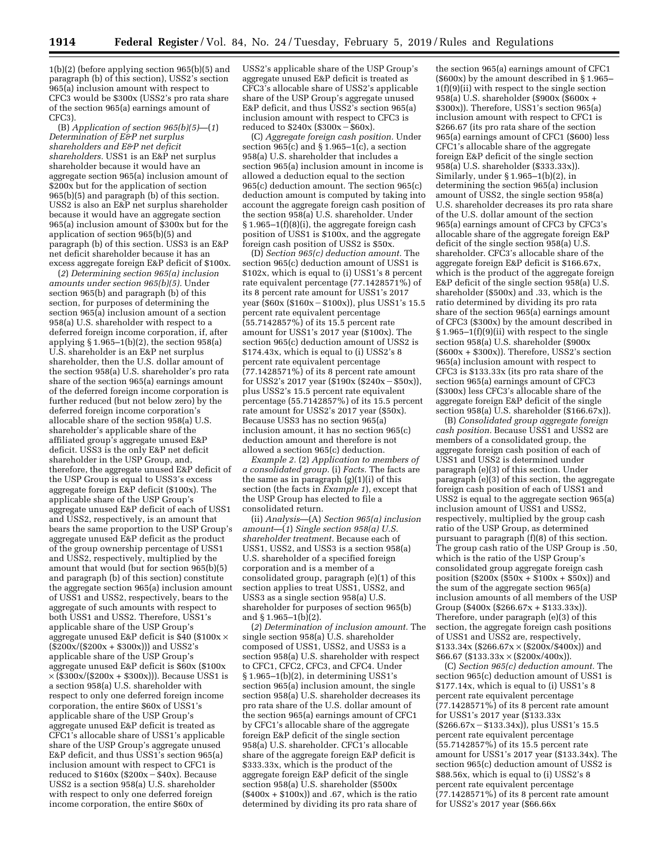1(b)(2) (before applying section 965(b)(5) and paragraph (b) of this section), USS2's section 965(a) inclusion amount with respect to CFC3 would be \$300x (USS2's pro rata share of the section 965(a) earnings amount of CFC3).

(B) *Application of section 965(b)(5)*—(*1*) *Determination of E&P net surplus shareholders and E&P net deficit shareholders.* USS1 is an E&P net surplus shareholder because it would have an aggregate section 965(a) inclusion amount of \$200x but for the application of section 965(b)(5) and paragraph (b) of this section. USS2 is also an E&P net surplus shareholder because it would have an aggregate section 965(a) inclusion amount of \$300x but for the application of section 965(b)(5) and paragraph (b) of this section. USS3 is an E&P net deficit shareholder because it has an excess aggregate foreign E&P deficit of \$100x.

(*2*) *Determining section 965(a) inclusion amounts under section 965(b)(5).* Under section 965(b) and paragraph (b) of this section, for purposes of determining the section 965(a) inclusion amount of a section 958(a) U.S. shareholder with respect to a deferred foreign income corporation, if, after applying § 1.965–1(b)(2), the section 958(a) U.S. shareholder is an E&P net surplus shareholder, then the U.S. dollar amount of the section 958(a) U.S. shareholder's pro rata share of the section 965(a) earnings amount of the deferred foreign income corporation is further reduced (but not below zero) by the deferred foreign income corporation's allocable share of the section 958(a) U.S. shareholder's applicable share of the affiliated group's aggregate unused E&P deficit. USS3 is the only E&P net deficit shareholder in the USP Group, and, therefore, the aggregate unused E&P deficit of the USP Group is equal to USS3's excess aggregate foreign E&P deficit (\$100x). The applicable share of the USP Group's aggregate unused E&P deficit of each of USS1 and USS2, respectively, is an amount that bears the same proportion to the USP Group's aggregate unused E&P deficit as the product of the group ownership percentage of USS1 and USS2, respectively, multiplied by the amount that would (but for section 965(b)(5) and paragraph (b) of this section) constitute the aggregate section 965(a) inclusion amount of USS1 and USS2, respectively, bears to the aggregate of such amounts with respect to both USS1 and USS2. Therefore, USS1's applicable share of the USP Group's aggregate unused E&P deficit is  $$40$  (\$100x  $\times$  $(\$200x/(\$200x + \$300x))$  and USS2's applicable share of the USP Group's aggregate unused E&P deficit is \$60x (\$100x × (\$300x/(\$200x + \$300x))). Because USS1 is a section 958(a) U.S. shareholder with respect to only one deferred foreign income corporation, the entire \$60x of USS1's applicable share of the USP Group's aggregate unused E&P deficit is treated as CFC1's allocable share of USS1's applicable share of the USP Group's aggregate unused E&P deficit, and thus  $\overline{U}SS1$ 's section 965(a) inclusion amount with respect to CFC1 is reduced to  $$160x$  ( $$200x - $40x$ ). Because USS2 is a section 958(a) U.S. shareholder with respect to only one deferred foreign income corporation, the entire \$60x of

USS2's applicable share of the USP Group's aggregate unused E&P deficit is treated as CFC3's allocable share of USS2's applicable share of the USP Group's aggregate unused E&P deficit, and thus  $\overrightarrow{U}$ SS2's section 965(a) inclusion amount with respect to CFC3 is reduced to  $$240x ($300x - $60x$ .

(C) *Aggregate foreign cash position.* Under section  $965(c)$  and  $§ 1.965-1(c)$ , a section 958(a) U.S. shareholder that includes a section 965(a) inclusion amount in income is allowed a deduction equal to the section 965(c) deduction amount. The section 965(c) deduction amount is computed by taking into account the aggregate foreign cash position of the section 958(a) U.S. shareholder. Under § 1.965–1(f)(8)(i), the aggregate foreign cash position of USS1 is \$100x, and the aggregate foreign cash position of USS2 is \$50x.

(D) *Section 965(c) deduction amount.* The section 965(c) deduction amount of USS1 is \$102x, which is equal to (i) USS1's 8 percent rate equivalent percentage (77.1428571%) of its 8 percent rate amount for USS1's 2017 year ( $$60x ($160x - $100x)$ ), plus USS1's 15.5 percent rate equivalent percentage (55.7142857%) of its 15.5 percent rate amount for USS1's 2017 year (\$100x). The section 965(c) deduction amount of USS2 is \$174.43x, which is equal to (i) USS2's 8 percent rate equivalent percentage  $(77.1428571\%)$  of its 8 percent rate amount for USS2's 2017 year  $(\hat{$}190x (\hat{$}240x - \hat{$}50x))$ , plus USS2's 15.5 percent rate equivalent percentage  $(55.7142857%)$  of its 15.5 percent rate amount for USS2's 2017 year (\$50x). Because USS3 has no section 965(a) inclusion amount, it has no section 965(c) deduction amount and therefore is not allowed a section 965(c) deduction.

*Example 2.* (2) *Application to members of a consolidated group.* (i) *Facts.* The facts are the same as in paragraph (g)(1)(i) of this section (the facts in *Example 1*), except that the USP Group has elected to file a consolidated return.

(ii) *Analysis*—(A) *Section 965(a) inclusion amount*—(*1*) *Single section 958(a) U.S. shareholder treatment.* Because each of USS1, USS2, and USS3 is a section 958(a) U.S. shareholder of a specified foreign corporation and is a member of a consolidated group, paragraph (e)(1) of this section applies to treat USS1, USS2, and USS3 as a single section 958(a) U.S. shareholder for purposes of section 965(b) and § 1.965–1(b) $(2)$ .

(*2*) *Determination of inclusion amount.* The single section 958(a) U.S. shareholder composed of USS1, USS2, and USS3 is a section 958(a) U.S. shareholder with respect to CFC1, CFC2, CFC3, and CFC4. Under § 1.965–1(b)(2), in determining USS1's section 965(a) inclusion amount, the single section 958(a) U.S. shareholder decreases its pro rata share of the U.S. dollar amount of the section 965(a) earnings amount of CFC1 by CFC1's allocable share of the aggregate foreign E&P deficit of the single section 958(a) U.S. shareholder. CFC1's allocable share of the aggregate foreign E&P deficit is \$333.33x, which is the product of the aggregate foreign E&P deficit of the single section 958(a) U.S. shareholder (\$500x)  $($400x + $100x)]$  and .67, which is the ratio determined by dividing its pro rata share of

the section 965(a) earnings amount of CFC1 (\$600x) by the amount described in § 1.965– 1(f)(9)(ii) with respect to the single section 958(a) U.S. shareholder (\$900x (\$600x + \$300x)). Therefore, USS1's section 965(a) inclusion amount with respect to CFC1 is \$266.67 (its pro rata share of the section 965(a) earnings amount of CFC1 (\$600) less CFC1's allocable share of the aggregate foreign E&P deficit of the single section 958(a) U.S. shareholder (\$333.33x)). Similarly, under § 1.965–1(b)(2), in determining the section 965(a) inclusion amount of USS2, the single section 958(a) U.S. shareholder decreases its pro rata share of the U.S. dollar amount of the section 965(a) earnings amount of CFC3 by CFC3's allocable share of the aggregate foreign E&P deficit of the single section 958(a) U.S. shareholder. CFC3's allocable share of the aggregate foreign E&P deficit is \$166.67x, which is the product of the aggregate foreign E&P deficit of the single section 958(a) U.S. shareholder (\$500x) and .33, which is the ratio determined by dividing its pro rata share of the section 965(a) earnings amount of CFC3 (\$300x) by the amount described in  $§ 1.965-1(f)(9)(ii)$  with respect to the single section 958(a) U.S. shareholder (\$900x  $($600x + $300x)$ . Therefore, USS2's section 965(a) inclusion amount with respect to CFC3 is \$133.33x (its pro rata share of the section 965(a) earnings amount of CFC3 (\$300x) less CFC3's allocable share of the aggregate foreign E&P deficit of the single section 958(a) U.S. shareholder (\$166.67x)).

(B) *Consolidated group aggregate foreign cash position.* Because USS1 and USS2 are members of a consolidated group, the aggregate foreign cash position of each of USS1 and USS2 is determined under paragraph (e)(3) of this section. Under paragraph (e)(3) of this section, the aggregate foreign cash position of each of USS1 and USS2 is equal to the aggregate section 965(a) inclusion amount of USS1 and USS2, respectively, multiplied by the group cash ratio of the USP Group, as determined pursuant to paragraph (f)(8) of this section. The group cash ratio of the USP Group is .50, which is the ratio of the USP Group's consolidated group aggregate foreign cash position (\$200x (\$50x + \$100x + \$50x)) and the sum of the aggregate section 965(a) inclusion amounts of all members of the USP Group (\$400x (\$266.67x + \$133.33x)). Therefore, under paragraph (e)(3) of this section, the aggregate foreign cash positions of USS1 and USS2 are, respectively,  $$133.34x$  (\$266.67x  $\times$  (\$200x/\$400x)) and  $$66.67$  (\$133.33x  $\times$  (\$200x/400x)).

(C) *Section 965(c) deduction amount.* The section 965(c) deduction amount of USS1 is \$177.14x, which is equal to (i) USS1's 8 percent rate equivalent percentage (77.1428571%) of its 8 percent rate amount for USS1's 2017 year (\$133.33x  $($266.67x - $133.34x)$ , plus USS1's 15.5 percent rate equivalent percentage (55.7142857%) of its 15.5 percent rate amount for USS1's 2017 year (\$133.34x). The section 965(c) deduction amount of USS2 is \$88.56x, which is equal to (i) USS2's 8 percent rate equivalent percentage  $(77.1428571\%)$  of its 8 percent rate amount for USS2's 2017 year (\$66.66x